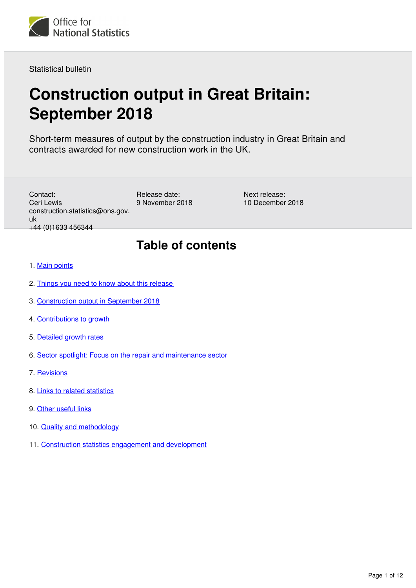

Statistical bulletin

# **Construction output in Great Britain: September 2018**

Short-term measures of output by the construction industry in Great Britain and contracts awarded for new construction work in the UK.

Contact: Ceri Lewis construction.statistics@ons.gov. uk +44 (0)1633 456344

Release date: 9 November 2018

Next release: 10 December 2018

## **Table of contents**

- 1. [Main points](#page-1-0)
- 2. [Things you need to know about this release](#page-1-1)
- 3. [Construction output in September 2018](#page-1-2)
- 4. [Contributions to growth](#page-2-0)
- 5. [Detailed growth rates](#page-5-0)
- 6. [Sector spotlight: Focus on the repair and maintenance sector](#page-7-0)
- 7. [Revisions](#page-9-0)
- 8. [Links to related statistics](#page-9-1)
- 9. [Other useful links](#page-9-2)
- 10. [Quality and methodology](#page-9-3)
- 11. [Construction statistics engagement and development](#page-10-0)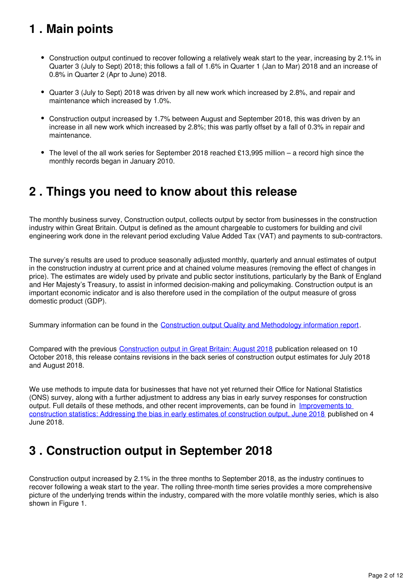## <span id="page-1-0"></span>**1 . Main points**

- Construction output continued to recover following a relatively weak start to the year, increasing by 2.1% in Quarter 3 (July to Sept) 2018; this follows a fall of 1.6% in Quarter 1 (Jan to Mar) 2018 and an increase of 0.8% in Quarter 2 (Apr to June) 2018.
- Quarter 3 (July to Sept) 2018 was driven by all new work which increased by 2.8%, and repair and maintenance which increased by 1.0%.
- Construction output increased by 1.7% between August and September 2018, this was driven by an increase in all new work which increased by 2.8%; this was partly offset by a fall of 0.3% in repair and maintenance.
- $\bullet$  The level of the all work series for September 2018 reached £13,995 million a record high since the monthly records began in January 2010.

## <span id="page-1-1"></span>**2 . Things you need to know about this release**

The monthly business survey, Construction output, collects output by sector from businesses in the construction industry within Great Britain. Output is defined as the amount chargeable to customers for building and civil engineering work done in the relevant period excluding Value Added Tax (VAT) and payments to sub-contractors.

The survey's results are used to produce seasonally adjusted monthly, quarterly and annual estimates of output in the construction industry at current price and at chained volume measures (removing the effect of changes in price). The estimates are widely used by private and public sector institutions, particularly by the Bank of England and Her Majesty's Treasury, to assist in informed decision-making and policymaking. Construction output is an important economic indicator and is also therefore used in the compilation of the output measure of gross domestic product (GDP).

Summary information can be found in the [Construction output Quality and Methodology information report](https://www.ons.gov.uk/businessindustryandtrade/constructionindustry/qmis/constructionoutputqmi).

Compared with the previous [Construction output in Great Britain: August 2018](https://www.ons.gov.uk/businessindustryandtrade/constructionindustry/bulletins/constructionoutputingreatbritain/august2018) publication released on 10 October 2018, this release contains revisions in the back series of construction output estimates for July 2018 and August 2018.

We use methods to impute data for businesses that have not yet returned their Office for National Statistics (ONS) survey, along with a further adjustment to address any bias in early survey responses for construction output. Full details of these methods, and other recent improvements, can be found in [Improvements to](https://www.ons.gov.uk/businessindustryandtrade/constructionindustry/articles/improvementstoconstructionstatisticsaddressingthebiasinearlyestimatesofconstructionoutputjune2018/2018-06-04)  [construction statistics: Addressing the bias in early estimates of construction output, June 2018](https://www.ons.gov.uk/businessindustryandtrade/constructionindustry/articles/improvementstoconstructionstatisticsaddressingthebiasinearlyestimatesofconstructionoutputjune2018/2018-06-04) published on 4 June 2018.

## <span id="page-1-2"></span>**3 . Construction output in September 2018**

Construction output increased by 2.1% in the three months to September 2018, as the industry continues to recover following a weak start to the year. The rolling three-month time series provides a more comprehensive picture of the underlying trends within the industry, compared with the more volatile monthly series, which is also shown in Figure 1.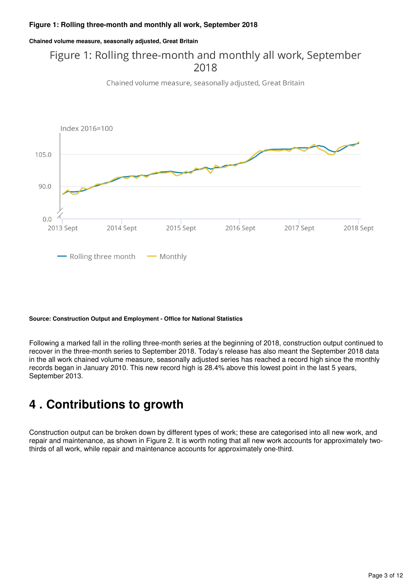**Chained volume measure, seasonally adjusted, Great Britain**

### Figure 1: Rolling three-month and monthly all work, September 2018

Chained volume measure, seasonally adjusted, Great Britain



#### **Source: Construction Output and Employment - Office for National Statistics**

Following a marked fall in the rolling three-month series at the beginning of 2018, construction output continued to recover in the three-month series to September 2018. Today's release has also meant the September 2018 data in the all work chained volume measure, seasonally adjusted series has reached a record high since the monthly records began in January 2010. This new record high is 28.4% above this lowest point in the last 5 years, September 2013.

## <span id="page-2-0"></span>**4 . Contributions to growth**

Construction output can be broken down by different types of work; these are categorised into all new work, and repair and maintenance, as shown in Figure 2. It is worth noting that all new work accounts for approximately twothirds of all work, while repair and maintenance accounts for approximately one-third.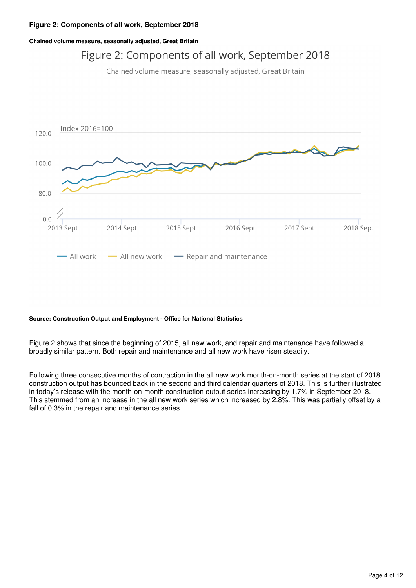#### **Figure 2: Components of all work, September 2018**

**Chained volume measure, seasonally adjusted, Great Britain**

### Figure 2: Components of all work, September 2018

Chained volume measure, seasonally adjusted, Great Britain



#### **Source: Construction Output and Employment - Office for National Statistics**

Figure 2 shows that since the beginning of 2015, all new work, and repair and maintenance have followed a broadly similar pattern. Both repair and maintenance and all new work have risen steadily.

Following three consecutive months of contraction in the all new work month-on-month series at the start of 2018, construction output has bounced back in the second and third calendar quarters of 2018. This is further illustrated in today's release with the month-on-month construction output series increasing by 1.7% in September 2018. This stemmed from an increase in the all new work series which increased by 2.8%. This was partially offset by a fall of 0.3% in the repair and maintenance series.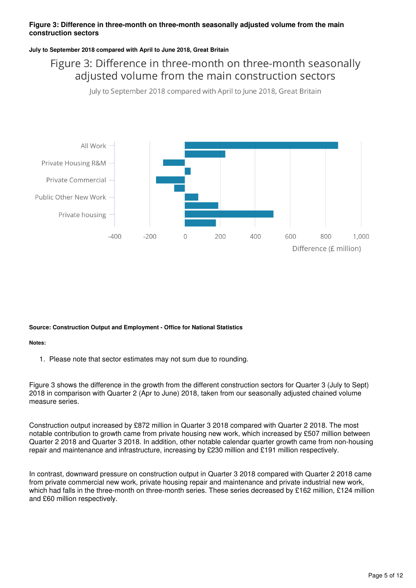#### **Figure 3: Difference in three-month on three-month seasonally adjusted volume from the main construction sectors**

#### **July to September 2018 compared with April to June 2018, Great Britain**

#### Figure 3: Difference in three-month on three-month seasonally adjusted volume from the main construction sectors

July to September 2018 compared with April to June 2018, Great Britain



#### **Source: Construction Output and Employment - Office for National Statistics**

#### **Notes:**

1. Please note that sector estimates may not sum due to rounding.

Figure 3 shows the difference in the growth from the different construction sectors for Quarter 3 (July to Sept) 2018 in comparison with Quarter 2 (Apr to June) 2018, taken from our seasonally adjusted chained volume measure series.

Construction output increased by £872 million in Quarter 3 2018 compared with Quarter 2 2018. The most notable contribution to growth came from private housing new work, which increased by £507 million between Quarter 2 2018 and Quarter 3 2018. In addition, other notable calendar quarter growth came from non-housing repair and maintenance and infrastructure, increasing by £230 million and £191 million respectively.

In contrast, downward pressure on construction output in Quarter 3 2018 compared with Quarter 2 2018 came from private commercial new work, private housing repair and maintenance and private industrial new work, which had falls in the three-month on three-month series. These series decreased by £162 million, £124 million and £60 million respectively.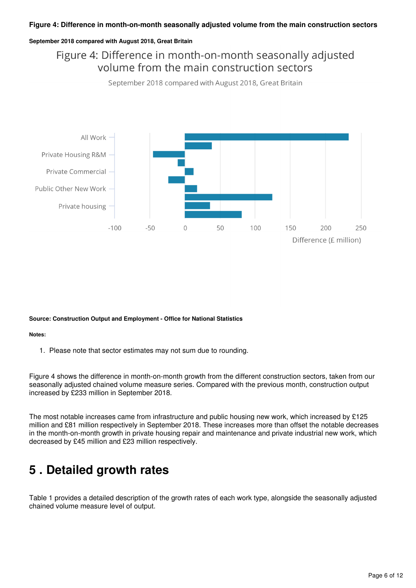#### **Figure 4: Difference in month-on-month seasonally adjusted volume from the main construction sectors**

#### **September 2018 compared with August 2018, Great Britain**

### Figure 4: Difference in month-on-month seasonally adjusted volume from the main construction sectors

September 2018 compared with August 2018, Great Britain



#### **Source: Construction Output and Employment - Office for National Statistics**

#### **Notes:**

1. Please note that sector estimates may not sum due to rounding.

Figure 4 shows the difference in month-on-month growth from the different construction sectors, taken from our seasonally adjusted chained volume measure series. Compared with the previous month, construction output increased by £233 million in September 2018.

The most notable increases came from infrastructure and public housing new work, which increased by £125 million and £81 million respectively in September 2018. These increases more than offset the notable decreases in the month-on-month growth in private housing repair and maintenance and private industrial new work, which decreased by £45 million and £23 million respectively.

## <span id="page-5-0"></span>**5 . Detailed growth rates**

Table 1 provides a detailed description of the growth rates of each work type, alongside the seasonally adjusted chained volume measure level of output.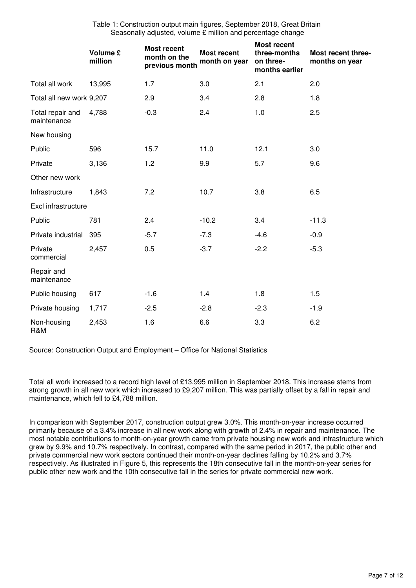Table 1: Construction output main figures, September 2018, Great Britain Seasonally adjusted, volume £ million and percentage change

|                                 | <b>Volume £</b><br>million | <b>Most recent</b><br>month on the<br>previous month | <b>Most recent</b><br>month on year | <b>Most recent</b><br>three-months<br>on three-<br>months earlier | Most recent three-<br>months on year |
|---------------------------------|----------------------------|------------------------------------------------------|-------------------------------------|-------------------------------------------------------------------|--------------------------------------|
| Total all work                  | 13,995                     | 1.7                                                  | 3.0                                 | 2.1                                                               | 2.0                                  |
| Total all new work 9,207        |                            | 2.9                                                  | 3.4                                 | 2.8                                                               | 1.8                                  |
| Total repair and<br>maintenance | 4,788                      | $-0.3$                                               | 2.4                                 | 1.0                                                               | 2.5                                  |
| New housing                     |                            |                                                      |                                     |                                                                   |                                      |
| Public                          | 596                        | 15.7                                                 | 11.0                                | 12.1                                                              | 3.0                                  |
| Private                         | 3,136                      | 1.2                                                  | 9.9                                 | 5.7                                                               | 9.6                                  |
| Other new work                  |                            |                                                      |                                     |                                                                   |                                      |
| Infrastructure                  | 1,843                      | 7.2                                                  | 10.7                                | 3.8                                                               | 6.5                                  |
| Excl infrastructure             |                            |                                                      |                                     |                                                                   |                                      |
| Public                          | 781                        | 2.4                                                  | $-10.2$                             | 3.4                                                               | $-11.3$                              |
| Private industrial              | 395                        | $-5.7$                                               | $-7.3$                              | $-4.6$                                                            | $-0.9$                               |
| Private<br>commercial           | 2,457                      | 0.5                                                  | $-3.7$                              | $-2.2$                                                            | $-5.3$                               |
| Repair and<br>maintenance       |                            |                                                      |                                     |                                                                   |                                      |
| Public housing                  | 617                        | $-1.6$                                               | 1.4                                 | 1.8                                                               | 1.5                                  |
| Private housing                 | 1,717                      | $-2.5$                                               | $-2.8$                              | $-2.3$                                                            | $-1.9$                               |
| Non-housing<br>R&M              | 2,453                      | 1.6                                                  | 6.6                                 | 3.3                                                               | 6.2                                  |

Source: Construction Output and Employment – Office for National Statistics

Total all work increased to a record high level of £13,995 million in September 2018. This increase stems from strong growth in all new work which increased to £9,207 million. This was partially offset by a fall in repair and maintenance, which fell to £4,788 million.

In comparison with September 2017, construction output grew 3.0%. This month-on-year increase occurred primarily because of a 3.4% increase in all new work along with growth of 2.4% in repair and maintenance. The most notable contributions to month-on-year growth came from private housing new work and infrastructure which grew by 9.9% and 10.7% respectively. In contrast, compared with the same period in 2017, the public other and private commercial new work sectors continued their month-on-year declines falling by 10.2% and 3.7% respectively. As illustrated in Figure 5, this represents the 18th consecutive fall in the month-on-year series for public other new work and the 10th consecutive fall in the series for private commercial new work.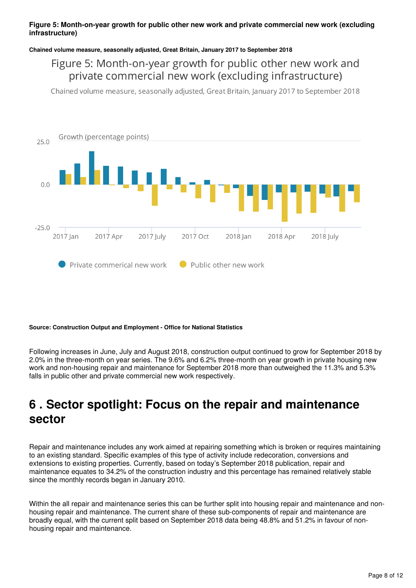#### **Figure 5: Month-on-year growth for public other new work and private commercial new work (excluding infrastructure)**

#### **Chained volume measure, seasonally adjusted, Great Britain, January 2017 to September 2018**

#### Figure 5: Month-on-year growth for public other new work and private commercial new work (excluding infrastructure)

Chained volume measure, seasonally adjusted, Great Britain, January 2017 to September 2018



#### **Source: Construction Output and Employment - Office for National Statistics**

Following increases in June, July and August 2018, construction output continued to grow for September 2018 by 2.0% in the three-month on year series. The 9.6% and 6.2% three-month on year growth in private housing new work and non-housing repair and maintenance for September 2018 more than outweighed the 11.3% and 5.3% falls in public other and private commercial new work respectively.

## <span id="page-7-0"></span>**6 . Sector spotlight: Focus on the repair and maintenance sector**

Repair and maintenance includes any work aimed at repairing something which is broken or requires maintaining to an existing standard. Specific examples of this type of activity include redecoration, conversions and extensions to existing properties. Currently, based on today's September 2018 publication, repair and maintenance equates to 34.2% of the construction industry and this percentage has remained relatively stable since the monthly records began in January 2010.

Within the all repair and maintenance series this can be further split into housing repair and maintenance and nonhousing repair and maintenance. The current share of these sub-components of repair and maintenance are broadly equal, with the current split based on September 2018 data being 48.8% and 51.2% in favour of nonhousing repair and maintenance.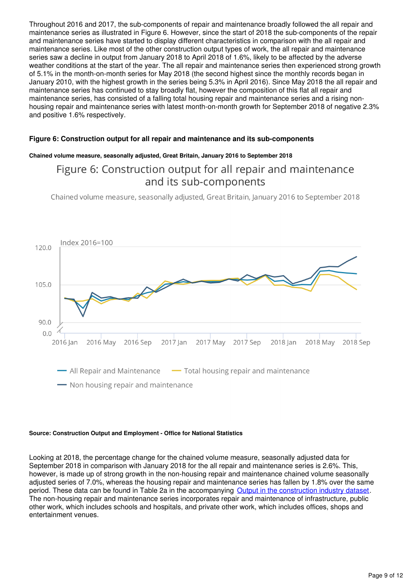Throughout 2016 and 2017, the sub-components of repair and maintenance broadly followed the all repair and maintenance series as illustrated in Figure 6. However, since the start of 2018 the sub-components of the repair and maintenance series have started to display different characteristics in comparison with the all repair and maintenance series. Like most of the other construction output types of work, the all repair and maintenance series saw a decline in output from January 2018 to April 2018 of 1.6%, likely to be affected by the adverse weather conditions at the start of the year. The all repair and maintenance series then experienced strong growth of 5.1% in the month-on-month series for May 2018 (the second highest since the monthly records began in January 2010, with the highest growth in the series being 5.3% in April 2016). Since May 2018 the all repair and maintenance series has continued to stay broadly flat, however the composition of this flat all repair and maintenance series, has consisted of a falling total housing repair and maintenance series and a rising nonhousing repair and maintenance series with latest month-on-month growth for September 2018 of negative 2.3% and positive 1.6% respectively.

#### **Figure 6: Construction output for all repair and maintenance and its sub-components**

#### **Chained volume measure, seasonally adjusted, Great Britain, January 2016 to September 2018**

#### Figure 6: Construction output for all repair and maintenance and its sub-components

Chained volume measure, seasonally adjusted, Great Britain, January 2016 to September 2018



#### **Source: Construction Output and Employment - Office for National Statistics**

Looking at 2018, the percentage change for the chained volume measure, seasonally adjusted data for September 2018 in comparison with January 2018 for the all repair and maintenance series is 2.6%. This, however, is made up of strong growth in the non-housing repair and maintenance chained volume seasonally adjusted series of 7.0%, whereas the housing repair and maintenance series has fallen by 1.8% over the same period. These data can be found in Table 2a in the accompanying [Output in the construction industry dataset.](https://www.ons.gov.uk/businessindustryandtrade/constructionindustry/datasets/outputintheconstructionindustry) The non-housing repair and maintenance series incorporates repair and maintenance of infrastructure, public other work, which includes schools and hospitals, and private other work, which includes offices, shops and entertainment venues.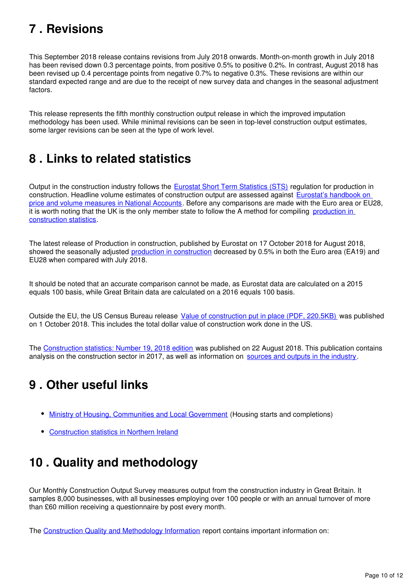## <span id="page-9-0"></span>**7 . Revisions**

This September 2018 release contains revisions from July 2018 onwards. Month-on-month growth in July 2018 has been revised down 0.3 percentage points, from positive 0.5% to positive 0.2%. In contrast, August 2018 has been revised up 0.4 percentage points from negative 0.7% to negative 0.3%. These revisions are within our standard expected range and are due to the receipt of new survey data and changes in the seasonal adjustment factors.

This release represents the fifth monthly construction output release in which the improved imputation methodology has been used. While minimal revisions can be seen in top-level construction output estimates, some larger revisions can be seen at the type of work level.

## <span id="page-9-1"></span>**8 . Links to related statistics**

Output in the construction industry follows the **Eurostat Short Term Statistics (STS)** regulation for production in construction. Headline volume estimates of construction output are assessed against Eurostat's handbook on [price and volume measures in National Accounts](http://ec.europa.eu/eurostat/web/products-manuals-and-guidelines/-/KS-GQ-14-005). Before any comparisons are made with the Euro area or EU28, it is worth noting that the UK is the only member state to follow the A method for compiling [production in](http://ec.europa.eu/eurostat/en/web/products-manuals-and-guidelines/-/KS-RA-11-018)  [construction statistics](http://ec.europa.eu/eurostat/en/web/products-manuals-and-guidelines/-/KS-RA-11-018).

The latest release of Production in construction, published by Eurostat on 17 October 2018 for August 2018, showed the seasonally adjusted [production in construction](https://ec.europa.eu/eurostat/documents/2995521/9307218/4-17102018-BP-EN.pdf/f0191114-87b2-47a6-9e92-236470a0fac0) decreased by 0.5% in both the Euro area (EA19) and EU28 when compared with July 2018.

It should be noted that an accurate comparison cannot be made, as Eurostat data are calculated on a 2015 equals 100 basis, while Great Britain data are calculated on a 2016 equals 100 basis.

Outside the EU, the US Census Bureau release [Value of construction put in place \(PDF, 220.5KB\)](https://www.census.gov/construction/c30/pdf/release.pdf) was published on 1 October 2018. This includes the total dollar value of construction work done in the US.

The [Construction statistics: Number 19, 2018 edition](https://www.ons.gov.uk/businessindustryandtrade/constructionindustry/articles/constructionstatistics/number192018edition) was published on 22 August 2018. This publication contains analysis on the construction sector in 2017, as well as information on sources and outputs in the industry[.](https://www.ons.gov.uk/businessindustryandtrade/constructionindustry/methodologies/constructionstatisticssourcesandoutputs)

## <span id="page-9-2"></span>**9 . Other useful links**

- [Ministry of Housing, Communities and Local Government](https://www.gov.uk/government/organisations/department-for-communities-and-local-government) (Housing starts and completions)
- [Construction statistics in Northern Ireland](https://www.economy-ni.gov.uk/articles/construction-output-statistics)

## <span id="page-9-3"></span>**10 . Quality and methodology**

Our Monthly Construction Output Survey measures output from the construction industry in Great Britain. It samples 8,000 businesses, with all businesses employing over 100 people or with an annual turnover of more than £60 million receiving a questionnaire by post every month.

The [Construction Quality and Methodology Information](https://www.ons.gov.uk/businessindustryandtrade/constructionindustry/qmis/constructionoutputqmi) report contains important information on: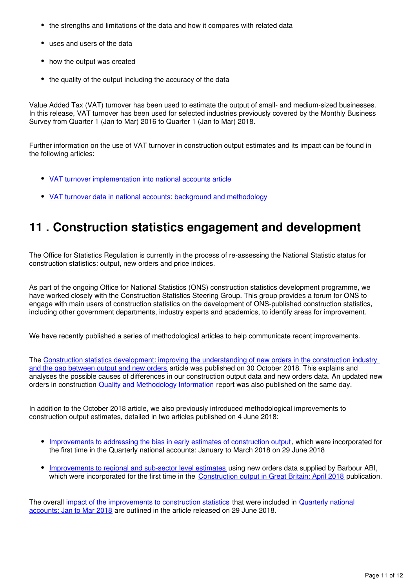- the strengths and limitations of the data and how it compares with related data
- uses and users of the data
- how the output was created
- the quality of the output including the accuracy of the data

Value Added Tax (VAT) turnover has been used to estimate the output of small- and medium-sized businesses. In this release, VAT turnover has been used for selected industries previously covered by the Monthly Business Survey from Quarter 1 (Jan to Mar) 2016 to Quarter 1 (Jan to Mar) 2018.

Further information on the use of VAT turnover in construction output estimates and its impact can be found in the following articles:

- [VAT turnover implementation into national accounts article](https://www.ons.gov.uk/economy/grossdomesticproductgdp/articles/vatturnoverinitialresearchanalysisuk/december)
- [VAT turnover data in national accounts: background and methodology](https://www.ons.gov.uk/economy/grossdomesticproductgdp/methodologies/vatturnoverdatainnationalaccountsbackgroundandmethodology)

## <span id="page-10-0"></span>**11 . Construction statistics engagement and development**

The Office for Statistics Regulation is currently in the process of re-assessing the National Statistic status for construction statistics: output, new orders and price indices.

As part of the ongoing Office for National Statistics (ONS) construction statistics development programme, we have worked closely with the Construction Statistics Steering Group. This group provides a forum for ONS to engage with main users of construction statistics on the development of ONS-published construction statistics, including other government departments, industry experts and academics, to identify areas for improvement.

We have recently published a series of methodological articles to help communicate recent improvements.

The [Construction statistics development: improving the understanding of new orders in the construction industry](https://www.ons.gov.uk/businessindustryandtrade/constructionindustry/articles/constructionstatisticsdevelopmentimprovingtheunderstandingofnewordersintheconstructionindustryandthegapbetweenoutputandneworders/2018-10-30)  [and the gap between output and new orders](https://www.ons.gov.uk/businessindustryandtrade/constructionindustry/articles/constructionstatisticsdevelopmentimprovingtheunderstandingofnewordersintheconstructionindustryandthegapbetweenoutputandneworders/2018-10-30) article was published on 30 October 2018. This explains and analyses the possible causes of differences in our construction output data and new orders data. An updated new orders in construction [Quality and Methodology Information](https://www.ons.gov.uk/businessindustryandtrade/constructionindustry/methodologies/newordersinconstructionqmi) report was also published on the same day.

In addition to the October 2018 article, we also previously introduced methodological improvements to construction output estimates, detailed in two articles published on 4 June 2018:

- [Improvements to addressing the bias in early estimates of construction output,](https://www.ons.gov.uk/businessindustryandtrade/constructionindustry/articles/improvementstoconstructionstatisticsaddressingthebiasinearlyestimatesofconstructionoutputjune2018/2018-06-04) which were incorporated for the first time in the Quarterly national accounts: January to March 2018 on 29 June 2018
- [Improvements to regional and sub-sector level estimates](https://www.ons.gov.uk/businessindustryandtrade/constructionindustry/articles/constructiondevelopmentimprovementstoregionalandsubsectorlevelestimatesjune2018/2018-06-04) using new orders data supplied by Barbour ABI, which were incorporated for the first time in the [Construction output in Great Britain: April 2018](https://www.ons.gov.uk/businessindustryandtrade/constructionindustry/bulletins/constructionoutputingreatbritain/april2018andnewordersjanuarytomarch2018) publication.

The overall [impact of the improvements to construction statistics](https://www.ons.gov.uk/businessindustryandtrade/constructionindustry/articles/impactofimprovementstoconstructionstatistics/june2018) that were included in Quarterly national [accounts: Jan to Mar 2018](https://www.ons.gov.uk/economy/grossdomesticproductgdp/bulletins/quarterlynationalaccounts/januarytomarch2018) are outlined in the article released on 29 June 2018.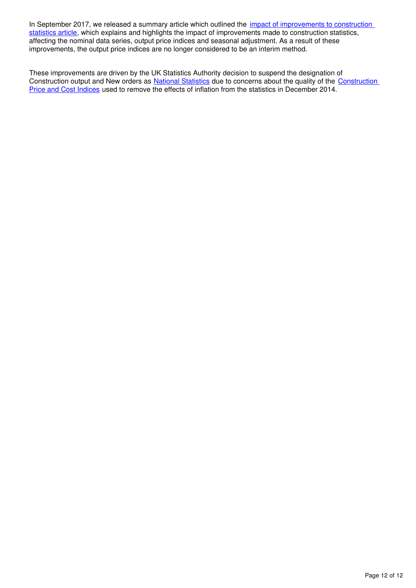In September 2017, we released a summary article which outlined the *impact of improvements to construction* [statistics article](https://www.ons.gov.uk/businessindustryandtrade/constructionindustry/articles/constructiondevelopment/impactofimprovementstoconstructionstatistics), which explains and highlights the impact of improvements made to construction statistics, affecting the nominal data series, output price indices and seasonal adjustment. As a result of these improvements, the output price indices are no longer considered to be an interim method.

These improvements are driven by the UK Statistics Authority decision to suspend the designation of Construction output and New orders as [National Statistics](https://www.statisticsauthority.gov.uk/about-the-authority/uk-statistical-system/types-of-official-statistics/) due to concerns about the quality of the Construction [Price and Cost Indices](https://www.statisticsauthority.gov.uk/correspondence/construction-price-and-cost-indices/) used to remove the effects of inflation from the statistics in December 2014.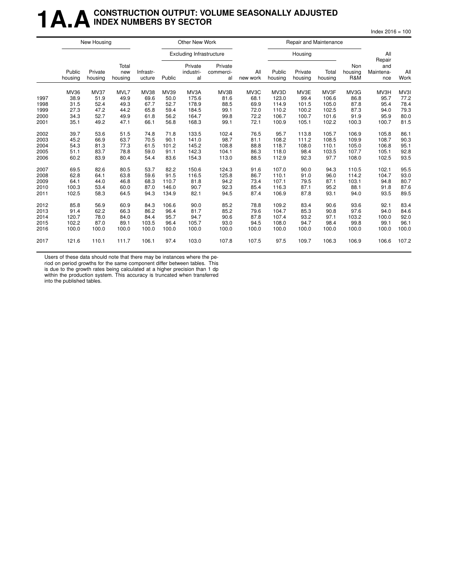### **1 A.A.** CONSTRUCTION OUTPUT: VOLUME SEASONALLY ADJUSTED **INDEX NUMBERS BY SECTOR**

 $Index 2016 = 100$ 

|      |                   | New Housing        |                         |                     |        | Other New Work                  |                            |                 |                   | Repair and Maintenance |                  |                       |                         |             |
|------|-------------------|--------------------|-------------------------|---------------------|--------|---------------------------------|----------------------------|-----------------|-------------------|------------------------|------------------|-----------------------|-------------------------|-------------|
|      |                   |                    |                         |                     |        | <b>Excluding Infrastructure</b> |                            |                 |                   | Housing                |                  |                       | All<br>Repair           |             |
|      | Public<br>housing | Private<br>housing | Total<br>new<br>housing | Infrastr-<br>ucture | Public | Private<br>industri-<br>al      | Private<br>commerci-<br>al | All<br>new work | Public<br>housing | Private<br>housing     | Total<br>housing | Non<br>housing<br>R&M | and<br>Maintena-<br>nce | All<br>Work |
|      | MV36              | <b>MV37</b>        | MVL7                    | MV38                | MV39   | MV3A                            | MV3B                       | MV3C            | MV3D              | MV3E                   | MV3F             | MV3G                  | MV3H                    | MV3I        |
| 1997 | 38.9              | 51.9               | 49.9                    | 69.6                | 50.0   | 175.6                           | 81.6                       | 68.1            | 123.0             | 99.4                   | 106.6            | 86.8                  | 95.7                    | 77.2        |
| 1998 | 31.5              | 52.4               | 49.3                    | 67.7                | 52.7   | 178.9                           | 88.5                       | 69.9            | 114.9             | 101.5                  | 105.0            | 87.8                  | 95.4                    | 78.4        |
| 1999 | 27.3              | 47.2               | 44.2                    | 65.8                | 59.4   | 184.5                           | 99.1                       | 72.0            | 110.2             | 100.2                  | 102.5            | 87.3                  | 94.0                    | 79.3        |
| 2000 | 34.3              | 52.7               | 49.9                    | 61.8                | 56.2   | 164.7                           | 99.8                       | 72.2            | 106.7             | 100.7                  | 101.6            | 91.9                  | 95.9                    | 80.0        |
| 2001 | 35.1              | 49.2               | 47.1                    | 66.1                | 56.8   | 168.3                           | 99.1                       | 72.1            | 100.9             | 105.1                  | 102.2            | 100.3                 | 100.7                   | 81.5        |
| 2002 | 39.7              | 53.6               | 51.5                    | 74.8                | 71.8   | 133.5                           | 102.4                      | 76.5            | 95.7              | 113.8                  | 105.7            | 106.9                 | 105.8                   | 86.1        |
| 2003 | 45.2              | 66.9               | 63.7                    | 70.5                | 90.1   | 141.0                           | 98.7                       | 81.1            | 108.2             | 111.2                  | 108.5            | 109.9                 | 108.7                   | 90.3        |
| 2004 | 54.3              | 81.3               | 77.3                    | 61.5                | 101.2  | 145.2                           | 108.8                      | 88.8            | 118.7             | 108.0                  | 110.1            | 105.0                 | 106.8                   | 95.1        |
| 2005 | 51.1              | 83.7               | 78.8                    | 59.0                | 91.1   | 142.3                           | 104.1                      | 86.3            | 118.0             | 98.4                   | 103.5            | 107.7                 | 105.1                   | 92.8        |
| 2006 | 60.2              | 83.9               | 80.4                    | 54.4                | 83.6   | 154.3                           | 113.0                      | 88.5            | 112.9             | 92.3                   | 97.7             | 108.0                 | 102.5                   | 93.5        |
| 2007 | 69.5              | 82.6               | 80.5                    | 53.7                | 82.2   | 150.6                           | 124.3                      | 91.6            | 107.0             | 90.0                   | 94.3             | 110.5                 | 102.1                   | 95.5        |
| 2008 | 62.8              | 64.1               | 63.8                    | 59.6                | 91.5   | 116.5                           | 125.8                      | 86.7            | 110.1             | 91.0                   | 96.0             | 114.2                 | 104.7                   | 93.0        |
| 2009 | 64.1              | 44.0               | 46.8                    | 68.3                | 110.7  | 81.8                            | 94.2                       | 73.4            | 107.1             | 79.5                   | 87.1             | 103.1                 | 94.8                    | 80.7        |
| 2010 | 100.3             | 53.4               | 60.0                    | 87.0                | 146.0  | 90.7                            | 92.3                       | 85.4            | 116.3             | 87.1                   | 95.2             | 88.1                  | 91.8                    | 87.6        |
| 2011 | 102.5             | 58.3               | 64.5                    | 94.3                | 134.9  | 82.1                            | 94.5                       | 87.4            | 106.9             | 87.8                   | 93.1             | 94.0                  | 93.5                    | 89.5        |
| 2012 | 85.8              | 56.9               | 60.9                    | 84.3                | 106.6  | 90.0                            | 85.2                       | 78.8            | 109.2             | 83.4                   | 90.6             | 93.6                  | 92.1                    | 83.4        |
| 2013 | 91.4              | 62.2               | 66.3                    | 86.2                | 96.4   | 81.7                            | 85.2                       | 79.6            | 104.7             | 85.3                   | 90.8             | 97.6                  | 94.0                    | 84.6        |
| 2014 | 120.7             | 78.0               | 84.0                    | 84.4                | 95.7   | 94.7                            | 90.6                       | 87.8            | 107.4             | 93.2                   | 97.1             | 103.2                 | 100.0                   | 92.0        |
| 2015 | 102.2             | 87.0               | 89.1                    | 103.5               | 96.4   | 105.7                           | 93.0                       | 94.5            | 108.0             | 94.7                   | 98.4             | 99.8                  | 99.1                    | 96.1        |
| 2016 | 100.0             | 100.0              | 100.0                   | 100.0               | 100.0  | 100.0                           | 100.0                      | 100.0           | 100.0             | 100.0                  | 100.0            | 100.0                 | 100.0                   | 100.0       |
| 2017 | 121.6             | 110.1              | 111.7                   | 106.1               | 97.4   | 103.0                           | 107.8                      | 107.5           | 97.5              | 109.7                  | 106.3            | 106.9                 | 106.6                   | 107.2       |

Users of these data should note that there may be instances where the pe-

riod on period growths for the same component differ between tables. This

is due to the growth rates being calculated at a higher precision than 1 dp within the production system. This accuracy is truncated when transferred into the published tables.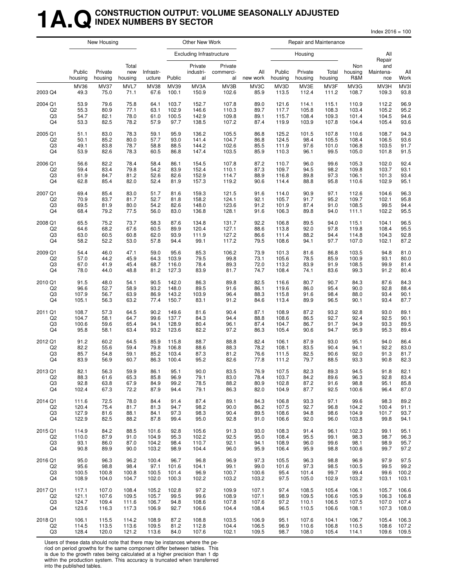### **1A.QCONSTRUCTION OUTPUT: VOLUME SEASONALLY ADJUSTED INDEX NUMBERS BY SECTOR**

 $Index 2016 = 100$ 

|                |                   | New Housing        |                         |                     |        | Other New Work                  |                            |                 |                   |                    | Repair and Maintenance |                       |                         |             |
|----------------|-------------------|--------------------|-------------------------|---------------------|--------|---------------------------------|----------------------------|-----------------|-------------------|--------------------|------------------------|-----------------------|-------------------------|-------------|
|                |                   |                    |                         |                     |        | <b>Excluding Infrastructure</b> |                            |                 |                   | Housing            |                        |                       | All<br>Repair           |             |
|                | Public<br>housing | Private<br>housing | Total<br>new<br>housing | Infrastr-<br>ucture | Public | Private<br>industri-<br>al      | Private<br>commerci-<br>al | All<br>new work | Public<br>housing | Private<br>housing | Total<br>housing       | Non<br>housing<br>R&M | and<br>Maintena-<br>nce | All<br>Work |
| 2003 Q4        | MV36              | <b>MV37</b>        | MVL7                    | <b>MV38</b>         | MV39   | MV3A                            | MV3B                       | MV3C            | MV3D              | MV3E               | MV3F                   | MV3G                  | MV3H                    | MV3I        |
|                | 49.3              | 75.0               | 71.1                    | 67.6                | 100.1  | 150.9                           | 102.6                      | 85.9            | 113.5             | 112.4              | 111.2                  | 108.7                 | 109.3                   | 93.8        |
| 2004 Q1        | 53.9              | 79.6               | 75.8                    | 64.1                | 103.7  | 152.7                           | 107.8                      | 89.0            | 121.6             | 114.1              | 115.1                  | 110.9                 | 112.2                   | 96.9        |
| Q2             | 55.3              | 80.9               | 77.1                    | 63.1                | 102.9  | 146.6                           | 110.3                      | 89.7            | 117.7             | 105.8              | 108.3                  | 103.4                 | 105.2                   | 95.2        |
| Q3             | 54.7              | 82.1               | 78.0                    | 61.0                | 100.5  | 142.9                           | 109.8                      | 89.1            | 115.7             | 108.4              | 109.3                  | 101.4                 | 104.5                   | 94.6        |
| Q4             | 53.3              | 82.5               | 78.2                    | 57.9                | 97.7   | 138.5                           | 107.2                      | 87.4            | 119.9             | 103.9              | 107.8                  | 104.4                 | 105.4                   | 93.6        |
| 2005 Q1        | 51.1              | 83.0               | 78.3                    | 59.1                | 95.9   | 136.2                           | 105.5                      | 86.8            | 125.2             | 101.5              | 107.8                  | 110.6                 | 108.7                   | 94.3        |
| Q2             | 50.1              | 85.2               | 80.0                    | 57.7                | 93.0   | 141.4                           | 104.7                      | 86.8            | 124.5             | 98.4               | 105.5                  | 108.4                 | 106.5                   | 93.6        |
| Q3             | 49.1              | 83.8               | 78.7                    | 58.8                | 88.5   | 144.2                           | 102.6                      | 85.5            | 111.9             | 97.6               | 101.0                  | 106.8                 | 103.5                   | 91.7        |
| Q4             | 53.9              | 82.6               | 78.3                    | 60.5                | 86.8   | 147.4                           | 103.5                      | 85.9            | 110.3             | 96.1               | 99.5                   | 105.0                 | 101.8                   | 91.5        |
| 2006 Q1        | 56.6              | 82.2               | 78.4                    | 58.4                | 86.1   | 154.5                           | 107.8                      | 87.2            | 110.7             | 96.0               | 99.6                   | 105.3                 | 102.0                   | 92.4        |
| Q <sub>2</sub> | 59.4              | 83.4               | 79.8                    | 54.2                | 83.9   | 152.4                           | 110.1                      | 87.3            | 109.7             | 94.5               | 98.2                   | 109.8                 | 103.7                   | 93.1        |
| Q3             | 61.9              | 84.7               | 81.2                    | 52.6                | 82.6   | 152.9                           | 114.7                      | 88.9            | 116.8             | 89.8               | 97.3                   | 106.1                 | 101.3                   | 93.4        |
| Q4             | 62.8              | 85.4               | 82.0                    | 52.4                | 81.9   | 157.3                           | 119.2                      | 90.6            | 114.4             | 88.8               | 95.8                   | 110.6                 | 102.9                   | 95.1        |
| 2007 Q1        | 69.4              | 85.4               | 83.0                    | 51.7                | 81.6   | 159.3                           | 121.5                      | 91.6            | 114.0             | 90.9               | 97.1                   | 112.6                 | 104.6                   | 96.3        |
| Q <sub>2</sub> | 70.9              | 83.7               | 81.7                    | 52.7                | 81.8   | 158.2                           | 124.1                      | 92.1            | 105.7             | 91.7               | 95.2                   | 109.7                 | 102.1                   | 95.8        |
| Q3             | 69.5              | 81.9               | 80.0                    | 54.2                | 82.6   | 148.0                           | 123.6                      | 91.2            | 101.9             | 87.4               | 91.0                   | 108.5                 | 99.5                    | 94.4        |
| Q4             | 68.4              | 79.2               | 77.5                    | 56.0                | 83.0   | 136.8                           | 128.1                      | 91.6            | 106.3             | 89.8               | 94.0                   | 111.1                 | 102.2                   | 95.5        |
| 2008 Q1        | 65.5              | 75.2               | 73.7                    | 58.3                | 87.6   | 134.8                           | 131.7                      | 92.2            | 106.8             | 89.5               | 94.0                   | 115.1                 | 104.1                   | 96.5        |
| Q2             | 64.6              | 68.2               | 67.6                    | 60.5                | 89.9   | 120.4                           | 127.1                      | 88.6            | 113.8             | 92.0               | 97.8                   | 119.8                 | 108.4                   | 95.5        |
| Q3             | 63.0              | 60.5               | 60.8                    | 62.0                | 93.9   | 111.9                           | 127.2                      | 86.6            | 111.4             | 88.2               | 94.4                   | 114.8                 | 104.3                   | 92.8        |
| Q4             | 58.2              | 52.2               | 53.0                    | 57.8                | 94.4   | 99.1                            | 117.2                      | 79.5            | 108.6             | 94.1               | 97.7                   | 107.0                 | 102.1                   | 87.2        |
| 2009 Q1        | 54.4              | 46.0               | 47.1                    | 59.0                | 95.6   | 85.3                            | 106.2                      | 73.9            | 101.3             | 81.6               | 86.8                   | 103.5                 | 94.8                    | 81.0        |
| Q <sub>2</sub> | 57.0              | 44.2               | 45.9                    | 64.3                | 103.9  | 79.5                            | 99.8                       | 73.1            | 105.6             | 78.5               | 85.9                   | 100.9                 | 93.1                    | 80.0        |
| Q3             | 67.0              | 41.9               | 45.4                    | 68.7                | 116.0  | 78.4                            | 89.3                       | 72.0            | 113.2             | 83.9               | 91.9                   | 108.5                 | 99.9                    | 81.4        |
| Q4             | 78.0              | 44.0               | 48.8                    | 81.2                | 127.3  | 83.9                            | 81.7                       | 74.7            | 108.4             | 74.1               | 83.6                   | 99.3                  | 91.2                    | 80.4        |
| 2010 Q1        | 91.5              | 48.0               | 54.1                    | 90.5                | 142.0  | 86.3                            | 89.8                       | 82.5            | 116.6             | 80.7               | 90.7                   | 84.3                  | 87.6                    | 84.3        |
| Q <sub>2</sub> | 96.6              | 52.7               | 58.9                    | 93.2                | 148.0  | 89.5                            | 91.6                       | 86.1            | 119.6             | 86.0               | 95.4                   | 90.0                  | 92.8                    | 88.4        |
| Q3             | 107.9             | 56.7               | 63.9                    | 86.9                | 143.2  | 103.9                           | 96.4                       | 88.3            | 115.8             | 91.6               | 98.4                   | 88.0                  | 93.4                    | 90.1        |
| Q4             | 105.1             | 56.3               | 63.2                    | 77.4                | 150.7  | 83.1                            | 91.2                       | 84.6            | 113.4             | 89.9               | 96.5                   | 90.1                  | 93.4                    | 87.7        |
| 2011 Q1        | 108.7             | 57.3               | 64.5                    | 90.2                | 149.6  | 81.6                            | 90.4                       | 87.1            | 108.9             | 87.2               | 93.2                   | 92.8                  | 93.0                    | 89.1        |
| Q2             | 104.7             | 58.1               | 64.7                    | 99.6                | 137.7  | 84.3                            | 94.4                       | 88.8            | 108.6             | 86.5               | 92.7                   | 92.4                  | 92.5                    | 90.1        |
| Q3             | 100.6             | 59.6               | 65.4                    | 94.1                | 128.9  | 80.4                            | 96.1                       | 87.4            | 104.7             | 86.7               | 91.7                   | 94.9                  | 93.3                    | 89.5        |
| Q4             | 95.8              | 58.1               | 63.4                    | 93.2                | 123.6  | 82.2                            | 97.2                       | 86.3            | 105.4             | 90.6               | 94.7                   | 95.9                  | 95.3                    | 89.4        |
| 2012 Q1        | 91.2              | 60.2               | 64.5                    | 85.9                | 115.8  | 88.7                            | 88.8                       | 82.4            | 106.1             | 87.9               | 93.0                   | 95.1                  | 94.0                    | 86.4        |
| Q2             | 82.2              | 55.6               | 59.4                    | 79.8                | 106.8  | 88.6                            | 88.3                       | 78.2            | 108.1             | 83.5               | 90.4                   | 94.1                  | 92.2                    | 83.0        |
| Q3             | 85.7              | 54.8               | 59.1                    | 85.2                | 103.4  | 87.3                            | 81.2                       | 76.6            | 111.5             | 82.5               | 90.6                   | 92.0                  | 91.3                    | 81.7        |
| Q4             | 83.9              | 56.9               | 60.7                    | 86.3                | 100.4  | 95.2                            | 82.6                       | 77.8            | 111.2             | 79.7               | 88.5                   | 93.3                  | 90.8                    | 82.3        |
| 2013 Q1        | 82.1              | 56.3               | 59.9                    | 86.1                | 95.1   | 90.0                            | 83.5                       | 76.9            | 107.5             | 82.3               | 89.3                   | 94.5                  | 91.8                    | 82.1        |
| Q <sub>2</sub> | 88.3              | 61.6               | 65.3                    | 85.8                | 96.9   | 79.1                            | 83.0                       | 78.4            | 103.7             | 84.2               | 89.6                   | 96.3                  | 92.8                    | 83.4        |
| Q3             | 92.8              | 63.8               | 67.9                    | 84.9                | 99.2   | 78.5                            | 88.2                       | 80.9            | 102.8             | 87.2               | 91.6                   | 98.8                  | 95.1                    | 85.8        |
| Q4             | 102.4             | 67.3               | 72.2                    | 87.9                | 94.4   | 79.1                            | 86.3                       | 82.0            | 104.9             | 87.7               | 92.5                   | 100.6                 | 96.4                    | 87.0        |
| 2014 Q1        | 111.6             | 72.5               | 78.0                    | 84.4                | 91.4   | 87.4                            | 89.1                       | 84.3            | 106.8             | 93.3               | 97.1                   | 99.6                  | 98.3                    | 89.2        |
| Q2             | 120.4             | 75.4               | 81.7                    | 81.3                | 94.7   | 98.2                            | 90.0                       | 86.2            | 107.5             | 92.7               | 96.8                   | 104.2                 | 100.4                   | 91.1        |
| Q3             | 127.9             | 81.6               | 88.1                    | 84.1                | 97.3   | 98.3                            | 90.4                       | 89.5            | 108.6             | 94.8               | 98.6                   | 104.9                 | 101.7                   | 93.7        |
| Q4             | 122.9             | 82.5               | 88.2                    | 87.8                | 99.4   | 95.0                            | 92.8                       | 91.0            | 106.6             | 92.0               | 96.0                   | 103.8                 | 99.8                    | 94.1        |
| 2015 Q1        | 114.9             | 84.2               | 88.5                    | 101.6               | 92.8   | 105.6                           | 91.3                       | 93.0            | 108.3             | 91.4               | 96.1                   | 102.3                 | 99.1                    | 95.1        |
| Q <sub>2</sub> | 110.0             | 87.9               | 91.0                    | 104.9               | 95.3   | 102.2                           | 92.5                       | 95.0            | 108.4             | 95.5               | 99.1                   | 98.3                  | 98.7                    | 96.3        |
| Q3             | 93.1              | 86.0               | 87.0                    | 104.2               | 98.4   | 110.7                           | 92.1                       | 94.1            | 108.9             | 96.0               | 99.6                   | 98.1                  | 98.9                    | 95.7        |
| Q4             | 90.8              | 89.9               | 90.0                    | 103.2               | 98.9   | 104.4                           | 96.0                       | 95.9            | 106.4             | 95.9               | 98.8                   | 100.6                 | 99.7                    | 97.2        |
| 2016 Q1        | 95.0              | 96.3               | 96.2                    | 100.4               | 96.7   | 96.8                            | 96.9                       | 97.3            | 105.5             | 96.3               | 98.8                   | 96.9                  | 97.9                    | 97.5        |
| Q2             | 95.6              | 98.8               | 98.4                    | 97.1                | 101.6  | 104.1                           | 99.1                       | 99.0            | 101.6             | 97.3               | 98.5                   | 100.5                 | 99.5                    | 99.2        |
| Q3             | 100.5             | 100.8              | 100.8                   | 100.5               | 101.4  | 96.9                            | 100.7                      | 100.6           | 95.4              | 101.4              | 99.7                   | 99.4                  | 99.6                    | 100.2       |
| Q4             | 108.9             | 104.0              | 104.7                   | 102.0               | 100.3  | 102.2                           | 103.2                      | 103.2           | 97.5              | 105.0              | 102.9                  | 103.2                 | 103.1                   | 103.1       |
| 2017 Q1        | 117.1             | 107.0              | 108.4                   | 105.2               | 102.8  | 97.2                            | 109.9                      | 107.1           | 97.4              | 108.5              | 105.4                  | 106.1                 | 105.7                   | 106.6       |
| Q2             | 121.1             | 107.6              | 109.5                   | 105.7               | 99.5   | 99.6                            | 108.9                      | 107.1           | 98.9              | 109.5              | 106.6                  | 105.9                 | 106.3                   | 106.8       |
| Q3             | 124.7             | 109.4              | 111.6                   | 106.7               | 94.8   | 108.6                           | 107.8                      | 107.6           | 97.2              | 110.1              | 106.5                  | 107.5                 | 107.0                   | 107.4       |
| Q4             | 123.6             | 116.3              | 117.3                   | 106.9               | 92.7   | 106.6                           | 104.4                      | 108.4           | 96.5              | 110.5              | 106.6                  | 108.1                 | 107.3                   | 108.0       |
| 2018 Q1        | 106.1             | 115.5              | 114.2                   | 108.9               | 87.2   | 108.8                           | 103.5                      | 106.9           | 95.1              | 107.6              | 104.1                  | 106.7                 | 105.4                   | 106.3       |
| Q <sub>2</sub> | 114.5             | 113.5              | 113.6                   | 109.5               | 81.2   | 112.8                           | 104.4                      | 106.5           | 96.9              | 110.6              | 106.8                  | 110.5                 | 108.6                   | 107.2       |
| Q3             | 128.4             | 120.0              | 121.2                   | 113.6               | 84.0   | 107.6                           | 102.1                      | 109.5           | 98.7              | 108.0              | 105.4                  | 114.1                 | 109.6                   | 109.5       |

Users of these data should note that there may be instances where the period on period growths for the same component differ between tables. This

is due to the growth rates being calculated at a higher precision than 1 dp within the production system. This accuracy is truncated when transferred into the published tables.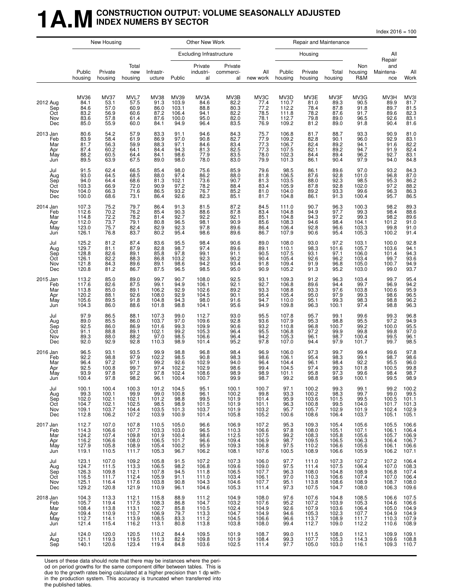### **1 A.M** CONSTRUCTION OUTPUT: VOLUME SEASONALLY ADJUSTED **INDEX NUMERS BY SECTOR**

 $Index 2016 = 100$ 

|                                             |                                                           | New Housing                                                                       |                                                         |                                                           |                                                   | Other New Work                                         |                                                               |                                                            |                                                             |                                                    | Repair and Maintenance                              |                                                                                   |                                                    |                                                    |
|---------------------------------------------|-----------------------------------------------------------|-----------------------------------------------------------------------------------|---------------------------------------------------------|-----------------------------------------------------------|---------------------------------------------------|--------------------------------------------------------|---------------------------------------------------------------|------------------------------------------------------------|-------------------------------------------------------------|----------------------------------------------------|-----------------------------------------------------|-----------------------------------------------------------------------------------|----------------------------------------------------|----------------------------------------------------|
|                                             |                                                           |                                                                                   |                                                         |                                                           |                                                   | <b>Excluding Infrastructure</b>                        |                                                               |                                                            |                                                             | Housing                                            |                                                     |                                                                                   | All                                                |                                                    |
|                                             | Public<br>housing                                         | Private<br>housing                                                                | Total<br>new<br>housing                                 | Infrastr-<br>ucture                                       | Public                                            | Private<br>industri-<br>al                             | Private<br>commerci-<br>al                                    | All<br>new work                                            | Public<br>housing                                           | Private<br>housing                                 | Total<br>housing                                    | Non<br>housing<br>R&M                                                             | Repair<br>and<br>Maintena-<br>nce                  | All<br>Work                                        |
| 2012 Aug<br>Sep<br>Oct<br>Nov<br>Dec        | MV36<br>84.1<br>84.6<br>83.2<br>83.6<br>85.0              | MV37<br>53.1<br>57.0<br>56.9<br>57.8<br>55.9                                      | MVL7<br>57.5<br>60.9<br>60.6<br>61.4<br>60.0            | MV38<br>91.3<br>86.0<br>87.2<br>87.6<br>84.1              | MV39<br>103.9<br>103.1<br>106.4<br>100.0<br>94.9  | MV3A<br>84.6<br>88.8<br>94.1<br>95.0<br>96.4           | MV3B<br>82.2<br>$80.3$<br>$82.2$<br>82.0<br>83.5              | MV3C<br>77.4<br>77.2<br>78.5<br>78.1<br>76.9               | MV3D<br>110.7<br>112.2<br>111.8<br>112.7<br>109.2           | MV3E<br>81.0<br>78.4<br>78.2<br>79.8<br>81.2       | MV3F<br>89.3<br>87.8<br>87.6<br>89.0<br>89.0        | MV3G<br>90.5<br>91.8<br>91.7<br>96.5<br>91.8                                      | MV3H<br>89.9<br>89.7<br>89.6<br>92.6<br>90.4       | MV31<br>81.7<br>81.5<br>82.3<br>83.1<br>81.6       |
| 2013 Jan<br>Feb<br>Mar<br>Apr<br>May<br>Jun | 80.6<br>83.9<br>81.7<br>87.4<br>88.2<br>89.5              | 54.2<br>58.4<br>56.3<br>60.2<br>60.5<br>63.9                                      | 57.9<br>61.9<br>59.9<br>64.1<br>64.4<br>67.5            | 83.3<br>86.9<br>88.3<br>84.4<br>84.1<br>89.0              | 91.1<br>97.0<br>97.1<br>94.3<br>98.6<br>98.0      | 94.6<br>90.8<br>84.6<br>81.3<br>77.9<br>78.0           | 84.3<br>82.7<br>83.4<br>82.5<br>83.5<br>83.0                  | 75.7<br>77.9<br>77.3<br>77.3<br>78.0<br>79.9               | 106.8<br>109.2<br>106.7<br>107.5<br>102.3<br>101.3          | 81.7<br>82.8<br>82.4<br>82.1<br>84.4<br>86.1       | 88.7<br>90.1<br>89.2<br>89.2<br>89.4<br>90.4        | 93.3<br>96.0<br>94.1<br>94.7<br>96.2<br>97.9                                      | 90.9<br>92.9<br>91.6<br>91.9<br>92.7<br>94.0       | 81.0<br>$83.1$<br>$82.2$<br>$82.4$<br>83.1<br>84.8 |
| Jul<br>Aug<br>Sep<br>Oct<br>Nov<br>Dec      | 91.5<br>93.0<br>94.0<br>103.3<br>104.0<br>100.0           | 62.4<br>64.5<br>64.4<br>66.9<br>66.3<br>68.6                                      | 66.5<br>68.5<br>68.6<br>72.0<br>71.6<br>73.1            | 85.4<br>88.0<br>81.3<br>90.9<br>86.5<br>86.4              | 98.0<br>97.4<br>102.1<br>97.2<br>93.2<br>92.6     | 75.6<br>86.2<br>73.6<br>78.2<br>76.7<br>82.3           | 85.9<br>88.0<br>90.7<br>88.4<br>85.2<br>85.1                  | 79.6<br>81.8<br>81.3<br>83.4<br>81.0<br>81.7               | 98.5<br>106.5<br>103.5<br>105.9<br>104.0<br>104.8           | 86.1<br>87.6<br>88.0<br>87.8<br>89.2<br>86.1       | 89.6<br>92.8<br>92.3<br>$\frac{92.8}{93.3}$<br>91.3 | 97.0<br>101.0<br>98.5<br>102.0<br>99.6<br>100.4                                   | 93.2<br>96.8<br>95.3<br>97.2<br>96.3<br>95.7       | 84.3<br>87.0<br>86.2<br>88.2<br>86.3<br>86.5       |
| 2014 Jan<br>Feb<br>Mar<br>Apr<br>May<br>Jun | 107.3<br>112.6<br>114.8<br>112.0<br>123.0<br>126.1        | 75.2<br>70.2<br>72.2<br>73.7<br>75.7<br>76.8                                      | 79.7<br>76.2<br>78.2<br>79.1<br>82.4<br>83.7            | 86.4<br>85.4<br>81.4<br>80.8<br>82.9<br>80.2              | 91.3<br>90.3<br>92.7<br>96.5<br>92.3<br>95.4      | 81.5<br>88.6<br>92.2<br>98.1<br>97.8<br>98.6           | 87.2<br>87.8<br>92.1<br>90.9<br>89.6<br>89.6                  | 84.5<br>83.4<br>85.1<br>85.6<br>86.4<br>86.7               | 111.0<br>104.8<br>104.8<br>108.3<br>106.4<br>107.9          | 90.7<br>94.9<br>94.3<br>94.6<br>92.8<br>90.6       | 96.3<br>97.7<br>97.2<br>98.4<br>96.6<br>95.4        | 100.3<br>99.3<br>99.3<br>104.1<br>103.3<br>105.3                                  | 98.2<br>98.4<br>98.2<br>101.2<br>99.8<br>100.2     | 89.3<br>88.6<br>89.6<br>91.0<br>91.0<br>91.4       |
| Jul<br>Aug<br>Sep<br>Oct<br>Nov<br>Dec      | 125.2<br>$\frac{129.7}{128.8}$<br>126.1<br>121.8<br>120.8 | 81.2<br>81.1<br>82.6<br>82.2<br>84.3<br>81.2                                      | 87.4<br>87.9<br>89.1<br>88.3<br>89.6<br>86.7            | 83.6<br>82.8<br>85.8<br>86.8<br>89.1<br>87.5              | 95.5<br>98.7<br>97.8<br>103.2<br>98.6<br>96.5     | 98.4<br>97.4<br>99.1<br>92.3<br>$\frac{94.2}{98.5}$    | 90.6<br>$89.6$<br>91.1<br>90.2<br>93.4<br>95.0                | 89.0<br>89.1<br>90.5<br>90.4<br>91.8<br>90.9               | 108.0<br>110.1<br>107.5<br>105.4<br>109.4<br>105.2          | 93.0<br>98.3<br>93.1<br>92.6<br>91.9<br>91.3       | 97.2<br>101.6<br>97.1<br>96.2<br>96.8<br>95.2       | 103.1<br>105.7<br>106.0<br>103.4<br>105.0<br>103.0                                | 100.0<br>103.6<br>101.4<br>99.7<br>100.7<br>99.0   | 92.8<br>94.1<br>94.3<br>93.6<br>94.9<br>93.7       |
| 2015 Jan<br>Feb<br>Mar<br>Apr<br>May<br>Jun | 113.2<br>117.6<br>113.8<br>120.2<br>105.6<br>104.3        | 85.0<br>82.6<br>85.0<br>88.1<br>89.5<br>86.0                                      | 89.0<br>87.5<br>89.1<br>92.6<br>91.8<br>88.6            | 99.7<br>99.1<br>106.2<br>108.0<br>104.8<br>101.8          | 90.7<br>94.9<br>92.9<br>92.9<br>94.3<br>98.8      | 108.0<br>106.1<br>102.6<br>104.5<br>98.0<br>104.1      | 92.5<br>92.1<br>89.2<br>90.1<br>91.6<br>95.6                  | 93.1<br>92.7<br>93.3<br>95.4<br>94.7<br>94.9               | 109.3<br>106.8<br>108.8<br>105.4<br>110.0<br>109.8          | 91.2<br>89.6<br>93.3<br>95.0<br>95.1<br>96.3       | 96.3<br>94.4<br>97.6<br>97.9<br>99.3<br>100.1       | 103.4<br>99.7<br>103.8<br>99.3<br>98.3<br>97.4                                    | 99.7<br>96.9<br>100.6<br>98.6<br>98.8<br>98.8      | 95.4<br>94.2<br>95.9<br>96.5<br>96.2<br>96.3       |
| Jul<br>Aug<br>Sep<br>Oct<br>Nov<br>Dec      | 97.9<br>89.0<br>92.5<br>91.1<br>89.3<br>92.0              | 86.5<br>85.5<br>86.0<br>88.8<br>88.0<br>92.9                                      | 88.1<br>86.0<br>86.9<br>89.1<br>88.2<br>92.8            | 107.3<br>103.7<br>101.6<br>102.1<br>97.0<br>110.3         | 99.0<br>97.0<br>99.3<br>99.2<br>98.5<br>98.9      | 112.7<br>109.6<br>109.9<br>105.3<br>106.6<br>101.4     | 93.0<br>92.8<br>90.6<br>96.4<br>96.4<br>95.2                  | 95.5<br>93.6<br>93.2<br>95.5<br>94.2<br>97.8               | 107.8<br>107.9<br>110.8<br>106.8<br>105.3<br>107.0          | 95.7<br>95.3<br>96.8<br>97.2<br>96.1<br>94.4       | 99.1<br>98.8<br>100.7<br>99.9<br>98.7<br>97.9       | 99.6<br>95.5<br>99.2<br>99.8<br>100.4<br>101.7                                    | 99.3<br>97.2<br>100.0<br>99.8<br>99.5<br>99.7      | 96.8<br>94.9<br>95.5<br>97.0<br>96.1<br>98.5       |
| 2016 Jan<br>Feb<br>Mar<br>Apr<br>May<br>Jun | 96.5<br>92.2<br>96.4<br>92.5<br>93.9<br>100.4             | 93.1<br>98.8<br>97.2<br>100.8<br>97.8<br>97.8                                     | 93.5<br>97.9<br>97.1<br>99.7<br>97.2<br>98.2            | 99.9<br>102.2<br>99.2<br>97.4<br>97.8<br>96.1             | 98.8<br>98.5<br>92.6<br>102.2<br>102.4<br>100.4   | 96.8<br>90.8<br>102.9<br>102.9<br>108.6<br>100.7       | 98.4<br>98.3<br>94.0<br>98.6<br>98.9<br>99.9                  | 96.9<br>98.6<br>96.4<br>99.4<br>98.9<br>98.7               | 106.0<br>106.1<br>104.4<br>104.5<br>101.1<br>99.2           | 97.3<br>95.4<br>96.1<br>97.4<br>95.8<br>98.8       | 99.7<br>98.3<br>98.4<br>99.3<br>97.3<br>98.9        | 99.4<br>99.1<br>92.2<br>101.8<br>99.6<br>100.1                                    | 99.6<br>98.7<br>95.5<br>100.5<br>98.4<br>99.5      | 97.8<br>98.6<br>96.0<br>99.8<br>98.7<br>98.9       |
| Jul<br>Aug<br>Sep<br>Oct<br>Nov<br>Dec      | 100.1<br>$\frac{99.3}{102.0}$<br>104.7<br>109.1<br>112.8  | 100.4<br>100.1<br>102.1<br>102.1<br>$\frac{103.7}{106.2}$                         | 100.3<br>99.9<br>102.1<br>$102.5$<br>$104.4$<br>$107.2$ | 101.2<br>$99.0$<br>101.2<br>98.5<br>103.5<br>103.9        | 104.5<br>100.8<br>98.8<br>98.9<br>101.3<br>100.9  | 95.1<br>96.1<br>99.5<br>$\frac{101.5}{103.7}$<br>101.4 | 100.1<br>100.2<br>101.9<br>101.9<br>101.9<br>105.8            | 100.7<br>$99.8$<br>101.4<br>101.1<br>103.2<br>105.2        | 97.1<br>$\frac{93.3}{95.9}$<br>$\frac{96.3}{95.7}$<br>100.6 | 100.2<br>100.2<br>103.6<br>100.8<br>105.7<br>108.6 | 99.3<br>98.3<br>101.5<br>99.5<br>102.9<br>106.4     | 99.1<br>99.7<br>99.5<br>104.0<br>101.9<br>103.7                                   | 99.2<br>99.0<br>100.5<br>101.7<br>102.4<br>105.1   | 100.2<br>99.5<br>101.1<br>101.3<br>102.9<br>105.1  |
| 2017 Jan<br>Feb<br>Mar<br>Apr<br>May<br>Jun | 112.7<br>114.3<br>124.2<br>$\frac{116.2}{127.9}$<br>119.1 | 107.0<br>106.6<br>107.4<br>106.6<br>105.8<br>110.5                                | 107.8<br>107.7<br>109.8<br>108.0<br>108.9<br>111.7      | 110.5<br>103.3<br>101.9<br>106.5<br>105.4<br>105.3        | 105.0<br>103.0<br>100.4<br>101.7<br>100.2<br>96.7 | 96.6<br>96.5<br>98.6<br>96.6<br>$95.9$<br>106.2        | 106.9<br>110.3<br>112.5<br>$\frac{109.4}{109.3}$<br>108.1     | 107.2<br>$106.6$<br>$107.5$<br>$106.9$<br>106.8<br>107.6   | 95.3<br>97.8<br>$\frac{99.2}{98.7}$<br>97.5<br>100.5        | 109.3<br>108.0<br>108.3<br>109.5<br>110.2<br>108.9 | 105.4<br>105.1<br>105.8<br>106.5<br>106.6<br>106.6  | 105.6<br>107.1<br>$105.6$<br>$106.3$<br>$105.6$<br>$105.9$                        | 105.5<br>106.1<br>105.7<br>106.4<br>106.1<br>106.2 | 106.6<br>106.4<br>106.9<br>106.7<br>106.6<br>107.1 |
| Jul<br>Aug<br>Sep<br>Oct<br>Nov<br>Dec      | 123.1<br>124.7<br>126.3<br>116.5<br>125.1<br>129.2        | 107.0<br>111.5<br>109.8<br>111.7<br>116.4<br>120.8                                | 109.2<br>113.3<br>112.1<br>112.4<br>117.6<br>121.9      | 105.8<br>106.5<br>107.8<br>105.9<br>$\frac{103.8}{110.9}$ | 91.5<br>98.2<br>94.5<br>91.1<br>90.8<br>96.1      | 107.2<br>106.8<br>111.8<br>111.0<br>104.3<br>104.6     | 107.3<br>109.6<br>$\frac{106.5}{103.4}$<br>$104.6$<br>$105.3$ | 106.0<br>$109.0$<br>$107.7$<br>$106.1$<br>$107.7$<br>111.4 | 97.7<br>97.5<br>96.3<br>97.0<br>95.1<br>97.3                | 111.0<br>111.4<br>108.0<br>110.3<br>113.8<br>107.5 | 107.3<br>107.5<br>104.8<br>106.6<br>108.6<br>104.7  | 107.2<br>$\begin{array}{c} 106.4 \\ 108.9 \\ 107.4 \end{array}$<br>108.9<br>108.0 | 107.2<br>107.0<br>106.8<br>107.0<br>108.7<br>106.3 | 106.4<br>108.3<br>107.4<br>106.4<br>108.0<br>109.6 |
| 2018 Jan<br>Feb<br>Mar<br>Apr<br>May<br>Jun | 104.3<br>105.7<br>108.4<br>109.4<br>112.7<br>121.4        | 113.3<br>$\begin{array}{c} 119.4 \\ 113.8 \\ 110.9 \end{array}$<br>114.1<br>115.4 | $112.1$<br>$117.5$<br>113.1<br>110.7<br>113.9<br>116.2  | 115.8<br>108.3<br>102.7<br>106.9<br>108.5<br>113.1        | 88.9<br>86.8<br>85.8<br>79.7<br>83.3<br>80.8      | 111.2<br>104.7<br>110.5<br>113.3<br>111.2<br>113.8     | 104.9<br>103.2<br>102.4<br>104.7<br>104.5<br>103.8            | 108.0<br>107.6<br>104.9<br>104.9<br>106.6<br>108.0         | 97.6<br>95.2<br>92.6<br>94.6<br>96.6<br>99.4                | 107.6<br>107.2<br>107.9<br>105.3<br>113.7<br>112.7 | 104.8<br>103.9<br>103.6<br>102.3<br>108.9<br>109.0  | 108.5<br>105.3<br>106.4<br>$107.7$<br>$111.7$<br>112.2                            | 106.6<br>104.6<br>105.0<br>104.9<br>110.3<br>110.6 | 107.5<br>106.6<br>104.9<br>104.9<br>107.9<br>108.9 |
| Jul<br>Aug<br>Sep                           | 124.0<br>121.1<br>140.1                                   | 120.0<br>119.3<br>120.6                                                           | 120.5<br>119.5<br>123.4                                 | 110.2<br>111.3<br>119.4                                   | 84.4<br>82.9<br>84.8                              | 109.5<br>109.8<br>103.6                                | 101.9<br>101.9<br>102.5                                       | 108.7<br>108.4<br>111.4                                    | 99.0<br>99.3<br>97.7                                        | 111.5<br>107.7<br>105.0                            | 108.0<br>105.3<br>103.0                             | 112.1<br>114.3<br>116.1                                                           | 109.9<br>109.6<br>109.3                            | $109.1$<br>$108.8$<br>110.7                        |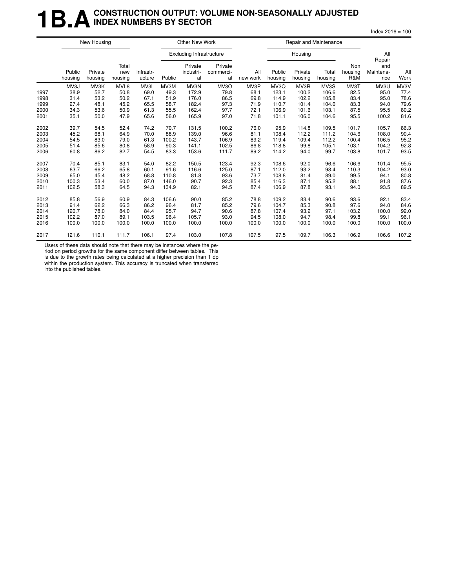### **1B.A** CONSTRUCTION OUTPUT: VOLUME NON-SEASONALLY ADJUSTED **INDEX NUMBERS BY SECTOR**

 $Index 2016 = 100$ 

|      |                   | New Housing        |                         |                     |        | Other New Work                  |                            |                 |                   | Repair and Maintenance |                  |                       |                                   |             |
|------|-------------------|--------------------|-------------------------|---------------------|--------|---------------------------------|----------------------------|-----------------|-------------------|------------------------|------------------|-----------------------|-----------------------------------|-------------|
|      |                   |                    |                         |                     |        | <b>Excluding Infrastructure</b> |                            |                 |                   | Housing                |                  |                       | All                               |             |
|      | Public<br>housing | Private<br>housing | Total<br>new<br>housing | Infrastr-<br>ucture | Public | Private<br>industri-<br>al      | Private<br>commerci-<br>al | All<br>new work | Public<br>housing | Private<br>housing     | Total<br>housing | Non<br>housing<br>R&M | Repair<br>and<br>Maintena-<br>nce | All<br>Work |
|      | MV3J              | MV3K               | MVL8                    | MV3L                | MV3M   | MV3N                            | MV3O                       | MV3P            | MV3Q              | MV3R                   | MV3S             | MV3T                  | MV3U                              | MV3V        |
| 1997 | 38.9              | 52.7               | 50.8                    | 69.0                | 49.3   | 172.9                           | 79.8                       | 68.1            | 123.1             | 100.2                  | 106.6            | 82.5                  | 95.0                              | 77.4        |
| 1998 | 31.4              | 53.2               | 50.2                    | 67.1                | 51.9   | 176.0                           | 86.5                       | 69.8            | 114.9             | 102.2                  | 105.8            | 83.4                  | 95.0                              | 78.6        |
| 1999 | 27.4              | 48.1               | 45.2                    | 65.5                | 58.7   | 182.4                           | 97.3                       | 71.9            | 110.7             | 101.4                  | 104.0            | 83.3                  | 94.0                              | 79.6        |
| 2000 | 34.3              | 53.6               | 50.9                    | 61.3                | 55.5   | 162.4                           | 97.7                       | 72.1            | 106.9             | 101.6                  | 103.1            | 87.5                  | 95.5                              | 80.2        |
| 2001 | 35.1              | 50.0               | 47.9                    | 65.6                | 56.0   | 165.9                           | 97.0                       | 71.8            | 101.1             | 106.0                  | 104.6            | 95.5                  | 100.2                             | 81.6        |
| 2002 | 39.7              | 54.5               | 52.4                    | 74.2                | 70.7   | 131.5                           | 100.2                      | 76.0            | 95.9              | 114.8                  | 109.5            | 101.7                 | 105.7                             | 86.3        |
| 2003 | 45.2              | 68.1               | 64.9                    | 70.0                | 88.9   | 139.0                           | 96.6                       | 81.1            | 108.4             | 112.2                  | 111.2            | 104.6                 | 108.0                             | 90.4        |
| 2004 | 54.5              | 83.0               | 79.0                    | 61.3                | 100.2  | 143.7                           | 106.9                      | 89.2            | 119.4             | 109.4                  | 112.2            | 100.4                 | 106.5                             | 95.2        |
| 2005 | 51.4              | 85.6               | 80.8                    | 58.9                | 90.3   | 141.1                           | 102.5                      | 86.8            | 118.8             | 99.8                   | 105.1            | 103.1                 | 104.2                             | 92.8        |
| 2006 | 60.8              | 86.2               | 82.7                    | 54.5                | 83.3   | 153.6                           | 111.7                      | 89.2            | 114.2             | 94.0                   | 99.7             | 103.8                 | 101.7                             | 93.5        |
| 2007 | 70.4              | 85.1               | 83.1                    | 54.0                | 82.2   | 150.5                           | 123.4                      | 92.3            | 108.6             | 92.0                   | 96.6             | 106.6                 | 101.4                             | 95.5        |
| 2008 | 63.7              | 66.2               | 65.8                    | 60.1                | 91.6   | 116.6                           | 125.0                      | 87.1            | 112.0             | 93.2                   | 98.4             | 110.3                 | 104.2                             | 93.0        |
| 2009 | 65.0              | 45.4               | 48.2                    | 68.8                | 110.8  | 81.8                            | 93.6                       | 73.7            | 108.8             | 81.4                   | 89.0             | 99.5                  | 94.1                              | 80.8        |
| 2010 | 100.3             | 53.4               | 60.0                    | 87.0                | 146.0  | 90.7                            | 92.3                       | 85.4            | 116.3             | 87.1                   | 95.2             | 88.1                  | 91.8                              | 87.6        |
| 2011 | 102.5             | 58.3               | 64.5                    | 94.3                | 134.9  | 82.1                            | 94.5                       | 87.4            | 106.9             | 87.8                   | 93.1             | 94.0                  | 93.5                              | 89.5        |
| 2012 | 85.8              | 56.9               | 60.9                    | 84.3                | 106.6  | 90.0                            | 85.2                       | 78.8            | 109.2             | 83.4                   | 90.6             | 93.6                  | 92.1                              | 83.4        |
| 2013 | 91.4              | 62.2               | 66.3                    | 86.2                | 96.4   | 81.7                            | 85.2                       | 79.6            | 104.7             | 85.3                   | 90.8             | 97.6                  | 94.0                              | 84.6        |
| 2014 | 120.7             | 78.0               | 84.0                    | 84.4                | 95.7   | 94.7                            | 90.6                       | 87.8            | 107.4             | 93.2                   | 97.1             | 103.2                 | 100.0                             | 92.0        |
| 2015 | 102.2             | 87.0               | 89.1                    | 103.5               | 96.4   | 105.7                           | 93.0                       | 94.5            | 108.0             | 94.7                   | 98.4             | 99.8                  | 99.1                              | 96.1        |
| 2016 | 100.0             | 100.0              | 100.0                   | 100.0               | 100.0  | 100.0                           | 100.0                      | 100.0           | 100.0             | 100.0                  | 100.0            | 100.0                 | 100.0                             | 100.0       |
| 2017 | 121.6             | 110.1              | 111.7                   | 106.1               | 97.4   | 103.0                           | 107.8                      | 107.5           | 97.5              | 109.7                  | 106.3            | 106.9                 | 106.6                             | 107.2       |

Users of these data should note that there may be instances where the pe-

riod on period growths for the same component differ between tables. This is due to the growth rates being calculated at a higher precision than 1 dp

within the production system. This accuracy is truncated when transferred into the published tables.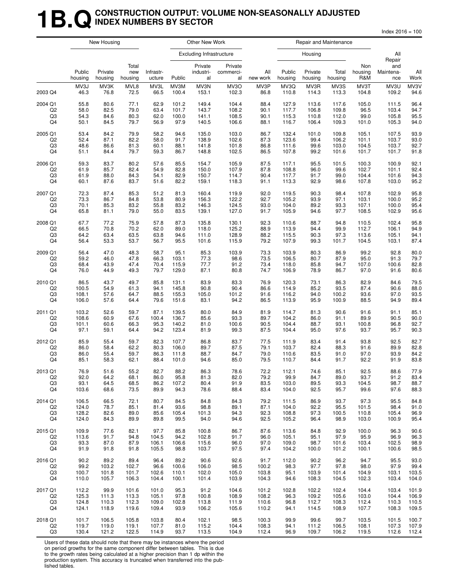### **1B.Q** CONSTRUCTION OUTPUT: VOLUME NON-SEASONALLY ADJUSTED **INDEX NUMBERS BY SECTOR**

 $Index 2016 = 100$ 

|                |                   | New Housing        |                         |                     |        | Other New Work                  |                            |                 |                   | Repair and Maintenance |                  |                       |                         |             |
|----------------|-------------------|--------------------|-------------------------|---------------------|--------|---------------------------------|----------------------------|-----------------|-------------------|------------------------|------------------|-----------------------|-------------------------|-------------|
|                |                   |                    |                         |                     |        | <b>Excluding Infrastructure</b> |                            |                 |                   | Housing                |                  |                       | All<br>Repair           |             |
|                | Public<br>housing | Private<br>housing | Total<br>new<br>housing | Infrastr-<br>ucture | Public | Private<br>industri-<br>al      | Private<br>commerci-<br>al | All<br>new work | Public<br>housing | Private<br>housing     | Total<br>housing | Non<br>housing<br>R&M | and<br>Maintena-<br>nce | All<br>Work |
| 2003 Q4        | MV3J              | MV3K               | MVL8                    | MV3L                | MV3M   | MV3N                            | MV3O                       | MV3P            | MV3Q              | MV3R                   | MV3S             | MV3T                  | MV3U                    | MV3V        |
|                | 46.3              | 76.8               | 72.5                    | 66.5                | 100.4  | 153.1                           | 102.3                      | 86.8            | 110.8             | 114.3                  | 113.3            | 104.8                 | 109.2                   | 94.6        |
| 2004 Q1        | 55.8              | 80.6               | 77.1                    | 62.9                | 101.2  | 149.4                           | 104.4                      | 88.4            | 127.9             | 113.6                  | 117.6            | 105.0                 | 111.5                   | 96.4        |
| Q2             | 58.0              | 82.5               | 79.0                    | 63.4                | 101.7  | 143.7                           | 108.2                      | 90.1            | 117.7             | 106.8                  | 109.8            | 96.5                  | 103.4                   | 94.7        |
| Q3             | 54.3              | 84.6               | 80.3                    | 62.0                | 100.0  | 141.1                           | 108.5                      | 90.1            | 115.3             | 110.8                  | 112.0            | 99.0                  | 105.8                   | 95.5        |
| Q4             | 50.1              | 84.5               | 79.7                    | 56.9                | 97.9   | 140.5                           | 106.6                      | 88.1            | 116.7             | 106.4                  | 109.3            | 101.0                 | 105.3                   | 94.0        |
| 2005 Q1        | 53.4              | 84.2               | 79.9                    | 58.2                | 94.6   | 135.0                           | 103.0                      | 86.7            | 132.4             | 101.0                  | 109.8            | 105.1                 | 107.5                   | 93.9        |
| Q <sub>2</sub> | 52.4              | 87.1               | 82.2                    | 58.0                | 91.7   | 138.9                           | 102.6                      | 87.3            | 123.6             | 99.4                   | 106.2            | 101.1                 | 103.7                   | 93.0        |
| Q3             | 48.6              | 86.6               | 81.3                    | 60.1                | 88.1   | 141.8                           | 101.8                      | 86.8            | 111.6             | 99.6                   | 103.0            | 104.5                 | 103.7                   | 92.7        |
| Q4             | 51.1              | 84.4               | 79.7                    | 59.3                | 86.7   | 148.8                           | 102.5                      | 86.5            | 107.8             | 99.2                   | 101.6            | 101.7                 | 101.7                   | 91.8        |
| 2006 Q1        | 59.3              | 83.7               | 80.2                    | 57.6                | 85.5   | 154.7                           | 105.9                      | 87.5            | 117.1             | 95.5                   | 101.5            | 100.3                 | 100.9                   | 92.1        |
| Q2             | 61.9              | 85.7               | 82.4                    | 54.9                | 82.8   | 150.0                           | 107.9                      | 87.8            | 108.8             | 96.0                   | 99.6             | 102.7                 | 101.1                   | 92.4        |
| Q3             | 61.9              | 88.0               | 84.3                    | 54.1                | 82.9   | 150.7                           | 114.7                      | 90.4            | 117.7             | 91.7                   | 99.0             | 104.4                 | 101.6                   | 94.3        |
| Q4             | 60.1              | 87.6               | 83.7                    | 51.6                | 82.2   | 159.1                           | 118.3                      | 91.1            | 113.3             | 92.9                   | 98.6             | 107.8                 | 103.0                   | 95.2        |
| 2007 Q1        | 72.3              | 87.4               | 85.3                    | 51.2                | 81.3   | 160.4                           | 119.9                      | 92.0            | 119.5             | 90.3                   | 98.4             | 107.8                 | 102.9                   | 95.8        |
| Q2             | 73.3              | 86.7               | 84.8                    | 53.8                | 80.9   | 156.3                           | 122.2                      | 92.7            | 105.2             | 93.9                   | 97.1             | 103.1                 | 100.0                   | 95.2        |
| Q3             | 70.1              | 85.3               | 83.2                    | 55.8                | 83.2   | 146.3                           | 124.5                      | 93.0            | 104.0             | 89.2                   | 93.3             | 107.1                 | 100.0                   | 95.4        |
| Q4             | 65.8              | 81.1               | 79.0                    | 55.0                | 83.5   | 139.1                           | 127.0                      | 91.7            | 105.9             | 94.6                   | 97.7             | 108.5                 | 102.9                   | 95.6        |
| 2008 Q1        | 67.7              | 77.2               | 75.9                    | 57.8                | 87.3   | 135.8                           | 130.1                      | 92.3            | 110.6             | 88.7                   | 94.8             | 110.5                 | 102.4                   | 95.8        |
| Q <sub>2</sub> | 66.5              | 70.8               | 70.2                    | 62.0                | 89.0   | 118.0                           | 125.2                      | 88.9            | 113.9             | 94.4                   | 99.9             | 112.7                 | 106.1                   | 94.9        |
| Q3             | 64.2              | 63.4               | 63.5                    | 63.8                | 94.6   | 111.0                           | 128.9                      | 88.2            | 115.5             | 90.3                   | 97.3             | 113.6                 | 105.1                   | 94.1        |
| Q4             | 56.4              | 53.3               | 53.7                    | 56.7                | 95.5   | 101.6                           | 115.9                      | 79.2            | 107.9             | 99.3                   | 101.7            | 104.5                 | 103.1                   | 87.4        |
| 2009 Q1        | 56.4              | 47.0               | 48.3                    | 58.7                | 95.1   | 85.3                            | 103.9                      | 73.3            | 103.9             | 80.3                   | 86.9             | 99.2                  | 92.8                    | 80.0        |
| Q2             | 59.2              | 46.0               | 47.8                    | 66.3                | 103.1  | 77.3                            | 98.6                       | 73.5            | 106.5             | 80.7                   | 87.9             | 95.0                  | 91.3                    | 79.7        |
| Q3             | 68.4              | 43.9               | 47.4                    | 70.4                | 115.9  | 77.7                            | 91.2                       | 73.4            | 118.0             | 85.8                   | 94.7             | 107.0                 | 100.6                   | 82.8        |
| Q4             | 76.0              | 44.9               | 49.3                    | 79.7                | 129.0  | 87.1                            | 80.8                       | 74.7            | 106.9             | 78.9                   | 86.7             | 97.0                  | 91.6                    | 80.6        |
| 2010 Q1        | 86.5              | 43.7               | 49.7                    | 85.8                | 131.1  | 83.9                            | 83.3                       | 76.9            | 120.3             | 73.1                   | 86.3             | 82.9                  | 84.6                    | 79.5        |
| Q2             | 100.5             | 54.9               | 61.3                    | 94.1                | 145.8  | 90.8                            | 90.4                       | 86.6            | 114.9             | 85.2                   | 93.5             | 87.4                  | 90.6                    | 88.0        |
| Q3             | 108.1             | 57.6               | 64.7                    | 88.5                | 155.3  | 105.0                           | 101.2                      | 91.6            | 116.2             | 94.0                   | 100.2            | 93.6                  | 97.0                    | 93.5        |
| Q4             | 106.0             | 57.6               | 64.4                    | 79.6                | 151.6  | 83.1                            | 94.2                       | 86.5            | 113.9             | 95.9                   | 100.9            | 88.5                  | 94.9                    | 89.4        |
| 2011 Q1        | 103.2             | 52.6               | 59.7                    | 87.1                | 139.5  | 80.0                            | 84.9                       | 81.9            | 114.7             | 81.3                   | 90.6             | 91.6                  | 91.1                    | 85.1        |
| Q2             | 108.6             | 60.9               | 67.6                    | 100.4               | 136.7  | 85.6                            | 93.3                       | 89.7            | 104.2             | 86.0                   | 91.1             | 89.9                  | 90.5                    | 90.0        |
| Q3             | 101.1             | 60.6               | 66.3                    | 95.3                | 140.2  | 81.0                            | 100.6                      | 90.5            | 104.4             | 88.7                   | 93.1             | 100.8                 | 96.8                    | 92.7        |
| Q4             | 97.1              | 59.1               | 64.4                    | 94.2                | 123.4  | 81.9                            | 99.3                       | 87.5            | 104.4             | 95.0                   | 97.6             | 93.7                  | 95.7                    | 90.3        |
| 2012 Q1        | 85.9              | 55.4               | 59.7                    | 82.3                | 107.7  | 86.8                            | 83.7                       | 77.5            | 111.9             | 83.4                   | 91.4             | 93.8                  | 92.5                    | 82.7        |
| Q2             | 86.0              | 58.4               | 62.2                    | 80.3                | 106.0  | 89.7                            | 87.5                       | 79.1            | 103.7             | 82.4                   | 88.3             | 91.6                  | 89.9                    | 82.8        |
| Q3             | 86.0              | 55.4               | 59.7                    | 86.3                | 111.8  | 88.7                            | 84.7                       | 79.0            | 110.6             | 83.5                   | 91.0             | 97.0                  | 93.9                    | 84.2        |
| Q4             | 85.1              | 58.3               | 62.1                    | 88.4                | 101.0  | 94.6                            | 85.0                       | 79.5            | 110.7             | 84.4                   | 91.7             | 92.2                  | 91.9                    | 83.8        |
| 2013 Q1        | 76.9              | 51.6               | 55.2                    | 82.7                | 88.2   | 86.3                            | 78.6                       | 72.2            | 112.1             | 74.6                   | 85.1             | 92.5                  | 88.6                    | 77.9        |
| Q2             | 92.0              | 64.2               | 68.1                    | 86.0                | 95.8   | 81.3                            | 82.0                       | 79.2            | 99.9              | 84.7                   | 89.0             | 93.7                  | 91.2                    | 83.4        |
| Q3             | 93.1              | 64.5               | 68.5                    | 86.2                | 107.2  | 80.4                            | 91.9                       | 83.5            | 103.0             | 89.5                   | 93.3             | 104.5                 | 98.7                    | 88.7        |
| Q4             | 103.6             | 68.6               | 73.5                    | 89.9                | 94.3   | 78.6                            | 88.4                       | 83.4            | 104.0             | 92.5                   | 95.7             | 99.6                  | 97.6                    | 88.3        |
| 2014 Q1        | 106.5             | 66.5               | 72.1                    | 80.7                | 84.5   | 84.8                            | 84.3                       | 79.2            | 111.5             | 86.9                   | 93.7             | 97.3                  | 95.5                    | 84.8        |
| Q <sub>2</sub> | 124.0             | 78.7               | 85.1                    | 81.4                | 93.6   | 98.8                            | 89.1                       | 87.1            | 104.0             | 92.2                   | 95.5             | 101.5                 | 98.4                    | 91.0        |
| Q3             | 128.2             | 82.6               | 89.0                    | 85.6                | 105.4  | 101.3                           | 94.3                       | 92.3            | 108.8             | 97.3                   | 100.5            | 110.8                 | 105.4                   | 96.9        |
| Q4             | 124.0             | 84.3               | 89.9                    | 89.8                | 99.5   | 94.0                            | 94.6                       | 92.5            | 105.2             | 96.4                   | 98.9             | 103.0                 | 100.9                   | 95.4        |
| 2015 Q1        | 109.9             | 77.6               | 82.1                    | 97.7                | 85.8   | 100.8                           | 86.7                       | 87.6            | 113.6             | 84.8                   | 92.9             | 100.0                 | 96.3                    | 90.6        |
| Q2             | 113.6             | 91.7               | 94.8                    | 104.5               | 94.2   | 102.8                           | 91.7                       | 96.0            | 105.1             | 95.1                   | 97.9             | 95.9                  | 96.9                    | 96.3        |
| Q3             | 93.3              | 87.0               | 87.9                    | 106.1               | 106.6  | 115.6                           | 96.0                       | 97.0            | 109.0             | 98.7                   | 101.6            | 103.4                 | 102.5                   | 98.9        |
| Q4             | 91.9              | 91.8               | 91.8                    | 105.5               | 98.8   | 103.7                           | 97.5                       | 97.4            | 104.2             | 100.0                  | 101.2            | 100.1                 | 100.6                   | 98.5        |
| 2016 Q1        | 90.2              | 89.2               | 89.4                    | 96.4                | 89.2   | 90.6                            | 92.6                       | 91.7            | 112.0             | 90.2                   | 96.2             | 94.7                  | 95.5                    | 93.0        |
| Q2             | 99.2              | 103.2              | 102.7                   | 96.6                | 100.6  | 106.0                           | 98.5                       | 100.2           | 98.3              | 97.7                   | 97.8             | 98.0                  | 97.9                    | 99.4        |
| Q3             | 100.7             | 101.8              | 101.7                   | 102.6               | 110.1  | 102.0                           | 105.0                      | 103.8           | 95.1              | 103.9                  | 101.4            | 104.9                 | 103.1                   | 103.5       |
| Q4             | 110.0             | 105.7              | 106.3                   | 104.4               | 100.1  | 101.4                           | 103.9                      | 104.3           | 94.6              | 108.3                  | 104.5            | 102.3                 | 103.4                   | 104.0       |
| 2017 Q1        | 112.2             | 99.9               | 101.6                   | 101.0               | 95.3   | 91.2                            | 104.6                      | 101.2           | 102.8             | 102.2                  | 102.4            | 104.4                 | 103.4                   | 101.9       |
| Q <sub>2</sub> | 125.3             | 111.3              | 113.3                   | 105.1               | 97.8   | 100.8                           | 108.9                      | 108.2           | 96.3              | 109.2                  | 105.6            | 103.0                 | 104.4                   | 106.9       |
| Q3             | 124.8             | 110.3              | 112.3                   | 109.0               | 102.8  | 113.8                           | 111.9                      | 110.6           | 96.8              | 112.7                  | 108.3            | 112.4                 | 110.3                   | 110.5       |
| Q4             | 124.1             | 118.9              | 119.6                   | 109.4               | 93.9   | 106.2                           | 105.6                      | 110.2           | 94.1              | 114.5                  | 108.9            | 107.7                 | 108.3                   | 109.5       |
| 2018 Q1        | 101.7             | 106.5              | 105.8                   | 103.8               | 80.4   | 102.1                           | 98.5                       | 100.3           | 99.9              | 99.6                   | 99.7             | 103.5                 | 101.5                   | 100.7       |
| Q2             | 119.7             | 119.0              | 119.1                   | 107.7               | 81.0   | 115.2                           | 104.4                      | 108.3           | 94.1              | 111.2                  | 106.5            | 108.1                 | 107.3                   | 107.9       |
| Q3             | 130.4             | 121.2              | 122.5                   | 114.9               | 93.7   | 113.5                           | 104.9                      | 112.4           | 96.9              | 109.7                  | 106.2            | 119.5                 | 112.6                   | 112.4       |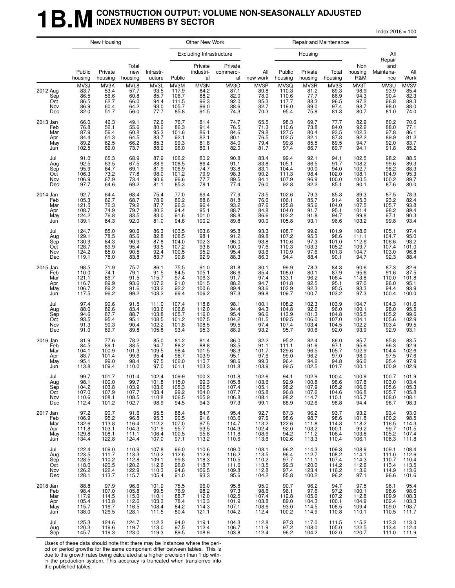### **1B.M** CONSTRUCTION OUTPUT: VOLUME NON-SEASONALLY ADJUSTED **INDEX NUMBERS BY SECTOR**

 $Index 2016 = 100$ 

|                                             |                                                                                  | New Housing                                            |                                                    |                                                     |                                                                | Other New Work                                    |                                                                             |                                                    |                                                                                                              |                                                                              | Repair and Maintenance                             |                                                                                                                |                                                    |                                                            |
|---------------------------------------------|----------------------------------------------------------------------------------|--------------------------------------------------------|----------------------------------------------------|-----------------------------------------------------|----------------------------------------------------------------|---------------------------------------------------|-----------------------------------------------------------------------------|----------------------------------------------------|--------------------------------------------------------------------------------------------------------------|------------------------------------------------------------------------------|----------------------------------------------------|----------------------------------------------------------------------------------------------------------------|----------------------------------------------------|------------------------------------------------------------|
|                                             |                                                                                  |                                                        |                                                    |                                                     |                                                                | <b>Excluding Infrastructure</b>                   |                                                                             |                                                    |                                                                                                              | Housing                                                                      |                                                    |                                                                                                                | All<br>Repair                                      |                                                            |
|                                             | Public<br>housing                                                                | Private<br>housing                                     | Total<br>new<br>housing                            | Infrastr-<br>ucture                                 | Public                                                         | Private<br>industri-<br>al                        | Private<br>commerci-<br>al                                                  | All<br>new work                                    | Public<br>housing                                                                                            | Private<br>housing                                                           | Total<br>housing                                   | Non<br>housing<br>R&M                                                                                          | and<br>Maintena-<br>nce                            | All<br>Work                                                |
| 2012 Aug<br>Sep<br>Oct<br>Nov<br>Dec        | MV3J<br>83.7<br>86.5<br>86.5<br>86.9<br>82.0                                     | MV3K<br>53.4<br>56.6<br>62.7<br>60.4<br>51.7           | MVL8<br>57.7<br>60.8<br>66.0<br>64.2<br>56.0       | MV3L<br>93.5<br>85.7<br>94.4<br>93.0<br>77.7        | MV3M<br>117.9<br>106.7<br>111.5<br>105.7<br>85.8               | MV3N<br>84.2<br>88.2<br>96.3<br>96.0<br>91.5      | MV3O<br>87.1<br>82.0<br>$\begin{array}{c} 92.0 \\ 88.6 \end{array}$<br>74.3 | MV3P<br>80.8<br>78.0<br>85.3<br>82.7<br>70.3       | MV3Q<br>110.3<br>110.6<br>117.7<br>119.0<br>95.4                                                             | MV3R<br>81.2<br>77.7<br>88.3<br>89.0<br>75.8                                 | MV3S<br>89.3<br>86.9<br>96.5<br>97.4<br>81.3       | MV3T<br>98.9<br>94.3<br>97.2<br>98.7<br>80.7                                                                   | MV3U<br>93.9<br>90.4<br>96.8<br>98.0<br>81.0       | MV3V<br>85.4<br>82.3<br>89.3<br>88.0<br>74.0               |
| 2013 Jan<br>Feb<br>Mar<br>Apr<br>May<br>Jun | 66.0<br>76.8<br>87.9<br>84.4<br>89.2<br>102.5                                    | 46.3<br>52.1<br>56.4<br>61.3<br>62.5<br>69.0           | 49.1<br>55.6<br>60.8<br>64.5<br>66.2<br>73.7       | 72.6<br>80.2<br>95.3<br>83.7<br>85.3<br>88.9        | 76.7<br>86.3<br>101.6<br>92.1<br>99.3<br>96.0                  | 81.4<br>91.4<br>86.1<br>82.1<br>81.8<br>80.1      | 74.7<br>76.5<br>84.6<br>80.1<br>84.0<br>82.0                                | 65.5<br>71.3<br>79.8<br>76.5<br>79.4<br>81.7       | 98.3<br>110.6<br>127.5<br>102.5<br>99.8<br>97.4                                                              | 69.7<br>73.8<br>80.4<br>82.1<br>85.5<br>86.7                                 | 77.7<br>84.0<br>93.5<br>87.8<br>89.5<br>89.7       | 82.9<br>92.2<br>102.3<br>92.2<br>94.7<br>94.1                                                                  | 80.2<br>88.0<br>97.8<br>89.9<br>92.0<br>91.8       | 70.6<br>77.1<br>86.1<br>81.2<br>83.7<br>85.2               |
| Jul<br>Aug<br>Sep<br>Oct<br>Nov<br>Dec      | 91.0<br>92.5<br>95.9<br>106.3<br>106.9<br>97.7                                   | 65.3<br>63.5<br>64.7<br>73.2<br>67.9<br>64.6           | 68.9<br>67.5<br>69.1<br>77.8<br>73.4<br>69.2       | 87.9<br>88.9<br>81.9<br>98.0<br>90.6<br>81.1        | 106.2<br>108.5<br>106.9<br>101.2<br>96.6<br>85.3               | 80.2<br>86.4<br>74.7<br>79.9<br>77.7<br>78.1      | 90.8<br>91.1<br>93.8<br>98.3<br>89.5<br>77.4                                | 83.4<br>83.8<br>83.1<br>90.2<br>84.1<br>76.0       | 99.4<br>105.1<br>104.4<br>111.3<br>107.9<br>92.8                                                             | 92.1<br>86.5<br>90.0<br>98.4<br>96.9<br>82.2                                 | 94.1<br>91.7<br>94.0<br>102.0<br>100.0<br>85.1     | 102.5<br>108.2<br>102.7<br>108.1<br>100.5<br>90.1                                                              | 98.2<br>99.6<br>98.2<br>104.9<br>100.2<br>87.6     | 88.5<br>89.3<br>88.3<br>95.3<br>89.7<br>80.0               |
| 2014 Jan<br>Feb<br>Mar<br>Apr<br>May<br>Jun | $92.7$<br>105.3<br>121.5<br>108.7<br>124.2<br>139.1                              | 64.4<br>62.7<br>72.3<br>74.9<br>76.8<br>84.3           | 68.4<br>68.7<br>79.2<br>79.7<br>83.5<br>92.0       | 75.4<br>78.9<br>87.7<br>$80.2$<br>$83.0$<br>81.0    | 77.0<br>80.2<br>96.3<br>94.4<br>91.6<br>94.8                   | 69.4<br>88.6<br>96.4<br>95.1<br>101.0<br>100.2    | 77.9<br>81.8<br>93.2<br>88.7<br>88.8<br>89.8                                | 73.5<br>76.6<br>87.6<br>84.8<br>86.6<br>90.0       | 102.6<br>106.1<br>125.8<br>104.0<br>102.2<br>105.8                                                           | 79.3<br>85.7<br>95.6<br>91.7<br>91.8<br>93.1                                 | 85.8<br>91.4<br>104.0<br>95.1<br>94.7<br>96.6      | 89.3<br>95.3<br>107.5<br>101.4<br>99.8<br>103.2                                                                | 87.5<br>93.2<br>105.7<br>98.2<br>97.1<br>99.8      | 78.3<br>82.4<br>93.8<br>89.4<br>90.3<br>93.4               |
| Jul<br>Aug<br>Sep<br>Oct<br>Nov<br>Dec      | 124.7<br>129.1<br>130.9<br>128.7<br>124.2<br>119.1                               | 85.0<br>78.5<br>84.3<br>89.9<br>85.0<br>78.0           | 90.6<br>85.6<br>90.9<br>95.4<br>90.5<br>83.8       | 86.3<br>82.8<br>87.8<br>93.5<br>92.4<br>83.7        | 103.5<br>108.5<br>104.0<br>107.2<br>100.5<br>90.8              | 103.6<br>98.1<br>102.3<br>93.8<br>95.2<br>92.9    | 95.8<br>91.2<br>96.0<br>100.0<br>95.4<br>88.3                               | 93.3<br>89.8<br>93.8<br>97.6<br>93.6<br>86.3       | 108.7<br>107.2<br>110.6<br>110.3<br>110.9<br>94.4                                                            | 99.2<br>95.3<br>97.3<br>103.3<br>97.6<br>88.4                                | 101.9<br>98.6<br>101.0<br>105.2<br>101.3<br>90.1   | 108.6<br>111.1<br>112.6<br>109.7<br>104.7<br>94.7                                                              | 105.1<br>104.7<br>106.6<br>107.4<br>103.0<br>92.3  | 97.4<br>95.0<br>$98.2$<br>101.0<br>96.8<br>88.4            |
| 2015 Jan<br>Feb<br>Mar<br>Apr<br>May<br>Jun | 98.5<br>110.0<br>121.1<br>116.7<br>106.7<br>117.5                                | 71.9<br>74.1<br>86.7<br>89.9<br>89.2<br>96.2           | 75.7<br>79.1<br>91.5<br>93.6<br>91.6<br>99.2       | 86.1<br>$91.5$<br>115.7<br>107.2<br>103.2<br>103.2  | 75.5<br>84.5<br>97.4<br>91.0<br>92.2<br>99.4                   | 91.0<br>105.1<br>106.3<br>101.5<br>100.6<br>106.2 | 81.8<br>86.6<br>91.7<br>88.2<br>89.4<br>97.3                                | 80.1<br>85.4<br>97.4<br>94.7<br>93.6<br>99.8       | 99.9<br>108.0<br>133.1<br>101.8<br>103.9<br>109.7                                                            | 78.3<br>80.1<br>96.2<br>92.5<br>$\begin{array}{c} 92.3 \\ 100.7 \end{array}$ | 84.3<br>87.9<br>106.4<br>95.1<br>95.5<br>103.2     | 90.6<br>95.6<br>113.8<br>97.0<br>93.3<br>97.3                                                                  | 87.3<br>91.6<br>110.0<br>96.0<br>94.4<br>100.4     | 82.6<br>87.5<br>101.8<br>95.1<br>93.9<br>100.0             |
| Jul<br>Aug<br>Sep<br>Oct<br>Nov<br>Dec      | 97.4<br>88.0<br>94.6<br>93.5<br>91.3<br>91.0                                     | 90.6<br>82.6<br>87.7<br>95.4<br>90.3<br>89.7           | 91.5<br>83.4<br>88.7<br>95.1<br>90.4<br>89.8       | 111.0<br>103.6<br>103.8<br>108.5<br>102.2<br>105.8  | 107.4<br>106.8<br>105.7<br>101.2<br>$101.\overline{8}$<br>93.4 | 118.8<br>112.0<br>116.0<br>107.5<br>108.5<br>95.3 | 98.1<br>94.4<br>95.4<br>104.2<br>99.5<br>88.9                               | 100.1<br>94.3<br>96.6<br>101.5<br>97.4<br>93.2     | 108.2<br>104.8<br>113.9<br>109.5<br>107.4<br>95.7                                                            | 102.3<br>92.6<br>101.3<br>106.0<br>103.4<br>90.6                             | 103.9<br>96.0<br>104.8<br>107.0<br>104.5<br>92.0   | 104.7<br>100.1<br>105.5<br>104.1<br>102.2<br>93.9                                                              | 104.3<br>98.0<br>105.2<br>105.6<br>103.4<br>92.9   | 101.6<br>95.5<br>$99.6$<br>102.9<br>99.5<br>93.1           |
| 2016 Jan<br>Feb<br>Mar<br>Apr<br>May<br>Jun | 81.9<br>84.5<br>104.1<br>88.7<br>95.1<br>113.8                                   | 77.6<br>89.1<br>100.9<br>101.4<br>99.0<br>109.4        | 78.2<br>88.5<br>101.3<br>99.6<br>98.4<br>110.0     | 85.0<br>94.7<br>109.5<br>95.4<br>97.5<br>97.0       | 81.2<br>88.2<br>98.4<br>98.7<br>102.0<br>101.1                 | 81.4<br>88.8<br>101.5<br>103.9<br>110.7<br>103.3  | 86.0<br>93.5<br>98.3<br>95.1<br>98.6<br>101.8                               | 82.2<br>91.1<br>101.7<br>97.6<br>99.3<br>103.9     | 95.2<br>111.1<br>129.6<br>99.0<br>96.4<br>99.5                                                               | 82.4<br>91.6<br>96.5<br>96.2<br>94.2<br>102.5                                | 86.0<br>97.1<br>105.7<br>97.0<br>94.8<br>101.7     | 85.7<br>95.6<br>102.9<br>98.0<br>96.0<br>100.1                                                                 | 85.8<br>96.3<br>104.4<br>97.5<br>95.4<br>100.9     | 83.5<br>92.9<br>102.6<br>97.6<br>97.9<br>102.9             |
| Jul<br>Aug<br>Sep<br>Oct<br>Nov<br>Dec      | 99.7<br>$98.1$<br>104.2<br>107.0<br>110.6<br>112.4                               | 101.7<br>$100.0$<br>$103.8$<br>107.9<br>108.1<br>101.2 | 101.4<br>99.7<br>103.9<br>107.7<br>108.5<br>102.7  | 102.4<br>101.8<br>103.6<br>103.4<br>110.8<br>98.9   | 109.9<br>115.0<br>105.3<br>99.2<br>106.5<br>94.5               | 100.3<br>99.3<br>106.5<br>104.0<br>105.9<br>94.3  | 101.8<br>105.8<br>107.4<br>107.7<br>106.8<br>97.3                           | 102.6<br>103.6<br>105.1<br>105.8<br>108.1<br>99.1  | 94.1<br>92.9<br>98.2<br>96.8<br>98.2<br>88.9                                                                 | 102.9<br>100.8<br>107.9<br>107.6<br>114.7<br>102.6                           | 100.4<br>98.6<br>105.2<br>104.6<br>110.1<br>98.8   | 100.9<br>$\frac{107.8}{106.0}$<br>$106.8$<br>$105.7$<br>$94.4$                                                 | 100.7<br>103.0<br>105.6<br>105.7<br>108.0<br>96.7  | 101.9<br>103.4<br>105.3<br>105.8<br>108.1<br>98.3          |
| 2017 Jan<br>Feb<br>Mar<br>Apr<br>May<br>Jun | $\begin{array}{c} 97.2 \\ 106.9 \end{array}$<br>132.6<br>111.8<br>129.8<br>134.4 | 90.7<br>95.2<br>113.8<br>103.1<br>108.1<br>122.8       | 91.6<br>96.8<br>116.4<br>104.3<br>111.1<br>124.4   | 95.5<br>95.3<br>112.2<br>101.9<br>106.4<br>107.0    | 88.4<br>90.5<br>107.0<br>95.7<br>100.5<br>97.1                 | 84.7<br>91.6<br>97.5<br>93.5<br>95.8<br>113.2     | 95.4<br>103.6<br>114.7<br>104.3<br>111.8<br>110.6                           | 92.7<br>97.6<br>113.2<br>102.4<br>108.6<br>113.6   | 87.3<br>98.6<br>122.6<br>92.0<br>94.2<br>102.6                                                               | 96.2<br>98.7<br>111.8<br>103.2<br>111.2<br>113.3                             | 93.7<br>98.6<br>114.8<br>100.1<br>106.4<br>110.4   | $\begin{array}{c} 93.2 \\ 101.8 \end{array}$<br>$\begin{array}{c} 118.2 \\ 99.2 \\ 103.8 \end{array}$<br>106.1 | $93.4$<br>100.2<br>116.5<br>99.7<br>105.2<br>108.3 | $93.0$<br>$98.5$<br>$114.3$<br>101.5<br>107.4<br>111.8     |
| Jul<br>Aug<br>Sep<br>Oct<br>Nov<br>Dec      | 122.4<br>123.5<br>128.5<br>118.0<br>126.2<br>128.1                               | 109.0<br>111.7<br>110.2<br>120.5<br>122.4<br>113.7     | 110.9<br>113.3<br>112.8<br>120.2<br>122.9<br>115.7 | 107.8<br>110.2<br>109.1<br>112.6<br>110.3<br>105.4  | 96.0<br>112.6<br>99.8<br>96.0<br>94.6<br>91.0                  | 110.6<br>112.6<br>118.3<br>118.7<br>106.5<br>93.3 | 109.0<br>116.2<br>110.5<br>111.6<br>109.8<br>95.6                           | 108.1<br>113.5<br>110.2<br>113.5<br>112.8<br>104.2 | 96.2<br>96.4<br>97.7<br>99.3<br>97.4<br>85.8                                                                 | 114.3<br>112.7<br>111.1<br>120.0<br>123.4<br>100.2                           | 109.3<br>108.2<br>107.4<br>114.2<br>116.2<br>96.2  | 108.9<br>114.1<br>114.3<br>112.6<br>113.6<br>97.1                                                              | 109.1<br>111.0<br>110.7<br>113.4<br>114.9<br>96.6  | 108.4<br>112.6<br>$\frac{110.4}{113.5}$<br>113.5<br>101.6  |
| 2018 Jan<br>Feb<br>Mar<br>Apr<br>May<br>Jun | 88.8<br>98.4<br>117.9<br>105.4<br>115.7<br>138.0                                 | 97.9<br>107.0<br>114.5<br>113.8<br>116.7<br>126.5      | 96.6<br>105.8<br>115.0<br>112.6<br>116.5<br>128.1  | 101.9<br>$99.5$<br>110.1<br>103.3<br>108.4<br>111.5 | 75.5<br>76.9<br>88.7<br>78.4<br>84.2<br>80.4                   | 96.0<br>98.2<br>112.0<br>110.3<br>114.3<br>121.1  | 95.8<br>$97.3$<br>102.5<br>101.9<br>107.1<br>104.2                          | 95.0<br>98.6<br>107.4<br>103.8<br>108.6<br>112.4   | 90.7<br>$\begin{array}{c} 96.1 \\ 112.8 \end{array}$<br>89.0<br>$\begin{array}{c} 93.0 \\ 100.2 \end{array}$ | 96.2<br>$\frac{97.6}{105.0}$<br>104.3<br>114.5<br>114.9                      | 94.7<br>$97.2$<br>107.2<br>100.1<br>108.5<br>110.8 | 97.5<br>$\begin{array}{r} 100.1 \\ 112.8 \\ 104.9 \\ 109.4 \\ 110.1 \end{array}$                               | 96.1<br>98.6<br>109.9<br>102.4<br>109.0<br>110.5   | 95.4<br>$98.6$<br>$108.3$<br>$103.3$<br>$108.7$<br>$111.7$ |
| Jul<br>Aug<br>Sep                           | 125.3<br>120.3<br>145.7                                                          | 124.6<br>119.6<br>119.3                                | 124.7<br>119.7<br>123.0                            | 112.3<br>113.0<br>119.3                             | 94.0<br>97.5<br>89.5                                           | 119.1<br>112.4<br>108.9                           | 104.3<br>106.7<br>103.8                                                     | 112.8<br>111.9<br>112.4                            | 97.3<br>97.2<br>96.2                                                                                         | 117.0<br>108.0<br>104.2                                                      | 111.5<br>105.0<br>102.0                            | 115.2<br>122.5<br>120.7                                                                                        | 113.3<br>113.4<br>111.0                            | 113.0<br>112.4<br>111.9                                    |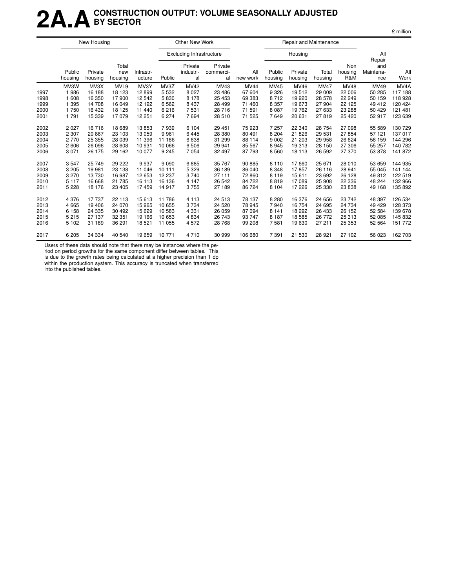### **2A.ACONSTRUCTION OUTPUT: VOLUME SEASONALLY ADJUSTED BY SECTOR**

|                                      |                                                     | New Housing                                             |                                                      |                                                       |                                                    | Other New Work                                               |                                                            |                                                               |                                                              |                                                             | Repair and Maintenance                                       |                                                                 |                                                        |                                                                          |
|--------------------------------------|-----------------------------------------------------|---------------------------------------------------------|------------------------------------------------------|-------------------------------------------------------|----------------------------------------------------|--------------------------------------------------------------|------------------------------------------------------------|---------------------------------------------------------------|--------------------------------------------------------------|-------------------------------------------------------------|--------------------------------------------------------------|-----------------------------------------------------------------|--------------------------------------------------------|--------------------------------------------------------------------------|
|                                      |                                                     |                                                         |                                                      |                                                       |                                                    | <b>Excluding Infrastructure</b>                              |                                                            |                                                               |                                                              | Housing                                                     |                                                              |                                                                 | All<br>Repair                                          |                                                                          |
|                                      | Public<br>housing                                   | Private<br>housing                                      | Total<br>new<br>housing                              | Infrastr-<br>ucture                                   | Public                                             | Private<br>industri-<br>al                                   | Private<br>commerci-<br>al                                 | All<br>new work                                               | Public<br>housing                                            | Private<br>housing                                          | Total<br>housing                                             | Non<br>housing<br>R&M                                           | and<br>Maintena-<br>nce                                | All<br>Work                                                              |
| 1997<br>1998<br>1999<br>2000<br>2001 | MV3W<br>1986<br>1 608<br>1 3 9 5<br>1750<br>1791    | MV3X<br>16 188<br>16 350<br>14 708<br>16 432<br>15 3 39 | MVL9<br>18 123<br>17900<br>16 049<br>18 125<br>17079 | MV3Y<br>12899<br>12 542<br>12 192<br>11 440<br>12 251 | MV3Z<br>5 5 3 2<br>5830<br>6562<br>6216<br>6 2 7 4 | <b>MV42</b><br>8 0 2 7<br>8 1 7 8<br>8 4 3 7<br>7531<br>7694 | MV43<br>23 4 86<br>25 4 53<br>28 4 9 9<br>28 716<br>28 510 | <b>MV44</b><br>67 604<br>69 383<br>71 460<br>71 591<br>71 525 | <b>MV45</b><br>9 3 2 6<br>8712<br>8 3 5 7<br>8 0 8 7<br>7649 | <b>MV46</b><br>19512<br>19 9 20<br>19673<br>19762<br>20 631 | <b>MV47</b><br>29 009<br>28 578<br>27 904<br>27 633<br>27819 | <b>MV48</b><br>22 006<br>22 249<br>22 1 25<br>23 288<br>25 4 20 | MV49<br>50 285<br>50 159<br>49 412<br>50 429<br>52 917 | MV <sub>4</sub> A<br>117 188<br>118 928<br>120 424<br>121 481<br>123 639 |
| 2002<br>2003<br>2004<br>2005<br>2006 | 2 0 2 7<br>2 3 0 7<br>2770<br>2 606<br>3 0 7 1      | 16 716<br>20 867<br>25 3 55<br>26 096<br>26 175         | 18 689<br>23 103<br>28 039<br>28 608<br>29 162       | 13853<br>13 059<br>11 396<br>10 931<br>10 077         | 7939<br>9961<br>11 186<br>10 066<br>9 2 4 5        | 6 1 0 4<br>6445<br>6638<br>6506<br>7054                      | 29 451<br>28 380<br>31 299<br>29 941<br>32 497             | 75 923<br>80 491<br>88 114<br>85 567<br>87 793                | 7 257<br>8 2 0 4<br>9 0 0 2<br>8 9 4 5<br>8560               | 22 340<br>21826<br>21 203<br>19313<br>18 113                | 28 754<br>29 531<br>29 958<br>28 150<br>26 592               | 27 098<br>27 854<br>26 624<br>27 306<br>27 370                  | 55 589<br>57 121<br>56 159<br>55 257<br>53 878         | 130 729<br>137 017<br>144 296<br>140 782<br>141 872                      |
| 2007<br>2008<br>2009<br>2010<br>2011 | 3547<br>3 2 0 5<br>3 2 7 0<br>5 1 1 7<br>5 2 2 8    | 25 749<br>19 981<br>13730<br>16 668<br>18 176           | 29 222<br>23 138<br>16 987<br>21 785<br>23 4 05      | 9937<br>11 046<br>12 653<br>16 113<br>17 459          | 9090<br>10 111<br>12 2 3 7<br>16 136<br>14917      | 6885<br>5 3 2 9<br>3740<br>4 1 4 7<br>3755                   | 35 767<br>36 189<br>27 111<br>26 542<br>27 189             | 90 885<br>86 040<br>72 860<br>84 722<br>86 724                | 8 1 1 0<br>8 3 4 8<br>8 1 1 9<br>8819<br>8 1 0 4             | 17660<br>17857<br>15611<br>17089<br>17 226                  | 25 671<br>26 116<br>23 692<br>25 908<br>25 330               | 28 010<br>28 941<br>26 128<br>22 3 36<br>23 838                 | 53 659<br>55 045<br>49812<br>48 244<br>49 168          | 144 935<br>141 144<br>122 519<br>132 966<br>135 892                      |
| 2012<br>2013<br>2014<br>2015<br>2016 | 4 3 7 6<br>4 6 6 5<br>6 1 5 8<br>5 2 1 5<br>5 1 0 2 | 17 737<br>19 40 6<br>24 335<br>27 137<br>31 189         | 22 113<br>24 0 70<br>30 492<br>32 351<br>36 291      | 15613<br>15 965<br>15 629<br>19 166<br>18 5 21        | 11786<br>10 655<br>10583<br>10 653<br>11 055       | 4 1 1 3<br>3734<br>4 3 3 1<br>4834<br>4572                   | 24 513<br>24 5 20<br>26 059<br>26 743<br>28 768            | 78 137<br>78 945<br>87 094<br>93 747<br>99 208                | 8 2 8 0<br>7940<br>8 1 4 1<br>8 1 8 7<br>7581                | 16 376<br>16 754<br>18 29 2<br>18585<br>19630               | 24 656<br>24 695<br>26 433<br>26 772<br>27 211               | 23 742<br>24 734<br>26 152<br>25 313<br>25 353                  | 48 397<br>49 4 29<br>52 584<br>52 085<br>52 564        | 126 534<br>128 373<br>139 678<br>145 832<br>151 772                      |
| 2017                                 | 6 2 0 5                                             | 34 334                                                  | 40 540                                               | 19 659                                                | 10 771                                             | 4710                                                         | 30 999                                                     | 106 680                                                       | 7 3 9 1                                                      | 21 530                                                      | 28 9 21                                                      | 27 102                                                          | 56 023                                                 | 162 703                                                                  |

Users of these data should note that there may be instances where the pe-

riod on period growths for the same component differ between tables. This is due to the growth rates being calculated at a higher precision than 1 dp

within the production system. This accuracy is truncated when transferred into the published tables.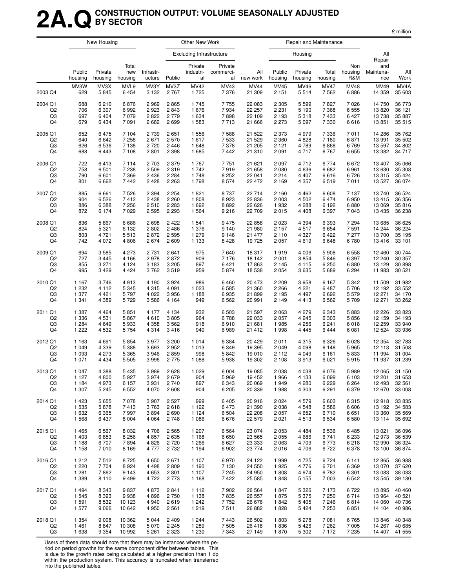### **2A.QCONSTRUCTION OUTPUT: VOLUME SEASONALLY ADJUSTED BY SECTOR**

|                |                   | New Housing        |                         |                     |         | Other New Work                  |                            |                 |                   | Repair and Maintenance |                  |                       |                         |             |
|----------------|-------------------|--------------------|-------------------------|---------------------|---------|---------------------------------|----------------------------|-----------------|-------------------|------------------------|------------------|-----------------------|-------------------------|-------------|
|                |                   |                    |                         |                     |         | <b>Excluding Infrastructure</b> |                            |                 |                   | Housing                |                  |                       | All<br>Repair           |             |
|                | Public<br>housing | Private<br>housing | Total<br>new<br>housing | Infrastr-<br>ucture | Public  | Private<br>industri-<br>al      | Private<br>commerci-<br>al | All<br>new work | Public<br>housing | Private<br>housing     | Total<br>housing | Non<br>housing<br>R&M | and<br>Maintena-<br>nce | All<br>Work |
| 2003 Q4        | MV3W              | MV3X               | MVL9                    | MV3Y                | MV3Z    | <b>MV42</b>                     | MV43                       | <b>MV44</b>     | MV45              | MV46                   | <b>MV47</b>      | <b>MV48</b>           | MV49                    | MV4A        |
|                | 629               | 5845               | 6454                    | 3 1 3 2             | 2 7 6 7 | 1725                            | 7 3 7 6                    | 21 309          | 2 1 5 1           | 5514                   | 7562             | 6886                  | 14 359                  | 35 603      |
| 2004 Q1        | 688               | 6 2 1 0            | 6876                    | 2969                | 2865    | 1745                            | 7755                       | 22 083          | 2 3 0 5           | 5 5 9 9                | 7827             | 7026                  | 14 750                  | 36 773      |
| Q <sub>2</sub> | 706               | 6 307              | 6992                    | 2923                | 2843    | 1676                            | 7934                       | 22 257          | 2 2 3 1           | 5 1 9 0                | 7 3 6 8          | 6555                  | 13 8 20                 | 36 121      |
| Q <sub>3</sub> | 697               | 6 4 0 4            | 7 0 7 9                 | 2822                | 2779    | 1 6 3 4                         | 7898                       | 22 109          | 2 193             | 5318                   | 7433             | 6427                  | 13738                   | 35 887      |
| Q4             | 679               | 6434               | 7091                    | 2682                | 2699    | 1 5 8 3                         | 7713                       | 21 666          | 2 2 7 3           | 5 0 9 7                | 7 3 3 0          | 6616                  | 13851                   | 35 515      |
| 2005 Q1        | 652               | 6475               | 7 104                   | 2 7 3 9             | 2651    | 1 5 5 6                         | 7588                       | 21 5 22         | 2 373             | 4979                   | 7 3 3 6          | 7011                  | 14 286                  | 35 762      |
| Q <sub>2</sub> | 640               | 6642               | 7 2 5 8                 | 2671                | 2570    | 1617                            | 7 5 3 3                    | 21 5 29         | 2 3 6 0           | 4828                   | 7 180            | 6871                  | 13 991                  | 35 502      |
| Q3             | 626               | 6536               | 7 1 3 8                 | 2720                | 2446    | 1 648                           | 7 3 7 8                    | 21 205          | 2 1 2 1           | 4789                   | 6868             | 6769                  | 13 597                  | 34 802      |
| Q4             | 688               | 6443               | 7 108                   | 2801                | 2 3 9 8 | 1685                            | 7 4 4 2                    | 21 310          | 2 0 9 1           | 4717                   | 6767             | 6655                  | 13 3 8 2                | 34 717      |
| 2006 Q1        | 722               | 6413               | 7 1 1 4                 | 2 703               | 2 3 7 9 | 1767                            | 7751                       | 21 621          | 2 0 9 7           | 4712                   | 6774             | 6672                  | 13 407                  | 35 066      |
| Q2             | 758               | 6 5 0 1            | 7 2 3 8                 | 2 5 0 9             | 2319    | 1742                            | 7919                       | 21 658          | 2 0 8 0           | 4636                   | 6682             | 6961                  | 13 630                  | 35 308      |
| Q3             | 790               | 6 601              | 7 3 6 9                 | 2 4 3 6             | 2 2 8 4 | 1748                            | 8 2 5 2                    | 22 041          | 2214              | 4 4 0 7                | 6616             | 6726                  | 13 315                  | 35 4 24     |
| Q4             | 801               | 6 6 6 2            | 7 4 4 2                 | 2 4 2 8             | 2 2 6 3 | 1798                            | 8574                       | 22 472          | 2 1 6 9           | 4 3 5 7                | 6519             | 7011                  | 13 5 27                 | 36 074      |
| 2007 Q1        | 885               | 6661               | 7526                    | 2 3 9 4             | 2 2 5 4 | 1821                            | 8737                       | 22 714          | 2 160             | 4 4 6 2                | 6 6 0 8          | 7 1 3 7               | 13740                   | 36 5 24     |
| Q2             | 904               | 6526               | 7412                    | 2 4 3 8             | 2 2 6 0 | 1808                            | 8923                       | 22 8 36         | 2 0 0 3           | 4 5 0 2                | 6474             | 6950                  | 13 4 15                 | 36 356      |
| Q <sub>3</sub> | 886               | 6 3 8 8            | 7 2 5 6                 | 2510                | 2 2 8 3 | 1 6 9 2                         | 8892                       | 22 6 26         | 1932              | 4 2 8 8                | 6 1 9 2          | 6880                  | 13 069                  | 35816       |
| Q4             | 872               | 6 1 7 4            | 7 0 2 9                 | 2 5 9 5             | 2 2 9 3 | 1 5 6 4                         | 9 2 1 6                    | 22 709          | 2015              | 4 4 0 8                | 6 3 9 7          | 7043                  | 13 435                  | 36 238      |
| 2008 Q1        | 836               | 5867               | 6686                    | 2698                | 2 4 2 2 | 1 5 4 1                         | 9 4 7 5                    | 22 858          | 2 0 2 3           | 4 3 9 4                | 6 3 9 3          | 7 2 9 4               | 13 685                  | 36 625      |
| Q2             | 824               | 5 3 2 1            | 6 1 3 2                 | 2802                | 2486    | 1 376                           | 9 1 4 0                    | 21 980          | 2 1 5 7           | 4517                   | 6654             | 7591                  | 14 244                  | 36 224      |
| Q3             | 803               | 4 7 2 1            | 5513                    | 2872                | 2595    | 1 2 7 9                         | 9 1 4 6                    | 21 477          | 2 1 1 0           | 4 3 2 7                | 6422             | 7 2 7 7               | 13 700                  | 35 195      |
| Q4             | 742               | 4 0 7 2            | 4806                    | 2674                | 2609    | 1 1 3 3                         | 8428                       | 19 725          | 2 0 5 7           | 4619                   | 6648             | 6780                  | 13416                   | 33 101      |
| 2009 Q1        | 694               | 3585               | 4 2 7 3                 | 2 7 3 1             | 2641    | 975                             | 7640                       | 18 317          | 1919              | 4 0 0 6                | 5 9 0 8          | 6558                  | 12 460                  | 30 744      |
| Q2             | 727               | 3 4 4 5            | 4 1 6 6                 | 2978                | 2872    | 909                             | 7 1 7 6                    | 18 142          | 2 0 0 1           | 3854                   | 5846             | 6 3 9 7               | 12 240                  | 30 357      |
| Q3             | 855               | 3 2 7 1            | 4 1 2 4                 | 3 1 8 3             | 3 2 0 5 | 897                             | 6421                       | 17863           | 2 1 4 5           | 4 1 1 5                | 6 2 5 0          | 6880                  | 13 129                  | 30 898      |
| Q4             | 995               | 3 4 2 9            | 4 4 2 4                 | 3762                | 3519    | 959                             | 5874                       | 18 538          | 2 0 5 4           | 3635                   | 5689             | 6 2 9 4               | 11 983                  | 30 521      |
| 2010 Q1        | 1 1 6 7           | 3746               | 4913                    | 4 190               | 3 9 2 4 | 986                             | 6460                       | 20 473          | 2 2 0 9           | 3958                   | 6 1 6 7          | 5 3 4 2               | 11 509                  | 31 982      |
| Q2             | 1 2 3 2           | 4 1 1 2            | 5 3 4 5                 | 4 3 1 5             | 4 0 9 1 | 1 0 2 3                         | 6585                       | 21 360          | 2 2 6 6           | 4 2 2 1                | 6487             | 5706                  | 12 192                  | 33 552      |
| Q <sub>3</sub> | 1 377             | 4 4 2 1            | 5797                    | 4 0 2 2             | 3956    | 1 1 8 8                         | 6935                       | 21 899          | 2 1 9 5           | 4 4 9 7                | 6692             | 5579                  | 12 271                  | 34 170      |
| Q4             | 1 3 4 1           | 4 3 8 9            | 5729                    | 3586                | 4 1 6 4 | 949                             | 6 5 6 2                    | 20 991          | 2 1 4 9           | 4413                   | 6 5 6 2          | 5709                  | 12 271                  | 33 262      |
| 2011 Q1        | 1 3 8 7           | 4 4 6 4            | 5851                    | 4 177               | 4 1 3 4 | 932                             | 6 5 0 3                    | 21 597          | 2 0 6 3           | 4 2 7 9                | 6 3 4 3          | 5883                  | 12 2 2 6                | 33 823      |
| Q2             | 1 3 3 6           | 4531               | 5867                    | 4610                | 3805    | 964                             | 6788                       | 22 033          | 2 0 5 7           | 4 2 4 5                | 6 3 0 3          | 5856                  | 12 159                  | 34 193      |
| Q3             | 1 2 8 4           | 4 6 4 9            | 5933                    | 4 3 5 8             | 3562    | 918                             | 6910                       | 21 681          | 1985              | 4 2 5 6                | 6 2 4 1          | 6018                  | 12 259                  | 33 940      |
| Q4             | 1 2 2 2           | 4 5 3 2            | 5 7 5 4                 | 4314                | 3416    | 940                             | 6989                       | 21 4 12         | 1998              | 4 4 4 5                | 6444             | 6081                  | 12 5 24                 | 33 936      |
| 2012 Q1        | 1 1 6 3           | 4 6 9 1            | 5854                    | 3977                | 3 200   | 1014                            | 6 3 8 4                    | 20 4 29         | 2011              | 4 3 1 5                | 6 3 2 6          | 6028                  | 12 3 54                 | 32 783      |
| Q2             | 1 0 4 9           | 4 3 3 9            | 5 3 8 8                 | 3693                | 2952    | 1 0 1 3                         | 6 3 4 9                    | 19 395          | 2 0 4 9           | 4 0 9 8                | 6 1 4 8          | 5965                  | 12 113                  | 31 508      |
| Q3             | 1 0 9 3           | 4 2 7 3            | 5 3 6 5                 | 3946                | 2859    | 998                             | 5842                       | 19 010          | 2 1 1 2           | 4 0 4 9                | 6 1 6 1          | 5833                  | 11 994                  | 31 004      |
| Q4             | 1 0 7 1           | 4 4 3 4            | 5 5 0 5                 | 3996                | 2775    | 1 0 8 8                         | 5938                       | 19 302          | 2 108             | 3913                   | 6 0 21           | 5915                  | 11 937                  | 31 239      |
| 2013 Q1        | 1 0 4 7           | 4 3 8 8            | 5 4 3 5                 | 3 9 8 9             | 2628    | 1 0 2 9                         | 6 0 0 4                    | 19 085          | 2 0 3 8           | 4 0 38                 | 6 0 7 6          | 5989                  | 12 065                  | 31 150      |
| Q <sub>2</sub> | 1 1 2 7           | 4 800              | 5927                    | 3974                | 2679    | 904                             | 5969                       | 19 452          | 1966              | 4 1 3 3                | 6 0 9 9          | 6 1 0 3               | 12 201                  | 31 653      |
| Q3             | 1 1 8 4           | 4 9 7 3            | 6 157                   | 3931                | 2740    | 897                             | 6 3 4 3                    | 20 069          | 1949              | 4 2 8 0                | 6 2 2 9          | 6 2 6 4               | 12 493                  | 32 561      |
| Q4             | 1 307             | 5 2 4 5            | 6 5 5 2                 | 4 0 7 0             | 2608    | 904                             | 6 2 0 5                    | 20 339          | 1988              | 4 3 0 3                | 6 2 9 1          | 6379                  | 12 670                  | 33 008      |
| 2014 Q1        | 1 4 2 3           | 5 6 5 5            | 7078                    | 3 9 0 7             | 2 5 2 7 | 999                             | 6 4 0 5                    | 20 916          | 2024              | 4579                   | 6 6 0 3          | 6315                  | 12918                   | 33 835      |
| Q <sub>2</sub> | 1 5 3 5           | 5878               | 7413                    | 3763                | 2618    | 1 1 2 2                         | 6473                       | 21 390          | 2 0 38            | 4 5 4 8                | 6586             | 6606                  | 13 192                  | 34 583      |
| Q3             | 1 6 3 2           | 6 3 6 5            | 7997                    | 3894                | 2690    | 1 1 2 4                         | 6 5 0 4                    | 22 208          | 2 0 5 7           | 4 6 5 2                | 6710             | 6651                  | 13 360                  | 35 5 69     |
| Q4             | 1 5 6 8           | 6 4 3 7            | 8 0 0 4                 | 4 0 64              | 2748    | 1 0 8 6                         | 6676                       | 22 579          | 2021              | 4513                   | 6 5 3 4          | 6580                  | 13 114                  | 35 692      |
| 2015 Q1        | 1 4 6 5           | 6567               | 8 0 3 2                 | 4706                | 2 5 6 5 | 1 207                           | 6 5 6 4                    | 23 0 74         | 2 0 5 3           | 4 4 8 4                | 6 5 3 6          | 6485                  | 13 0 21                 | 36 096      |
| Q <sub>2</sub> | 1 4 0 3           | 6853               | 8 2 5 6                 | 4857                | 2635    | 1 1 6 8                         | 6650                       | 23 5 65         | 2 0 5 5           | 4686                   | 6741             | 6 2 3 3               | 12973                   | 36 539      |
| Q3             | 1 1 8 8           | 6707               | 7894                    | 4 8 2 6             | 2720    | 1 2 6 6                         | 6 6 27                     | 23 333          | 2 0 6 3           | 4 709                  | 6 7 7 3          | 6218                  | 12 990                  | 36 324      |
| Q4             | 1 1 5 8           | 7010               | 8 1 6 9                 | 4 7 7 7             | 2732    | 1 1 9 4                         | 6902                       | 23 774          | 2016              | 4706                   | 6722             | 6378                  | 13 100                  | 36 874      |
| 2016 Q1        | 1 2 1 2           | 7512               | 8725                    | 4 650               | 2671    | 1 107                           | 6970                       | 24 122          | 1999              | 4 7 2 5                | 6724             | 6 1 4 1               | 12 8 65                 | 36 988      |
| Q <sub>2</sub> | 1 2 2 0           | 7 7 0 4            | 8924                    | 4 4 9 8             | 2809    | 1 1 9 0                         | 7 1 3 0                    | 24 550          | 1925              | 4776                   | 6701             | 6 3 6 9               | 13 0 70                 | 37 620      |
| Q3             | 1 2 8 1           | 7862               | 9 1 4 3                 | 4 6 5 3             | 2801    | 1 1 0 7                         | 7 2 4 5                    | 24 950          | 1808              | 4974                   | 6782             | 6 3 0 1               | 13 083                  | 38 033      |
| Q4             | 1 3 8 9           | 8 1 1 0            | 9499                    | 4 722               | 2 7 7 3 | 1 1 6 8                         | 7422                       | 25 5 85         | 1848              | 5 1 5 5                | 7 0 0 3          | 6542                  | 13 545                  | 39 130      |
| 2017 Q1        | 1 4 9 4           | 8 3 4 3            | 9837                    | 4873                | 2841    | 1 1 1 2                         | 7902                       | 26 5 64         | 1847              | 5 3 2 6                | 7 1 7 3          | 6722                  | 13895                   | 40 460      |
| Q <sub>2</sub> | 1 5 4 5           | 8 3 9 3            | 9938                    | 4896                | 2750    | 1 1 3 8                         | 7835                       | 26 557          | 1875              | 5 3 7 5                | 7 250            | 6714                  | 13 964                  | 40 521      |
| Q3             | 1591              | 8 5 3 2            | 10 123                  | 4 9 4 0             | 2619    | 1 2 4 2                         | 7752                       | 26 676          | 1842              | 5 4 0 5                | 7 2 4 6          | 6814                  | 14 060                  | 40 736      |
| Q4             | 1577              | 9 0 6 6            | 10 642                  | 4 9 5 0             | 2561    | 1 2 1 9                         | 7511                       | 26 882          | 1828              | 5424                   | 7 2 5 3          | 6851                  | 14 104                  | 40 986      |
| 2018 Q1        | 1 3 5 4           | 9 0 0 8            | 10 362                  | 5 0 4 4             | 2 4 0 9 | 1 2 4 4                         | 7443                       | 26 502          | 1803              | 5 2 7 8                | 7 0 8 1          | 6765                  | 13846                   | 40 348      |
| Q2             | 1461              | 8847               | 10 308                  | 5 0 7 0             | 2 2 4 5 | 1 2 8 9                         | 7 5 0 5                    | 26 418          | 1836              | 5 4 2 6                | 7 2 6 2          | 7 0 0 5               | 14 267                  | 40 685      |
| Q3             | 1638              | 9 3 5 4            | 10 992                  | 5 261               | 2 3 2 3 | 1 2 3 0                         | 7 3 4 3                    | 27 149          | 1870              | 5 3 0 2                | 7 172            | 7 2 3 5               | 14 407                  | 41 555      |

Users of these data should note that there may be instances where the pe-

riod on period growths for the same component differ between tables. This is due to the growth rates being calculated at a higher precision than 1 dp within the production system. This accuracy is truncated when transferred into the published tables.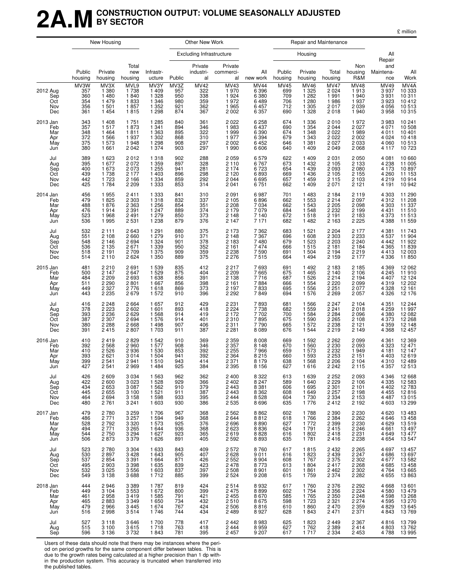### **2A.MCONSTRUCTION OUTPUT: VOLUME SEASONALLY ADJUSTED BY SECTOR**

£ million

|                                             |                                         | New Housing                                                    |                                                              |                                                                |                                         | Other New Work                                 |                                                                |                                                             |                                         | Repair and Maintenance                                             |                                                                |                                                             |                                                                |                                                                                    |
|---------------------------------------------|-----------------------------------------|----------------------------------------------------------------|--------------------------------------------------------------|----------------------------------------------------------------|-----------------------------------------|------------------------------------------------|----------------------------------------------------------------|-------------------------------------------------------------|-----------------------------------------|--------------------------------------------------------------------|----------------------------------------------------------------|-------------------------------------------------------------|----------------------------------------------------------------|------------------------------------------------------------------------------------|
|                                             |                                         |                                                                |                                                              |                                                                |                                         | Excluding Infrastructure                       |                                                                |                                                             |                                         | Housing                                                            |                                                                |                                                             | All<br>Repair                                                  |                                                                                    |
|                                             | Public<br>housing                       | Private<br>housing                                             | Total<br>new<br>housing                                      | Infrastr-<br>ucture                                            | Public                                  | Private<br>industri-<br>al                     | Private<br>commerci-<br>al                                     | All<br>new work                                             | Public<br>housing                       | Private<br>housing                                                 | Total<br>housing                                               | Non<br>housing<br>R&M                                       | and<br>Maintena-<br>nce                                        | All<br>Work                                                                        |
| 2012 Aug<br>Sep<br>Oct<br>Nov<br>Dec        | MV3W<br>357<br>360<br>354<br>356<br>361 | MV3X<br>1 3 8 0<br>1 4 8 0<br>1 4 7 9<br>1 501<br>1 4 5 4      | MVL9<br>1738<br>1840<br>1833<br>1857<br>1815                 | MV3Y<br>1 409<br>1 3 2 8<br>1 3 4 6<br>1 3 5 2<br>1 2 9 8      | MV3Z<br>957<br>950<br>980<br>921<br>874 | <b>MV42</b><br>322<br>338<br>359<br>362<br>367 | MV43<br>1 970<br>1 9 2 4<br>1972<br>1965<br>2 0 0 2            | <b>MV44</b><br>6 3 9 6<br>6 380<br>6489<br>6457<br>6 3 5 7  | MV45<br>699<br>709<br>706<br>712<br>690 | <b>MV46</b><br>1 3 2 5<br>1 2 8 2<br>1 2 8 0<br>1 3 0 5<br>1 3 2 8 | <b>MV47</b><br>2 0 2 4<br>1 9 9 1<br>1986<br>2017<br>2018      | MV48<br>1913<br>1940<br>1937<br>2 0 3 9<br>1940             | MV49<br>3 9 3 7<br>3931<br>3923<br>4 0 5 6<br>3958             | MV4A<br>10 333<br>$\begin{array}{c} 10311 \\ 10412 \\ 10513 \end{array}$<br>10 315 |
| 2013 Jan<br>Feb<br>Mar<br>Apr<br>May<br>Jun | 343<br>357<br>348<br>372<br>375<br>380  | 1 4 0 8<br>1517<br>1 4 6 4<br>1566<br>1 573<br>1661            | 1751<br>1873<br>1811<br>1937<br>1948<br>2 0 4 2              | 1 2 8 5<br>1 3 4 1<br>1 3 6 3<br>1 3 0 2<br>1 2 9 8<br>1 3 7 4 | 840<br>894<br>895<br>868<br>908<br>903  | 361<br>346<br>322<br>310<br>297<br>297         | 2 0 2 2<br>1983<br>1999<br>1977<br>2 0 0 2<br>1990             | 6 258<br>6 4 3 7<br>6 3 9 0<br>6 3 9 4<br>6452<br>6606      | 674<br>690<br>674<br>679<br>646<br>640  | 1 3 3 6<br>1 3 5 4<br>1 3 4 8<br>1 3 4 3<br>1 3 8 1<br>1 4 0 9     | 2010<br>2 0 4 4<br>2 0 2 2<br>2 0 2 2<br>2 0 2 7<br>2 0 4 9    | 1972<br>2027<br>1989<br>2 0 0 2<br>2 0 3 3<br>2068          | 3983<br>4 0 7 1<br>4 0 1 1<br>4 0 24<br>4 0 6 0<br>4 1 1 7     | 10 241<br>10 508<br>10 401<br>10418<br>10 513<br>10 723                            |
| Jul<br>Aug<br>Sep<br>Oct<br>Nov<br>Dec      | 389<br>395<br>400<br>439<br>442<br>425  | 1 623<br>1677<br>1673<br>1738<br>1723<br>1 7 8 4               | 2012<br>2072<br>2 0 7 3<br>2 1 7 7<br>2 1 6 6<br>2 2 0 9     | 1 3 1 8<br>1 3 5 9<br>1 2 5 5<br>1 4 0 3<br>1 3 3 4<br>1 3 3 3 | 902<br>897<br>941<br>896<br>859<br>853  | 288<br>328<br>281<br>298<br>292<br>314         | 2 0 5 9<br>2 1 1 0<br>2 1 7 4<br>2 1 2 0<br>2 0 4 4<br>2 0 4 1 | 6579<br>6767<br>6723<br>6893<br>6695<br>6 751               | 622<br>673<br>654<br>669<br>657<br>662  | 1 4 0 9<br>1 4 3 2<br>1 4 3 9<br>1 4 3 6<br>1 4 5 9<br>1 4 0 9     | 2 0 3 1<br>2 1 0 5<br>2 0 9 3<br>2 1 0 5<br>2 1 1 5<br>2 0 7 1 | 2050<br>2 1 3 3<br>2 0 8 0<br>2 1 5 5<br>2 1 0 3<br>2 1 2 1 | 4 0 8 1<br>4 2 3 8<br>4 1 7 3<br>4 2 6 0<br>4219<br>4 1 9 1    | 10 660<br>11 005<br>10 897<br>11 153<br>10914<br>10 942                            |
| 2014 Jan<br>Feb<br>Mar<br>Apr<br>May<br>Jun | 456<br>479<br>488<br>476<br>523<br>536  | 1955<br>1825<br>1876<br>1914<br>1968<br>1995                   | 2411<br>2 3 0 3<br>2 3 6 3<br>2 3 9 1<br>2 4 9 1<br>2 5 3 1  | 1 3 3 3<br>1 3 1 8<br>1 2 5 6<br>1 2 4 7<br>1 2 7 9<br>1 2 3 8 | 841<br>832<br>854<br>889<br>850<br>879  | 310<br>337<br>351<br>374<br>373<br>376         | 2 0 9 1<br>2 1 0 5<br>2 2 0 8<br>2 1 7 9<br>2 1 4 8<br>2 1 4 7 | 6987<br>6896<br>7 0 34<br>7 0 7 9<br>7 140<br>7 1 7 1       | 701<br>662<br>662<br>684<br>672<br>682  | 1483<br>1 553<br>1 5 4 3<br>1 5 4 8<br>1518<br>1 4 8 2             | 2 1 8 4<br>2 2 1 4<br>2 2 0 5<br>2 2 3 2<br>2 1 9 1<br>2 1 6 3 | 2119<br>2 0 9 7<br>2098<br>2 1 9 9<br>2 183<br>2 2 2 5      | 4 3 0 3<br>4312<br>4 3 0 3<br>4 4 3 1<br>4 3 7 3<br>4 3 8 8    | 11 290<br>11 208<br>11 337<br>11 510<br>11 513<br>11 559                           |
| Jul<br>Aug<br>Sep<br>Oct<br>Nov<br>Dec      | 532<br>551<br>548<br>536<br>518<br>514  | 2 1 1 1<br>2 1 0 8<br>2 1 4 6<br>2 1 3 5<br>2 1 9 1<br>2 1 1 0 | 2643<br>2660<br>2694<br>2671<br>2 7 0 9<br>2 6 2 4           | 1 2 9 1<br>1 2 7 9<br>1 3 2 4<br>1 3 3 9<br>1 375<br>1 350     | 880<br>910<br>901<br>950<br>909<br>889  | 375<br>371<br>378<br>352<br>359<br>375         | 2 1 7 3<br>2 1 4 8<br>2 1 8 3<br>2 1 6 1<br>2 2 3 8<br>2 2 7 6 | 7 3 6 2<br>7 3 6 7<br>7480<br>7474<br>7590<br>7515          | 683<br>696<br>679<br>666<br>691<br>664  | 1 5 2 1<br>1 608<br>1 5 2 3<br>1515<br>1 504<br>1 4 9 4            | 2 2 0 4<br>2 3 0 3<br>2 2 0 3<br>2 1 8 1<br>2 1 9 4<br>2 1 5 9 | 2 177<br>2 233<br>2 240<br>2 1 8 4<br>2219<br>2 177         | 4 3 8 1<br>4537<br>4 4 4 2<br>4 3 6 5<br>4413<br>4 3 3 6       | 11 743<br>11 904<br>11 922<br>12 003<br>11 850                                     |
| 2015 Jan<br>Feb<br>Mar<br>Apr<br>May<br>Jun | 481<br>500<br>484<br>511<br>449<br>443  | 2 2 1 0<br>2 1 4 7<br>2 2 0 9<br>2 2 9 0<br>2 3 2 7<br>2 2 3 5 | 2691<br>2647<br>2 6 9 3<br>2801<br>2776<br>2679              | 1 539<br>1 5 2 9<br>1 638<br>1 667<br>1618<br>1 572            | 835<br>875<br>856<br>856<br>869<br>910  | 412<br>404<br>391<br>398<br>373<br>396         | 2 2 1 7<br>2 2 0 9<br>2 1 3 8<br>2 1 6 1<br>2 1 9 7<br>2 2 9 2 | 7693<br>7665<br>7716<br>7884<br>7833<br>7849                | 691<br>675<br>687<br>666<br>695<br>694  | 1 4 9 2<br>1 4 6 5<br>1 5 2 6<br>1 5 5 4<br>1 5 5 6<br>1 576       | 2 1 8 3<br>2 140<br>2 2 1 4<br>2 2 2 0<br>2 2 5 1<br>2 2 6 9   | 2 1 8 5<br>2 1 0 6<br>2 194<br>2099<br>2077<br>2057         | 4 3 6 9<br>4 2 4 5<br>4 4 0 7<br>4319<br>4 3 2 8<br>4 3 2 6    | 12 062<br>11 910<br>$12$ $124$<br>12 202<br>12 161<br>12 176                       |
| Jul<br>Aug<br>Sep<br>Oct<br>Nov<br>Dec      | 416<br>378<br>393<br>387<br>380<br>391  | 2 2 4 8<br>2 2 2 3<br>2 2 3 6<br>2 3 0 7<br>2 2 8 8<br>2415    | 2 6 6 4<br>2 6 0 2<br>2629<br>2694<br>2 6 6 8<br>2807        | 1657<br>1 601<br>1 5 6 8<br>1 576<br>1498<br>1 703             | 912<br>893<br>914<br>914<br>907<br>911  | 429<br>418<br>419<br>401<br>406<br>387         | 2 2 3 1<br>2 2 2 4<br>2 1 7 2<br>2 3 1 0<br>2 3 1 1<br>2 2 8 1 | 7893<br>7738<br>7702<br>7895<br>7790<br>8 0 8 9             | 681<br>682<br>700<br>675<br>665<br>676  | 1 5 6 6<br>1 5 5 9<br>1 5 8 4<br>1 5 9 0<br>1 572<br>1 544         | 2 2 4 7<br>2 2 4 1<br>2 2 8 4<br>2 2 6 5<br>2 2 3 8<br>2 2 1 9 | 2 1 0 4<br>2018<br>2096<br>2 1 0 8<br>2 1 2 1<br>2 1 4 9    | 4 3 5 1<br>4 2 5 9<br>4 3 8 0<br>4 3 7 3<br>4 3 5 9<br>4 3 6 8 | 12 244<br>11 997<br>12 082<br>12 268<br>12 148<br>12 457                           |
| 2016 Jan<br>Feb<br>Mar<br>Apr<br>May<br>Jun | 410<br>392<br>410<br>393<br>399<br>427  | 2419<br>2 5 6 8<br>2 5 2 6<br>2621<br>2 5 4 1<br>2 5 4 1       | 2829<br>2960<br>2936<br>3 0 1 4<br>2941<br>2969              | 1 542<br>1 577<br>1 5 3 0<br>1 504<br>1510<br>1484             | 910<br>908<br>853<br>941<br>943<br>925  | 369<br>346<br>392<br>392<br>414<br>384         | 2 3 5 9<br>2 3 5 7<br>2 2 5 5<br>2 3 6 4<br>2 3 7 1<br>2 3 9 5 | 8 0 0 8<br>8 1 4 8<br>7966<br>8 2 1 5<br>8 1 7 9<br>8 1 5 6 | 669<br>670<br>659<br>660<br>638<br>627  | 1 5 9 2<br>1 5 6 0<br>1 573<br>1 5 9 3<br>1 5 6 8<br>1616          | 2 2 6 2<br>2 230<br>2 232<br>2 253<br>2 2 0 6<br>2 2 4 2       | 2099<br>2093<br>1949<br>2151<br>2 1 0 4<br>2 1 1 5          | 4 3 6 1<br>4 3 2 3<br>4 1 8 1<br>4 4 0 3<br>4310<br>4 3 5 7    | 12 3 69<br>$\frac{12}{12}$ 471<br>12 147<br>12 619<br>12 489<br>12 513             |
| Jul<br>Aug<br>Sep<br>Oct<br>Nov<br>Dec      | 426<br>422<br>434<br>445<br>464<br>480  | 2 609<br>2 600<br>2 6 5 3<br>2655<br>2694<br>2761              | 3 0 3 4<br>3 0 2 3<br>3 0 8 7<br>3 100<br>3 1 5 8<br>3 2 4 1 | 1 5 6 3<br>1 5 2 8<br>1 5 6 2<br>1 5 2 1<br>1 5 9 8<br>1 603   | 962<br>929<br>910<br>911<br>933<br>930  | 362<br>366<br>379<br>387<br>395<br>386         | 2 4 0 0<br>2 4 0 2<br>2 4 4 3<br>2 4 4 3<br>2444<br>2 5 3 5    | 8 3 2 2<br>8 2 4 7<br>8381<br>8 3 6 2<br>8528<br>8696       | 613<br>589<br>606<br>608<br>604<br>635  | 1 6 3 9<br>1 640<br>1 6 9 5<br>1 649<br>1 7 3 0<br>1 7 7 6         | 2 252<br>2 229<br>2 301<br>2 2 5 7<br>2 3 3 4<br>2412          | 2093<br>2 1 0 6<br>2 101<br>2 198<br>2 153<br>2 192         | 4 3 4 6<br>4 3 3 5<br>4 4 0 2<br>4 4 5 5<br>4 4 8 7<br>4 6 0 3 | 12 668<br>12 583<br>12 783<br>12 816<br>13 015<br>13 299                           |
| 2017 Jan<br>Feb<br>Mar<br>Apr<br>May<br>Jun | 479<br>486<br>528<br>494<br>544<br>506  | 2780<br>2771<br>2792<br>2 7 7 1<br>2 7 5 0<br>2873             | 3 2 5 9<br>3 257<br>3 3 2 0<br>3 2 6 5<br>3 2 9 4<br>3 3 7 9 | 1706<br>1 5 9 4<br>1 573<br>1 644<br>1 6 2 7<br>1 6 2 6        | 967<br>949<br>925<br>936<br>923<br>891  | 368<br>368<br>376<br>368<br>365<br>405         | 2 562<br>2 644<br>2696<br>2623<br>2619<br>2 5 9 2              | 8862<br>8812<br>8890<br>8836<br>8828<br>8893                | 602<br>618<br>627<br>624<br>616<br>635  | 1788<br>1766<br>1 7 7 2<br>1791<br>1802<br>1781                    | 2 390<br>2 384<br>2 3 9 9<br>2415<br>2418<br>2416              | 2 230<br>2 262<br>2 2 3 0<br>2 246<br>2 231<br>2 2 3 8      | 4620<br>4 6 4 6<br>4 6 2 9<br>4661<br>4649<br>4 6 5 4          | 13 4 83<br>13 458<br>13 519<br>13 497<br>13 477<br>13 547                          |
| Jul<br>Aug<br>Sep<br>Oct<br>Nov<br>Dec      | 523<br>530<br>537<br>495<br>532<br>549  | 2780<br>2 897<br>2 854<br>2 9 0 3<br>3 0 2 5<br>3 1 3 8        | 3 3 0 4<br>3 4 2 8<br>3 3 9 1<br>3 3 9 8<br>3556<br>3688     | 1 633<br>1 643<br>1 6 6 4<br>1 6 3 5<br>1 603<br>1712          | 843<br>905<br>871<br>839<br>837<br>885  | 409<br>407<br>426<br>423<br>397<br>399         | 2 5 7 2<br>2628<br>2 5 5 2<br>2 4 7 8<br>2 508<br>2 524        | 8760<br>9 0 1 1<br>8 9 0 4<br>8773<br>8 9 0 1<br>9 2 0 8    | 617<br>616<br>608<br>613<br>601<br>615  | 1815<br>1823<br>1767<br>1 804<br>1861<br>1759                      | 2 4 3 2<br>2 439<br>2 375<br>2417<br>2 4 6 2<br>2 3 7 4        | 2 2 6 5<br>2 2 4 7<br>2 3 0 2<br>2268<br>2 3 0 2<br>2 2 8 2 | 4697<br>4686<br>4677<br>4685<br>4764<br>4655                   | 13 457<br>13 697<br>13 582<br>13 458<br>13 665<br>13 863                           |
| 2018 Jan<br>Feb<br>Mar<br>Apr<br>May<br>Jun | 444<br>449<br>461<br>465<br>479<br>516  | 2946<br>3 1 0 4<br>2958<br>2883<br>2966<br>2 9 9 8             | 3 3 8 9<br>3553<br>3 4 1 9<br>3 3 4 9<br>3 4 4 5<br>3514     | 1 7 8 7<br>1 672<br>1 5 8 5<br>1 650<br>1 674<br>1746          | 819<br>800<br>791<br>734<br>767<br>744  | 424<br>399<br>421<br>432<br>424<br>434         | 2514<br>2 4 7 5<br>2 4 5 5<br>2510<br>2 5 0 6<br>2 4 8 9       | 8932<br>8899<br>8670<br>8675<br>8816<br>8927                | 617<br>602<br>585<br>598<br>610<br>628  | 1760<br>1 7 5 4<br>1765<br>1723<br>1860<br>1843                    | 2 3 7 6<br>2 3 5 6<br>2 3 5 0<br>2 3 2 1<br>2 4 7 0<br>2 4 7 1 | $2292$<br>$224$<br>2 2 4 8<br>2 274<br>2 359<br>2 371       | 4668<br>4580<br>4598<br>4 595<br>4 829<br>4843                 | 13 601<br>13 479<br>13 268<br>13 270<br>13 645<br>13 769                           |
| Jul<br>Aug<br>Sep                           | 527<br>515<br>596                       | 3 1 1 8<br>3 100<br>3 1 3 6                                    | 3646<br>3615<br>3732                                         | 1 700<br>1 7 1 8<br>1843                                       | 778<br>763<br>781                       | 417<br>418<br>395                              | 2442<br>2 4 4 4<br>2 4 5 7                                     | 8983<br>8959<br>9 207                                       | 625<br>627<br>617                       | 1 823<br>1 762<br>1 7 1 7                                          | 2449<br>2 3 8 9<br>2 3 3 4                                     | 2 367<br>2 414<br>2 4 5 3                                   | 4816<br>4803<br>4788                                           | 13 799<br>13 762<br>13 995                                                         |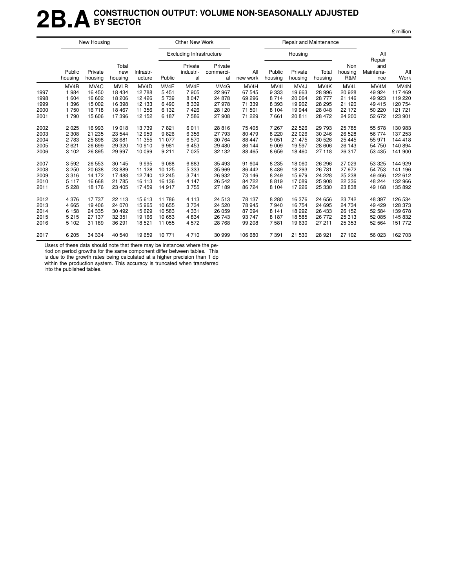### **2B.ACONSTRUCTION OUTPUT: VOLUME NON-SEASONALLY ADJUSTED BY SECTOR**

|      |                   | New Housing        |                         |                     |         | Other New Work                  |                            |                 |                   | Repair and Maintenance |                   |                       |                                   |                  |
|------|-------------------|--------------------|-------------------------|---------------------|---------|---------------------------------|----------------------------|-----------------|-------------------|------------------------|-------------------|-----------------------|-----------------------------------|------------------|
|      |                   |                    |                         |                     |         | <b>Excluding Infrastructure</b> |                            |                 |                   | Housing                |                   |                       | All                               |                  |
|      | Public<br>housing | Private<br>housing | Total<br>new<br>housing | Infrastr-<br>ucture | Public  | Private<br>industri-<br>al      | Private<br>commerci-<br>al | All<br>new work | Public<br>housing | Private<br>housing     | Total<br>housing  | Non<br>housing<br>R&M | Repair<br>and<br>Maintena-<br>nce | All<br>Work      |
|      | MV <sub>4</sub> B | MV <sub>4</sub> C  | <b>MVLR</b>             | MV <sub>4</sub> D   | MV4E    | MV4F                            | MV4G                       | MV4H            | MV <sub>4</sub>   | MV <sub>4</sub> J      | MV <sub>4</sub> K | MV4L                  | MV4M                              | MV <sub>4N</sub> |
| 1997 | 1 9 8 4           | 16 450             | 18 4 34                 | 12788               | 5451    | 7905                            | 22 967                     | 67 545          | 9 3 3 3           | 19663                  | 28 996            | 20 928                | 49 9 24                           | 117469           |
| 1998 | 1 604             | 16 602             | 18 206                  | 12 4 26             | 5739    | 8 0 4 7                         | 24 878                     | 69 29 6         | 8714              | 20 064                 | 28 777            | 21 146                | 49 923                            | 119 220          |
| 1999 | 1 3 9 6           | 15 002             | 16 398                  | 12 133              | 6490    | 8 3 3 9                         | 27 978                     | 71 339          | 8 3 9 3           | 19 902                 | 28 295            | 21 1 20               | 49 415                            | 120 754          |
| 2000 | 1750              | 16718              | 18 4 67                 | 11 356              | 6 1 3 2 | 7426                            | 28 120                     | 71 501          | 8 1 0 4           | 19 944                 | 28 048            | 22 172                | 50 220                            | 121 721          |
| 2001 | 1790              | 15 606             | 17396                   | 12 152              | 6 187   | 7586                            | 27 908                     | 71 229          | 7661              | 20811                  | 28 472            | 24 200                | 52 672                            | 123 901          |
| 2002 | 2 0 2 5           | 16 993             | 19018                   | 13739               | 7821    | 6011                            | 28 8 16                    | 75 405          | 7 2 6 7           | 22 5 26                | 29 7 9 3          | 25 785                | 55 578                            | 130 983          |
| 2003 | 2 3 0 8           | 21 235             | 23 544                  | 12 959              | 9826    | 6 3 5 6                         | 27 793                     | 80 479          | 8 2 2 0           | 22 0 26                | 30 246            | 26 5 28               | 56 774                            | 137 253          |
| 2004 | 2 7 8 3           | 25 898             | 28 681                  | 11 355              | 11 077  | 6570                            | 30 764                     | 88 447          | 9 0 5 1           | 21 475                 | 30 526            | 25 4 45               | 55 971                            | 144 418          |
| 2005 | 2621              | 26 699             | 29 3 20                 | 10 910              | 9981    | 6453                            | 29 480                     | 86 144          | 9 0 0 9           | 19597                  | 28 606            | 26 143                | 54 750                            | 140 894          |
| 2006 | 3 1 0 2           | 26 895             | 29 997                  | 10 099              | 9 2 1 1 | 7 0 2 5                         | 32 132                     | 88 465          | 8659              | 18 4 60                | 27 118            | 26 317                | 53 435                            | 141 900          |
| 2007 | 3592              | 26 553             | 30 145                  | 9995                | 9088    | 6883                            | 35 4 93                    | 91 604          | 8 2 3 5           | 18 060                 | 26 29 6           | 27 0 29               | 53 325                            | 144 929          |
| 2008 | 3 2 5 0           | 20 638             | 23889                   | 11 128              | 10 125  | 5 3 3 3                         | 35 969                     | 86 442          | 8 4 8 9           | 18 293                 | 26 781            | 27 972                | 54 753                            | 141 196          |
| 2009 | 3316              | 14 172             | 17488                   | 12740               | 12 245  | 3741                            | 26 932                     | 73 146          | 8 2 4 9           | 15979                  | 24 228            | 25 238                | 49 4 66                           | 122 612          |
| 2010 | 5 1 1 7           | 16 668             | 21 785                  | 16 113              | 16 136  | 4 1 4 7                         | 26 542                     | 84 722          | 8819              | 17089                  | 25 908            | 22 3 36               | 48 244                            | 132 966          |
| 2011 | 5 2 2 8           | 18 176             | 23 4 05                 | 17 459              | 14917   | 3755                            | 27 189                     | 86 724          | 8 1 0 4           | 17 226                 | 25 330            | 23 838                | 49 168                            | 135 892          |
| 2012 | 4 3 7 6           | 17 737             | 22 113                  | 15 613              | 11786   | 4 1 1 3                         | 24 513                     | 78 137          | 8 2 8 0           | 16 376                 | 24 656            | 23 742                | 48 397                            | 126 534          |
| 2013 | 4 6 6 5           | 19 40 6            | 24 0 70                 | 15 965              | 10 655  | 3734                            | 24 5 20                    | 78 945          | 7940              | 16 754                 | 24 695            | 24 734                | 49 4 29                           | 128 373          |
| 2014 | 6 1 5 8           | 24 3 35            | 30 492                  | 15 6 29             | 10583   | 4 3 3 1                         | 26 059                     | 87 094          | 8 1 4 1           | 18 29 2                | 26 433            | 26 152                | 52 584                            | 139 678          |
| 2015 | 5 2 1 5           | 27 137             | 32 351                  | 19 166              | 10 653  | 4834                            | 26 743                     | 93 747          | 8 1 8 7           | 18585                  | 26 772            | 25 313                | 52 085                            | 145 832          |
| 2016 | 5 1 0 2           | 31 189             | 36 291                  | 18 5 21             | 11 055  | 4572                            | 28 768                     | 99 208          | 7581              | 19630                  | 27 211            | 25 353                | 52 564                            | 151 772          |
| 2017 | 6 205             | 34 334             | 40 540                  | 19 659              | 10771   | 4710                            | 30 999                     | 106 680         | 7 3 9 1           | 21 530                 | 28 9 21           | 27 102                | 56 023                            | 162 703          |

Users of these data should note that there may be instances where the pe-

riod on period growths for the same component differ between tables. This is due to the growth rates being calculated at a higher precision than 1 dp

within the production system. This accuracy is truncated when transferred into the published tables.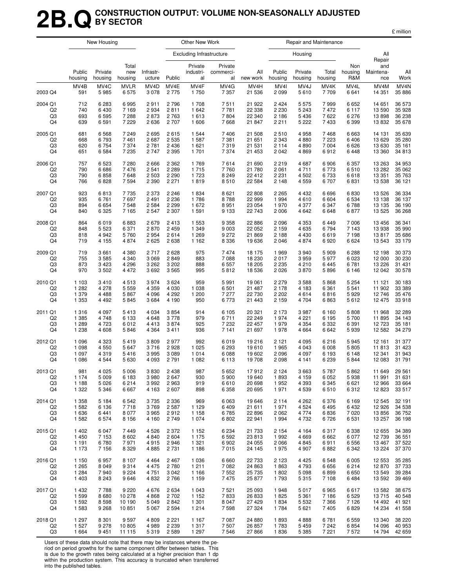### **2B.QCONSTRUCTION OUTPUT: VOLUME NON-SEASONALLY ADJUSTED BY SECTOR**

|                |                   | New Housing        |                         |                     |         | Other New Work                  |                            |                 |                   | Repair and Maintenance |                  |                       |                         |                   |
|----------------|-------------------|--------------------|-------------------------|---------------------|---------|---------------------------------|----------------------------|-----------------|-------------------|------------------------|------------------|-----------------------|-------------------------|-------------------|
|                |                   |                    |                         |                     |         | <b>Excluding Infrastructure</b> |                            |                 |                   | Housing                |                  |                       | All<br>Repair           |                   |
|                | Public<br>housing | Private<br>housing | Total<br>new<br>housing | Infrastr-<br>ucture | Public  | Private<br>industri-<br>al      | Private<br>commerci-<br>al | All<br>new work | Public<br>housing | Private<br>housing     | Total<br>housing | Non<br>housing<br>R&M | and<br>Maintena-<br>nce | All<br>Work       |
| 2003 Q4        | MV4B              | MV4C               | <b>MVLR</b>             | MV <sub>4</sub> D   | MV4E    | MV4F                            | MV4G                       | MV4H            | MV4I              | MV4J                   | MV4K             | MV4L                  | MV4M                    | MV <sub>4</sub> N |
|                | 591               | 5985               | 6575                    | 3078                | 2 7 7 5 | 1750                            | 7 3 5 7                    | 21 536          | 2099              | 5610                   | 7709             | 6641                  | 14 351                  | 35 886            |
| 2004 Q1        | 712               | 6 2 8 3            | 6995                    | 2911                | 2796    | 1708                            | 7511                       | 21 922          | 2424              | 5575                   | 7999             | 6652                  | 14 651                  | 36 573            |
| Q2             | 740               | 6430               | 7 1 6 9                 | 2934                | 2811    | 1642                            | 7781                       | 22 338          | 2 2 3 0           | 5 2 4 3                | 7472             | 6 1 1 7               | 13 590                  | 35 928            |
| Q3             | 693               | 6595               | 7 2 8 8                 | 2873                | 2 7 6 3 | 1613                            | 7804                       | 22 340          | 2 1 8 6           | 5436                   | 7622             | 6 276                 | 13898                   | 36 238            |
| Q4             | 639               | 6591               | 7 2 2 9                 | 2636                | 2 7 0 7 | 1606                            | 7668                       | 21 847          | 2211              | 5 2 2 2                | 7433             | 6 3 9 9               | 13832                   | 35 678            |
| 2005 Q1        | 681               | 6568               | 7 2 4 9                 | 2695                | 2615    | 1 5 4 4                         | 7 4 0 6                    | 21 508          | 2510              | 4958                   | 7468             | 6663                  | 14 131                  | 35 639            |
| Q <sub>2</sub> | 668               | 6793               | 7461                    | 2687                | 2 5 3 5 | 1587                            | 7 3 8 1                    | 21 651          | 2 3 4 3           | 4880                   | 7 2 2 3          | 6406                  | 13 6 29                 | 35 280            |
| Q3             | 620               | 6754               | 7 3 7 4                 | 2781                | 2 4 3 6 | 1621                            | 7319                       | 21 531          | 2 1 1 4           | 4890                   | 7 0 0 4          | 6626                  | 13 630                  | 35 161            |
| Q4             | 651               | 6584               | 7 2 3 5                 | 2747                | 2 3 9 5 | 1701                            | 7 3 7 4                    | 21 453          | 2042              | 4869                   | 6912             | 6448                  | 13 360                  | 34 813            |
| 2006 Q1        | 757               | 6523               | 7 2 8 0                 | 2666                | 2 3 6 2 | 1769                            | 7614                       | 21 690          | 2219              | 4687                   | 6906             | 6 3 5 7               | 13 263                  | 34 953            |
| Q <sub>2</sub> | 790               | 6686               | 7476                    | 2541                | 2 2 8 9 | 1715                            | 7760                       | 21 780          | 2061              | 4711                   | 6773             | 6510                  | 13 282                  | 35 062            |
| Q3             | 790               | 6858               | 7648                    | 2 5 0 3             | 2 2 9 0 | 1723                            | 8 2 4 9                    | 22 412          | 2 2 3 1           | 4 5 0 2                | 6733             | 6618                  | 13 351                  | 35 763            |
| Q4             | 766               | 6828               | 7 5 9 4                 | 2 3 9 0             | 2 2 7 1 | 1819                            | 8510                       | 22 5 84         | 2 1 4 8           | 4559                   | 6707             | 6831                  | 13 538                  | 36 121            |
| 2007 Q1        | 923               | 6813               | 7 7 3 5                 | 2 3 7 3             | 2 2 4 6 | 1834                            | 8621                       | 22 808          | 2 2 6 5           | 4 4 3 2                | 6696             | 6830                  | 13 5 26                 | 36 334            |
| Q2             | 935               | 6761               | 7697                    | 2491                | 2 2 3 6 | 1786                            | 8788                       | 22 999          | 1994              | 4610                   | 6604             | 6 5 34                | 13 138                  | 36 137            |
| Q3             | 894               | 6654               | 7548                    | 2584                | 2 2 9 9 | 1672                            | 8951                       | 23 054          | 1970              | 4 377                  | 6 3 4 7          | 6788                  | 13 135                  | 36 190            |
| Q4             | 840               | 6 3 2 5            | 7 1 6 5                 | 2547                | 2 3 0 7 | 1 5 9 1                         | 9 1 3 3                    | 22 743          | 2006              | 4 642                  | 6648             | 6877                  | 13 5 25                 | 36 268            |
| 2008 Q1        | 864               | 6019               | 6883                    | 2679                | 2413    | 1 5 5 3                         | 9 3 5 8                    | 22 8 86         | 2096              | 4 3 5 3                | 6449             | 7 0 0 6               | 13 4 5 6                | 36 341            |
| Q <sub>2</sub> | 848               | 5 5 2 3            | 6 3 7 1                 | 2870                | 2 4 5 9 | 1 3 4 9                         | 9 0 0 3                    | 22 052          | 2 1 5 9           | 4635                   | 6794             | 7 1 4 3               | 13 938                  | 35 990            |
| Q3             | 818               | 4942               | 5760                    | 2954                | 2614    | 1 2 6 9                         | 9 2 7 2                    | 21 869          | 2 1 8 8           | 4 4 3 0                | 6619             | 7 1 9 8               | 13817                   | 35 686            |
| Q4             | 719               | 4 1 5 5            | 4 8 7 4                 | 2625                | 2638    | 1 1 6 2                         | 8 3 3 6                    | 19 636          | 2046              | 4874                   | 6920             | 6624                  | 13 543                  | 33 179            |
| 2009 Q1        | 719               | 3661               | 4 3 8 0                 | 2717                | 2628    | 975                             | 7474                       | 18 175          | 1969              | 3 9 4 0                | 5909             | 6 2 8 8               | 12 198                  | 30 373            |
| Q <sub>2</sub> | 755               | 3585               | 4 3 4 0                 | 3 0 6 9             | 2849    | 883                             | 7 0 8 8                    | 18 230          | 2017              | 3959                   | 5977             | 6 0 23                | 12 000                  | 30 230            |
| Q3             | 873               | 3 4 2 3            | 4 2 9 6                 | 3 2 6 2             | 3 2 0 2 | 888                             | 6 5 5 7                    | 18 205          | 2 2 3 5           | 4 2 1 0                | 6445             | 6781                  | 13 2 26                 | 31 431            |
| Q4             | 970               | 3502               | 4 4 7 2                 | 3692                | 3 5 6 5 | 995                             | 5812                       | 18 536          | 2026              | 3870                   | 5896             | 6 1 4 6               | 12 042                  | 30 578            |
| 2010 Q1        | 1 1 0 3           | 3410               | 4513                    | 3974                | 3624    | 959                             | 5991                       | 19 061          | 2 2 7 9           | 3588                   | 5868             | 5 2 5 4               | 11 121                  | 30 183            |
| Q2             | 1 2 8 2           | 4 2 7 8            | 5 5 5 9                 | 4 3 5 9             | 4 0 3 0 | 1 0 3 8                         | 6 501                      | 21 487          | 2 1 7 8           | 4 183                  | 6 3 6 1          | 5 5 4 1               | 11 902                  | 33 389            |
| Q3             | 1 379             | 4488               | 5867                    | 4 0 9 6             | 4 2 9 2 | 1 200                           | 7 277                      | 22 730          | 2 2 0 2           | 4614                   | 6816             | 5929                  | 12746                   | 35 476            |
| Q4             | 1 3 5 3           | 4 4 9 2            | 5845                    | 3684                | 4 1 9 0 | 950                             | 6773                       | 21 443          | 2 1 5 9           | 4 704                  | 6863             | 5612                  | 12 475                  | 33918             |
| 2011 Q1        | 1 3 1 6           | 4 0 9 7            | 5413                    | 4 0 3 4             | 3854    | 914                             | 6 1 0 5                    | 20 321          | 2 1 7 3           | 3987                   | 6 1 6 0          | 5808                  | 11 968                  | 32 289            |
| Q <sub>2</sub> | 1 3 8 5           | 4748               | 6 1 3 3                 | 4648                | 3778    | 979                             | 6711                       | 22 249          | 1974              | 4 2 2 1                | 6 1 9 5          | 5700                  | 11 895                  | 34 143            |
| Q3             | 1 2 8 9           | 4723               | 6012                    | 4413                | 3874    | 925                             | 7 2 3 2                    | 22 457          | 1979              | 4 3 5 4                | 6 3 3 2          | 6 3 9 1               | 12 723                  | 35 181            |
| Q4             | 1 2 3 8           | 4608               | 5846                    | 4 3 6 4             | 3411    | 936                             | 7 141                      | 21 697          | 1978              | 4 6 64                 | 6642             | 5939                  | 12 582                  | 34 279            |
| 2012 Q1        | 1 0 9 6           | 4 3 2 3            | 5419                    | 3809                | 2977    | 992                             | 6019                       | 19 216          | 2 1 2 1           | 4 0 9 5                | 6216             | 5945                  | 12 161                  | 31 377            |
| Q <sub>2</sub> | 1 0 9 8           | 4550               | 5 6 4 7                 | 3716                | 2928    | 1 0 2 5                         | 6 2 9 3                    | 19610           | 1965              | 4 0 4 3                | 6 0 0 8          | 5805                  | 11813                   | 31 4 23           |
| Q3             | 1 0 9 7           | 4319               | 5416                    | 3995                | 3 0 8 9 | 1014                            | 6088                       | 19 602          | 2096              | 4 0 9 7                | 6 1 9 3          | 6 1 4 8               | 12 341                  | 31 943            |
| Q4             | 1 0 8 6           | 4544               | 5 6 3 0                 | 4 0 9 3             | 2791    | 1 0 8 2                         | 6 1 1 3                    | 19 708          | 2098              | 4 1 4 1                | 6 2 3 9          | 5844                  | 12 083                  | 31 791            |
| 2013 Q1        | 981               | 4 0 25             | 5 0 0 6                 | 3830                | 2 4 3 8 | 987                             | 5 6 5 2                    | 17912           | 2 1 2 4           | 3 6 6 3                | 5787             | 5 8 6 2               | 11 649                  | 29 5 61           |
| Q <sub>2</sub> | 1 1 7 4           | 5 0 0 9            | 6 1 8 3                 | 3980                | 2647    | 930                             | 5 900                      | 19 640          | 1893              | 4 1 5 9                | 6 0 5 2          | 5938                  | 11 991                  | 31 631            |
| Q3             | 1 1 8 8           | 5026               | 6 2 1 4                 | 3992                | 2963    | 919                             | 6610                       | 20 698          | 1952              | 4 3 9 3                | 6 3 4 5          | 6 6 21                | 12 966                  | 33 664            |
| Q4             | 1 3 2 2           | 5 3 4 6            | 6667                    | 4 1 6 3             | 2 607   | 898                             | 6 3 5 8                    | 20 695          | 1971              | 4 5 3 9                | 6510             | 6312                  | 12823                   | 33 517            |
| 2014 Q1        | 1 3 5 8           | 5 1 8 4            | 6 5 4 2                 | 3735                | 2 3 3 6 | 969                             | 6 0 63                     | 19 646          | 2 1 1 4           | 4 2 6 2                | 6376             | 6 1 6 9               | 12 545                  | 32 191            |
| Q <sub>2</sub> | 1 5 8 2           | 6 1 3 6            | 7718                    | 3769                | 2 5 8 7 | 1 1 2 9                         | 6409                       | 21 611          | 1971              | 4 5 24                 | 6495             | 6432                  | 12 9 26                 | 34 538            |
| Q3             | 1636              | 6441               | 8 0 7 7                 | 3965                | 2912    | 1 1 5 8                         | 6785                       | 22 896          | 2062              | 4 7 7 4                | 6836             | 7 0 20                | 13856                   | 36 752            |
| Q4             | 1 5 8 2           | 6574               | 8 1 5 6                 | 4 1 6 0             | 2 7 4 9 | 1074                            | 6802                       | 22 941          | 1994              | 4 7 3 2                | 6726             | 6 531                 | 13 257                  | 36 198            |
| 2015 Q1        | 1 4 0 2           | 6047               | 7449                    | 4526                | 2 3 7 2 | 1 1 5 2                         | 6 2 3 4                    | 21 733          | 2 1 5 4           | 4 1 6 4                | 6317             | 6 3 3 8               | 12 655                  | 34 389            |
| Q <sub>2</sub> | 1 4 5 0           | 7 1 5 3            | 8 6 0 2                 | 4 8 4 0             | 2 604   | 1 1 7 5                         | 6 5 9 2                    | 23 813          | 1992              | 4669                   | 6662             | 6 0 7 7               | 12 739                  | 36 551            |
| Q3             | 1 1 9 1           | 6780               | 7971                    | 4915                | 2946    | 1 3 2 1                         | 6902                       | 24 055          | 2066              | 4845                   | 6911             | 6 5 5 6               | 13 467                  | 37 522            |
| Q4             | 1 1 7 3           | 7 1 5 6            | 8 3 2 9                 | 4885                | 2 7 3 1 | 1 1 8 6                         | 7015                       | 24 145          | 1975              | 4 9 0 7                | 6882             | 6 3 4 2               | 13 2 24                 | 37 370            |
| 2016 Q1        | 1 150             | 6957               | 8 1 0 7                 | 4 4 6 4             | 2 4 6 7 | 1 0 3 6                         | 6660                       | 22 733          | 2 1 2 3           | 4 4 2 5                | 6548             | 6 0 0 5               | 12 553                  | 35 285            |
| Q <sub>2</sub> | 1 2 6 5           | 8 0 4 9            | 9314                    | 4 4 7 5             | 2780    | 1211                            | 7 0 8 2                    | 24 863          | 1863              | 4793                   | 6656             | 6 2 1 4               | 12 870                  | 37 733            |
| Q3             | 1 2 8 4           | 7940               | 9 2 2 4                 | 4751                | 3 0 4 2 | 1 1 6 6                         | 7 5 5 2                    | 25 735          | 1802              | 5 0 98                 | 6899             | 6650                  | 13 549                  | 39 284            |
| Q4             | 1 4 0 3           | 8 2 4 3            | 9646                    | 4832                | 2766    | 1 1 5 9                         | 7475                       | 25 877          | 1793              | 5315                   | 7 1 0 8          | 6484                  | 13 592                  | 39 4 69           |
| 2017 Q1        | 1 4 3 2           | 7788               | 9 2 2 0                 | 4676                | 2 6 3 4 | 1 0 4 3                         | 7 5 21                     | 25 093          | 1948              | 5017                   | 6965             | 6617                  | 13 582                  | 38 675            |
| Q <sub>2</sub> | 1 5 9 9           | 8680               | 10 278                  | 4868                | 2 7 0 2 | 1 1 5 2                         | 7833                       | 26 833          | 1825              | 5 3 6 1                | 7186             | 6 5 29                | 13715                   | 40 548            |
| Q3             | 1 5 9 2           | 8598               | 10 190                  | 5049                | 2842    | 1 3 0 1                         | 8 0 4 7                    | 27 4 29         | 1834              | 5 5 3 2                | 7 3 6 6          | 7 1 2 6               | 14 492                  | 41 921            |
| Q4             | 1 5 8 3           | 9 2 6 8            | 10 851                  | 5 0 6 7             | 2 5 9 4 | 1214                            | 7598                       | 27 324          | 1784              | 5 6 21                 | 7405             | 6829                  | 14 234                  | 41 558            |
| 2018 Q1        | 1 2 9 7           | 8 3 0 1            | 9597                    | 4809                | 2 2 2 1 | 1 1 6 7                         | 7 0 8 7                    | 24 880          | 1893              | 4888                   | 6781             | 6 5 5 9               | 13 340                  | 38 2 20           |
| Q <sub>2</sub> | 1 527             | 9 2 7 8            | 10 805                  | 4989                | 2 2 3 9 | 1317                            | 7507                       | 26 857          | 1783              | 5 4 5 9                | 7 242            | 6854                  | 14 096                  | 40 953            |
| Q3             | 1 6 6 4           | 9451               | 11 115                  | 5319                | 2 5 8 9 | 1 2 9 7                         | 7546                       | 27 866          | 1836              | 5 3 8 5                | 7 2 2 1          | 7572                  | 14 794                  | 42 659            |

Users of these data should note that there may be instances where the period on period growths for the same component differ between tables. This

is due to the growth rates being calculated at a higher precision than 1 dp within the production system. This accuracy is truncated when transferred into the published tables.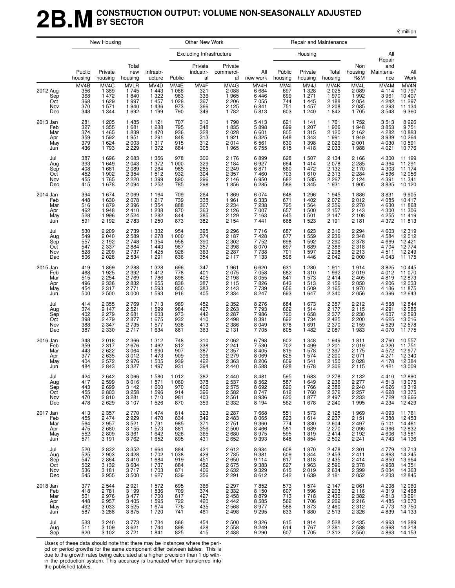### **2B.MCONSTRUCTION OUTPUT: VOLUME NON-SEASONALLY ADJUSTED BY SECTOR**

£ million

|                                             |                                         | New Housing                                                 |                                                                |                                                              |                                                 | Other New Work                          |                                                                |                                                          |                                         | Repair and Maintenance                                     |                                                                |                                                                    |                                                           |                                                           |
|---------------------------------------------|-----------------------------------------|-------------------------------------------------------------|----------------------------------------------------------------|--------------------------------------------------------------|-------------------------------------------------|-----------------------------------------|----------------------------------------------------------------|----------------------------------------------------------|-----------------------------------------|------------------------------------------------------------|----------------------------------------------------------------|--------------------------------------------------------------------|-----------------------------------------------------------|-----------------------------------------------------------|
|                                             |                                         |                                                             |                                                                |                                                              |                                                 | <b>Excluding Infrastructure</b>         |                                                                |                                                          |                                         | Housing                                                    |                                                                |                                                                    | All<br>Repair                                             |                                                           |
|                                             | Public<br>housing                       | Private<br>housing                                          | Total<br>new<br>housing                                        | Infrastr-<br>ucture                                          | Public                                          | Private<br>industri-<br>al              | Private<br>commerci-<br>al                                     | All<br>new work                                          | Public<br>housing                       | Private<br>housing                                         | Total<br>housing                                               | Non<br>housing<br>R&M                                              | and<br>Maintena-<br>nce                                   | All<br>Work                                               |
| 2012 Aug<br>Sep<br>Oct<br>Nov<br>Dec        | MV4B<br>356<br>368<br>368<br>370<br>348 | MV4C<br>1 3 8 9<br>1472<br>1629<br>1571<br>1 3 4 4          | <b>MVLR</b><br>1745<br>1840<br>1997<br>1940<br>1692            | MV4D<br>1 4 4 3<br>1 3 2 2<br>1 4 5 7<br>1 4 3 6<br>1 1 9 9  | MV4E<br>1 0 8 6<br>983<br>1 0 2 8<br>973<br>790 | MV4F<br>321<br>336<br>367<br>366<br>349 | MV4G<br>2088<br>1965<br>2 2 0 6<br>2 1 2 5<br>1782             | MV4H<br>6684<br>6446<br>7 0 5 5<br>6841<br>5813          | MV4I<br>697<br>699<br>744<br>751<br>603 | MV4J<br>1 3 2 8<br>1 271<br>1 4 4 5<br>1 4 5 7<br>1 240    | MV4K<br>2 0 2 5<br>1970<br>2 1 8 8<br>2 2 0 8<br>1842          | MV4L<br>2089<br>1992<br>2 054<br>2 085<br>1705                     | MV4M<br>4 1 1 4<br>3 9 6 1<br>4 2 4 2<br>4 2 9 3<br>3548  | MV4N<br>10 797<br>10 407<br>11 297<br>11 134<br>9 3 6 0   |
| 2013 Jan<br>Feb<br>Mar<br>Apr<br>May<br>Jun | 281<br>327<br>374<br>359<br>379<br>436  | 1 2 0 5<br>1 3 5 5<br>1465<br>1592<br>1624<br>1793          | 1 4 8 5<br>1681<br>1839<br>1951<br>2 0 0 3<br>2 2 2 9          | 1 1 2 1<br>1 2 3 8<br>1 4 7 0<br>1 2 9 1<br>1 3 1 7<br>1 372 | 707<br>795<br>936<br>848<br>915<br>884          | 310<br>348<br>328<br>313<br>312<br>305  | 1790<br>1835<br>2028<br>1921<br>2014<br>1965                   | 5413<br>5898<br>6 601<br>6 325<br>6561<br>6755           | 621<br>699<br>805<br>648<br>630<br>615  | 1 1 4 1<br>1 207<br>1 3 1 5<br>1 3 4 3<br>1 3 9 8<br>1418  | 1761<br>1 906<br>2 1 2 0<br>1991<br>2 0 2 9<br>2 0 3 3         | 1752<br>1948<br>2 1 6 2<br>$\overline{1}$ 949<br>2 0 0 1<br>1988   | 3513<br>3853<br>4 282<br>3 939<br>4 0 3 0<br>4 0 21       | 8926<br>9751<br>10883<br>10264<br>10 591<br>10776         |
| Jul<br>Aug<br>Sep<br>Oct<br>Nov<br>Dec      | 387<br>393<br>408<br>452<br>455<br>415  | 1696<br>1649<br>1681<br>1902<br>1765<br>1678                | 2 0 8 3<br>2 0 4 3<br>2 0 8 9<br>2 3 5 4<br>2 2 2 0<br>2 0 9 4 | 1 3 5 6<br>1 372<br>1 2 6 4<br>1512<br>1 3 9 9<br>1 2 5 2    | 978<br>1 000<br>985<br>932<br>890<br>785        | 306<br>329<br>285<br>304<br>296<br>298  | 2 1 7 6<br>2 1 8 4<br>2 2 4 9<br>2 3 5 7<br>2 1 4 6<br>1856    | 6899<br>6927<br>6871<br>7460<br>6950<br>6 2 8 5          | 628<br>664<br>660<br>703<br>682<br>586  | 1 507<br>1414<br>1 472<br>1610<br>1 5 8 5<br>1 3 4 5       | 2 1 3 4<br>2 0 7 8<br>2 1 3 2<br>2 3 1 3<br>2 2 6 7<br>1931    | 2 1 6 6<br>2 2 8 5<br>2 1 7 0<br>2 2 8 4<br>2 124<br>1 905         | 4 300<br>4 3 6 4<br>4 303<br>4596<br>4 3 9 1<br>3835      | 11 199<br>11 291<br>11 174<br>12 056<br>11 341<br>10 120  |
| 2014 Jan<br>Feb<br>Mar<br>Apr<br>May<br>Jun | 394<br>448<br>516<br>462<br>528<br>591  | 1674<br>1630<br>1879<br>1948<br>1996<br>2 1 9 2             | 2 0 6 9<br>2 0 7 8<br>2 3 9 6<br>2410<br>2 5 24<br>2 7 8 3     | 1 1 6 4<br>1 2 1 7<br>1 3 5 4<br>1 2 3 8<br>1 2 8 2<br>1 250 | 709<br>739<br>888<br>870<br>844<br>873          | 264<br>338<br>367<br>363<br>385<br>382  | 1869<br>1961<br>2 2 3 4<br>2 1 2 6<br>2 1 2 9<br>2 1 5 4       | 6074<br>6 3 3 3<br>7 2 3 8<br>7 0 0 7<br>7 1 6 3<br>7441 | 648<br>671<br>795<br>657<br>645<br>668  | 1 2 9 6<br>1 4 0 2<br>1 5 6 4<br>1 500<br>1 501<br>1 5 2 3 | 1945<br>2 0 7 2<br>2 3 5 9<br>2 1 5 7<br>2 1 4 7<br>2 1 9 1    | 1886<br>2012<br>2 2 7 0<br>2 1 4 3<br>$\frac{1}{2}$ 108<br>2 1 8 1 | 3831<br>4 085<br>4 6 3 0<br>4 300<br>4 2 5 5<br>4 3 7 2   | 9 905<br>10 417<br>11 868<br>11 306<br>11 419<br>11 813   |
| Jul<br>Aug<br>Sep<br>Oct<br>Nov<br>Dec      | 530<br>549<br>557<br>547<br>528<br>506  | 2 2 0 9<br>2 0 4 0<br>2 1 9 2<br>2 3 3 7<br>2 2 0 9<br>2028 | 2 7 3 9<br>2 5 8 9<br>2748<br>2884<br>2 7 3 7<br>2 5 3 4       | 1 3 3 2<br>1 278<br>1 3 5 4<br>1443<br>1 4 2 5<br>1 2 9 1    | 954<br>1 0 0 0<br>958<br>987<br>926<br>836      | 395<br>374<br>390<br>357<br>363<br>354  | 2 2 9 6<br>2 1 8 7<br>2 3 0 2<br>2 3 9 8<br>2 2 8 7<br>2 1 1 7 | 7716<br>7428<br>7752<br>8070<br>7738<br>7 1 3 3          | 687<br>677<br>698<br>697<br>701<br>596  | 1 623<br>1 5 5 9<br>1 5 9 2<br>1 689<br>1 5 9 7<br>1 4 4 6 | 2 3 1 0<br>2 2 3 6<br>2 290<br>2 386<br>2 2 9 8<br>2 0 4 2     | 2 2 9 4<br>2<br>348<br>2<br>378<br>2<br>318<br>2 2 1 3<br>2 0 0 0  | 4 603<br>4584<br>4669<br>4 704<br>4511<br>4 0 4 3         | 12 319<br>12 012<br>12 421<br>12 774<br>12 249<br>11 175  |
| 2015 Jan<br>Feb<br>Mar<br>Apr<br>May<br>Jun | 419<br>468<br>515<br>496<br>454<br>500  | 1869<br>1925<br>2 2 5 4<br>2 3 3 6<br>2317<br>2 5 0 0       | 2 2 8 8<br>2 3 9 2<br>2 7 6 9<br>2832<br>2 7 7 1<br>3 0 0 0    | 1 3 2 8<br>1412<br>1786<br>1 6 5 5<br>1 5 9 3<br>1 5 9 3     | 696<br>778<br>898<br>838<br>850<br>916          | 347<br>401<br>405<br>387<br>383<br>405  | 1961<br>2075<br>2 1 9 8<br>2 1 1 5<br>2 1 4 3<br>2 3 3 4       | 6620<br>7058<br>8 0 5 5<br>7826<br>7739<br>8 2 4 7       | 631<br>682<br>841<br>643<br>656<br>693  | 1 2 8 0<br>1 310<br>1 573<br>1513<br>1 509<br>1 647        | 1911<br>1 9 9 2<br>2414<br>2 1 5 6<br>2 1 6 5<br>2 3 4 0       | 1914<br>2 019<br>2 405<br>2050<br>1970<br>2056                     | 3825<br>4 0 1 2<br>4819<br>4 206<br>4 1 3 6<br>4 3 9 6    | 10 445<br>11 070<br>12 873<br>12 033<br>11 875<br>12 643  |
| Jul<br>Aug<br>Sep<br>Oct<br>Nov<br>Dec      | 414<br>374<br>402<br>398<br>388<br>387  | 2 3 5 5<br>2 1 4 7<br>2 2 7 9<br>2479<br>2 3 4 7<br>2 3 3 0 | 2769<br>2 5 21<br>2681<br>2877<br>2 7 3 5<br>2717              | 1 7 1 3<br>1 5 9 9<br>1 603<br>1675<br>1 577<br>1 6 3 4      | 989<br>984<br>973<br>932<br>938<br>861          | 452<br>427<br>442<br>410<br>413<br>363  | 2 3 5 2<br>2263<br>2 2 8 7<br>2498<br>2 3 8 6<br>2 1 3 1       | 8276<br>7793<br>7986<br>8 391<br>8 049<br>7705           | 684<br>662<br>720<br>692<br>678<br>605  | 1673<br>1514<br>1 6 5 8<br>1 7 3 4<br>1691<br>1 4 8 2      | 2 3 5 7<br>2 1 7 7<br>2 3 7 7<br>2 4 2 5<br>2 3 7 0<br>2 0 8 7 | 2 2 1 2<br>2 1 1 5<br>2 2 3 0<br>2 200<br>2 159<br>1983            | 4568<br>4 291<br>4 607<br>4625<br>4 529<br>4 0 7 0        | 12 844<br>12 085<br>12 593<br>13 016<br>12 578<br>11 775  |
| 2016 Jan<br>Feb<br>Mar<br>Apr<br>May<br>Jun | 348<br>359<br>443<br>377<br>404<br>484  | 2018<br>2 3 1 7<br>2622<br>2635<br>2572<br>2843             | 2 3 6 6<br>2676<br>3 0 6 4<br>3 0 1 2<br>2976<br>3 3 2 7       | 1 3 1 2<br>1 4 6 2<br>1 6 9 0<br>1 473<br>1 505<br>1 4 9 7   | 748<br>812<br>907<br>909<br>939<br>931          | 310<br>338<br>387<br>396<br>422<br>394  | 2062<br>2 2 4 1<br>2 3 5 7<br>2 2 7 9<br>2 3 6 3<br>2440       | 6798<br>7530<br>8 4 0 5<br>8 0 6 9<br>8 2 0 6<br>8588    | 602<br>702<br>819<br>625<br>609<br>628  | 1 3 4 8<br>1 4 9 9<br>1 578<br>1 574<br>1541<br>1678       | 1949<br>2 2 0 1<br>2 3 9 7<br>2 2 0 0<br>2 1 5 0<br>2 3 0 6    | 1811<br>2019<br>2 175<br>2 071<br>2028<br>2 1 1 5                  | 3760<br>4 2 2 0<br>4572<br>4 271<br>4 178<br>4 4 2 1      | 10 557<br>11 751<br>12 977<br>12 340<br>12 384<br>13 009  |
| Jul<br>Aug<br>Sep<br>Oct<br>Nov<br>Dec      | 424<br>417<br>443<br>455<br>470<br>478  | 2642<br>2 599<br>2 699<br>2803<br>2810<br>2629              | 3 0 6 6<br>3 016<br>3 142<br>3 2 5 8<br>3 2 8 1<br>3 1 0 7     | 1 580<br>1 571<br>1 600<br>1596<br>1710<br>1 5 2 6           | 1 0 1 2<br>1 060<br>970<br>914<br>981<br>870    | 382<br>378<br>406<br>396<br>403<br>359  | 2 4 4 0<br>2 537<br>2 575<br>2 5 8 2<br>2 561<br>2 332         | 8481<br>8 562<br>8 692<br>8747<br>8936<br>8 1 9 4        | 595<br>587<br>620<br>612<br>620<br>562  | 1 683<br>1 649<br>1 766<br>1760<br>1877<br>1678            | 2 278<br>2 236<br>2 386<br>2 3 7 2<br>2 4 9 7<br>2 2 4 0       | 2 1 3 2<br>2 277<br>2 240<br>2 2 5 7<br>2 233<br>1 995             | 4 4 1 0<br>4 513<br>4 626<br>4 6 28<br>4 729<br>4 234     | 12 890<br>13 075<br>13 319<br>13 375<br>13 666<br>12 429  |
| 2017 Jan<br>Feb<br>Mar<br>Apr<br>May<br>Jun | 413<br>455<br>564<br>475<br>552<br>571  | 2 357<br>2 474<br>2957<br>2680<br>2809<br>3 1 9 1           | 2 770<br>2929<br>3 5 21<br>3 1 5 5<br>3 3 6 1<br>3762          | 1474<br>1470<br>1 7 3 1<br>1 573<br>1 642<br>1 6 5 2         | 814<br>834<br>985<br>881<br>926<br>895          | 323<br>349<br>371<br>356<br>365<br>431  | 2 287<br>2 483<br>2 7 5 1<br>2 500<br>2 680<br>2652            | 7668<br>8065<br>9360<br>8466<br>8975<br>9 3 9 3          | 551<br>623<br>774<br>581<br>595<br>648  | 1 573<br>1 614<br>1830<br>1689<br>1819<br>1854             | 2 125<br>2 237<br>2 6 0 4<br>2 270<br>2 414<br>2 5 0 2         | 1969<br>2151<br>2497<br>2 096<br>2 192<br>2 2 4 1                  | 4 093<br>4 388<br>5 1 0 1<br>4 3 6 6<br>4 60 6<br>4 7 4 3 | 11 761<br>12 453<br>14 4 61<br>12 832<br>13 581<br>14 136 |
| Jul<br>Aug<br>Sep<br>Oct<br>Nov<br>Dec      | 520<br>525<br>547<br>502<br>536<br>545  | 2832<br>2 9 0 3<br>2864<br>3132<br>3 1 8 1<br>2955          | 3 3 5 2<br>3 4 2 8<br>3410<br>3 6 3 4<br>3717<br>3 500         | 1 6 6 4<br>1702<br>1 6 8 4<br>1 7 3 7<br>1703<br>1 627       | 884<br>1 0 3 8<br>919<br>884<br>871<br>839      | 421<br>429<br>451<br>452<br>406<br>356  | 2612<br>2 785<br>2650<br>2675<br>2632<br>2 2 9 1               | 8934<br>9381<br>9 1 1 4<br>9383<br>9 3 2 9<br>8612       | 608<br>609<br>617<br>627<br>615<br>542  | 1870<br>1844<br>1818<br>1963<br>2019<br>1 6 3 9            | 2478<br>2 4 5 3<br>2 435<br>2 590<br>2 6 3 4<br>2 1 8 1        | 2 3 0 1<br>2411<br>2414<br>2378<br>2399<br>2052                    | 4 779<br>4 8 6 3<br>4850<br>4968<br>5 0 3 4<br>4 2 3 3    | 13713<br>14 245<br>13 964<br>14 351<br>14 363<br>12 845   |
| 2018 Jan<br>Feb<br>Mar<br>Apr<br>May<br>Jun | 377<br>418<br>501<br>448<br>492<br>587  | 2544<br>2781<br>2976<br>2957<br>3 033<br>3 288              | 2921<br>3 199<br>3 477<br>3 4 0 5<br>3 525<br>3 875            | 1 572<br>1 5 3 6<br>1 700<br>1 5 9 5<br>1674<br>1720         | 695<br>709<br>817<br>722<br>776<br>741          | 366<br>374<br>427<br>420<br>435<br>461  | 2 297<br>2 332<br>2 458<br>2 4 4 2<br>2 568<br>2 498           | 7852<br>8150<br>8879<br>8585<br>8977<br>9295             | 573<br>607<br>713<br>562<br>588<br>633  | 1 574<br>1596<br>1718<br>1 706<br>1 873<br>1 880           | 2 1 4 7<br>2 203<br>2 430<br>2 2 6 9<br>2 460<br>2 513         | 2061<br>2 116<br>2 382<br>2 2 1 6<br>2 312<br>2 326                | 4 2 0 8<br>4 319<br>4 813<br>4 4 8 5<br>4 773<br>4 839    | 12 060<br>12 468<br>13 691<br>13 070<br>13 750<br>14 133  |
| Jul<br>Aug<br>Sep                           | 533<br>511<br>620                       | 3240<br>3109<br>3 1 0 2                                     | 3 7 7 3<br>3621<br>3721                                        | 1 7 3 4<br>1 744<br>1841                                     | 866<br>898<br>825                               | 454<br>428<br>415                       | 2 500<br>2 558<br>2488                                         | 9 326<br>9 249<br>9 2 9 0                                | 615<br>614<br>607                       | 1914<br>1 767<br>1 705                                     | 2 528<br>2 381<br>2 3 1 2                                      | 2 435<br>2 588<br>2550                                             | 4963<br>4968<br>4863                                      | 14 289<br>14 218<br>14 153                                |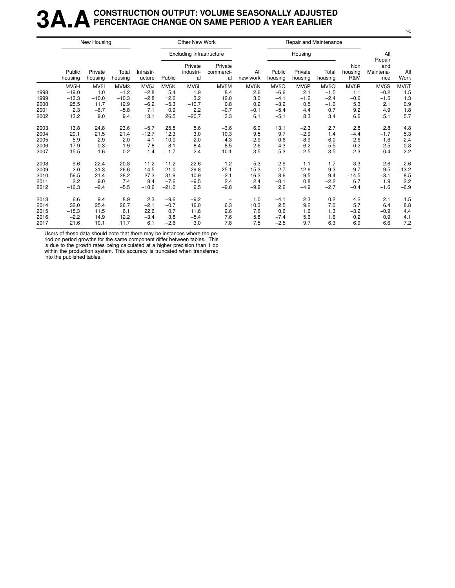### **3A.ACONSTRUCTION OUTPUT: VOLUME SEASONALLY ADJUSTED PERCENTAGE CHANGE ON SAME PERIOD A YEAR EARLIER**

|      |                   | New Housing        |                  |                     |         | Other New Work                  |                            |                 |                   | Repair and Maintenance |                  |                       |                         |             |
|------|-------------------|--------------------|------------------|---------------------|---------|---------------------------------|----------------------------|-----------------|-------------------|------------------------|------------------|-----------------------|-------------------------|-------------|
|      |                   |                    |                  |                     |         | <b>Excluding Infrastructure</b> |                            |                 |                   | Housing                |                  |                       | All<br>Repair           |             |
|      | Public<br>housing | Private<br>housing | Total<br>housing | Infrastr-<br>ucture | Public  | Private<br>industri-<br>al      | Private<br>commerci-<br>al | All<br>new work | Public<br>housing | Private<br>housing     | Total<br>housing | Non<br>housing<br>R&M | and<br>Maintena-<br>nce | All<br>Work |
|      | MV5H              | MV <sub>5I</sub>   | MVM3             | MV <sub>5</sub> J   | MV5K    | MV5L                            | MV5M                       | MV5N            | MV <sub>5</sub> O | MV5P                   | MV5Q             | MV5R                  | MV5S                    | MV5T        |
| 1998 | $-19.0$           | 1.0                | $-1.2$           | $-2.8$              | 5.4     | 1.9                             | 8.4                        | 2.6             | $-6.6$            | 2.1                    | $-1.5$           | 1.1                   | $-0.2$                  | 1.5         |
| 1999 | $-13.3$           | $-10.0$            | $-10.3$          | $-2.8$              | 12.6    | 3.2                             | 12.0                       | 3.0             | $-4.1$            | $-1.2$                 | $-2.4$           | $-0.6$                | $-1.5$                  | 1.3         |
| 2000 | 25.5              | 11.7               | 12.9             | $-6.2$              | $-5.3$  | $-10.7$                         | 0.8                        | 0.2             | $-3.2$            | 0.5                    | $-1.0$           | 5.3                   | 2.1                     | 0.9         |
| 2001 | 2.3               | $-6.7$             | $-5.8$           | 7.1                 | 0.9     | 2.2                             | $-0.7$                     | $-0.1$          | $-5.4$            | 4.4                    | 0.7              | 9.2                   | 4.9                     | 1.8         |
| 2002 | 13.2              | 9.0                | 9.4              | 13.1                | 26.5    | $-20.7$                         | 3.3                        | 6.1             | $-5.1$            | 8.3                    | 3.4              | 6.6                   | 5.1                     | 5.7         |
| 2003 | 13.8              | 24.8               | 23.6             | $-5.7$              | 25.5    | 5.6                             | $-3.6$                     | 6.0             | 13.1              | $-2.3$                 | 2.7              | 2.8                   | 2.8                     | 4.8         |
| 2004 | 20.1              | 21.5               | 21.4             | $-12.7$             | 12.3    | 3.0                             | 10.3                       | 9.5             | 9.7               | $-2.9$                 | 1.4              | $-4.4$                | $-1.7$                  | 5.3         |
| 2005 | $-5.9$            | 2.9                | 2.0              | $-4.1$              | $-10.0$ | $-2.0$                          | $-4.3$                     | $-2.9$          | $-0.6$            | $-8.9$                 | $-6.0$           | 2.6                   | $-1.6$                  | $-2.4$      |
| 2006 | 17.9              | 0.3                | 1.9              | $-7.8$              | $-8.1$  | 8.4                             | 8.5                        | 2.6             | $-4.3$            | $-6.2$                 | $-5.5$           | 0.2                   | $-2.5$                  | 0.8         |
| 2007 | 15.5              | $-1.6$             | 0.2              | $-1.4$              | $-1.7$  | $-2.4$                          | 10.1                       | 3.5             | $-5.3$            | $-2.5$                 | $-3.5$           | 2.3                   | $-0.4$                  | 2.2         |
| 2008 | $-9.6$            | $-22.4$            | $-20.8$          | 11.2                | 11.2    | $-22.6$                         | 1.2                        | $-5.3$          | 2.9               | 1.1                    | 1.7              | 3.3                   | 2.6                     | $-2.6$      |
| 2009 | 2.0               | $-31.3$            | $-26.6$          | 14.5                | 21.0    | $-29.8$                         | $-25.1$                    | $-15.3$         | $-2.7$            | $-12.6$                | $-9.3$           | $-9.7$                | $-9.5$                  | $-13.2$     |
| 2010 | 56.5              | 21.4               | 28.2             | 27.3                | 31.9    | 10.9                            | $-2.1$                     | 16.3            | 8.6               | 9.5                    | 9.4              | $-14.5$               | $-3.1$                  | 8.5         |
| 2011 | 2.2               | 9.0                | 7.4              | 8.4                 | $-7.6$  | $-9.5$                          | 2.4                        | 2.4             | $-8.1$            | 0.8                    | $-2.2$           | 6.7                   | 1.9                     | 2.2         |
| 2012 | $-16.3$           | $-2.4$             | $-5.5$           | $-10.6$             | $-21.0$ | 9.5                             | $-9.8$                     | $-9.9$          | 2.2               | $-4.9$                 | $-2.7$           | $-0.4$                | $-1.6$                  | $-6.9$      |
| 2013 | 6.6               | 9.4                | 8.9              | 2.3                 | $-9.6$  | $-9.2$                          |                            | 1.0             | $-4.1$            | 2.3                    | 0.2              | 4.2                   | 2.1                     | 1.5         |
| 2014 | 32.0              | 25.4               | 26.7             | $-2.1$              | $-0.7$  | 16.0                            | 6.3                        | 10.3            | 2.5               | 9.2                    | 7.0              | 5.7                   | 6.4                     | 8.8         |
| 2015 | $-15.3$           | 11.5               | 6.1              | 22.6                | 0.7     | 11.6                            | 2.6                        | 7.6             | 0.6               | 1.6                    | 1.3              | $-3.2$                | $-0.9$                  | 4.4         |
| 2016 | $-2.2$            | 14.9               | 12.2             | $-3.4$              | 3.8     | $-5.4$                          | 7.6                        | 5.8             | $-7.4$            | 5.6                    | 1.6              | 0.2                   | 0.9                     | 4.1         |
| 2017 | 21.6              | 10.1               | 11.7             | 6.1                 | $-2.6$  | 3.0                             | 7.8                        | 7.5             | $-2.5$            | 9.7                    | 6.3              | 6.9                   | 6.6                     | 7.2         |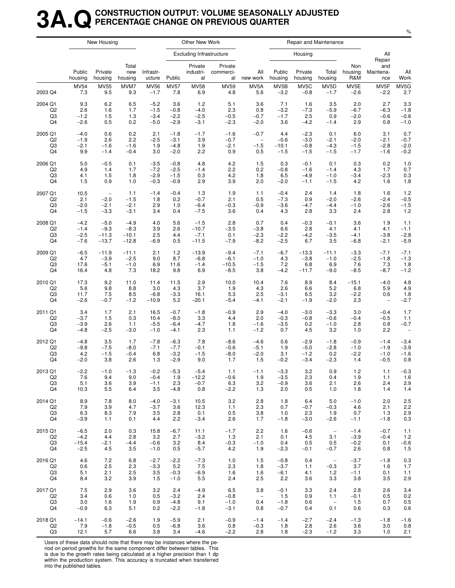### **3A.QCONSTRUCTION OUTPUT: VOLUME SEASONALLY ADJUSTED PERCENTAGE CHANGE ON PREVIOUS QUARTER**

|                |                   | New Housing              |                         |                     |             | Other New Work                  |                            |                    |                   |                    | Repair and Maintenance          |                       |                          |                          |
|----------------|-------------------|--------------------------|-------------------------|---------------------|-------------|---------------------------------|----------------------------|--------------------|-------------------|--------------------|---------------------------------|-----------------------|--------------------------|--------------------------|
|                |                   |                          |                         |                     |             | <b>Excluding Infrastructure</b> |                            |                    |                   | Housing            |                                 |                       | All<br>Repair            |                          |
|                | Public<br>housing | Private<br>housing       | Total<br>new<br>housing | Infrastr-<br>ucture | Public      | Private<br>industri-<br>al      | Private<br>commerci-<br>al | All<br>new work    | Public<br>housing | Private<br>housing | Total<br>housing                | Non<br>housing<br>R&M | and<br>Maintena-<br>nce  | All<br>Work              |
| 2003 Q4        | <b>MV54</b>       | <b>MV55</b>              | MVM7                    | <b>MV56</b>         | <b>MV57</b> | <b>MV58</b>                     | <b>MV59</b>                | MV5A               | MV5B              | MV5C               | MV <sub>5</sub> D               | MV5E                  | MV5F                     | MV5G                     |
|                | 7.3               | 9.5                      | 9.3                     | $-1.7$              | 7.8         | 6.9                             | 4.8                        | 5.6                | $-3.2$            | $-0.8$             | $-1.7$                          | $-2.6$                | $-2.2$                   | 2.7                      |
| 2004 Q1        | 9.3               | 6.2                      | 6.5                     | $-5.2$              | 3.6         | 1.2                             | 5.1                        | 3.6                | 7.1               | 1.6                | 3.5                             | 2.0                   | 2.7                      | 3.3                      |
| Q <sub>2</sub> | 2.6               | 1.6                      | 1.7                     | $-1.5$              | $-0.8$      | $-4.0$                          | 2.3                        | 0.8                | $-3.2$            | $-7.3$             | $-5.9$                          | $-6.7$                | $-6.3$                   | $-1.8$                   |
| Q3             | $-1.2$            | 1.5                      | 1.3                     | $-3.4$              | $-2.2$      | $-2.5$                          | $-0.5$                     | $-0.7$             | $-1.7$            | 2.5                | 0.9                             | $-2.0$                | $-0.6$                   | $-0.6$                   |
| Q4             | $-2.6$            | 0.5                      | 0.2                     | $-5.0$              | $-2.9$      | $-3.1$                          | $-2.3$                     | $-2.0$             | 3.6               | $-4.2$             | $-1.4$                          | 2.9                   | 0.8                      | $-1.0$                   |
| 2005 Q1        | $-4.0$            | 0.6                      | 0.2                     | 2.1                 | $-1.8$      | $-1.7$                          | $-1.6$                     | $-0.7$             | 4.4               | $-2.3$             | 0.1                             | 6.0                   | 3.1                      | 0.7                      |
| Q <sub>2</sub> | $-1.9$            | 2.6                      | 2.2                     | $-2.5$              | $-3.1$      | 3.9                             | $-0.7$                     | $\qquad \qquad -$  | $-0.6$            | $-3.0$             | $-2.1$                          | $-2.0$                | $-2.1$                   | $-0.7$                   |
| Q3             | $-2.1$            | $-1.6$                   | $-1.6$                  | 1.9                 | $-4.8$      | 1.9                             | $-2.1$                     | $-1.5$             | $-10.1$           | $-0.8$             | $-4.3$                          | $-1.5$                | $-2.8$                   | $-2.0$                   |
| Q4             | 9.9               | $-1.4$                   | $-0.4$                  | 3.0                 | $-2.0$      | 2.2                             | 0.9                        | 0.5                | $-1.5$            | $-1.5$             | $-1.5$                          | $-1.7$                | $-1.6$                   | $-0.2$                   |
| 2006 Q1        | 5.0               | $-0.5$                   | 0.1                     | $-3.5$              | $-0.8$      | 4.8                             | 4.2                        | 1.5                | 0.3               | $-0.1$             | 0.1                             | 0.3                   | 0.2                      | 1.0                      |
| Q <sub>2</sub> | 4.9               | 1.4                      | 1.7                     | $-7.2$              | $-2.5$      | $-1.4$                          | 2.2                        | 0.2                | $-0.8$            | $-1.6$             | $-1.4$                          | 4.3                   | 1.7                      | 0.7                      |
| Q3             | 4.1               | 1.5                      | 1.8                     | $-2.9$              | $-1.5$      | 0.3                             | 4.2                        | 1.8                | 6.5               | $-4.9$             | $-1.0$                          | $-3.4$                | $-2.3$                   | 0.3                      |
| Q4             | 1.5               | 0.9                      | 1.0                     | $-0.3$              | $-0.9$      | 2.9                             | 3.9                        | 2.0                | $-2.0$            | $-1.1$             | $-1.5$                          | 4.2                   | 1.6                      | 1.8                      |
| 2007 Q1        | 10.5              | $\overline{\phantom{a}}$ | 1.1                     | $-1.4$              | $-0.4$      | 1.3                             | 1.9                        | 1.1                | $-0.4$            | 2.4                | 1.4                             | 1.8                   | 1.6                      | 1.2                      |
| Q <sub>2</sub> | 2.1               | $-2.0$                   | $-1.5$                  | 1.8                 | 0.2         | $-0.7$                          | 2.1                        | 0.5                | $-7.3$            | 0.9                | $-2.0$                          | $-2.6$                | $-2.4$                   | $-0.5$                   |
| Q3             | $-2.0$            | $-2.1$                   | $-2.1$                  | 2.9                 | 1.0         | $-6.4$                          | $-0.3$                     | $-0.9$             | $-3.6$            | $-4.7$             | $-4.4$                          | $-1.0$                | $-2.6$                   | $-1.5$                   |
| Q4             | $-1.5$            | $-3.3$                   | $-3.1$                  | 3.4                 | 0.4         | $-7.5$                          | 3.6                        | 0.4                | 4.3               | 2.8                | 3.3                             | 2.4                   | 2.8                      | 1.2                      |
| 2008 Q1        | $-4.2$            | $-5.0$                   | $-4.9$                  | 4.0                 | 5.6         | $-1.5$                          | 2.8                        | 0.7                | 0.4               | $-0.3$             | $-0.1$                          | 3.6                   | 1.9                      | 1.1                      |
| Q <sub>2</sub> | $-1.4$            | $-9.3$                   | $-8.3$                  | 3.9                 | 2.6         | $-10.7$                         | $-3.5$                     | $-3.8$             | 6.6               | 2.8                | 4.1                             | 4.1                   | 4.1                      | $-1.1$                   |
| Q3             | $-2.5$            | $-11.3$                  | $-10.1$                 | 2.5                 | 4.4         | $-7.1$                          | 0.1                        | $-2.3$             | $-2.2$            | $-4.2$             | $-3.5$                          | $-4.1$                | $-3.8$                   | $-2.8$                   |
| Q4             | $-7.6$            | $-13.7$                  | $-12.8$                 | $-6.9$              | 0.5         | $-11.5$                         | $-7.9$                     | $-8.2$             | $-2.5$            | 6.7                | 3.5                             | $-6.8$                | $-2.1$                   | $-5.9$                   |
| 2009 Q1        | $-6.5$            | $-11.9$                  | $-11.1$                 | 2.1                 | $1.2$       | $-13.9$                         | $-9.4$                     | $-7.1$             | $-6.7$            | $-13.3$            | $-11.1$                         | $-3.3$                | $-7.1$                   | $-7.1$                   |
| Q <sub>2</sub> | 4.7               | $-3.9$                   | $-2.5$                  | 9.0                 | 8.7         | $-6.8$                          | $-6.1$                     | $-1.0$             | 4.3               | $-3.8$             | $-1.0$                          | $-2.5$                | $-1.8$                   | $-1.3$                   |
| Q3             | 17.6              | $-5.1$                   | $-1.0$                  | 6.9                 | 11.6        | $-1.4$                          | $-10.5$                    | $-1.5$             | 7.2               | 6.8                | 6.9                             | 7.6                   | 7.3                      | 1.8                      |
| Q4             | 16.4              | 4.8                      | 7.3                     | 18.2                | 9.8         | 6.9                             | $-8.5$                     | 3.8                | $-4.2$            | $-11.7$            | $-9.0$                          | $-8.5$                | $-8.7$                   | $-1.2$                   |
| 2010 Q1        | 17.3              | 9.2                      | 11.0                    | 11.4                | 11.5        | 2.9                             | 10.0                       | 10.4               | 7.6               | 8.9                | 8.4                             | $-15.1$               | $-4.0$                   | 4.8                      |
| Q <sub>2</sub> | 5.6               | 9.8                      | 8.8                     | 3.0                 | 4.3         | 3.7                             | 1.9                        | 4.3                | 2.6               | 6.6                | 5.2                             | 6.8                   | 5.9                      | 4.9                      |
| Q3             | 11.7              | 7.5                      | 8.5                     | $-6.8$              | $-3.3$      | 16.1                            | 5.3                        | 2.5                | $-3.1$            | 6.5                | 3.2                             | $-2.2$                | 0.6                      | 1.8                      |
| Q4             | $-2.6$            | $-0.7$                   | $-1.2$                  | $-10.9$             | 5.2         | $-20.1$                         | $-5.4$                     | $-4.1$             | $-2.1$            | $-1.9$             | $-2.0$                          | 2.3                   | $\overline{\phantom{a}}$ | $-2.7$                   |
| 2011 Q1        | 3.4               | 1.7                      | 2.1                     | 16.5                | $-0.7$      | $-1.8$                          | $-0.9$                     | 2.9                | $-4.0$            | $-3.0$             | $-3.3$                          | 3.0                   | $-0.4$                   | 1.7                      |
| Q <sub>2</sub> | $-3.7$            | 1.5                      | 0.3                     | 10.4                | $-8.0$      | 3.3                             | 4.4                        | 2.0                | $-0.3$            | $-0.8$             | $-0.6$                          | $-0.4$                | $-0.5$                   | 1.1                      |
| Q3             | $-3.9$            | 2.6                      | 1.1                     | $-5.5$              | $-6.4$      | $-4.7$                          | 1.8                        | $-1.6$             | $-3.5$            | 0.2                | $-1.0$                          | 2.8                   | 0.8                      | $-0.7$                   |
| Q4             | $-4.8$            | $-2.5$                   | $-3.0$                  | $-1.0$              | $-4.1$      | 2.3                             | 1.1                        | $-1.2$             | 0.7               | 4.5                | 3.2                             | 1.0                   | 2.2                      | $\overline{\phantom{0}}$ |
| 2012 Q1        | $-4.8$            | 3.5                      | 1.7                     | $-7.8$              | $-6.3$      | 7.8                             | $-8.6$                     | $-4.6$             | 0.6               | $-2.9$             | $-1.8$                          | $-0.9$                | $-1.4$                   | $-3.4$                   |
| Q <sub>2</sub> | $-9.8$            | $-7.5$                   | $-8.0$                  | $-7.1$              | $-7.7$      | $-0.1$                          | $-0.6$                     | $-5.1$             | 1.9               | $-5.0$             | $-2.8$                          | $-1.0$                | $-1.9$                   | $-3.9$                   |
| Q3             | 4.2               | $-1.5$                   | $-0.4$                  | 6.8                 | $-3.2$      | $-1.5$                          | $-8.0$                     | $-2.0$             | 3.1               | $-1.2$             | 0.2                             | $-2.2$                | $-1.0$                   | $-1.6$                   |
| Q4             | $-2.0$            | 3.8                      | 2.6                     | 1.3                 | $-2.9$      | 9.0                             | 1.7                        | 1.5                | $-0.2$            | $-3.4$             | $-2.3$                          | 1.4                   | $-0.5$                   | 0.8                      |
| 2013 Q1        | $-2.2$            | $-1.0$                   | $-1.3$                  | $-0.2$              | $-5.3$      | $-5.4$                          | 1.1                        | $-1.1$             | $-3.3$            | 3.2                | 0.9                             | 1.2                   | 1.1                      | $-0.3$                   |
| Q2             | 7.6               | 9.4                      | 9.0                     | $-0.4$              | 1.9         | $-12.2$                         | $-0.6$                     | 1.9                | $-3.5$            | 2.3                | 0.4                             | 1.9                   | 1.1                      | 1.6                      |
| Q3             | 5.1               | 3.6                      | 3.9                     | $-1.1$              | 2.3         | $-0.7$                          | 6.3                        | 3.2                | $-0.9$            | 3.6                | 2.1                             | 2.6                   | 2.4                      | 2.9                      |
| Q4             | 10.3              | 5.5                      | 6.4                     | 3.5                 | $-4.8$      | 0.8                             | $-2.2$                     | 1.3                | 2.0               | 0.5                | 1.0                             | 1.8                   | 1.4                      | 1.4                      |
| 2014 Q1        | 8.9               | 7.8                      | 8.0                     | $-4.0$              | $-3.1$      | 10.5                            | 3.2                        | 2.8                | 1.8               | 6.4                | 5.0                             | $-1.0$                | 2.0                      | 2.5                      |
| Q <sub>2</sub> | 7.9               | 3.9                      | 4.7                     | $-3.7$              | 3.6         | 12.3                            | 1.1                        | 2.3                | 0.7               | $-0.7$             | $-0.3$                          | 4.6                   | 2.1                      | 2.2                      |
| Q3             | 6.3               | 8.3                      | 7.9                     | 3.5                 | 2.8         | 0.1                             | 0.5                        | 3.8                | 1.0               | 2.3                | 1.9                             | 0.7                   | 1.3                      | 2.9                      |
| Q4             | $-3.9$            | 1.1                      | 0.1                     | 4.4                 | 2.2         | $-3.4$                          | 2.6                        | 1.7                | $-1.8$            | $-3.0$             | $-2.6$                          | $-1.1$                | $-1.8$                   | 0.3                      |
| 2015 Q1        | $-6.5$            | 2.0                      | 0.3                     | 15.8                | $-6.7$      | 11.1                            | $-1.7$                     | 2.2                | 1.6               | $-0.6$             | $\hspace{0.1mm}-\hspace{0.1mm}$ | $-1.4$                | $-0.7$                   | 1.1                      |
| Q <sub>2</sub> | $-4.2$            | 4.4                      | 2.8                     | 3.2                 | 2.7         | $-3.2$                          | 1.3                        | 2.1                | 0.1               | 4.5                | 3.1                             | $-3.9$                | $-0.4$                   | 1.2                      |
| Q3             | $-15.4$           | $-2.1$                   | $-4.4$                  | $-0.6$              | 3.2         | 8.4                             | $-0.3$                     | $-1.0$             | 0.4               | 0.5                | 0.5                             | $-0.2$                | 0.1                      | $-0.6$                   |
| Q4             | $-2.5$            | 4.5                      | 3.5                     | $-1.0$              | 0.5         | $-5.7$                          | 4.2                        | 1.9                | $-2.3$            | $-0.1$             | $-0.7$                          | 2.6                   | 0.8                      | 1.5                      |
| 2016 Q1        | 4.6               | 7.2                      | 6.8                     | $-2.7$              | $-2.2$      | $-7.3$                          | 1.0                        | 1.5                | $-0.8$            | 0.4                | $\hspace{0.1mm}-\hspace{0.1mm}$ | $-3.7$                | $-1.8$                   | 0.3                      |
| Q2             | 0.6               | 2.5                      | 2.3                     | $-3.3$              | 5.2         | 7.5                             | 2.3                        | 1.8                | $-3.7$            | 1.1                | $-0.3$                          | 3.7                   | 1.6                      | 1.7                      |
| Q3             | 5.1               | 2.1                      | 2.5                     | 3.5                 | $-0.3$      | $-6.9$                          | 1.6                        | 1.6                | $-6.1$            | 4.1                | $1.2$                           | $-1.1$                | 0.1                      | 1.1                      |
| Q4             | 8.4               | 3.2                      | 3.9                     | 1.5                 | $-1.0$      | 5.5                             | 2.4                        | 2.5                | 2.2               | 3.6                | 3.3                             | 3.8                   | 3.5                      | 2.9                      |
| 2017 Q1        | 7.5               | 2.9                      | 3.6                     | 3.2                 | 2.4         | $-4.9$                          | 6.5                        | 3.8                | $-0.1$            | 3.3                | 2.4                             | 2.8                   | 2.6                      | 3.4                      |
| Q <sub>2</sub> | 3.4               | 0.6                      | 1.0                     | 0.5                 | $-3.2$      | 2.4                             | $-0.8$                     | $\hspace{0.1cm} -$ | 1.5               | 0.9                | 1.1                             | $-0.1$                | 0.5                      | 0.2                      |
| Q3             | 3.0               | 1.6                      | 1.9                     | 0.9                 | $-4.8$      | 9.1                             | $-1.0$                     | 0.4                | $-1.8$            | 0.6                | $\overline{\phantom{a}}$        | 1.5                   | 0.7                      | 0.5                      |
| Q4             | $-0.9$            | 6.3                      | 5.1                     | 0.2                 | $-2.2$      | $-1.8$                          | $-3.1$                     | 0.8                | $-0.7$            | 0.4                | 0.1                             | 0.6                   | 0.3                      | 0.6                      |
| 2018 Q1        | $-14.1$           | $-0.6$                   | $-2.6$                  | 1.9                 | $-5.9$      | 2.1                             | $-0.9$                     | $-1.4$             | $-1.4$            | $-2.7$             | $-2.4$                          | $-1.3$                | $-1.8$                   | $-1.6$                   |
| Q <sub>2</sub> | 7.9               | $-1.8$                   | $-0.5$                  | 0.5                 | $-6.8$      | 3.6                             | 0.8                        | $-0.3$             | 1.8               | 2.8                | 2.6                             | 3.6                   | 3.0                      | 0.8                      |
| Q3             | 12.1              | 5.7                      | 6.6                     | 3.8                 | 3.4         | $-4.6$                          | $-2.2$                     | 2.8                | 1.8               | $-2.3$             | $-1.2$                          | 3.3                   | 1.0                      | 2.1                      |

Users of these data should note that there may be instances where the period on period growths for the same component differ between tables. This

is due to the growth rates being calculated at a higher precision than 1 dp within the production system. This accuracy is truncated when transferred into the published tables.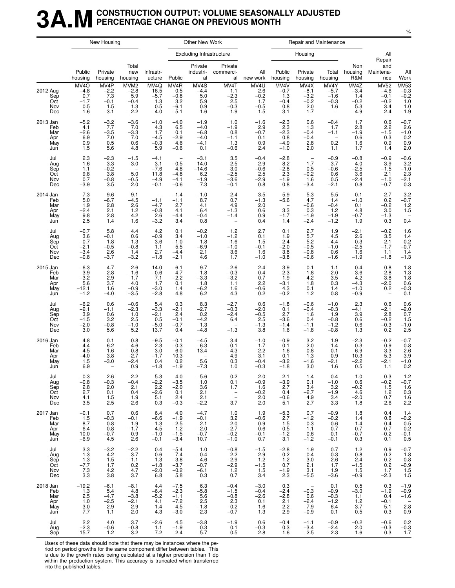### **3A.MCONSTRUCTION OUTPUT: VOLUME SEASONALLY ADJUSTED PERCENTAGE CHANGE ON PREVIOUS MONTH**

|                                             |                                                          | New Housing                                                       |                                                                   |                                                     |                                                       | Other New Work                                                            |                                                                         |                                                    |                                                                   | Repair and Maintenance                                               |                                                                         |                                                     |                                                            |                                                                               |
|---------------------------------------------|----------------------------------------------------------|-------------------------------------------------------------------|-------------------------------------------------------------------|-----------------------------------------------------|-------------------------------------------------------|---------------------------------------------------------------------------|-------------------------------------------------------------------------|----------------------------------------------------|-------------------------------------------------------------------|----------------------------------------------------------------------|-------------------------------------------------------------------------|-----------------------------------------------------|------------------------------------------------------------|-------------------------------------------------------------------------------|
|                                             |                                                          |                                                                   |                                                                   |                                                     |                                                       | <b>Excluding Infrastructure</b>                                           |                                                                         |                                                    |                                                                   | Housing                                                              |                                                                         |                                                     | All                                                        |                                                                               |
|                                             | Public<br>housing                                        | Private<br>housing                                                | Total<br>new<br>housing                                           | Infrastr-<br>ucture                                 | Public                                                | Private<br>industri-<br>al                                                | Private<br>commerci-<br>al                                              | All<br>new work                                    | Public<br>housing                                                 | Private<br>housing                                                   | Total<br>housing                                                        | Non<br>housing<br>R&M                               | Repair<br>and<br>Maintena-<br>nce                          | All<br>Work                                                                   |
| 2012 Aug<br>Sep<br>Oct<br>Nov<br>Dec        | MV <sub>4</sub> O<br>-4.8<br>0.7<br>$-1.7$<br>0.5<br>1.6 | MV4P<br>$-2.2$<br>7.3<br>$-0.1$<br>1.5<br>$-3.1$                  | MVM <sub>2</sub><br>$-2.8$<br>5.9<br>$-0.4$<br>1.3<br>$-2.2$      | MV4Q<br>16.5<br>$-5.7$<br>1.3<br>0.5<br>$-4.0$      | MV4R<br>0.5<br>$-0.8$<br>3.2<br>$-6.1$<br>$-5.1$      | MV4S<br>$-4.4$<br>5.0<br>$\begin{array}{c} 5.9 \\ 0.9 \end{array}$<br>1.6 | MV4T<br>1.1<br>$-2.3$<br>2.5<br>$-0.\overline{3}$<br>1.9                | MV4U<br>2.6<br>$-0.2$<br>1.7<br>$-0.5$<br>$-1.5$   | MV4V<br>$-0.7$<br>1.3<br>$-0.4$<br>0.8<br>$-3.1$                  | MV4X<br>$-8.1$<br>$-3.2$<br>$-0.2$<br>2.0<br>$1.7\,$                 | MV4Y<br>$-5.7$<br>$-1.6$<br>$^{-0.3}_{1.6}$<br>$\overline{\phantom{a}}$ | MV4Z<br>$-3.4$<br>1.4<br>$-0.2$<br>5.3<br>$-4.9$    | <b>MV52</b><br>$-4.6$<br>$-0.1$<br>$-0.2$<br>3.4<br>$-2.4$ | $MV53$<br>-0.3<br>-0.2<br>$1.0$<br>$1.0$<br>$-1.9$                            |
| 2013 Jan<br>Feb<br>Mar<br>Apr<br>May<br>Jun | $-5.2$<br>4.1<br>$-2.6$<br>6.9<br>0.9<br>1.5             | $-3.2$<br>7.7<br>$-3.5$<br>7.0<br>0.5<br>5.6                      | $-3.6$<br>7.0<br>$-3.3$<br>7.0<br>0.6<br>4.8                      | $-1.0$<br>4.3<br>1.7<br>$-4.5$<br>$-0.3$<br>5.9     | $-4.0$<br>6.5<br>0.1<br>$-2.9$<br>4.6<br>$-0.6$       | $-1.9$<br>$-4.0$<br>$-6.8$<br>$-4.0$<br>$-4.1$<br>0.1                     | 1.0<br>$-1.9$<br>$0.8 - 1.1$<br>1.3<br>$-0.6$                           | $-1.6$<br>2.9<br>$-0.7$<br>0.1<br>0.9<br>2.4       | $-2.3$<br>2.3<br>$-2.3$<br>0.8<br>$-4.9$<br>$-1.0$                | 0.6<br>1.3<br>$-0.4$<br>$-0.4$<br>2.8<br>2.0                         | $-0.4$<br>1.7<br>$-1.1$<br>$0.\overline{2}$<br>1.1                      | 1.7<br>2.8<br>$-1.9$<br>0.6<br>1.6<br>1.7           | 0.6<br>2.2<br>$-1.5$<br>0.3<br>0.9<br>1.4                  | $-0.7$<br>2.6<br>$^{-1.0}_{0.2}$<br>0.9<br>2.0                                |
| Jul<br>Aug<br>Sep<br>Oct<br>Nov<br>Dec      | 2.3<br>1.6<br>1.1<br>9.8<br>0.7<br>$-3.9$                | $-2.3$<br>3.3<br>$-0.2$<br>3.8<br>$-0.8$<br>3.5                   | $-1.5$<br>3.0<br>$\overline{\phantom{a}}$<br>5.0<br>$-0.5$<br>2.0 | $-4.1$<br>3.1<br>$-7.6$<br>11.8<br>$-4.9$<br>$-0.1$ | $-0.5$<br>4.8<br>$-4.8$<br>$-4.1$<br>$-0.6$           | $-3.1$<br>14.0<br>$-14.6$<br>$6.2\,$<br>$-1.9$<br>7.3                     | 3.5<br>2.5<br>$3.\overline{0}$<br>$-2.5$<br>$-3.6$<br>$-0.1$            | $-0.4$<br>2.9<br>$-0.6$<br>2.5<br>$-2.9$<br>0.8    | $-2.8$<br>8.2<br>$-2.8$<br>2.3<br>$-1.9$<br>0.8                   | $\overline{\phantom{a}}$<br>1.7<br>0.5<br>$-0.2$<br>1.6<br>$-3.4$    | $-0.9$<br>3.7<br>$-0.6$<br>0.6<br>0.5<br>$-2.1$                         | $-0.8$<br>4.0<br>$-2.5$<br>3.6<br>$-2.4$<br>0.8     | $-0.9$<br>3.9<br>$-1.5$<br>2.1<br>$-1.0$<br>$-0.7$         | $-0.6$<br>$3.2 - 1.0$<br>$2.\overline{3}$<br>$^{-2.1}_{0.3}$                  |
| 2014 Jan<br>Feb<br>Mar<br>Apr<br>May<br>Jun | 7.3<br>5.0<br>1.9<br>$-2.4$<br>9.8<br>2.5                | 9.6<br>$-6.7$<br>2.8<br>2.1<br>2.8<br>1.4                         | 9.1<br>$-4.5$<br>2.6<br>$1.2$<br>$4.\overline{2}$<br>1.6          | $-1.1$<br>$-4.7$<br>$-0.8$<br>2.6<br>$-3.2$         | $-1.4$<br>$-1.1$<br>2.7<br>4.1<br>$-4.4$<br>3.4       | $-1.0$<br>8.7<br>4.1<br>6.4<br>$-0.4$<br>0.8                              | $^{2.4}_{0.7}$<br>4.9<br>$-1.3$<br>$-1.4$<br>$\qquad \qquad -$          | 3.5<br>$-1.3$<br>2.0<br>0.6<br>0.9<br>0.4          | 5.9<br>$-5.6$<br>$\overline{\phantom{a}}$<br>3.3<br>$-1.7$<br>1.4 | 5.3<br>4.7<br>$-0.6$<br>0.3<br>$-1.9$<br>$-2.4$                      | 5.5<br>1.4<br>$-0.4$<br>$1.2 - 1.9$<br>$-1.2$                           | $-0.1$<br>$-1.0$<br>0.1<br>4.8<br>$-0.7$<br>1.9     | 2.7<br>0.2<br>$-0.2$<br>3.0<br>$-1.3$<br>0.3               | $3.2 - 0.7$<br>$\frac{1.2}{1.5}$<br>0.4                                       |
| Jul<br>Aug<br>Sep<br>Oct<br>Nov<br>Dec      | $-0.7$<br>3.6<br>$-0.7$<br>$-2.1$<br>$-3.4$<br>$-0.8$    | 5.8<br>$-0.1$<br>1.8<br>$-0.5$<br>2.6<br>$-3.7$                   | 4.4<br>0.6<br>1.3<br>$-0.8$<br>1.4<br>$-3.2$                      | 4.2<br>$-0.9$<br>3.6<br>1.1<br>2.7<br>$-1.8$        | 0.1<br>3.4<br>$-1.0$<br>5.5<br>$-4.4$<br>$-2.1$       | $-0.2$<br>$-1.0$<br>1.8<br>$-6.9$<br>2.1<br>4.6                           | 1.2<br>$-1.2$<br>1.6<br>$-1.0$<br>3.6<br>1.7                            | 2.7<br>0.1<br>1.5<br>$-0.1$<br>1.6<br>$-1.0$       | 0.1<br>1.9<br>$-2.4$<br>$-2.0$<br>3.8<br>$-3.8$                   | 2.7<br>5.7<br>$-5.2$<br>$-0.5$<br>$-0.8$<br>$-0.6$                   | 1.9<br>4.5<br>$-4.4$<br>$-1.0$<br>0.6<br>$-1.6$                         | $-2.1$<br>2.6<br>0.3<br>$-2.5$<br>1.6<br>$-1.9$     | $-0.2$<br>3.5<br>$-2.1$<br>$-1.7$<br>1.1<br>$-1.8$         | 1.6<br>1.4<br>$^{0.2}_{-0.7}$<br>1.4<br>$-1.3$                                |
| 2015 Jan<br>Feb<br>Mar<br>Apr<br>May<br>Jun | $-6.3$<br>3.9<br>$-3.2$<br>5.6<br>$-12.1$<br>$-1.2$      | 4.7<br>$-2.8$<br>2.9<br>3.7<br>1.6<br>$-4.0$                      | 2.6<br>$-1.6$<br>1.7<br>4.0<br>$-0.9$<br>$-3.5$                   | 14.0<br>$-0.6$<br>7.1<br>1.7<br>$-3.0$<br>$-2.8$    | $-6.1$<br>4.7<br>$-2.2$<br>0.1<br>1.4<br>4.8          | 9.7<br>$-1.8$<br>$-3.\overline{3}$<br>1.8<br>$-6.2$<br>6.2                | $-2.6$<br>$-0.3$<br>$-3.2$<br>$1.1$<br>1.6<br>4.3                       | 2.4<br>$-0.4$<br>0.7<br>2.2<br>$-0.6$<br>0.2       | 3.9<br>$-2.3$<br>1.9<br>$-3.1$<br>4.3<br>$-0.\overline{2}$        | $-0.1$<br>$-1.8$<br>4.2<br>1.8<br>0.1<br>$1.2$                       | 1.1<br>$^{-2.0}_{3.5}$<br>0.3<br>1.4<br>0.8                             | 0.4<br>$-3.6$<br>4.2<br>$-4.3$<br>$-1.0$<br>$-0.9$  | 0.8<br>$-2.8$<br>3.8<br>$-2.0$<br>0.2                      | 1.8<br>$^{-1.3}_{-1.8}$<br>$0.\overline{6}$<br>$^{-0.3}_{0.1}$                |
| Jul<br>Aug<br>Sep<br>Oct<br>Nov<br>Dec      | $-6.2$<br>$-9.1$<br>3.9<br>$-1.5$<br>$-2.0$<br>3.0       | 0.6<br>$-1.1$<br>0.6<br>3.2<br>$-0.8$<br>5.6                      | $-0.6$<br>$-2.3$<br>1.0<br>2.5<br>$-1.0$<br>5.2                   | 5.4<br>$-3.3$<br>$-2.1$<br>0.5<br>$-5.0$<br>13.7    | 0.3<br>$-2.1$<br>2.4<br>$-0.1$<br>$-0.7$<br>0.4       | $8.3 - 2.7$<br>0.2<br>$-4.2$<br>1.3<br>$-4.8$                             | $^{-2.7}_{-0.3}$<br>$-2.4$<br>6.4<br>$\overline{\phantom{a}}$<br>$-1.3$ | 0.6<br>$-2.0$<br>$-0.5$<br>2.5<br>$-1.3$<br>3.8    | $-1.8$<br>0.1<br>2.7<br>$-3.6$<br>$-1.4$<br>1.6                   | $-0.6$<br>$-0.4$<br>1.6<br>0.4<br>$-1.1$<br>$-1.8$                   | $-1.0$<br>$-0.3$<br>1.9<br>$-0.8$<br>$-1.2$<br>$-0.8$                   | $2.3\,$<br>$-4.1$<br>3.9<br>0.6<br>0.6<br>1.3       | 0.6<br>$-2.1$<br>2.8<br>$-0.2$<br>$-0.3$<br>0.2            | $0.6 - 2.0$<br>0.7<br>$1.5 - 1.0$<br>2.5                                      |
| 2016 Jan<br>Feb<br>Mar<br>Apr<br>May<br>Jun | 4.8<br>$-4.4$<br>4.5<br>$-4.0$<br>1.5<br>6.9             | 0.1<br>6.2<br>$-1.6$<br>3.8<br>$-3.0$<br>$\overline{\phantom{a}}$ | 0.8<br>4.6<br>$-0.8$<br>2.7<br>$-2.4$<br>0.9                      | $-9.5$<br>2.3<br>$-3.0$<br>$-1.7$<br>0.4<br>$-1.8$  | $-0.1$<br>$-0.3$<br>$-6.0$<br>10.3<br>0.2<br>$-1.9$   | $-4.5$<br>$-6.3$<br>13.4<br>$\qquad \qquad -$<br>5.6<br>$-7.3$            | 3.4<br>$-0.1$<br>$-4.3$<br>4.9<br>0.3<br>1.0                            | $-1.0$<br>1.7<br>$-2.2$<br>3.1<br>$-0.4$<br>$-0.3$ | $-0.9$<br>0.1<br>$-1.6$<br>0.1<br>$-3.2$<br>$-1.8$                | 3.2<br>$-2.0$<br>0.8<br>1.3<br>$-1.6$<br>3.0                         | 1.9<br>$-1.4$<br>0.1<br>0.9<br>$-2.1$<br>1.6                            | $-2.3$<br>$-0.3$<br>$-6.9$<br>10.3<br>$-2.2$<br>0.5 | $-0.2$<br>$-0.9$<br>$-3.3$<br>5.3<br>$-2.1$<br>1.1         | $-0.7$<br>0.8<br>$-2.6$<br>3.9<br>$-1.0$<br>0.2                               |
| Jul<br>Aug<br>Sep<br>Oct<br>Nov<br>Dec      | $-0.3$<br>$-0.8$<br>2.8<br>2.7<br>4.1<br>3.5             | 2.6<br>$-0.3$<br>2.0<br>0.1<br>1.5<br>2.5                         | 2.2<br>$-0.4$<br>2.1<br>0.4<br>1.9<br>2.6                         | 5.3<br>$-2.2$<br>2.2<br>$-2.6$<br>5.1<br>0.3        | 4.0<br>$-3.5$<br>$-2.0$<br>0.1<br>2.4<br>$-0.3$       | $-5.6$<br>1.0<br>3.6<br>2.1<br>$^{2.1}_{-2.2}$                            | 0.2<br>0.1<br>1.7<br>$\bar{\mathbb{I}}$<br>3.7                          | 2.0<br>$-0.9$<br>1.6<br>$-0.2$<br>2.0<br>2.0       | $-2.1$<br>$-3.9$<br>2.7<br>0.4<br>$-0.6$<br>5.1                   | 1.4<br>0.1<br>3.4<br>$-2.7$<br>4.9<br>2.7                            | 0.4<br>$-1.0$<br>3.2<br>$-1.9$<br>3.4<br>3.3                            | $-1.0$<br>0.6<br>$-0.2$<br>4.6<br>$-2.0$<br>1.8     | $-0.3$<br>$-0.2$<br>1.5<br>1.2<br>0.7<br>2.6               | $\begin{array}{c} 1.2 \\ -0.7 \\ 1.6 \\ 0.3 \end{array}$<br>$\frac{1.6}{2.2}$ |
| 2017 Jan<br>Feb<br>Mar<br>Apr<br>May<br>Jun | $-0.1$<br>1.5<br>8.7<br>$-6.4$<br>10.0<br>$-6.9$         | 0.7<br>$-0.3$<br>0.8<br>$-0.8$<br>$-0.7$<br>4.5                   | 0.6<br>$-0.1$<br>1.9<br>$-1.7$<br>0.9<br>2.6                      | 6.4<br>$-6.6$<br>$-1.3$<br>4.5<br>$-1.0$<br>$-0.1$  | 4.0<br>$-1.9$<br>$-2.5$<br>$1.2 - 1.5$<br>$-3.4$      | $-4.7$<br>$-0.1$<br>2.1<br>$-2.0$<br>$-0.7$<br>10.7                       | 1.0<br>3.2<br>2.0<br>$^{-2.7}_{-0.2}$<br>$-1.0$                         | 1.9<br>$-0.6$<br>0.9<br>$-0.6$<br>$-0.1$<br>0.7    | $-5.3$<br>2.7<br>1.5<br>$-0.5$<br>$-1.2$<br>3.1                   | 0.7<br>$-1.2$<br>0.3<br>1.1<br>0.6<br>$-1.2$                         | $^{-0.9}_{-0.2}$<br>0.6<br>0.7<br>0.1<br>$-0.1$                         | 1.8<br>1.4<br>$-1.4$<br>0.7<br>$-0.7$<br>0.3        | 0.4<br>0.6<br>$-0.4$<br>0.7<br>$-0.2$<br>0.1               | $1.4 - 0.2$<br>0.5<br>$-0.2$<br>$-0.1$<br>0.5                                 |
| Jul<br>Aug<br>Sep<br>Oct<br>Nov<br>Dec      | $3.3\,$<br>1.3<br>$\frac{1.3}{-7.7}$<br>$7.3\,$<br>3.3   | $-3.2$<br>$4.2\,$<br>$-1.5$<br>1.7<br>4.2<br>3.8                  | $-2.2$<br>3.7<br>$-1.1$<br>0.2<br>4.7<br>3.7                      | 0.4<br>0.6<br>1.3<br>$-1.8$<br>$-2.0$<br>6.8        | $-5.4$<br>7.4<br>$-3.8$<br>$-3.7$<br>$-0.2$<br>5.8    | 1.0<br>$-0.4$<br>4.6<br>$-0.7$<br>$-6.1$<br>0.3                           | $-0.8$<br>2.2<br>$^{-2.9}_{-2.9}$<br>1.2<br>0.7                         | $-1.5$<br>2.9<br>$-1.2$<br>$-1.5$<br>1.5<br>3.4    | $-2.8$<br>$-0.2$<br>$-1.2$<br>0.7<br>$-1.9$<br>2.3                | 1.9<br>0.4<br>$-3.0$<br>2.1<br>3.1<br>$-5.5$                         | 0.7<br>0.3<br>$-2.6$<br>1.7<br>1.9<br>$-3.6$                            | 1.2<br>$-0.8$<br>2.4<br>$-1.5$<br>1.5<br>$-0.9$     | 0.9<br>$-0.2$<br>$-0.2$<br>0.2<br>1.7<br>$-2.3$            | $-0.7$<br>1.8<br>$-0.8$<br>$-0.9$<br>1.5<br>1.5                               |
| 2018 Jan<br>Feb<br>Mar<br>Apr<br>May<br>Jun | $-19.2$<br>$\frac{1.3}{2.5}$<br>$1.0$<br>3.0<br>7.7      | $-6.1$<br>5.4<br>$-4.7$<br>$-2.5$<br>2.9<br>1.1                   | $-8.1$<br>4.8<br>$-3.8$<br>$-2.1$<br>2.9<br>2.0                   | 4.4<br>$-6.4$<br>$-5.2$<br>4.1<br>1.4<br>4.3        | $-7.5$<br>$-2.3$<br>$-1.1$<br>$-7.2$<br>4.5<br>$-3.0$ | 6.3<br>$-5.8$<br>5.6<br>2.5<br>$-1.8$<br>2.3                              | $-0.4$<br>$-1.5$<br>$-0.8$<br>2.3<br>$-0.2$<br>$-0.7$                   | $-3.0$<br>$-0.4$<br>$-2.6$<br>0.1<br>1.6<br>1.3    | 0.3<br>$-2.4$<br>$-2.8$<br>2.1<br>$^{2.2}_{2.9}$                  | $\overline{\phantom{a}}$<br>$-0.3$<br>0.6<br>$-2.4$<br>7.9<br>$-0.9$ | 0.1<br>$-0.9$<br>$-0.3$<br>$-1.2$<br>6.4<br>0.1                         | 0.5<br>$-3.0$<br>1.1<br>$1.2$<br>3.7<br>0.5         | 0.3<br>$-1.9$<br>0.4<br>$-0.1$<br>5.1<br>0.3               | $-1.9$<br>$-0.9$<br>$-1.6$<br>$\overline{\phantom{0}}$<br>$^{2.8}_{0.9}$      |
| Jul<br>Aug<br>Sep                           | $^{2.2}_{-2.3}$<br>15.7                                  | 4.0<br>$-0.6$<br>$1.2$                                            | 3.7<br>$-0.8$<br>3.2                                              | $-2.6$<br>1.1<br>7.2                                | 4.5<br>$-1.9$<br>2.4                                  | $-3.8$<br>0.3<br>$-5.7$                                                   | $-1.9$<br>0.1<br>0.5                                                    | 0.6<br>$-0.3$<br>2.8                               | $-0.4$<br>0.3<br>$-1.6$                                           | $-1.1$<br>$-3.4$<br>$-2.5$                                           | $-0.9$<br>$-2.4$<br>$-2.3$                                              | $-0.2$<br>2.0<br>1.6                                | $-0.6$<br>$-0.3$<br>$-0.3$                                 | $\begin{array}{c} 0.2 \\ -0.3 \\ 1.7 \end{array}$                             |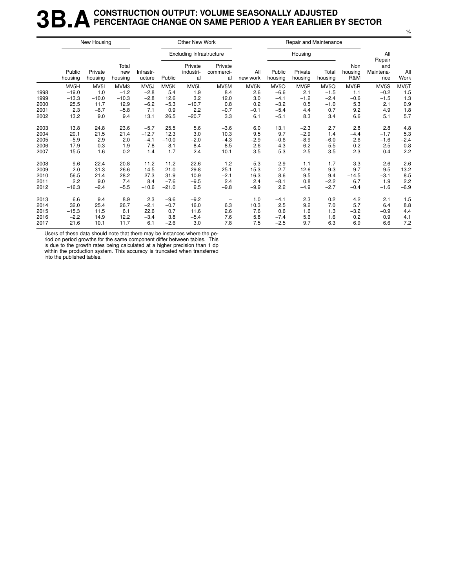### **3B.A** CONSTRUCTION OUTPUT: VOLUME SEASONALLY ADJUSTED<br>**3B.A** PERCENTAGE CHANGE ON SAME PERIOD A YEAR EARLIER E **PERCENTAGE CHANGE ON SAME PERIOD A YEAR EARLIER BY SECTOR**

|      |                   | New Housing        |                         |                     |         | Other New Work                  |                            |                 |                   | Repair and Maintenance |                  |                       |                                   |             |
|------|-------------------|--------------------|-------------------------|---------------------|---------|---------------------------------|----------------------------|-----------------|-------------------|------------------------|------------------|-----------------------|-----------------------------------|-------------|
|      |                   |                    |                         |                     |         | <b>Excluding Infrastructure</b> |                            |                 |                   | Housing                |                  |                       | All                               |             |
|      | Public<br>housing | Private<br>housing | Total<br>new<br>housing | Infrastr-<br>ucture | Public  | Private<br>industri-<br>al      | Private<br>commerci-<br>al | All<br>new work | Public<br>housing | Private<br>housing     | Total<br>housing | Non<br>housing<br>R&M | Repair<br>and<br>Maintena-<br>nce | All<br>Work |
|      | MV5H              | MV <sub>5</sub>    | MVM3                    | MV <sub>5</sub> J   | MV5K    | MV5L                            | MV5M                       | MV5N            | MV <sub>50</sub>  | MV <sub>5</sub> P      | MV5Q             | MV <sub>5</sub> R     | MV5S                              | MV5T        |
| 1998 | $-19.0$           | 1.0                | $-1.2$                  | $-2.8$              | 5.4     | 1.9                             | 8.4                        | 2.6             | $-6.6$            | 2.1                    | $-1.5$           | 1.1                   | $-0.2$                            | 1.5         |
| 1999 | $-13.3$           | $-10.0$            | $-10.3$                 | $-2.8$              | 12.6    | 3.2                             | 12.0                       | 3.0             | $-4.1$            | $-1.2$                 | $-2.4$           | $-0.6$                | $-1.5$                            | 1.3         |
| 2000 | 25.5              | 11.7               | 12.9                    | $-6.2$              | $-5.3$  | $-10.7$                         | 0.8                        | 0.2             | $-3.2$            | 0.5                    | $-1.0$           | 5.3                   | 2.1                               | 0.9         |
| 2001 | 2.3               | $-6.7$             | $-5.8$                  | 7.1                 | 0.9     | 2.2                             | $-0.7$                     | $-0.1$          | $-5.4$            | 4.4                    | 0.7              | 9.2                   | 4.9                               | 1.8         |
| 2002 | 13.2              | 9.0                | 9.4                     | 13.1                | 26.5    | $-20.7$                         | 3.3                        | 6.1             | $-5.1$            | 8.3                    | 3.4              | 6.6                   | 5.1                               | 5.7         |
| 2003 | 13.8              | 24.8               | 23.6                    | $-5.7$              | 25.5    | 5.6                             | $-3.6$                     | 6.0             | 13.1              | $-2.3$                 | 2.7              | 2.8                   | 2.8                               | 4.8         |
| 2004 | 20.1              | 21.5               | 21.4                    | $-12.7$             | 12.3    | 3.0                             | 10.3                       | 9.5             | 9.7               | $-2.9$                 | 1.4              | $-4.4$                | $-1.7$                            | 5.3         |
| 2005 | $-5.9$            | 2.9                | 2.0                     | $-4.1$              | $-10.0$ | $-2.0$                          | $-4.3$                     | $-2.9$          | $-0.6$            | $-8.9$                 | $-6.0$           | 2.6                   | $-1.6$                            | $-2.4$      |
| 2006 | 17.9              | 0.3                | 1.9                     | $-7.8$              | $-8.1$  | 8.4                             | 8.5                        | 2.6             | $-4.3$            | $-6.2$                 | $-5.5$           | 0.2                   | $-2.5$                            | 0.8         |
| 2007 | 15.5              | $-1.6$             | 0.2                     | $-1.4$              | $-1.7$  | $-2.4$                          | 10.1                       | 3.5             | $-5.3$            | $-2.5$                 | $-3.5$           | 2.3                   | $-0.4$                            | 2.2         |
| 2008 | $-9.6$            | $-22.4$            | $-20.8$                 | 11.2                | 11.2    | $-22.6$                         | 1.2                        | $-5.3$          | 2.9               | 1.1                    | 1.7              | 3.3                   | 2.6                               | $-2.6$      |
| 2009 | 2.0               | $-31.3$            | $-26.6$                 | 14.5                | 21.0    | $-29.8$                         | $-25.1$                    | $-15.3$         | $-2.7$            | $-12.6$                | $-9.3$           | $-9.7$                | $-9.5$                            | $-13.2$     |
| 2010 | 56.5              | 21.4               | 28.2                    | 27.3                | 31.9    | 10.9                            | $-2.1$                     | 16.3            | 8.6               | 9.5                    | 9.4              | $-14.5$               | $-3.1$                            | 8.5         |
| 2011 | 2.2               | 9.0                | 7.4                     | 8.4                 | $-7.6$  | $-9.5$                          | 2.4                        | 2.4             | $-8.1$            | 0.8                    | $-2.2$           | 6.7                   | 1.9                               | 2.2         |
| 2012 | $-16.3$           | $-2.4$             | $-5.5$                  | $-10.6$             | $-21.0$ | 9.5                             | $-9.8$                     | $-9.9$          | 2.2               | $-4.9$                 | $-2.7$           | $-0.4$                | $-1.6$                            | $-6.9$      |
| 2013 | 6.6               | 9.4                | 8.9                     | 2.3                 | $-9.6$  | $-9.2$                          |                            | 1.0             | $-4.1$            | 2.3                    | 0.2              | 4.2                   | 2.1                               | 1.5         |
| 2014 | 32.0              | 25.4               | 26.7                    | $-2.1$              | $-0.7$  | 16.0                            | 6.3                        | 10.3            | 2.5               | 9.2                    | 7.0              | 5.7                   | 6.4                               | 8.8         |
| 2015 | $-15.3$           | 11.5               | 6.1                     | 22.6                | 0.7     | 11.6                            | 2.6                        | 7.6             | 0.6               | 1.6                    | 1.3              | $-3.2$                | $-0.9$                            | 4.4         |
| 2016 | $-2.2$            | 14.9               | 12.2                    | $-3.4$              | 3.8     | $-5.4$                          | 7.6                        | 5.8             | $-7.4$            | 5.6                    | 1.6              | 0.2                   | 0.9                               | 4.1         |
| 2017 | 21.6              | 10.1               | 11.7                    | 6.1                 | $-2.6$  | 3.0                             | 7.8                        | 7.5             | $-2.5$            | 9.7                    | 6.3              | 6.9                   | 6.6                               | 7.2         |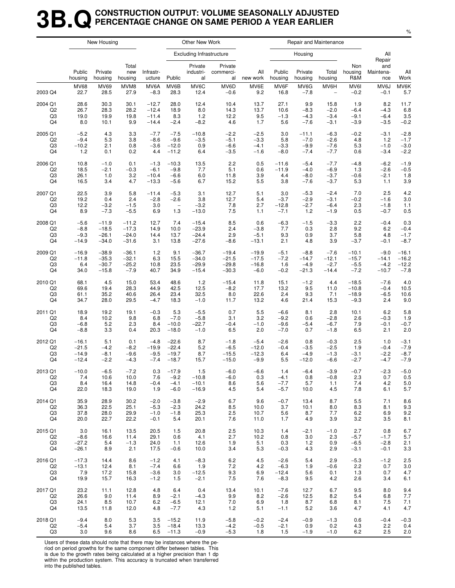### **3B.QCONSTRUCTION OUTPUT: VOLUME SEASONALLY ADJUSTED PERCENTAGE CHANGE ON SAME PERIOD A YEAR EARLIER**

|                |                   | New Housing        |                         |                     |                          | Other New Work                  |                            |                 |                   |                    | Repair and Maintenance   |                       |                         |             |
|----------------|-------------------|--------------------|-------------------------|---------------------|--------------------------|---------------------------------|----------------------------|-----------------|-------------------|--------------------|--------------------------|-----------------------|-------------------------|-------------|
|                |                   |                    |                         |                     |                          | <b>Excluding Infrastructure</b> |                            |                 |                   | Housing            |                          |                       | All<br>Repair           |             |
|                | Public<br>housing | Private<br>housing | Total<br>new<br>housing | Infrastr-<br>ucture | Public                   | Private<br>industri-<br>al      | Private<br>commerci-<br>al | All<br>new work | Public<br>housing | Private<br>housing | Total<br>housing         | Non<br>housing<br>R&M | and<br>Maintena-<br>nce | All<br>Work |
| 2003 Q4        | <b>MV68</b>       | <b>MV69</b>        | MVM8                    | MV6A                | MV6B                     | MV6C                            | MV6D                       | MV6E            | MV6F              | MV6G               | MV6H                     | MV6I                  | MV6J                    | MV6K        |
|                | 22.7              | 28.5               | 27.9                    | $-8.3$              | 28.3                     | 12.4                            | $-0.6$                     | 9.2             | 16.8              | $-7.8$             | $\overline{\phantom{a}}$ | $-0.2$                | $-0.1$                  | 5.7         |
| 2004 Q1        | 28.6              | 30.3               | 30.1                    | $-12.7$             | 28.0                     | 12.4                            | 10.4                       | 13.7            | 27.1              | 9.9                | 15.8                     | 1.9                   | 8.2                     | 11.7        |
| Q <sub>2</sub> | 26.7              | 28.3               | 28.2                    | $-12.4$             | 18.9                     | 8.0                             | 14.3                       | 13.7            | 10.6              | $-8.3$             | $-2.0$                   | $-6.4$                | $-4.3$                  | 6.8         |
| Q3             | 19.0              | 19.9               | 19.8                    | $-11.4$             | 8.3                      | $1.2$                           | 12.2                       | 9.5             | $-1.3$            | $-4.3$             | $-3.4$                   | $-9.1$                | $-6.4$                  | 3.5         |
| Q4             | 8.0               | 10.1               | 9.9                     | $-14.4$             | $-2.4$                   | $-8.2$                          | 4.6                        | 1.7             | 5.6               | $-7.6$             | $-3.1$                   | $-3.9$                | $-3.5$                  | $-0.2$      |
| 2005 Q1        | $-5.2$            | 4.3                | 3.3                     | $-7.7$              | $-7.5$                   | $-10.8$                         | $-2.2$                     | $-2.5$          | 3.0               | $-11.1$            | $-6.3$                   | $-0.2$                | $-3.1$                  | $-2.8$      |
| Q2             | $-9.4$            | 5.3                | 3.8                     | $-8.6$              | $-9.6$                   | $-3.5$                          | $-5.1$                     | $-3.3$          | 5.8               | $-7.0$             | $-2.6$                   | 4.8                   | 1.2                     | $-1.7$      |
| Q3             | $-10.2$           | 2.1                | 0.8                     | $-3.6$              | $-12.0$                  | 0.9                             | $-6.6$                     | $-4.1$          | $-3.3$            | $-9.9$             | $-7.6$                   | 5.3                   | $-1.0$                  | $-3.0$      |
| Q4             | 1.2               | 0.1                | 0.2                     | 4.4                 | $-11.2$                  | 6.4                             | $-3.5$                     | $-1.6$          | $-8.0$            | $-7.4$             | $-7.7$                   | 0.6                   | $-3.4$                  | $-2.2$      |
| 2006 Q1        | 10.8              | $-1.0$             | 0.1                     | $-1.3$              | $-10.3$                  | 13.5                            | 2.2                        | 0.5             | $-11.6$           | $-5.4$             | $-7.7$                   | $-4.8$                | $-6.2$                  | $-1.9$      |
| Q2             | 18.5              | $-2.1$             | $-0.3$                  | $-6.1$              | $-9.8$                   | 7.7                             | 5.1                        | 0.6             | $-11.9$           | $-4.0$             | $-6.9$                   | 1.3                   | $-2.6$                  | $-0.5$      |
| Q <sub>3</sub> | 26.1              | 1.0                | 3.2                     | $-10.4$             | $-6.6$                   | 6.0                             | 11.8                       | 3.9             | 4.4               | $-8.0$             | $-3.7$                   | $-0.6$                | $-2.1$                  | 1.8         |
| Q4             | 16.5              | 3.4                | 4.7                     | $-13.3$             | $-5.6$                   | 6.7                             | 15.2                       | 5.5             | 3.8               | $-7.6$             | $-3.7$                   | 5.3                   | 1.1                     | 3.9         |
| 2007 Q1        | 22.5              | 3.9                | 5.8                     | $-11.4$             | $-5.3$                   | 3.1                             | 12.7                       | 5.1             | 3.0               | $-5.3$             | $-2.4$                   | 7.0                   | 2.5                     | 4.2         |
| Q2             | 19.2              | 0.4                | 2.4                     | $-2.8$              | $-2.6$                   | 3.8                             | 12.7                       | 5.4             | $-3.7$            | $-2.9$             | $-3.1$                   | $-0.2$                | $-1.6$                  | 3.0         |
| Q3             | 12.2              | $-3.2$             | $-1.5$                  | 3.0                 | $\overline{\phantom{a}}$ | $-3.2$                          | 7.8                        | 2.7             | $-12.8$           | $-2.7$             | $-6.4$                   | 2.3                   | $-1.8$                  | 1.1         |
| Q4             | 8.9               | $-7.3$             | $-5.5$                  | 6.9                 | 1.3                      | $-13.0$                         | 7.5                        | 1.1             | $-7.1$            | 1.2                | $-1.9$                   | 0.5                   | $-0.7$                  | 0.5         |
| 2008 Q1        | $-5.6$            | $-11.9$            | $-11.2$                 | 12.7                | 7.4                      | $-15.4$                         | 8.5                        | 0.6             | $-6.3$            | $-1.5$             | $-3.3$                   | 2.2                   | $-0.4$                  | 0.3         |
| Q2             | $-8.8$            | $-18.5$            | $-17.3$                 | 14.9                | 10.0                     | $-23.9$                         | 2.4                        | $-3.8$          | 7.7               | 0.3                | 2.8                      | 9.2                   | 6.2                     | $-0.4$      |
| Q3             | $-9.3$            | $-26.1$            | $-24.0$                 | 14.4                | 13.7                     | $-24.4$                         | 2.9                        | $-5.1$          | 9.3               | 0.9                | 3.7                      | 5.8                   | 4.8                     | $-1.7$      |
| Q4             | $-14.9$           | $-34.0$            | $-31.6$                 | 3.1                 | 13.8                     | $-27.6$                         | $-8.6$                     | $-13.1$         | 2.1               | 4.8                | 3.9                      | $-3.7$                | $-0.1$                  | $-8.7$      |
| 2009 Q1        | $-16.9$           | $-38.9$            | $-36.1$                 | 1.2                 | 9.1                      | $-36.7$                         | $-19.4$                    | $-19.9$         | $-5.1$            | $-8.8$             | $-7.6$                   | $-10.1$               | $-9.0$                  | $-16.1$     |
| Q2             | $-11.8$           | $-35.3$            | $-32.1$                 | 6.3                 | 15.5                     | $-34.0$                         | $-21.5$                    | $-17.5$         | $-7.2$            | $-14.7$            | $-12.1$                  | $-15.7$               | $-14.1$                 | $-16.2$     |
| Q3             | 6.4               | $-30.7$            | $-25.2$                 | 10.8                | 23.5                     | $-29.9$                         | $-29.8$                    | $-16.8$         | 1.6               | $-4.9$             | $-2.7$                   | $-5.5$                | $-4.2$                  | $-12.2$     |
| Q4             | 34.0              | $-15.8$            | $-7.9$                  | 40.7                | 34.9                     | $-15.4$                         | $-30.3$                    | $-6.0$          | $-0.2$            | $-21.3$            | $-14.4$                  | $-7.2$                | $-10.7$                 | $-7.8$      |
| 2010 Q1        | 68.1              | 4.5                | 15.0                    | 53.4                | 48.6                     | 1.2                             | $-15.4$                    | 11.8            | 15.1              | $-1.2$             | 4.4                      | $-18.5$               | $-7.6$                  | 4.0         |
| Q2             | 69.6              | 19.4               | 28.3                    | 44.9                | 42.5                     | 12.5                            | $-8.2$                     | 17.7            | 13.2              | 9.5                | 11.0                     | $-10.8$               | $-0.4$                  | 10.5        |
| Q3             | 61.1              | 35.2               | 40.6                    | 26.4                | 23.4                     | 32.5                            | 8.0                        | 22.6            | 2.4               | 9.3                | 7.1                      | $-18.9$               | $-6.5$                  | 10.6        |
| Q4             | 34.7              | 28.0               | 29.5                    | $-4.7$              | 18.3                     | $-1.0$                          | 11.7                       | 13.2            | 4.6               | 21.4               | 15.3                     | $-9.3$                | 2.4                     | 9.0         |
| 2011 Q1        | 18.9              | 19.2               | 19.1                    | $-0.3$              | 5.3                      | $-5.5$                          | 0.7                        | 5.5             | $-6.6$            | 8.1                | 2.8                      | 10.1                  | 6.2                     | 5.8         |
| Q2             | 8.4               | 10.2               | 9.8                     | 6.8                 | $-7.0$                   | $-5.8$                          | 3.1                        | 3.2             | $-9.2$            | 0.6                | $-2.8$                   | 2.6                   | $-0.3$                  | 1.9         |
| Q3             | $-6.8$            | 5.2                | 2.3                     | 8.4                 | $-10.0$                  | $-22.7$                         | $-0.4$                     | $-1.0$          | $-9.6$            | $-5.4$             | $-6.7$                   | 7.9                   | $-0.1$                  | $-0.7$      |
| Q4             | $-8.8$            | 3.3                | 0.4                     | 20.3                | $-18.0$                  | $-1.0$                          | 6.5                        | 2.0             | $-7.0$            | 0.7                | $-1.8$                   | 6.5                   | 2.1                     | 2.0         |
| 2012 Q1        | $-16.1$           | 5.1                | 0.1                     | $-4.8$              | $-22.6$                  | 8.7                             | $-1.8$                     | $-5.4$          | $-2.6$            | 0.8                | $-0.3$                   | 2.5                   | 1.0                     | $-3.1$      |
| Q <sub>2</sub> | $-21.5$           | $-4.2$             | $-8.2$                  | $-19.9$             | $-22.4$                  | 5.2                             | $-6.5$                     | $-12.0$         | $-0.4$            | $-3.5$             | $-2.5$                   | 1.9                   | $-0.4$                  | $-7.9$      |
| Q3             | $-14.9$           | $-8.1$             | $-9.6$                  | $-9.5$              | $-19.7$                  | 8.7                             | $-15.5$                    | $-12.3$         | 6.4               | $-4.9$             | $-1.3$                   | $-3.1$                | $-2.2$                  | $-8.7$      |
| Q4             | $-12.4$           | $-2.2$             | $-4.3$                  | $-7.4$              | $-18.7$                  | 15.7                            | $-15.0$                    | $-9.9$          | 5.5               | $-12.0$            | $-6.6$                   | $-2.7$                | $-4.7$                  | $-7.9$      |
| 2013 Q1        | $-10.0$           | $-6.5$             | $-7.2$                  | 0.3                 | $-17.9$                  | 1.5                             | $-6.0$                     | $-6.6$          | 1.4               | $-6.4$             | $-3.9$                   | $-0.7$                | $-2.3$                  | $-5.0$      |
| Q2             | $7.4$             | 10.6               | 10.0                    | 7.6                 | $-9.2$                   | $-10.8$                         | $-6.0$                     | 0.3             | $-4.1$            | 0.8                | $-0.8$                   | 2.3                   | 0.7                     | 0.5         |
| Q3             | 8.4               | 16.4               | 14.8                    | $-0.4$              | $-4.1$                   | $-10.1$                         | 8.6                        | 5.6             | $-7.7$            | 5.7                | 1.1                      | 7.4                   | 4.2                     | $5.0\,$     |
| Q4             | 22.0              | 18.3               | 19.0                    | 1.9                 | $-6.0$                   | $-16.9$                         | 4.5                        | 5.4             | $-5.7$            | 10.0               | 4.5                      | 7.8                   | 6.1                     | 5.7         |
| 2014 Q1        | 35.9              | 28.9               | 30.2                    | $-2.0$              | $-3.8$                   | $-2.9$                          | 6.7                        | 9.6             | $-0.7$            | 13.4               | 8.7                      | 5.5                   | 7.1                     | 8.6         |
| Q2             | 36.3              | 22.5               | 25.1                    | $-5.3$              | $-2.3$                   | 24.2                            | 8.5                        | 10.0            | 3.7               | 10.1               | 8.0                      | 8.3                   | 8.1                     | 9.3         |
| Q3             | 37.8              | 28.0               | 29.9                    | $-1.0$              | $-1.8$                   | 25.3                            | 2.5                        | 10.7            | 5.6               | 8.7                | 7.7                      | $6.2\,$               | 6.9                     | 9.2         |
| Q4             | 20.0              | 22.7               | 22.2                    | $-0.1$              | 5.4                      | 20.1                            | 7.6                        | 11.0            | 1.7               | 4.9                | 3.9                      | 3.2                   | 3.5                     | 8.1         |
| 2015 Q1        | 3.0               | 16.1               | 13.5                    | 20.5                | 1.5                      | 20.8                            | 2.5                        | 10.3            | 1.4               | $-2.1$             | $-1.0$                   | 2.7                   | 0.8                     | 6.7         |
| Q2             | $-8.6$            | 16.6               | 11.4                    | 29.1                | 0.6                      | 4.1                             | 2.7                        | 10.2            | 0.8               | 3.0                | 2.3                      | $-5.7$                | $-1.7$                  | 5.7         |
| Q3             | $-27.2$           | 5.4                | $-1.3$                  | 24.0                | 1.1                      | 12.6                            | 1.9                        | 5.1             | 0.3               | 1.2                | 0.9                      | $-6.5$                | $-2.8$                  | 2.1         |
| Q4             | $-26.1$           | 8.9                | 2.1                     | 17.5                | $-0.6$                   | 10.0                            | 3.4                        | 5.3             | $-0.3$            | 4.3                | 2.9                      | $-3.1$                | $-0.1$                  | 3.3         |
| 2016 Q1        | $-17.3$           | 14.4               | 8.6                     | $-1.2$              | 4.1                      | $-8.3$                          | 6.2                        | 4.5             | $-2.6$            | 5.4                | 2.9                      | $-5.3$                | $-1.2$                  | 2.5         |
| Q2             | $-13.1$           | 12.4               | 8.1                     | $-7.4$              | 6.6                      | 1.9                             | 7.2                        | 4.2             | $-6.3$            | 1.9                | $-0.6$                   | 2.2                   | 0.7                     | 3.0         |
| Q3             | 7.9               | 17.2               | 15.8                    | $-3.6$              | 3.0                      | $-12.5$                         | 9.3                        | 6.9             | $-12.4$           | 5.6                | 0.1                      | 1.3                   | 0.7                     | 4.7         |
| Q4             | 19.9              | 15.7               | 16.3                    | $-1.2$              | 1.5                      | $-2.1$                          | 7.5                        | 7.6             | $-8.3$            | 9.5                | 4.2                      | 2.6                   | 3.4                     | 6.1         |
| 2017 Q1        | 23.2              | 11.1               | 12.8                    | 4.8                 | 6.4                      | 0.4                             | 13.4                       | 10.1            | $-7.6$            | 12.7               | 6.7                      | 9.5                   | 8.0                     | 9.4         |
| Q2             | 26.6              | 9.0                | 11.4                    | 8.9                 | $-2.1$                   | $-4.3$                          | 9.9                        | 8.2             | $-2.6$            | 12.5               | 8.2                      | 5.4                   | 6.8                     | 7.7         |
| Q3             | 24.1              | 8.5                | 10.7                    | 6.2                 | $-6.5$                   | 12.1                            | 7.0                        | 6.9             | 1.8               | 8.7                | 6.8                      | 8.1                   | 7.5                     | 7.1         |
| Q4             | 13.5              | 11.8               | 12.0                    | 4.8                 | $-7.7$                   | 4.3                             | 1.2                        | 5.1             | $-1.1$            | 5.2                | 3.6                      | 4.7                   | 4.1                     | 4.7         |
| 2018 Q1        | $-9.4$            | 8.0                | 5.3                     | 3.5                 | $-15.2$                  | 11.9                            | $-5.8$                     | $-0.2$          | $-2.4$            | $-0.9$             | $-1.3$                   | 0.6                   | $-0.4$                  | $-0.3$      |
| Q2             | $-5.4$            | 5.4                | 3.7                     | 3.5                 | $-18.4$                  | 13.3                            | $-4.2$                     | $-0.5$          | $-2.1$            | 0.9                | 0.2                      | 4.3                   | 2.2                     | 0.4         |
| Q3             | 3.0               | 9.6                | 8.6                     | 6.5                 | $-11.3$                  | $-0.9$                          | $-5.3$                     | 1.8             | 1.5               | $-1.9$             | $-1.0$                   | 6.2                   | 2.5                     | 2.0         |

Users of these data should note that there may be instances where the period on period growths for the same component differ between tables. This

is due to the growth rates being calculated at a higher precision than 1 dp within the production system. This accuracy is truncated when transferred into the published tables.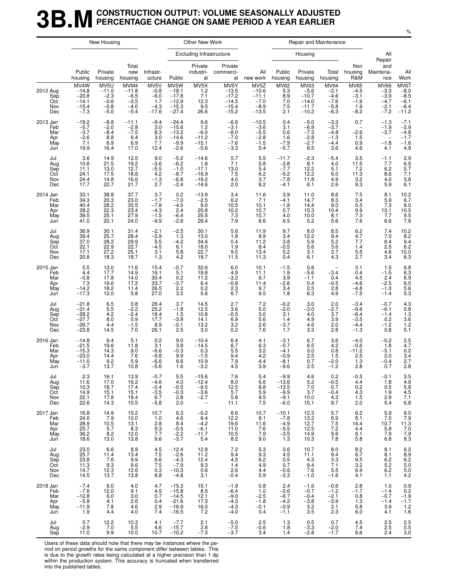#### **3B.M** CONSTRUCTION OUTPUT: VOLUME SEASONALLY ADJUSTED<br>**3B.M** PERCENTAGE CHANGE ON SAME PERIOD A YEAR EARLIER **PERCENTAGE CHANGE ON SAME PERIOD A YEAR EARLIER**

|                                             |                                                                | New Housing                                                              |                                                         |                                                                  |                                                                | Other New Work                                                        |                                                                 |                                                           |                                                                             | Repair and Maintenance                                     |                                                                  |                                                            |                                                                         |                                                                            |
|---------------------------------------------|----------------------------------------------------------------|--------------------------------------------------------------------------|---------------------------------------------------------|------------------------------------------------------------------|----------------------------------------------------------------|-----------------------------------------------------------------------|-----------------------------------------------------------------|-----------------------------------------------------------|-----------------------------------------------------------------------------|------------------------------------------------------------|------------------------------------------------------------------|------------------------------------------------------------|-------------------------------------------------------------------------|----------------------------------------------------------------------------|
|                                             |                                                                |                                                                          |                                                         |                                                                  |                                                                | <b>Excluding Infrastructure</b>                                       |                                                                 |                                                           |                                                                             | Housing                                                    |                                                                  |                                                            | All<br>Repair                                                           |                                                                            |
|                                             | Public<br>housing                                              | Private<br>housing                                                       | Total<br>new<br>housing                                 | Infrastr-<br>ucture                                              | Public                                                         | Private<br>industri-<br>al                                            | Private<br>commerci-<br>al                                      | All<br>new work                                           | Public<br>housing                                                           | Private<br>housing                                         | Total<br>housing                                                 | Non<br>housing<br>R&M                                      | and<br>Maintena-<br>nce                                                 | All<br>Work                                                                |
| 2012 Aug<br>Sep<br>Oct<br>Nov<br>Dec        | MV4W<br>$-14.8$<br>$-20.8$<br>$-14.1$<br>$-15.4$<br>$-7.3$     | MV5U<br>$-11.0$<br>$-2.3$<br>$-0.6$<br>$-0.8$<br>$-5.0$                  | MVM4<br>$-11.8$<br>$-6.5$<br>$-3.5$<br>$-4.0$<br>$-5.4$ | MV5V<br>$-0.8$<br>$-6.0$<br>1.7<br>$-4.3$<br>$-17.6$             | MV5W<br>$-18.1$<br>$-17.8$<br>$-12.9$<br>$-15.3$<br>$-27.4$    | MV5X<br>$1.2$<br>7.1<br>12.3<br>$\overline{9.5}$<br>26.6              | $MV5Y$<br>$-13.5$<br>$-17.2$<br>$-14.5$<br>$-15.4$<br>$-15.2$   | MV5Z<br>$-10.6$<br>$-11.1$<br>$-7.0$<br>$-8.9$<br>$-13.5$ | MV62<br>5.3<br>8.9<br>7.0<br>7.5<br>2.1                                     | MV63<br>$-5.6$<br>$-10.7$<br>$-14.0$<br>$-11.7$<br>$-10.2$ | <b>MV64</b><br>$-2.1$<br>$-4.6$<br>$-7.6$<br>$-5.8$<br>$-6.3$    | <b>MV65</b><br>$-4.5$<br>$-3.1$<br>$-1.6$<br>1.9<br>$-8.2$ | <b>MV66</b><br>$-3.3$<br>$-3.9$<br>$-4.7$<br>$-2.1$<br>$-7.2$           | $MV67 - 8.0 - 8.5$<br>$-6.1$<br>$-6.4$<br>$-11.2$                          |
| 2013 Jan<br>Feb<br>Mar<br>Apr<br>May<br>Jun | $-19.2$<br>$-5.7$<br>$-3.7$<br>$-2.6$<br>7.1<br>19.9           | $-8.8$<br>$-2.0$<br>$-8.4$<br>8.8<br>6.9<br>16.4                         | $-11.1$<br>$-2.8$<br>$-7.5$<br>6.4<br>6.9<br>17.0       | $-9.4$<br>3.0<br>8.3<br>3.0<br>7.7<br>12.4                       | $-24.4$<br>$-15.6$<br>$-13.2$<br>$-14.6$<br>$-9.9$<br>$-2.6$   | 9.6<br>1.2<br>$-6.0$<br>$-11.2$<br>$-15.1$<br>$-5.6$                  | $-6.6$<br>$-3.1$<br>$-8.0$<br>$-7.0$<br>$-7.6$<br>$-3.3$        | $-10.5$<br>$-3.6$<br>$-5.5$<br>$-2.8$<br>$-1.5$<br>5.4    | 0.4<br>3.1<br>0.6<br>1.6<br>$-7.9$<br>$-5.7$                                | $-5.0$<br>$-6.9$<br>$-7.3$<br>$-2.8$<br>$-2.7$<br>8.5      | $-3.3$<br>$-3.7$<br>$-4.8$<br>$-1.\overline{3}$<br>$-4.4$<br>3.6 | 0.7<br>$-2.6$<br>1.5<br>0.9<br>4.6                         | $-1.3$<br>$-1.9$<br>$-3.7$<br>$\overline{\phantom{a}}$<br>$-1.8$<br>4.1 | $-7.1$<br>$-2.9$<br>$-4.8$<br>$-1.7$<br>$-1.6$<br>4.9                      |
| Jul<br>Aug<br>Sep<br>Oct<br>Nov<br>Dec      | 3.6<br>10.6<br>11.1<br>24.1<br>24.4<br>17.7                    | 14.9<br>21.5<br>13.0<br>17.5<br>14.8<br>22.7                             | 12.5<br>19.2<br>12.7<br>18.8<br>16.6<br>21.7            | 9.0<br>$-3.6$<br>$-5.5$<br>4.2<br>$-1.3$<br>2.7                  | $-5.2$<br>$-6.2$<br>$-1.0$<br>$-8.7$<br>$-6.8$<br>$-2.4$       | $-14.6$<br>1.8<br>$-17.1$<br>$-16.9$<br>$-19.2$<br>$-14.6$            | 5.7<br>7.1<br>13.0<br>7.5<br>4.0<br>2.0                         | 5.5<br>5.8<br>5.4<br>$6.2\,$<br>3.7<br>6.2                | $-11.7$<br>$-3.8$<br>$-7.7$<br>$-5.2$<br>$-7.8$<br>$-4.1$                   | $-2.3$<br>8.1<br>12.2<br>12.2<br>11.8<br>6.1               | $-5.4$<br>4.0<br>5.1<br>6.0<br>4.9<br>2.6                        | 3.5<br>11.5<br>7.2<br>11.3<br>$3.2$<br>$9.3$               | $-1.1$<br>7.7<br>6.2<br>8.6<br>4.0<br>5.9                               | $2.9$<br>6.5<br>5.7<br>7.1<br>$3.8$<br>6.1                                 |
| 2014 Jan<br>Feb<br>Mar<br>Apr<br>May<br>Jun | 33.1<br>34.3<br>40.4<br>28.2<br>39.5<br>41.0                   | 38.8<br>20.3<br>28.2<br>22.3<br>25.1<br>20.1                             | 37.7<br>23.0<br>30.5<br>23.4<br>27.9<br>24.0            | 3.7<br>$-1.7$<br>$-7.8$<br>$-4.3$<br>$-1.\overline{5}$<br>$-9.9$ | 0.2<br>$-7.0$<br>$-4.5$<br>2.4<br>$-6.4$<br>$-2.6$             | $-13.9$<br>$-2.5$<br>9.0<br>$20.8$<br>25.5<br>26.4                    | $3.4$<br>6.2<br>10.5<br>$^{10.2}_{7.3}$<br>7.9                  | 11.6<br>7.1<br>10.1<br>10.7<br>10.7<br>8.6                | 3.9<br>$-4.1$<br>$-1.8$<br>0.7<br>4.0<br>6.5                                | 11.0<br>14.7<br>14.4<br>15.3<br>10.0<br>5.2                | 8.6<br>8.3<br>9.0<br>10.4<br>8.1<br>5.6                          | $\frac{7.5}{3.4}$<br>5.5<br>9.9<br>7.3<br>7.6              | 8.1<br>5.9<br>7.3<br>10.1<br>7.7<br>6.6                                 | $^{10.2}_{6.7}$<br>$\frac{9.0}{10.5}$<br>7.8                               |
| Jul<br>Aug<br>Sep<br>Oct<br>Nov<br>Dec      | 36.9<br>39.4<br>37.0<br>22.1<br>17.1<br>20.8                   | 30.1<br>25.7<br>28.2<br>22.9<br>27.2<br>18.3                             | 31.4<br>28.4<br>29.9<br>22.7<br>25.1<br>18.7            | $-2.1$<br>$-5.9$<br>5.5<br>$-4.5$<br>3.1<br>1.3                  | $-2.5$<br>1.3<br>$-4.2$<br>6.1<br>5.8<br>4.2                   | 30.1<br>13.0<br>34.6<br>18.0<br>22.7<br>19.7                          | 5.6<br>1.8<br>0.4<br>1.9<br>9.5<br>11.5                         | 11.9<br>8.9<br>11.2<br>8.4<br>13.4<br>11.3                | 9.7<br>3.4<br>3.8<br>$-0.5$<br>5.2<br>0.4                                   | 8.0<br>12.2<br>5.9<br>5.6<br>3.1<br>6.1                    | 8.5<br>9.4<br>5.2<br>$3.\overline{6}$<br>3.7<br>4.3              | 6.2<br>4.7<br>7.7<br>1.4<br>5.5<br>2.7                     | 7.4<br>7.0<br>6.4<br>2.5<br>4.6<br>3.4                                  | $\begin{array}{c} 10.2 \\ 8.2 \\ 9.4 \\ 6.2 \end{array}$<br>10.0<br>8.3    |
| 2015 Jan<br>Feb<br>Mar<br>Apr<br>May<br>Jun | 5.5<br>4.4<br>$-0.8$<br>7.3<br>$-14.2 - 17.3$                  | 13.0<br>17.7<br>17.8<br>19.6<br>18.2<br>12.0                             | 11.6<br>14.9<br>14.0<br>17.2<br>11.4<br>5.8             | 15.4<br>16.1<br>30.4<br>33.7<br>26.5<br>27.0                     | $-0.7$<br>5.1<br>0.2<br>$-3.7$<br>2.2<br>3.5                   | 32.6<br>19.8<br>11.2<br>6.4<br>0.2<br>$5.\overline{6}$                | $6.0\,$<br>4.9<br>$-3.\overline{2}$<br>$-0.8$<br>$^{2.3}_{6.7}$ | 10.1<br>11.1<br>9.7<br>11.4<br>9.7<br>9.5                 | $-1.5$<br>1.9<br>3.9<br>$-2.6$<br>3.4<br>1.8                                | 0.6<br>$-5.6$<br>$-1.1$<br>0.4<br>2.5<br>6.3               | $-3.4$<br>0.4<br>$-0.5$<br>2.8<br>4.9                            | 3.1<br>0.4<br>4.5<br>$-4.6$<br>$-4.8$<br>$-7.5$            | 1.5<br>$-1.5$<br>2.4<br>$-2.5$<br>$-1.0$<br>$-1.4$                      | $6.8$<br>$6.3$<br>$6.9$<br>6.0<br>$\frac{5.6}{5.3}$                        |
| Jul<br>Aug<br>Sep<br>Oct<br>Nov<br>Dec      | $-21.8$<br>$-31.4$<br>$-28.2$<br>$-27.7$<br>$-26.7$<br>$-23.8$ | $6.5$<br>5.5<br>4.2<br>8.0<br>4.4<br>14.5                                | 0.8<br>$-2.2$<br>$-2.4$<br>0.9<br>$-1.5$<br>7.0         | 28.4<br>25.2<br>18.4<br>17.7<br>8.9<br>26.1                      | 3.7<br>$-1.8$<br>1.5<br>$-3.8$<br>$-0.1$<br>2.5                | 14.5<br>12.5<br>10.8<br>14.1<br>13.2<br>3.0                           | 2.7<br>3.6<br>$-0.5$<br>6.9<br>3.2<br>0.2                       | 7.2<br>5.0<br>3.0<br>5.6<br>2.6<br>7.6                    | $-0.2$<br>$-2.0$<br>3.1<br>1.4<br>$-3.7$<br>1.7                             | 3.0<br>$-3.0$<br>4.0<br>4.9<br>4.6<br>3.3                  | 2.0<br>$-2.7$<br>3.7<br>3.9<br>2.0<br>2.8                        | $-3.4$<br>$-9.6$<br>$-6.4$<br>$-3.5$<br>$-4.4$<br>$-1.3$   | $-0.7$<br>$-6.1$<br>$-1.4$<br>0.2<br>$-1.2$<br>0.8                      | $^{4.3}_{0.8}$<br>1.3<br>$3.6$<br>$1.2$<br>5.1                             |
| 2016 Jan<br>Feb<br>Mar<br>Apr<br>May<br>Jun | $-14.8$<br>$-21.5$<br>$-15.3$<br>$-23.0$<br>$-11.0$<br>$-3.7$  | 9.4<br>19.6<br>14.3<br>14.4<br>9.2<br>13.7                               | 5.1<br>11.8<br>9.0<br>7.6<br>5.9<br>10.8                | 0.2<br>3.1<br>$-6.6$<br>$-9.8$<br>$-6.6$<br>$-5.6$               | 9.0<br>3.8<br>$-0.3$<br>9.9<br>8.6<br>1.6                      | $-10.4$<br>$-14.5$<br>$0.3 - 1.5$<br>10.9<br>$-3.2$                   | 6.4<br>6.7<br>5.5<br>9.4<br>7.9<br>4.5                          | 4.1<br>6.3<br>$3.2$<br>$4.2$<br>4.4<br>3.9                | $-3.1$<br>$-0.7$<br>$-4.1$<br>$-0.9$<br>$-8.1$<br>$-9.6$                    | 6.7<br>6.5<br>3.0<br>2.5<br>0.7<br>2.5                     | 3.6<br>4.2<br>0.8<br>1.5<br>$-2.0$<br>$-1.2$                     | $-4.0$<br>$-0.6$<br>$-11.2$<br>2.5<br>1.3<br>2.8           | $-0.2$<br>1.8<br>$-5.1$<br>2.0<br>$-0.4$<br>0.7                         | $2.5$<br>4.7<br>$\frac{0.2}{3.4}$<br>2.7<br>2.8                            |
| Jul<br>Aug<br>Sep<br>Oct<br>Nov<br>Dec      | 2.3<br>11.6<br>10.3<br>14.9<br>22.1<br>22.6                    | 16.1<br>17.0<br>18.7<br>15.1<br>17.8<br>14.3                             | 13.9<br>16.2<br>17.4<br>15.1<br>18.4<br>15.5            | $-5.7$<br>$-4.6$<br>$-0.4$<br>$-3.5$<br>6.7<br>$-5.8$            | 5.5<br>4.0<br>$-0.5$<br>$-0.3$<br>2.8<br>2.0                   | $-15.6$<br>$-12.4$<br>$-9.5$<br>$-3.6$<br>$-2.7$<br>$\qquad \qquad -$ | 7.6<br>8.0<br>12.5<br>5.7<br>5.8<br>11.1                        | 5.4<br>6.6<br>8.8<br>5.9<br>9.5<br>7.5                    | $-9.9$<br>$-13.6$<br>$-13.5$<br>$-9.9$<br>$-9.1$<br>$-6.0$                  | 4.6<br>5.2<br>7.0<br>3.7<br>10.0<br>15.1                   | 0.2<br>$-0.5$<br>0.7<br>$-0.4$<br>4.3<br>8.7                     | $-0.5$<br>4.4<br>0.2<br>4.3<br>1.5<br>2.0                  | $-0.1$<br>1.8<br>0.5<br>1.9<br>$^{2.9}_{5.4}$                           | 3.5<br>$4.9$<br>$5.8$<br>$4.5$<br>$7.1$<br>6.8                             |
| 2017 Jan<br>Feb<br>Mar<br>Apr<br>May<br>Jun | 16.8<br>24.0<br>28.9<br>25.7<br>36.2<br>18.6                   | 14.9<br>7.9<br>10.5<br>$\begin{array}{c} 5.7 \\ 8.2 \end{array}$<br>13.0 | 15.2<br>10.0<br>13.1<br>8.3<br>12.0<br>13.8             | 10.7<br>1.0<br>2.8<br>$\frac{9.3}{7.7}$<br>9.6                   | 6.3<br>4.6<br>8.4<br>$-0.5$<br>$-2.2$<br>$-3.7$                | $-0.2$<br>6.4<br>$-4.2$<br>$-6.1 - 11.7$<br>5.4                       | $8.6$<br>12.2<br>19.6<br>$11.0$<br>$10.5$<br>8.2                | 10.7<br>8.1<br>11.6<br>7.6<br>7.9<br>9.0                  | $-10.1$<br>$-7.8$<br>$-4.9$<br>$-5.5$<br>$-3.5$<br>1.3                      | 12.3<br>13.2<br>12.7<br>12.5<br>14.9<br>10.3               | 5.7<br>6.9<br>7.5<br>7.2<br>9.6<br>7.8                           | 6.2<br>8.1<br>14.4<br>4.4<br>6.1<br>5.8                    | 5.9<br>7.5<br>10.7<br>$\frac{5.8}{7.9}$<br>6.8                          | $\begin{array}{c} 9.0 \\ 7.9 \\ 11.3 \end{array}$<br>$7.0$<br>$7.9$<br>8.3 |
| Jul<br>Aug<br>Sep<br>Oct<br>Nov<br>Dec      | 23.0<br>25.7<br>23.8<br>$\frac{11.3}{14.7}$<br>14.5            | 6.6<br>11.4<br>7.6<br>9.3<br>12.3<br>13.7                                | 8.9<br>13.4<br>9.9<br>9.6<br>12.6<br>13.8               | 4.5<br>7.5<br>6.6<br>7.5<br>0.3<br>6.8                           | $-12.4$<br>$-2.6$<br>$-4.3$<br>$-7.9$<br>$-10.3$<br>$-4.8$     | 12.8<br>11.2<br>12.4<br>9.3<br>0.6<br>3.1                             | 7.2<br>9.4<br>4.5<br>1.4<br>2.6<br>$-0.4$                       | 5.3<br>9.3<br>6.2<br>4.9<br>4.4<br>5.9                    | 0.6<br>4.5<br>$\begin{array}{c} 0.5 \\ 0.7 \end{array}$<br>$-0.6$<br>$-3.3$ | 10.7<br>11.1<br>4.3<br>9.4<br>7.6<br>$-1.0$                | 8.0<br>9.4<br>3.3<br>7.1<br>5.5<br>$-1.6$                        | 8.2<br>6.7<br>9.5<br>3.2<br>6.9<br>4.1                     | 8.1<br>8.1<br>$6.2$<br>5.2<br>$6.2\,$<br>1.1                            | 6.2<br>8.9<br>6.2<br>5.0<br>5.0<br>4.2                                     |
| 2018 Jan<br>Feb<br>Mar<br>Apr<br>May<br>Jun | $-7.4$<br>$-7.6$<br>$-12.8$<br>$-5.8$<br>$-11.9$<br>1.9        | 6.0<br>12.0<br>6.0<br>4.1<br>7.8<br>4.4                                  | 4.0<br>9.1<br>3.0<br>2.6<br>4.6<br>4.0                  | 4.7<br>4.9<br>0.7<br>0.4<br>2.9<br>7.4                           | $-15.3$<br>$-15.8$<br>$-14.5$<br>$-21.6$<br>$-16.9$<br>$-16.5$ | 15.1<br>8.5<br>12.1<br>17.3<br>16.0<br>7.2                            | $-1.9$<br>$-6.4$<br>$-9.0$<br>$-4.3$<br>$-4.3$<br>$-4.0$        | 0.8<br>1.0<br>$-2.5$<br>$-1.8$<br>$-0.1$<br>0.4           | 2.4<br>$-2.6$<br>$-6.7$<br>$-4.2$<br>$-0.9$<br>$-1.1$                       | $-1.6$<br>$-0.7$<br>$-0.4$<br>$-3.8$<br>3.2<br>3.5         | $-0.6$<br>$-1.2$<br>$-2.1$<br>$-3.9$<br>$^{2.1}_{2.3}$           | 2.8<br>$-1.7$<br>0.8<br>1.3<br>5.8<br>6.0                  | 1.0<br>$-1.4$<br>$-0.7$<br>$-1.4$<br>3.9<br>4.1                         | 0.9<br>$0.2 - 1.9 - 1.7 - 1.7$<br>$\frac{1.2}{1.6}$                        |
| Jul<br>Aug<br>Sep                           | 0.7<br>$-2.9$<br>11.0                                          | 12.2<br>7.0<br>9.9                                                       | $10.3$<br>5.5<br>10.0                                   | 4.1<br>4.6<br>10.7                                               | $-7.7$<br>$-15.7$<br>$-10.2$                                   | 2.1<br>2.8<br>$-7.3$                                                  | $-5.0$<br>$-7.0$<br>$-3.7$                                      | 2.5<br>$-0.6$<br>3.4                                      | 1.3<br>1.8<br>1.4                                                           | 0.5<br>$-3.3$<br>$-2.8$                                    | 0.7<br>$-2.0$<br>$-1.7$                                          | 4.5<br>7.4<br>6.6                                          | $^{2.5}_{2.5}$<br>2.4                                                   | $\begin{array}{c} 2.5 \\ 0.5 \end{array}$<br>3.0                           |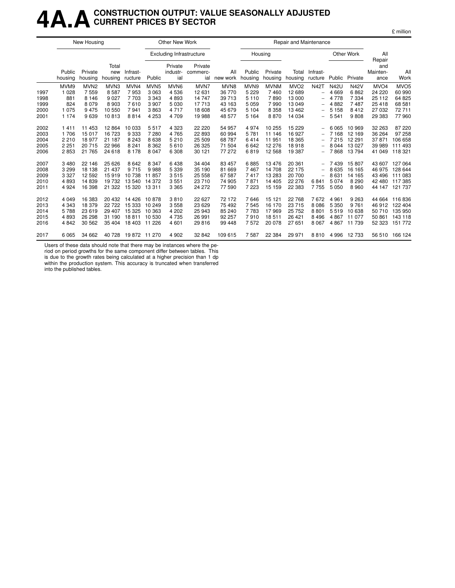### **4A.ACONSTRUCTION OUTPUT: VALUE SEASONALLY ADJUSTED CURRENT PRICES BY SECTOR**

|      |                   | New Housing        |                         |                      |                  | Other New Work                  |                            |                 |                   |                    | Repair and Maintenance |                          |             |             |                         |                  |
|------|-------------------|--------------------|-------------------------|----------------------|------------------|---------------------------------|----------------------------|-----------------|-------------------|--------------------|------------------------|--------------------------|-------------|-------------|-------------------------|------------------|
|      |                   |                    |                         |                      |                  | <b>Excluding Infrastructure</b> |                            |                 |                   | Housing            |                        |                          |             | Other Work  | All<br>Repair           |                  |
|      | Public<br>housing | Private<br>housing | Total<br>new<br>housing | Infrast-<br>ructure  | Public           | Private<br>industr-<br>ial      | Private<br>commerc-<br>ial | All<br>new work | Public<br>housing | Private<br>housing | Total<br>housing       | Infrast-<br>ructure      | Public      | Private     | and<br>Mainten-<br>ance | All<br>Work      |
|      | MVM9              | MVN <sub>2</sub>   | MVN <sub>3</sub>        | MVN4                 | MVN <sub>5</sub> | MVN <sub>6</sub>                | MVN7                       | MVN8            | MVN9              | <b>MVNM</b>        | MVO <sub>2</sub>       | <b>N42T</b>              | <b>N42U</b> | <b>N42V</b> | MVO <sub>4</sub>        | MVO <sub>5</sub> |
| 1997 | 1 0 2 8           | 7559               | 8587                    | 7953                 | 3 0 6 3          | 4536                            | 12 631                     | 36 770          | 5 2 2 9           | 7460               | 12 689                 | $\overline{\phantom{0}}$ | 4 6 6 9     | 6862        | 24 2 20                 | 60 990           |
| 1998 | 881               | 8 1 4 6            | 9 0 2 7                 | 7 7 0 3              | 3 3 4 3          | 4893                            | 14 747                     | 39 713          | 5 1 1 0           | 7890               | 13 000                 | $\overline{\phantom{0}}$ | 4 7 7 8     | 7 3 3 4     | 25 112                  | 64 825           |
| 1999 | 824               | 8 0 7 9            | 8903                    | 7610                 | 3 9 0 7          | 5 0 3 0                         | 17713                      | 43 163          | 5 0 5 9           | 7990               | 13 049                 | -                        | 4882        | 7487        | 25 4 18                 | 68 581           |
| 2000 | 1 0 7 5           | 9475               | 10 550                  | 7941                 | 3863             | 4717                            | 18 608                     | 45 679          | 5 1 0 4           | 8 3 5 8            | 13 4 62                | -                        | 5 1 5 8     | 8412        | 27 032                  | 72 711           |
| 2001 | 1 1 7 4           | 9639               | 10813                   | 8814                 | 4 2 5 3          | 4709                            | 19 988                     | 48 577          | 5 1 6 4           | 8870               | 14 0 34                | -                        | 5 5 4 1     | 9808        | 29 383                  | 77 960           |
| 2002 | 1411              | 11 453             | 12 8 64                 | 10 033               | 5517             | 4 3 2 3                         | 22 2 20                    | 54 957          | 4974              | 10 255             | 15 2 29                | $\overline{\phantom{0}}$ | 6 0 6 5     | 10 969      | 32 263                  | 87 220           |
| 2003 | 1 706             | 15 017             | 16 723                  | 9 3 3 3              | 7 2 8 0          | 4765                            | 22 893                     | 60 994          | 5781              | 11 146             | 16 927                 |                          | 7 1 6 8     | 12 169      | 36 264                  | 97 258           |
| 2004 | 2 2 1 0           | 18977              | 21 187                  | 8 2 4 3              | 8 6 3 8          | 5 2 1 0                         | 25 509                     | 68 787          | 6414              | 11951              | 18 3 65                |                          | 7 2 1 5     | 12 291      | 37 871                  | 106 658          |
| 2005 | 2 2 5 1           | 20715              | 22 966                  | 8 2 4 1              | 8 3 6 2          | 5610                            | 26 3 25                    | 71 504          | 6642              | 12 276             | 18918                  | $\overline{\phantom{0}}$ | 8 0 4 4     | 13 0 27     | 39 989                  | 111 493          |
| 2006 | 2853              | 21 7 65            | 24 618                  | 8 1 7 8              | 8 0 4 7          | 6 3 0 8                         | 30 121                     | 77 272          | 6819              | 12 5 68            | 19 387                 | $\overline{\phantom{0}}$ | 7868        | 13794       | 41 049                  | 118 321          |
| 2007 | 3 4 8 0           | 22 14 6            | 25 6 26                 | 8 6 4 2              | 8 3 4 7          | 6438                            | 34 404                     | 83 457          | 6885              | 13476              | 20 361                 | -                        | 7439        | 15 807      | 43 607                  | 127 064          |
| 2008 | 3 2 9 9           | 18 138             | 21 437                  | 9 7 1 5              | 9988             | 5 3 3 9                         | 35 190                     | 81 669          | 7467              | 14 708             | 22 175                 | -                        | 8 6 3 5     | 16 165      | 46 975                  | 128 644          |
| 2009 | 3 3 2 7           | 12 5 9 2           | 15919                   | 10 738               | 11857            | 3515                            | 25 558                     | 67 587          | 7417              | 13 283             | 20 700                 | $\overline{\phantom{0}}$ | 8631        | 14 165      | 43 496                  | 111 083          |
| 2010 | 4893              | 14839              | 19 732                  | 13 540               | 14 372           | 3551                            | 23 710                     | 74 905          | 7871              | 14 4 05            | 22 276                 | 6841                     | 5 0 7 4     | 8 2 9 0     | 42 480                  | 117 385          |
| 2011 | 4 9 2 4           | 16 398             | 21 3 22                 | 15 3 20              | 13 311           | 3 3 6 5                         | 24 272                     | 77 590          | 7 2 2 3           | 15 15 9            | 22 3 8 3               | 7755                     | 5 0 5 0     | 8 9 6 0     | 44 147                  | 121 737          |
| 2012 | 4 0 4 9           | 16 383             | 20 432                  | 14 4 26              | 10878            | 3810                            | 22 627                     | 72 172          | 7646              | 15 121             | 22 768                 | 7672                     | 4 9 6 1     | 9 2 6 3     | 44 664                  | 116836           |
| 2013 | 4 3 4 3           | 18 379             | 22722                   | 15 333               | 10 249           | 3558                            | 23 6 29                    | 75 492          | 7545              | 16 170             | 23 715                 | 8 0 8 6                  | 5 3 5 0     | 9 7 6 1     | 46 912                  | 122 404          |
| 2014 | 5788              | 23 619             | 29 407                  | 15 3 25              | 10 363           | 4 202                           | 25 943                     | 85 240          | 7783              | 17969              | 25 752                 | 8801                     | 5519        | 10 638      | 50 710                  | 135 950          |
| 2015 | 4893              | 26 298             | 31 190                  | 18811                | 10 530           | 4735                            | 26 991                     | 92 257          | 7910              | 18511              | 26 4 21                | 8 4 9 6                  | 4 8 6 7     | 11 077      | 50 861                  | 143 118          |
| 2016 | 4842              | 30 562             | 35 404                  | 18 403               | 11 226           | 4 601                           | 29816                      | 99 448          | 7572              | 20 078             | 27 651                 | 8 0 6 7                  | 4867        | 11 739      | 52 323                  | 151 772          |
| 2017 | 6 0 6 5           | 34 662             |                         | 40 728 19 872 11 270 |                  | 4 9 0 2                         | 32 842                     | 109 615         | 7587              | 22 3 84            | 29 971                 | 8810                     | 4 9 9 6     | 12 733      |                         | 56 510 166 124   |

Users of these data should note that there may be instances where the pe-

riod on period growths for the same component differ between tables. This is due to the growth rates being calculated at a higher precision than 1 dp

within the production system. This accuracy is truncated when transferred into the published tables.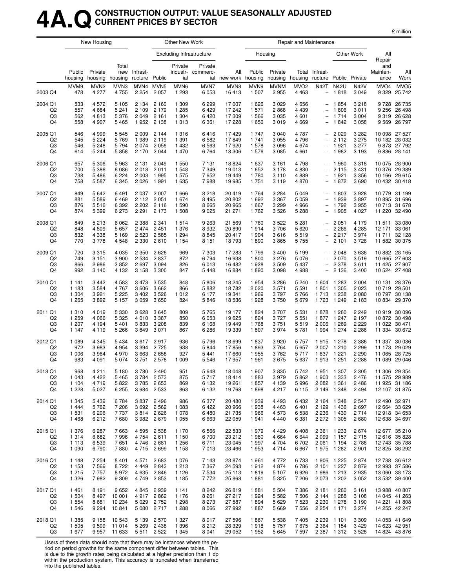### **4A.QCONSTRUCTION OUTPUT: VALUE SEASONALLY ADJUSTED CURRENT PRICES BY SECTOR**

|  | million |
|--|---------|
|  |         |

|                                       |                                          | New Housing                              |                                       |                                       |                                                      | Other New Work                           |                                          |                                        |                                   |                                          | Repair and Maintenance                   |                                                                           |                                                               |                                          |                             |                                                                  |
|---------------------------------------|------------------------------------------|------------------------------------------|---------------------------------------|---------------------------------------|------------------------------------------------------|------------------------------------------|------------------------------------------|----------------------------------------|-----------------------------------|------------------------------------------|------------------------------------------|---------------------------------------------------------------------------|---------------------------------------------------------------|------------------------------------------|-----------------------------|------------------------------------------------------------------|
|                                       |                                          |                                          |                                       |                                       |                                                      |                                          | <b>Excluding Infrastructure</b>          |                                        | Housing                           |                                          |                                          |                                                                           |                                                               | Other Work                               | All<br>Repair               |                                                                  |
|                                       | Public<br>housing                        | Private<br>housing                       | Total<br>new<br>housing               | Infrast-<br>ructure Public            |                                                      | Private<br>ial                           | Private<br>industr- commerc-             | All<br>ial new work housing            | Public                            | Private                                  | Total<br>housing housing                 | Infrast-<br>ructure                                                       |                                                               | Public Private                           | and<br>Mainten-<br>ance     | All<br>Work                                                      |
| 2003 Q4                               | MVM9<br>478                              | MVN <sub>2</sub><br>4 2 7 7              | MVN3<br>4755                          | MVN4<br>2 2 5 4                       | MVN <sub>5</sub><br>2 0 5 7                          | MVN6<br>1 2 9 3                          | MVN7<br>6 0 5 3                          | MVN8<br>16413                          | MVN9<br>1 507                     | <b>MVNM</b><br>2955                      | MVO <sub>2</sub><br>4 4 6 3              | <b>N42T</b><br>$\overline{\phantom{0}}$                                   | <b>N42U</b><br>1818                                           | <b>N42V</b><br>3 0 4 9                   | MVO <sub>4</sub><br>9 3 2 9 | MVO <sub>5</sub><br>25 742                                       |
| 2004 Q1<br>Q <sub>2</sub><br>Q3<br>Q4 | 533<br>557<br>562<br>558                 | 4 5 7 2<br>4 6 8 4<br>4813<br>4 9 0 7    | 5 1 0 5<br>5 2 4 1<br>5 3 7 6<br>5465 | 2 1 3 4<br>2 1 0 9<br>2049            | 2 1 6 0<br>2 1 7 9<br>2 1 6 1<br>1952 2138           | 1 3 0 9<br>1 2 8 5<br>1 3 0 4<br>1 3 1 3 | 6 2 9 9<br>6429<br>6420<br>6 3 6 1       | 17 007<br>17 242<br>17 309<br>17 228   | 1626<br>1 571<br>1566<br>1 650    | 3 0 2 9<br>2868<br>3 0 3 5<br>3019       | 4656<br>4 4 3 9<br>4 601<br>4 6 6 9      | $\overline{\phantom{0}}$<br>$\overline{\phantom{a}}$<br>$\qquad \qquad -$ | 1854<br>1806<br>1 7 1 4<br>1842                               | 3 2 1 8<br>3 0 1 1<br>3 0 0 4<br>3 0 5 8 | 9 2 5 6<br>9319             | 9 728 26 735<br>26 498<br>26 628<br>9 5 69 26 797                |
| 2005 Q1<br>Q <sub>2</sub><br>Q3<br>Q4 | 546<br>545<br>546<br>614                 | 4 9 9 9<br>5 2 2 4<br>5 2 4 8<br>5 2 4 4 | 5 5 4 5<br>5769<br>5794<br>5858       | 2 0 0 9<br>1989<br>2074<br>2 1 7 0    | 2 1 4 4<br>2 1 1 9<br>2 0 5 6<br>2 0 4 4             | 1 3 1 6<br>1 3 9 1<br>1432<br>1470       | 6416<br>6 5 82<br>6 5 63<br>6764         | 17429<br>17849<br>17920<br>18 306      | 1 7 4 7<br>1 741<br>1 578<br>1576 | 3 0 4 0<br>3 0 5 5<br>3 0 9 6<br>3 0 8 5 | 4 7 8 7<br>4796<br>4674<br>4 6 6 1       | $\overline{\phantom{0}}$<br>$\overline{\phantom{m}}$                      | 2 0 2 9<br>2 1 1 2<br>1921<br>1982                            | 3 2 8 2<br>3 2 7 5<br>3 277<br>3 1 9 3   | 9836                        | 10 098 27 527<br>10 182 28 032<br>9 873 27 792<br>28 141         |
| 2006 Q1<br>Q <sub>2</sub><br>Q3<br>Q4 | 657<br>700<br>738<br>758                 | 5 3 0 6<br>5 3 8 6<br>5486<br>5 5 8 7    | 5963<br>6086<br>6 2 2 4<br>6 3 4 5    | 2 1 3 1<br>2018<br>2 0 0 3<br>2026    | 2 0 4 9<br>2011<br>1995<br>1991                      | 1 550<br>1548<br>1575<br>1635            | 7 1 3 1<br>7 3 4 9<br>7652<br>7988       | 18824<br>19 013<br>19 449<br>19 985    | 1 637<br>1652<br>1780<br>1751     | 3 1 6 1<br>3 1 7 8<br>3 1 1 0<br>3 1 1 9 | 4798<br>4830<br>4889<br>4 8 7 0          | $\overline{\phantom{a}}$<br>$\overline{\phantom{0}}$                      | 1960<br>2 1 1 5<br>1921<br>1872                               | 3318<br>3 4 3 1<br>3 3 5 6<br>3690       |                             | 10 075 28 900<br>10 376 29 389<br>10 166 29 615<br>10 432 30 418 |
| 2007 Q1<br>Q <sub>2</sub><br>Q3<br>Q4 | 849<br>881<br>876<br>874                 | 5 6 4 2<br>5589<br>5516<br>5 3 9 9       | 6491<br>6469<br>6 3 9 2<br>6273       | 2 1 1 2<br>2 2 0 2                    | 2 037 2 007<br>2 0 5 1<br>2 1 1 6<br>2 2 9 1 2 1 7 3 | 1666<br>1674<br>1 5 9 0<br>1 508         | 8218<br>8 4 9 5<br>8665<br>9 0 25        | 20 419<br>20 802<br>20 965<br>21 271   | 1764<br>1692<br>1 667<br>1762     | 3 2 8 4<br>3 3 6 7<br>3 2 9 9<br>3526    | 5 0 4 9<br>5 0 5 9<br>4 9 6 6<br>5 2 8 8 | $\qquad \qquad -$<br>$\overline{\phantom{a}}$<br>$\qquad \qquad -$        | 1803<br>1939<br>1792<br>1 9 0 5                               | 3928<br>3897<br>3955<br>4 0 2 7          | 10895<br>10 713             | 10 779 31 199<br>31 696<br>31 678<br>11 220 32 490               |
| 2008 Q1<br>Q2<br>Q3<br>Q4             | 849<br>848<br>832<br>770                 | 5 2 1 3<br>4809<br>4 3 3 8<br>3778       | 6062<br>5657<br>5 1 6 9<br>4548       | 2 3 8 8<br>2474<br>2 5 2 3<br>2 3 3 0 | 2 3 4 1<br>2 4 5 1<br>2 5 8 5<br>2610                | 1514<br>1 3 7 6<br>1 2 9 4<br>1 1 5 4    | 9 2 6 3<br>8932<br>8845<br>8 1 5 1       | 21 5 69<br>20 890<br>20 417<br>18793   | 1760<br>1914<br>1 904<br>1890     | 3522<br>3706<br>3616<br>3865             | 5 2 8 1<br>5 6 20<br>5519<br>5 7 5 5     | $\overline{\phantom{a}}$<br>$\qquad \qquad -$<br>$\overline{\phantom{a}}$ | 2 0 5 1<br>2 2 6 6<br>2 2 1 7<br>2 1 0 1                      | 4 179<br>4 2 8 5<br>3974<br>3726         | 11 511<br>12 171<br>11 711  | 33 080<br>33 061<br>32 128<br>11 582 30 375                      |
| 2009 Q1<br>Q <sub>2</sub><br>Q3<br>Q4 | 720<br>749<br>866<br>992                 | 3315<br>3 1 5 1<br>2986<br>3 1 4 0       | 4 0 3 5<br>3 9 0 0<br>3852<br>4 1 3 2 | 2 3 5 0<br>2 5 3 4<br>2697<br>3 1 5 8 | 2626<br>2837<br>3 0 9 4<br>3 3 0 0                   | 969<br>872<br>826<br>847                 | 7 303<br>6794<br>6013<br>5448            | 17 283<br>16 938<br>16 482<br>16884    | 1799<br>1800<br>1928<br>1890      | 3 4 0 0<br>3 2 7 6<br>3509<br>3 0 9 8    | 5 1 9 9<br>5 0 7 6<br>5 4 3 7<br>4988    | $\overline{\phantom{m}}$                                                  | 2 0 4 8<br>2 0 7 0<br>2 3 7 8<br>2 1 3 6                      | 3636<br>3519<br>3611<br>3 4 0 0          |                             | 10 882 28 165<br>10 665 27 603<br>11 425 27 907<br>10 524 27 408 |
| 2010 Q1<br>Q <sub>2</sub><br>Q3<br>Q4 | 1 1 4 1<br>1 1 8 3<br>1 304<br>1 2 6 5   | 3442<br>3584<br>3921<br>3892             | 4583<br>4767<br>5 2 2 5<br>5 1 5 7    | 3473<br>3606<br>3 4 0 2<br>3059       | 3 5 3 5<br>3 6 6 2<br>3526<br>3650                   | 848<br>866<br>1012<br>824                | 5806<br>5882<br>6 177<br>5846            | 18 245<br>18782<br>19 341<br>18 536    | 1954<br>2 0 2 0<br>1969<br>1928   | 3 2 8 6<br>3571<br>3797<br>3750          | 5 2 4 0<br>5 5 9 1<br>5766<br>5679       | 1 604<br>1801<br>1713<br>1723                                             | 1 2 8 3<br>1 3 0 5<br>1 2 3 8<br>1 2 4 9                      | 2 0 0 4<br>2 0 2 3<br>2 0 8 0<br>2 1 8 3 | 10719<br>10 797             | 10 131 28 376<br>29 501<br>30 138<br>10 834 29 370               |
| 2011 Q1<br>Q <sub>2</sub><br>Q3<br>Q4 | 1 3 1 0<br>1 2 5 9<br>1 207<br>1 1 4 7   | 4019<br>4 0 6 6<br>4 1 9 4<br>4 1 1 9    | 5 3 3 0<br>5 3 2 5<br>5401<br>5 2 6 6 | 3628<br>4010<br>3833<br>3849          | 3645<br>3 3 8 7<br>3 2 0 8<br>3 0 7 1                | 809<br>850<br>839<br>867                 | 5765<br>6 0 5 3<br>6 1 6 8<br>6 2 8 6    | 19 177<br>19 625<br>19 449<br>19 339   | 1824<br>1824<br>1768<br>1807      | 3707<br>3727<br>3751<br>3974             | 5 5 3 1<br>5 5 5 1<br>5519<br>5 7 8 1    | 1878<br>1877<br>2 0 0 6<br>1994                                           | 1 260<br>1 247<br>1 2 6 9<br>1 2 7 4                          | 2 2 4 9<br>2 1 9 7<br>2 2 2 9<br>2 2 8 6 | 11 334                      | 10 919 30 096<br>10 872 30 498<br>11 022 30 471<br>30 672        |
| 2012 Q1<br>Q2<br>Q3<br>Q4             | 1 0 8 9<br>972<br>1 0 0 6<br>983         | 4 3 4 5<br>3983<br>3964<br>4 0 9 1       | 5434<br>4 9 5 4<br>4970<br>5074       | 3617<br>3 3 9 4<br>3663<br>3751       | 2917<br>2 7 2 5<br>2658<br>2 5 7 8                   | 936<br>938<br>927<br>1 0 0 9             | 5796<br>5844<br>5441<br>5 5 4 6          | 18 699<br>17856<br>17660<br>17957      | 1837<br>1893<br>1955<br>1961      | 3920<br>3764<br>3762<br>3675             | 5 7 5 7<br>5 6 5 7<br>5717<br>5 6 3 7    | 1915<br>2 0 0 7<br>1837                                                   | 1 278<br>1 2 1 0<br>1 2 2 1<br>1913 1251                      | 2 3 8 6<br>2 2 9 9<br>2 2 9 0<br>2 2 8 8 | 11 337<br>11 173<br>11 065  | 30 036<br>29 0 29<br>28 7 25<br>11 089 29 046                    |
| 2013 Q1<br>Q <sub>2</sub><br>Q3<br>Q4 | 968<br>1 0 4 3<br>1 1 0 4<br>1 2 2 8     | 4 2 1 1<br>4 4 2 2<br>4719<br>5 0 2 7    | 5 1 8 0<br>5465<br>5822<br>6 2 5 5    |                                       | 3780 2490<br>3784 2573<br>3785 2653<br>3 984 2 533   | 951<br>875<br>869<br>863                 | 5648<br>5717<br>6 132<br>6 132           | 18 048<br>18414<br>19 261<br>19 768    | 1 907<br>1883<br>1857<br>1898     | 3835<br>3979<br>4 1 3 9<br>4 217         | 5 742<br>5862<br>5996<br>6 1 1 5         |                                                                           | 1951 1307<br>1903 1333<br>2 082 1 361<br>2 149 1 348          | 2 3 0 5<br>2 4 7 6<br>2486<br>2494       |                             | 11 306 29 354<br>11 575 29 989<br>11 925 31 186<br>12 107 31 875 |
| 2014 Q1<br>Q <sub>2</sub><br>Q3<br>Q4 | 1 3 4 5<br>1444<br>1 531<br>1468         | 5439<br>5762<br>6 2 0 6<br>6212          | 6784<br>7 206<br>7737<br>7680         |                                       | 3837 2496<br>3 692 2 562<br>3814 2626<br>3982 2679   | 986<br>1 0 8 3<br>1078<br>1 0 5 5        | 6377<br>6422<br>6480<br>6663             | 20 480<br>20 966<br>21 735<br>22 059   | 1939<br>1938<br>1966<br>1941      | 4 4 9 3<br>4 4 6 3<br>4573<br>4 4 4 0    | 6432<br>6401<br>6 5 3 8<br>6 3 8 1       |                                                                           | 2 164 1 348<br>2 129 1 436<br>2 2 3 6 1 4 3 0<br>2 272 1 305  | 2 5 4 7<br>2697<br>2714<br>2680          |                             | 12 490 32 971<br>12 664 33 629<br>12 918 34 653<br>12 638 34 697 |
| 2015 Q1<br>Q2<br>Q3<br>Q4             | 1 3 7 6<br>1 3 1 4<br>1 1 1 3<br>1 0 9 0 | 6 2 8 7<br>6682<br>6539<br>6790          | 7663<br>7996<br>7651<br>7880          | 4 7 5 4                               | 4 5 95 2 5 38<br>2 6 1 1<br>4746 2681<br>4715 2699   | 1 1 7 0<br>1 1 5 0<br>1 2 5 6<br>1 1 5 8 | 6566<br>6700<br>6711<br>7013             | 22 533<br>23 21 2<br>23 045<br>23 4 66 | 1979<br>1980<br>1997<br>1953      | 4 4 2 9<br>4 6 64<br>4 704<br>4714       | 6408<br>6644<br>6702<br>6 6 6 7          | 2 3 6 1<br>2 0 9 9                                                        | 1 2 3 3<br>1 1 5 7<br>2 061 1 194<br>1975 1282                | 2674<br>2715<br>2786<br>2 9 0 1          |                             | 12 677 35 210<br>12 616 35 828<br>12 743 35 788<br>12 825 36 292 |
| 2016 Q1<br>Q <sub>2</sub><br>Q3<br>Q4 | 1 1 4 8<br>1 1 5 3<br>1 2 1 5<br>1 3 2 6 | 7 2 5 4<br>7569<br>7757<br>7982          | 8401<br>8722<br>8972<br>9 3 0 9       | 4 4 4 9                               | 4571 2683<br>2843<br>4 635 2 846<br>4 749 2 853      | 1076<br>1 2 1 3<br>1 1 2 6<br>1 1 8 5    | 7 1 4 3<br>7 3 6 7<br>7 5 34<br>7772     | 23 874<br>24 5 93<br>25 113<br>25 868  | 1961<br>1912<br>1819<br>1881      | 4 7 7 2<br>4874<br>5 107<br>5 3 2 5      | 6733<br>6786<br>6926<br>7 206            |                                                                           | 1906 1225<br>2 101 1 227<br>1986 1213<br>2 073 1 202          | 2874<br>2879<br>2935<br>3 0 5 2          |                             | 12 738 36 612<br>12 993 37 586<br>13 060 38 173<br>13 532 39 400 |
| 2017 Q1<br>Q <sub>2</sub><br>Q3<br>Q4 | 1461<br>1 504<br>1 5 5 4<br>1 546        | 8 1 9 1<br>8497<br>8681<br>9 2 9 4       | 9652<br>10 001<br>10 234<br>10841     | 5 0 2 9                               | 4845 2939<br>4917 2862<br>2 752<br>5 080 2 717       | 1 1 4 1<br>1 1 7 6<br>1 2 9 8<br>1 2 8 8 | 8 2 4 2<br>8 2 6 1<br>8 2 7 3<br>8 0 6 6 | 26 819<br>27 217<br>27 587<br>27 992   | 1881<br>1924<br>1894<br>1887      | 5 5 0 4<br>5 5 8 2<br>5629<br>5 6 6 9    | 7 3 8 6<br>7 5 0 6<br>7 5 23<br>7 5 5 6  |                                                                           | 2 181 1 260<br>2 144 1 288<br>2 2 30 1 2 78<br>2 2 54 1 1 7 1 | 3 1 6 1<br>3 1 0 8<br>3 1 9 0<br>3 2 7 4 |                             | 13 988 40 807<br>14 045 41 263<br>14 221 41 808<br>14 255 42 247 |
| 2018 Q1<br>Q2<br>Q3                   | 1 3 8 5<br>1 505<br>1677                 | 9 1 5 8<br>9509<br>9957                  | 10 543<br>11 014<br>11 633            | 5 1 3 9<br>5 2 6 9                    | 2 5 7 0<br>2438<br>5 5 1 1 2 5 2 2                   | 1 3 2 7<br>1 3 9 6<br>1 3 4 5            | 8017<br>8 2 1 2<br>8 0 4 1               | 27 596<br>28 3 29<br>29 0 52           | 1867<br>1918<br>1952              | 5 5 3 8<br>5 7 5 7<br>5 6 4 5            | 7 4 0 5<br>7675<br>7597                  | 2 2 3 9                                                                   | 1 101<br>2 3 64 1 1 54<br>2 387 1 312                         | 3 3 0 9<br>3 4 2 9<br>3528               |                             | 14 053 41 649<br>14 623 42 951<br>14 824 43 876                  |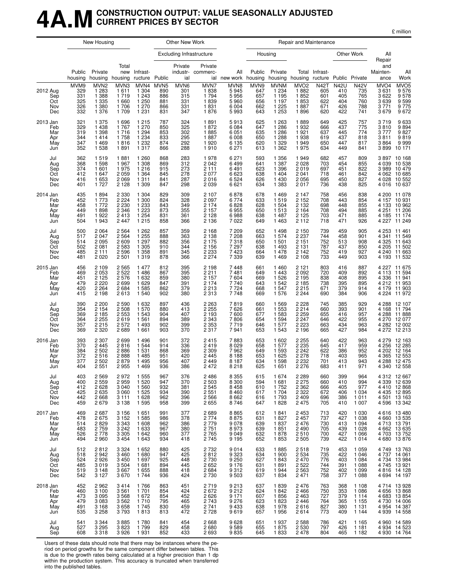### **4A.MCONSTRUCTION OUTPUT: VALUE SEASONALLY ADJUSTED CURRENT PRICES BY SECTOR**

| million |
|---------|
|---------|

|                                             |                                         | New Housing                                                              |                                                                          |                                                                 |                                                     | Other New Work                          |                                                                           |                                                             |                                         |                                                                  | Repair and Maintenance                                                                 |                                          |                                                |                                                                |                                                               |                                                                                                    |
|---------------------------------------------|-----------------------------------------|--------------------------------------------------------------------------|--------------------------------------------------------------------------|-----------------------------------------------------------------|-----------------------------------------------------|-----------------------------------------|---------------------------------------------------------------------------|-------------------------------------------------------------|-----------------------------------------|------------------------------------------------------------------|----------------------------------------------------------------------------------------|------------------------------------------|------------------------------------------------|----------------------------------------------------------------|---------------------------------------------------------------|----------------------------------------------------------------------------------------------------|
|                                             |                                         |                                                                          |                                                                          |                                                                 |                                                     |                                         | <b>Excluding Infrastructure</b>                                           |                                                             |                                         | Housing                                                          |                                                                                        |                                          |                                                | Other Work                                                     | All<br>Repair                                                 |                                                                                                    |
|                                             | Public<br>housing                       | Private                                                                  | Total<br>new<br>housing housing                                          | Infrast-<br>ructure                                             | Public                                              | Private<br>ial                          | Private<br>industr- commerc-                                              | All<br>ial new work housing                                 | Public                                  | Private<br>housing housing                                       |                                                                                        | Total Infrast-<br>ructure Public Private |                                                |                                                                | and<br>Mainten-<br>ance                                       | All<br>Work                                                                                        |
| 2012 Aug<br>Sep<br>Oct<br>Nov<br>Dec        | MVM9<br>329<br>331<br>325<br>326<br>332 | MVN <sub>2</sub><br>1 2 8 3<br>1 3 8 8<br>1 335<br>1 380<br>1 3 7 6      | MVN3<br>1611<br>1719<br>1 6 6 0<br>1 706<br>1 709                        | MVN4<br>1 3 0 4<br>1 2 4 3<br>1 250<br>1 270<br>1 2 3 1         | MVN <sub>5</sub><br>890<br>886<br>881<br>866<br>831 | MVN6<br>301<br>315<br>331<br>331<br>347 | MVN7<br>1838<br>1 7 9 4<br>1839<br>1831<br>1876                           | MVN8<br>5945<br>5956<br>5960<br>6 0 0 4<br>5993             | MVN9<br>647<br>657<br>656<br>662<br>643 | <b>MVNM</b><br>1 2 3 4<br>1 1 9 5<br>1 1 9 7<br>1 225<br>1 2 5 3 | MVO <sub>2</sub><br>1882<br>1852<br>1853<br>1887<br>1896                               | N42T<br>605<br>601<br>622<br>671<br>620  | <b>N42U</b><br>410<br>405<br>404<br>426<br>422 | <b>N42V</b><br>735<br>765<br>760<br>788<br>741                 | MVO <sub>4</sub><br>3 6 31<br>3 6 2 2<br>3639<br>3771<br>3679 | MVO5<br>9576<br>9578<br>9599<br>9775<br>9672                                                       |
| 2013 Jan<br>Feb<br>Mar<br>Apr<br>May<br>Jun | 321<br>329<br>319<br>344<br>347<br>352  | 1 375<br>1438<br>1 3 9 8<br>1414<br>1469<br>1538                         | 1696<br>1767<br>1716<br>1758<br>1816<br>1891                             | 1 2 1 5<br>1 270<br>1 294<br>1 234<br>1 2 3 2<br>1 3 1 7        | 787<br>850<br>853<br>833<br>874<br>866              | 324<br>325<br>302<br>295<br>292<br>288  | 1891<br>1872<br>1885<br>1887<br>1920<br>1910                              | 5913<br>6 0 8 4<br>6 0 5 1<br>6 0 0 8<br>6 1 3 5<br>6 2 7 1 | 625<br>647<br>635<br>650<br>620<br>613  | 1 2 6 3<br>1 2 8 6<br>1 2 8 6<br>1 2 8 8<br>1 3 2 9<br>1 3 6 2   | 1889<br>1932<br>1921<br>1 938<br>1949<br>1975                                          | 649<br>666<br>637<br>619<br>650<br>634   | 425<br>437<br>445<br>437<br>447<br>449         | 757<br>775<br>774<br>818<br>817<br>841                         | 3719<br>3810<br>3777<br>3811<br>3864                          | 9 633<br>9 894<br>9827<br>9819<br>9999<br>3 899 10 171                                             |
| Jul<br>Aug<br>Sep<br>Oct<br>Nov<br>Dec      | 362<br>368<br>374<br>412<br>416<br>401  | 1519<br>1598<br>1 601<br>1647<br>1653<br>1727                            | 1881<br>1967<br>1975<br>2 0 5 9<br>2 0 6 9<br>2 1 2 8                    | 1 2 6 0<br>1 3 0 8<br>1216<br>1 3 6 4<br>1 3 1 1<br>1 3 0 9     | 868<br>869<br>915<br>845<br>841<br>847              | 283<br>312<br>273<br>278<br>287<br>298  | 1978<br>2 0 4 2<br>2 1 1 1<br>2 0 7 7<br>2016<br>2 0 3 9                  | 6 2 7 1<br>6499<br>6491<br>6 6 23<br>6524<br>6 6 21         | 593<br>641<br>623<br>638<br>626<br>634  | 1 3 5 6<br>1 3 8 7<br>1 3 9 6<br>1 4 0 4<br>1 4 3 0<br>1 3 8 3   | 1949<br>2 028<br>2 019<br>2 0 4 1<br>2 0 5 6<br>2017                                   | 682<br>703<br>697<br>718<br>695<br>736   | 457<br>454<br>451<br>461<br>450<br>438         | 809<br>855<br>822<br>842<br>827<br>825                         | 4 0 3 9<br>3989<br>4 0 28<br>4 0 1 6                          | 3 897 10 168<br>10 538<br>10 479<br>4 062 10 685<br>10 552<br>10 637                               |
| 2014 Jan<br>Feb<br>Mar<br>Apr<br>May<br>Jun | 435<br>452<br>458<br>449<br>491<br>504  | 1894<br>1 773<br>1772<br>1898<br>1922<br>1943                            | 2 3 3 0<br>2 2 2 4<br>2 2 3 0<br>2 3 4 6<br>2 4 1 3<br>2 4 4 7           | 1 304<br>1 300<br>1 2 3 3<br>1 223<br>1 254<br>1 2 1 5          | 829<br>824<br>843<br>873<br>831<br>858              | 309<br>328<br>349<br>355<br>361<br>366  | 2 107<br>2 0 9 7<br>2 1 7 4<br>2 1 5 7<br>2 1 2 8<br>2 1 3 6              | 6878<br>6774<br>6828<br>6955<br>6988<br>7022                | 678<br>633<br>628<br>650<br>638<br>649  | 1469<br>1519<br>1 504<br>1513<br>1 4 8 7<br>1 4 6 3              | 2 147<br>$\overline{2}$ 152<br>2 1 3 2<br>2 1 6 4<br>2 125<br>2 1 1 2                  | 758<br>708<br>698<br>708<br>703<br>718   | 456<br>443<br>448<br>494<br>471<br>471         | 838<br>854<br>855<br>885<br>885<br>926                         | 4 185                                                         | 4 200 11 078<br>4 157 10 931<br>4 133 10 962<br>4 251 11 206<br>$11\overline{174}$<br>4 227 11 249 |
| Jul<br>Aug<br>Sep<br>Oct<br>Nov<br>Dec      | 500<br>517<br>514<br>502<br>485<br>481  | 2064<br>2 0 4 7<br>2095<br>2081<br>2 1 1 1<br>2020                       | 2 5 6 4<br>2 5 6 4<br>2 609<br>2 5 8 3<br>2 5 9 6<br>2 5 0 1             | 1 2 6 2<br>1 2 5 5<br>1 2 9 7<br>$1\,305$<br>1 3 5 8<br>1 3 1 9 | 857<br>888<br>882<br>910<br>891<br>878              | 359<br>363<br>356<br>344<br>345<br>366  | 2 1 6 8<br>2 1 3 8<br>2 1 7 5<br>$\overline{2}$ 156<br>2 2 3 3<br>2 2 7 4 | 7 209<br>7 2 0 8<br>7318<br>7297<br>7423<br>7 3 3 9         | 652<br>663<br>650<br>638<br>664<br>639  | 1498<br>1 5 7 4<br>1 501<br>1 4 9 3<br>1478<br>1469              | 2 150<br>2 2 3 7<br>2 151<br>2 131<br>2 1 4 2<br>2 108                                 | 739<br>744<br>752<br>787<br>752<br>733   | 459<br>458<br>513<br>437<br>419<br>449         | 905<br>901<br>908<br>850<br>927<br>903                         | 4 2 5 3<br>4 3 2 5<br>4 2 0 5<br>4 1 9 3                      | 11 461<br>4 341 11 549<br>11 643<br>11 502<br>4 240 11 663<br>11 532                               |
| 2015 Jan<br>Feb<br>Mar<br>Apr<br>May<br>Jun | 456<br>469<br>451<br>479<br>420<br>415  | 2 1 0 9<br>2053<br>2125<br>2 2 2 0<br>2 2 6 4<br>2 198                   | 2565<br>2 5 2 2<br>2 576<br>2699<br>2 6 8 4<br>2613                      | 1 477<br>1486<br>1 6 3 2<br>1 6 2 9<br>1585<br>1540             | 812<br>867<br>859<br>847<br>862<br>902              | 395<br>395<br>380<br>391<br>379<br>380  | 2 1 9 8<br>2 211<br>2 157<br>2 1 7 4<br>2213<br>2 3 1 3                   | 7448<br>7481<br>7604<br>7740<br>7 724<br>7 748              | 661<br>649<br>669<br>643<br>668<br>669  | 1 4 6 0<br>1 4 4 3<br>1 5 2 6<br>1 5 4 2<br>1 5 4 7<br>1 576     | 2 1 2 1<br>2 0 9 2<br>2 195<br>2 1 8 5<br>2 2 1 5<br>2 2 4 4                           | 803<br>720<br>838<br>738<br>671<br>690   | 416<br>409<br>408<br>395<br>379<br>384         | 887<br>892<br>895<br>895<br>914<br>906                         | 4 1 1 3<br>4 3 3 6<br>4 1 7 9<br>4 2 2 4                      | 4 227 11 675<br>11 594<br>11 941<br>4 212 11 953<br>11 903<br>11 972                               |
| Jul<br>Aug<br>Sep<br>Oct<br>Nov<br>Dec      | 390<br>354<br>369<br>364<br>357<br>369  | 2 2 0 0<br>$2\overline{154}$<br>2 1 8 5<br>2 2 5 5<br>2 2 1 5<br>2 3 2 0 | 2 5 9 0<br>2 508<br>2 5 5 3<br>2619<br>2 5 7 2<br>2689                   | 1 632<br>1 570<br>1 5 4 3<br>1 5 6 1<br>1 4 9 3<br>1 661        | 897<br>880<br>904<br>894<br>902<br>903              | 436<br>413<br>407<br>389<br>399<br>370  | 2 263<br>2 255<br>2 1 9 3<br>2 3 4 3<br>2353<br>2 3 1 7                   | 7819<br>7626<br>7600<br>7806<br>7719<br>7941                | 660<br>661<br>677<br>654<br>646<br>653  | 1 5 6 9<br>1 553<br>1 5 8 3<br>1 5 9 4<br>1577<br>1 5 4 3        | 2 2 2 8<br>$\overline{2}$ $\overline{214}$<br>2 2 5 9<br>2 2 4 7<br>2 2 2 3<br>2 1 9 6 | 745<br>660<br>655<br>646<br>663<br>665   | 385<br>393<br>416<br>422<br>434<br>427         | 929<br>901<br>957<br>955<br>963<br>984                         | 4 2 7 0<br>4 2 8 2                                            | 4 288 12 107<br>4 168 11 794<br>4 288 11 888<br>12 077<br>12 002<br>4 272 12 213                   |
| 2016 Jan<br>Feb<br>Mar<br>Apr<br>May<br>Jun | 393<br>370<br>384<br>372<br>377<br>404  | 2 3 0 7<br>2 4 4 5<br>2 5 0 2<br>2516<br>2 5 0 2<br>2551                 | 2699<br>2816<br>2886<br>2888<br>2879<br>2955                             | 1496<br>1 544<br>1 5 3 1<br>1 4 8 5<br>1495<br>1469             | 901<br>914<br>868<br>951<br>956<br>936              | 372<br>336<br>369<br>420<br>407<br>386  | 2415<br>2419<br>2 3 0 9<br>$\overline{2}$ 445<br>2 4 4 9<br>2 4 7 2       | 7883<br>8 0 2 9<br>7962<br>8 1 8 8<br>8 1 8 7<br>8218       | 653<br>658<br>649<br>653<br>634<br>625  | 1 602<br>1577<br>1 5 9 3<br>1625<br>1 5 9 8<br>1 651             | 2 2 5 5<br>2 2 3 5<br>2 2 4 2<br>$\overline{2}$ $\overline{278}$<br>2 2 3 2<br>2 2 7 6 | 640<br>645<br>622<br>718<br>701<br>683   | 422<br>417<br>386<br>403<br>413<br>411         | 963<br>959<br>952<br>965<br>943<br>971                         | 4 2 5 6<br>4 202                                              | 4 279 12 163<br>12 285<br>12 164<br>4 365 12 553<br>4 288 12 475<br>4 340 12 558                   |
| Jul<br>Aug<br>Sep<br>Oct<br>Nov<br>Dec      | 403<br>400<br>412<br>425<br>442<br>459  | 2569<br>2 559<br>2 628<br>2635<br>2668<br>2 6 7 9                        | 2972<br>2959<br>3040<br>3 0 6 0<br>3 1 1 1<br>3 1 3 8                    | 1 5 5 5<br>1 520<br>1 560<br>1 5 2 5<br>1 628<br>1 595          | 967<br>947<br>932<br>934<br>962<br>958              | 376<br>370<br>381<br>390<br>396<br>399  | 2486<br>2 503<br>2 545<br>2 5 5 1<br>2 566<br>2 655                       | 8 3 5 5<br>8 300<br>8 458<br>8 4 6 0<br>8 662<br>8 746      | 615<br>594<br>610<br>617<br>616<br>647  | 1 674<br>1 681<br>1 752<br>1 704<br>1 793<br>1 828               | 2 2 8 9<br>2 275<br>2 362<br>2 3 2 2<br>2 4 0 9<br>2 475                               | 660<br>660<br>666<br>672<br>696<br>705   | 399<br>410<br>405<br>406<br>386<br>410         | 964<br>994<br>977<br>1 0 3 4<br>1011<br>1 0 0 7                |                                                               | 4 312 12 667<br>4 339 12 639<br>4 410 12 868<br>4 4 35 12 8 95<br>4 501 13 163<br>4 596 13 342     |
| 2017 Jan<br>Feb<br>Mar<br>Apr<br>May<br>Jun | 469<br>478<br>514<br>483<br>526<br>494  | 2687<br>2675<br>2829<br>2759<br>2778<br>2960                             | 3 1 5 6<br>3 1 5 2<br>3 3 4 3<br>3 2 4 2<br>$3\overline{3}05$<br>3 4 5 4 | 1 651<br>1 585<br>1 608<br>1 633<br>1 642<br>1 643              | 991<br>986<br>962<br>967<br>960<br>934              | 377<br>378<br>386<br>380<br>377<br>418  | 2689<br>2 7 7 4<br>2 7 7 9<br>2751<br>2765<br>2 7 4 5                     | 8865<br>8875<br>9078<br>8973<br>9049<br>9 1 9 5             | 612<br>631<br>639<br>639<br>632<br>652  | 1841<br>1827<br>1837<br>1851<br>1878<br>1853                     | 2 453<br>2 457<br>2476<br>2 4 9 0<br>2 510<br>2 5 0 5                                  | 713<br>737<br>730<br>705<br>700<br>739   | 420<br>427<br>413<br>439<br>427<br>422         | 1 0 3 0<br>1 0 38<br>1 0 9 4<br>1 0 28<br>1 0 6 6<br>1 0 1 4   |                                                               | 4 616 13 480<br>4 660 13 535<br>4 713 13 791<br>4 662 13 635<br>4 703 13 752<br>4 680 13 876       |
| Jul<br>Aug<br>Sep<br>Oct<br>Nov<br>Dec      | 512<br>518<br>524<br>485<br>519<br>542  | 2812<br>2942<br>2926<br>3019<br>3 1 4 8<br>3 1 2 7                       | 3 3 2 4<br>3 4 6 0<br>3 4 5 0<br>3504<br>3667<br>3670                    | 1 652<br>1680<br>1 6 9 7<br>1681<br>1 655<br>1 744              | 880<br>947<br>925<br>894<br>888<br>936              | 425<br>425<br>448<br>445<br>418<br>424  | 2 7 3 2<br>2812<br>2730<br>2652<br>2684<br>2 7 3 0                        | 9014<br>9 3 2 3<br>9 250<br>9 176<br>9312<br>9503           | 633<br>634<br>627<br>631<br>619<br>637  | 1885<br>1 900<br>1843<br>1891<br>1944<br>1834                    | 2518<br>2 5 3 4<br>2470<br>2 5 2 2<br>2 5 6 3<br>2471                                  | 719<br>735<br>776<br>744<br>752<br>758   | 453<br>422<br>403<br>391<br>402<br>377         | 1 0 5 9<br>1 0 4 6<br>1 0 8 4<br>1 0 8 8<br>1 0 9 9<br>1 0 8 8 |                                                               | 4 749 13 763<br>4 737 14 061<br>4 734 13 984<br>4 745 13 921<br>4 8 16 14 128<br>4 694 14 197      |
| 2018 Jan<br>Feb<br>Mar<br>Apr<br>May<br>Jun | 452<br>460<br>473<br>479<br>491<br>535  | 2962<br>3 100<br>3 0 9 5<br>3 0 8 3<br>3 1 6 8<br>3 2 5 8                | 3414<br>3561<br>3568<br>3562<br>3658<br>3793                             | 1766<br>1701<br>1672<br>1710<br>1745<br>1813                    | 863<br>854<br>854<br>795<br>830<br>813              | 451<br>424<br>452<br>465<br>459<br>472  | 2719<br>2672<br>2 6 2 6<br>2 7 4 3<br>2 7 4 1<br>2728                     | 9 2 1 3<br>9 212<br>9 171<br>9 2 7 6<br>9433<br>9619        | 637<br>624<br>607<br>623<br>638<br>657  | 1839<br>1842<br>1856<br>1823<br>1978<br>1956                     | 2476<br>2466<br>2 4 6 3<br>2 4 4 6<br>2616<br>2 614                                    | 763<br>750<br>727<br>764<br>827<br>773   | 368<br>353<br>379<br>365<br>380<br>409         | 1 1 0 8<br>1 0 8 6<br>1 1 1 4<br>1 1 5 5<br>1 1 3 1<br>1 1 4 4 |                                                               | 4 714 13 928<br>4 656 13 868<br>4 683 13 854<br>4 730 14 006<br>4 954 14 387<br>4 939 14 558       |
| Jul<br>Aug<br>Sep                           | 541<br>527<br>608                       | 3 3 4 4<br>3 2 9 5<br>3318                                               | 3885<br>3823<br>3926                                                     | 1780<br>1799<br>1931                                            | 841<br>829<br>852                                   | 454<br>458<br>433                       | 2 6 6 8<br>2680<br>2 6 9 3                                                | 9628<br>9589<br>9835                                        | 651<br>655<br>645                       | 1937<br>1875<br>1833                                             | 2 588<br>2 530<br>2478                                                                 | 786<br>797<br>804                        | 421<br>426<br>465                              | 1 1 6 5<br>1 1 8 1<br>1 1 8 2                                  |                                                               | 4 960 14 589<br>4 934 14 523<br>4 930 14 764                                                       |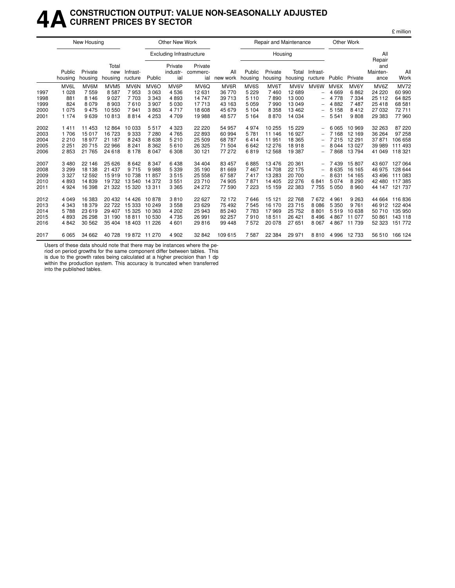### **4ACONSTRUCTION OUTPUT: VALUE NON-SEASONALLY ADJUSTED CURRENT PRICES BY SECTOR**

|      |                   | New Housing        |                         |                     |                   | <b>Other New Work</b>           |                            |                 |                   |                    | Repair and Maintenance |                          |         | Other Work |                                   |                |
|------|-------------------|--------------------|-------------------------|---------------------|-------------------|---------------------------------|----------------------------|-----------------|-------------------|--------------------|------------------------|--------------------------|---------|------------|-----------------------------------|----------------|
|      |                   |                    |                         |                     |                   | <b>Excluding Infrastructure</b> |                            |                 |                   | Housing            |                        |                          |         |            | All                               |                |
|      | Public<br>housing | Private<br>housing | Total<br>new<br>housing | Infrast-<br>ructure | Public            | Private<br>industr-<br>ial      | Private<br>commerc-<br>ial | All<br>new work | Public<br>housing | Private<br>housing | Total<br>housing       | Infrast-<br>ructure      | Public  | Private    | Repair<br>and<br>Mainten-<br>ance | All<br>Work    |
|      | MV6L              | MV6M               | MVM <sub>5</sub>        | MV6N                | MV <sub>6</sub> O | MV6P                            | MV <sub>6</sub> Q          | MV6R            | MV6S              | MV6T               | MV6V                   | MV6W                     | MV6X    | MV6Y       | MV6Z                              | <b>MV72</b>    |
| 1997 | 1 0 2 8           | 7559               | 8587                    | 7953                | 3063              | 4536                            | 12 631                     | 36 770          | 5 2 2 9           | 7460               | 12 689                 | $\overline{\phantom{0}}$ | 4669    | 6862       | 24 2 20                           | 60 990         |
| 1998 | 881               | 8 1 4 6            | 9 0 27                  | 7703                | 3 3 4 3           | 4893                            | 14 747                     | 39 713          | 5 1 1 0           | 7890               | 13 000                 | $\qquad \qquad -$        | 4 7 7 8 | 7 3 3 4    | 25 112                            | 64 825         |
| 1999 | 824               | 8 0 7 9            | 8 9 0 3                 | 7610                | 3907              | 5 0 3 0                         | 17713                      | 43 163          | 5 0 5 9           | 7990               | 13 049                 | $\overline{\phantom{0}}$ | 4882    | 7487       | 25 4 18                           | 68 581         |
| 2000 | 1075              | 9475               | 10 550                  | 7941                | 3863              | 4717                            | 18 608                     | 45 679          | 5 1 0 4           | 8 3 5 8            | 13 4 62                | $\overline{\phantom{0}}$ | 5 1 5 8 | 8412       | 27 032                            | 72711          |
| 2001 | 1 1 7 4           | 9639               | 10813                   | 8814                | 4 2 5 3           | 4709                            | 19 988                     | 48 577          | 5 1 6 4           | 8870               | 14 0 34                | $\overline{\phantom{0}}$ | 5 5 4 1 | 9808       | 29 383                            | 77 960         |
| 2002 | 1411              | 11 453             | 12 8 64                 | 10 033              | 5517              | 4 3 2 3                         | 22 2 20                    | 54 957          | 4974              | 10 255             | 15 2 29                | $\overline{\phantom{0}}$ | 6 0 6 5 | 10 969     | 32 263                            | 87 220         |
| 2003 | 1 706             | 15 017             | 16 723                  | 9333                | 7 2 8 0           | 4765                            | 22 893                     | 60 994          | 5781              | 11 146             | 16 927                 | $\overline{\phantom{0}}$ | 7 1 6 8 | 12 169     | 36 264                            | 97 258         |
| 2004 | 2210              | 18 977             | 21 187                  | 8 2 4 3             | 8638              | 5 2 1 0                         | 25 509                     | 68 787          | 6414              | 11 951             | 18 3 65                |                          | 7 2 1 5 | 12 291     | 37871                             | 106 658        |
| 2005 | 2 2 5 1           | 20 715             | 22 966                  | 8 2 4 1             | 8 3 6 2           | 5610                            | 26 3 25                    | 71 504          | 6642              | 12 276             | 18918                  |                          | 8 0 4 4 | 13 0 27    | 39 989                            | 111 493        |
| 2006 | 2853              | 21 765             | 24 618                  | 8 1 7 8             | 8 0 4 7           | 6 308                           | 30 121                     | 77 272          | 6819              | 12 5 68            | 19 387                 | $\qquad \qquad -$        | 7868    | 13794      | 41 049                            | 118 321        |
| 2007 | 3480              | 22 146             | 25 6 26                 | 8642                | 8 3 4 7           | 6438                            | 34 404                     | 83 457          | 6885              | 13476              | 20 361                 | -                        | 7439    | 15807      | 43 607                            | 127 064        |
| 2008 | 3 2 9 9           | 18 138             | 21 437                  | 9715                | 9988              | 5 3 3 9                         | 35 190                     | 81 669          | 7467              | 14 708             | 22 175                 | -                        | 8 6 3 5 | 16 165     | 46 975                            | 128 644        |
| 2009 | 3 3 2 7           | 12 592             | 15919                   | 10738               | 11857             | 3515                            | 25 558                     | 67 587          | 7417              | 13 283             | 20 700                 | $\overline{\phantom{0}}$ | 8631    | 14 165     | 43 496                            | 111 083        |
| 2010 | 4893              | 14 839             | 19732                   | 13 540              | 14 372            | 3551                            | 23 710                     | 74 905          | 7871              | 14 4 05            | 22 276                 | 6841                     | 5 0 7 4 | 8 2 9 0    | 42 480                            | 117385         |
| 2011 | 4924              | 16 398             | 21 3 22                 | 15 320              | 13 3 11           | 3 3 6 5                         | 24 272                     | 77 590          | 7 2 2 3           | 15 159             | 22 383                 | 7755                     | 5 0 5 0 | 8 9 6 0    | 44 147                            | 121 737        |
| 2012 | 4 0 4 9           | 16 383             | 20 432                  | 14 4 26             | 10878             | 3810                            | 22 627                     | 72 172          | 7646              | 15 121             | 22 768                 | 7672                     | 4 9 6 1 | 9 2 6 3    | 44 664                            | 116836         |
| 2013 | 4 3 4 3           | 18 379             | 22722                   | 15 3 3 3            | 10 249            | 3558                            | 23 6 29                    | 75 492          | 7545              | 16 170             | 23 715                 | 8 0 8 6                  | 5 3 5 0 | 9 7 6 1    | 46 912                            | 122 404        |
| 2014 | 5788              | 23 619             | 29 407                  | 15 3 25             | 10 363            | 4 202                           | 25 943                     | 85 240          | 7783              | 17969              | 25 752                 | 8801                     | 5519    | 10 638     | 50 710                            | 135 950        |
| 2015 | 4893              | 26 298             | 31 190                  | 18811               | 10 530            | 4735                            | 26 991                     | 92 257          | 7910              | 18511              | 26 4 21                | 8 4 9 6                  | 4867    | 11 077     | 50 861                            | 143 118        |
| 2016 | 4842              | 30 562             | 35 404                  | 18 403              | 11 226            | 4 601                           | 29 816                     | 99 448          | 7572              | 20 078             | 27 651                 | 8 0 6 7                  | 4 8 6 7 | 11 739     | 52 323                            | 151 772        |
| 2017 | 6065              | 34 662             | 40 728                  | 19 872 11 270       |                   | 4 9 0 2                         | 32 842                     | 109 615         | 7587              | 22 3 84            | 29 971                 | 8810                     | 4 996   | 12 733     |                                   | 56 510 166 124 |

£ million

Users of these data should note that there may be instances where the pe-

riod on period growths for the same component differ between tables. This is due to the growth rates being calculated at a higher precision than 1 dp

within the production system. This accuracy is truncated when transferred into the published tables.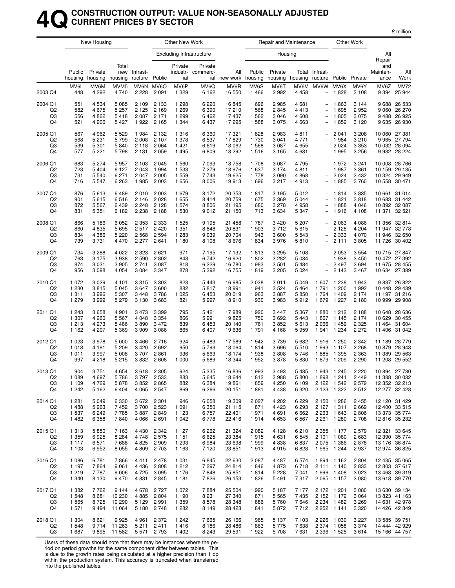### **4QCONSTRUCTION OUTPUT: VALUE NON-SEASONALLY ADJUSTED CURRENT PRICES BY SECTOR**

£ million

|                                                   |                                          | New Housing                              |                                          |                                       |                                              | Other New Work                           |                                        |                                           |                                 | Repair and Maintenance                   |                                      |                                                                                  |                                                                     | Other Work                               |                                |                                                                  |
|---------------------------------------------------|------------------------------------------|------------------------------------------|------------------------------------------|---------------------------------------|----------------------------------------------|------------------------------------------|----------------------------------------|-------------------------------------------|---------------------------------|------------------------------------------|--------------------------------------|----------------------------------------------------------------------------------|---------------------------------------------------------------------|------------------------------------------|--------------------------------|------------------------------------------------------------------|
|                                                   |                                          |                                          |                                          |                                       |                                              |                                          | <b>Excluding Infrastructure</b>        |                                           |                                 | Housing                                  |                                      |                                                                                  |                                                                     |                                          | All<br>Repair                  |                                                                  |
|                                                   | Public<br>housing                        | Private<br>housing                       | Total<br>housing                         | new Infrast-<br>ructure Public        |                                              | Private<br>ial                           | Private<br>industr- commerc-           | All<br>ial new work housing               | Public                          | Private<br>housing                       | housing                              | Total Infrast-<br>ructure Public Private                                         |                                                                     |                                          | and<br>Mainten-<br>ance        | All<br>Work                                                      |
| 2003 Q4                                           | MV6L<br>448                              | MV6M<br>4 2 9 2                          | MVM <sub>5</sub><br>4 7 4 0              | MV6N<br>2 2 2 8                       | MV6O<br>2 0 9 1                              | MV6P<br>1 3 2 9                          | MV6Q<br>6 1 6 2                        | MV6R<br>16 550                            | MV6S<br>1466                    | MV6T<br>2992                             | MV6V<br>4 4 5 8                      | MV6W<br>$\overline{\phantom{0}}$                                                 | MV6X<br>1828                                                        | MV6Y<br>3 1 0 8                          | MV6Z<br>9 3 9 4                | <b>MV72</b><br>25 944                                            |
| 2004 Q1<br>Q <sub>2</sub><br>Q3<br>Q4             | 551<br>582<br>556<br>521                 | 4534<br>4675<br>4862<br>4906             | 5 0 8 5<br>5 2 5 7<br>5418<br>5 4 2 7    | 2 1 0 9<br>2 1 2 5<br>2 0 8 7<br>1922 | 2 1 3 3<br>2 1 6 9<br>2 1 7 1<br>2 1 6 5     | 1 2 9 8<br>1 2 6 9<br>1 2 9 9<br>1 3 4 4 | 6 2 2 0<br>6 3 9 0<br>6462<br>6437     | 16845<br>17210<br>17437<br>17 295         | 1696<br>1568<br>1562<br>1588    | 2985<br>2845<br>3 0 4 6<br>3075          | 4681<br>4413<br>4608<br>4 663        | $\overline{\phantom{0}}$<br>$\overline{\phantom{0}}$                             | 1863<br>1695<br>1805<br>1852                                        | 3 1 4 4<br>2952<br>3 0 7 5<br>3 1 2 0    | 9488                           | 9 688 26 533<br>9 060 26 270<br>26 925<br>9 635 26 930           |
| 2005 Q1<br>Q <sub>2</sub><br>Q <sub>3</sub><br>Q4 | 567<br>568<br>539<br>577                 | 4 9 6 2<br>5 2 3 1<br>5 3 0 1<br>5 2 2 1 | 5 5 2 9<br>5799<br>5840<br>5798          | 1984<br>2 0 0 8<br>2 1 1 8<br>2 1 3 1 | 2 1 3 2<br>2 107<br>2 0 6 4<br>2059          | 1 3 1 6<br>1 378<br>1 4 2 1<br>1 4 9 5   | 6 3 6 0<br>6537<br>6619<br>6809        | 17321<br>17829<br>18 062<br>18 29 2       | 1828<br>1730<br>1568<br>1516    | 2983<br>3 0 4 1<br>3 0 8 7<br>3 1 6 5    | 4811<br>4 771<br>4655<br>4681        | $\overline{\phantom{0}}$<br>$\overline{\phantom{0}}$                             | 2 0 4 1<br>1984<br>2 0 2 4<br>1 9 9 5                               | 3 2 0 8<br>3 2 1 0<br>3 3 5 3<br>3 2 5 6 | 10 060 27 381                  | 9 9 65 27 7 94<br>10 032 28 094<br>9 9 32 28 2 24                |
| 2006 Q1<br>Q <sub>2</sub><br>Q3<br>Q4             | 683<br>723<br>731<br>716                 | 5 2 7 4<br>5404<br>5540<br>5547          | 5957<br>6 1 2 7<br>6 2 7 1<br>6 2 6 3    | 2 1 0 3<br>2 0 4 3<br>2 0 4 7<br>1985 | 2045<br>1994<br>2 0 0 5<br>2 0 0 3           | 1 5 6 0<br>1 5 3 3<br>1 5 5 9<br>1656    | 7 0 9 3<br>7 2 7 9<br>7 743<br>8 0 0 6 | 18758<br>18976<br>19625<br>19913          | 1708<br>1637<br>1778<br>1696    | 3 0 8 7<br>3 1 7 4<br>3 0 9 0<br>3 2 1 7 | 4795<br>4811<br>4868<br>4913         | $\qquad \qquad -$<br>$\overline{\phantom{0}}$<br>$\overline{a}$                  | 1972<br>1987<br>2 0 2 4<br>1885                                     | 3 2 4 1<br>3 3 6 1<br>3432<br>3760       | 10 159<br>10 558 30 471        | 10 008 28 766<br>29 135<br>10 324 29 949                         |
| 2007 Q1<br>Q <sub>2</sub><br>Q3<br>Q4             | 876<br>901<br>872<br>831                 | 5613<br>5615<br>5567<br>5 3 5 1          | 6489<br>6516<br>6439<br>6 182            | 2010<br>2 1 4 6<br>2 2 4 8<br>2 2 3 8 | 2 0 0 3<br>2028<br>2 1 2 8<br>2 1 8 8        | 1679<br>1655<br>1 574<br>1 5 3 0         | 8 1 7 2<br>8414<br>8806<br>9012        | 20 353<br>20759<br>21 195<br>21 150       | 1817<br>1675<br>1680<br>1 7 1 3 | 3 1 9 5<br>3 3 6 9<br>3 2 7 8<br>3634    | 5012<br>5044<br>4958<br>5 3 4 7      | $\overline{a}$<br>$\overline{\phantom{0}}$                                       | 1814<br>1821<br>1888<br>1916                                        | 3835<br>3818<br>4 0 4 6<br>4 108         | 10 661 31 014<br>11 371 32 521 | 10 683 31 442<br>10 892 32 087                                   |
| 2008 Q1<br>Q <sub>2</sub><br>Q <sub>3</sub><br>Q4 | 866<br>860<br>834<br>739                 | 5 1 8 6<br>4835<br>4 3 8 6<br>3731       | 6 0 5 2<br>5695<br>5 2 2 0<br>4 4 7 0    | 2 3 5 3<br>2517<br>2 5 6 8<br>2 2 7 7 | 2 3 3 3<br>2420<br>2594<br>2641              | 1 5 2 5<br>1 3 5 1<br>1 2 8 3<br>1 1 8 0 | 9 1 9 5<br>8848<br>9039<br>8 1 0 8     | 21 458<br>20 831<br>20 704<br>18676       | 1787<br>1 903<br>1943<br>1834   | 3 4 2 0<br>3712<br>3600<br>3976          | 5 207<br>5615<br>5 5 4 3<br>5810     | $\overline{\phantom{0}}$<br>$\overline{\phantom{0}}$<br>$\qquad \qquad -$        | 2 0 6 3<br>2 1 2 8<br>2 3 3 3<br>2 1 1 1                            | 4 0 8 6<br>4 204<br>4 0 7 0<br>3805      | 11 356<br>11 946<br>11726      | 32 814<br>11 947 32 778<br>32 650<br>30 40 2                     |
| 2009 Q1<br>Q <sub>2</sub><br>Q3<br>Q4             | 734<br>763<br>874<br>956                 | 3 2 8 8<br>3 1 7 5<br>3 0 3 1<br>3098    | 4 0 2 2<br>3938<br>3 9 0 5<br>4 0 5 4    | 2 3 2 3<br>2 5 9 0<br>2741<br>3 0 8 4 | 2621<br>2802<br>3 0 8 7<br>3 3 4 7           | 971<br>848<br>818<br>878                 | 7 1 9 5<br>6742<br>6 2 2 9<br>5 3 9 2  | 17 132<br>16920<br>16780<br>16 755        | 1813<br>1802<br>1983<br>1819    | 3 2 9 5<br>3 2 8 2<br>3 5 0 1<br>3 2 0 5 | 5 1 0 8<br>5 0 8 4<br>5484<br>5 0 24 | $\overline{\phantom{0}}$<br>$\overline{\phantom{0}}$<br>$\overline{\phantom{0}}$ | 2 0 5 3<br>1938<br>2497<br>2 1 4 3                                  | 3 5 5 4<br>3 4 5 0<br>3694<br>3 4 6 7    | 10 715 27 847                  | 10 472 27 392<br>11 675 28 455<br>10 634 27 389                  |
| 2010 Q1<br>Q <sub>2</sub><br>Q3<br>Q4             | 1 0 7 2<br>1 2 3 0<br>1 3 1 1<br>1 2 7 9 | 3029<br>3815<br>3996<br>3999             | 4 1 0 1<br>5 0 4 5<br>5 3 0 7<br>5 2 7 9 | 3 3 1 5<br>3647<br>3 4 4 8<br>3 1 3 0 | 3 3 0 3<br>3600<br>3786<br>3683              | 823<br>882<br>1 0 2 5<br>821             | 5 4 4 3<br>5817<br>6453<br>5997        | 16985<br>18 991<br>20 019<br>18910        | 2 0 3 8<br>1941<br>1963<br>1930 | 3 0 1 1<br>3524<br>3887<br>3983          | 5 0 4 9<br>5464<br>5850<br>5912      | 1607<br>1791<br>1764<br>1679                                                     | 1 2 3 8<br>1 200<br>1 4 0 9<br>1 2 2 7                              | 1943<br>1 9 9 2<br>2 1 7 4<br>2 1 8 0    | 10 448<br>11 197               | 9 837 26 822<br>29 439<br>31 216<br>10 999 29 908                |
| 2011 Q1<br>Q <sub>2</sub><br>Q <sub>3</sub><br>Q4 | 1 2 4 3<br>1 307<br>1 2 1 3<br>1 1 6 2   | 3658<br>4 2 6 0<br>4 2 7 3<br>4 207      | 4 901<br>5 5 6 7<br>5486<br>5 3 6 9      | 3 4 7 3<br>4 0 4 8<br>3890<br>3 9 0 9 | 3 3 9 9<br>3 3 5 4<br>3472<br>3086           | 795<br>866<br>839<br>865                 | 5 4 21<br>5991<br>6 4 5 3<br>6407      | 17989<br>19825<br>20 140<br>19636         | 1920<br>1750<br>1761<br>1791    | 3 4 4 7<br>3692<br>3852<br>4 1 6 8       | 5 3 6 7<br>5443<br>5613<br>5959      | 1880<br>1867<br>2066<br>1941                                                     | 1 2 1 2<br>1 1 4 5<br>1459<br>1 2 3 4                               | 2 1 8 8<br>2 1 7 4<br>2 3 2 5<br>2 2 7 2 | 10 648<br>11 4 64<br>11 406    | 28 636<br>10 629 30 455<br>31 604<br>31 042                      |
| 2012 Q1<br>Q <sub>2</sub><br>Q3<br>Q4             | 1 0 2 3<br>1018<br>1 0 1 1<br>997        | 3978<br>4 1 9 1<br>3997<br>4218          | 5 0 0 0<br>5 2 0 9<br>5 0 0 8<br>5215    | 3 4 6 6<br>3 4 2 0<br>3707<br>3832    | 2716<br>2692<br>2861<br>2608                 | 924<br>950<br>936<br>1 000               | 5483<br>5793<br>5 6 6 3<br>5689        | 17589<br>18 0 64<br>18 174<br>18 344      | 1942<br>1814<br>1938<br>1952    | 3739<br>3696<br>3808<br>3878             | 5 6 8 2<br>5510<br>5 746<br>5830     | 1916<br>1993<br>1885<br>1879                                                     | 1 250<br>1 107<br>1 3 9 5<br>1 209                                  | 2 3 4 2<br>2 2 6 8<br>2 3 6 3<br>2 2 9 0 | 10879                          | 11 189 28 779<br>28 943<br>11 389 29 563<br>11 208 29 552        |
| 2013 Q1<br>Q <sub>2</sub><br>Q3<br>Q4             | 904<br>1 0 8 9<br>1 1 0 9<br>1 2 4 2     | 3 751<br>4697<br>4769<br>5 1 6 2         | 4 6 5 4<br>5786<br>5878<br>6404          | 3 618<br>3852                         | 2 3 0 5<br>3797 2533<br>2865<br>4 0 65 2 547 | 924<br>883<br>882<br>869                 | 5 335<br>5645<br>6 3 8 4<br>6 2 6 6    | 16836<br>18 644<br>19861<br>20 151        | 1993<br>1812<br>1859<br>1881    | 3 493<br>3988<br>4 2 5 0<br>4 4 3 8      | 5 485<br>5800<br>6 1 0 9<br>6 3 2 0  | 1 943                                                                            | 1 245<br>1898 1241<br>2 1 2 2 1 5 4 2<br>2 1 2 3 1 3 2 2            | 2 2 2 0<br>2 4 4 9<br>2 5 7 9<br>2512    |                                | 10 894 27 730<br>11 388 30 032<br>12 352 32 213<br>12 277 32 428 |
| 2014 Q1<br>Q2<br>Q3<br>Q4                         | 1 2 8 1<br>1488<br>1 5 3 7<br>1 4 8 2    | 5049<br>5963<br>6249<br>6 3 5 8          | 6 3 3 0<br>7452<br>7785<br>7840          | 3 672<br>3700<br>3887                 | 2 3 0 1<br>2 5 2 3<br>2849<br>4 0 66 2 691   | 946<br>1 0 9 1<br>1 1 2 3<br>1 0 4 2     | 6 0 5 8<br>6 3 5 0<br>6757<br>6778     | 19 309<br>21 1 1 5<br>22 4 0 1<br>22 4 16 | 2 0 2 7<br>1871<br>1971<br>1914 | 4 202<br>4 4 2 3<br>4691<br>4 6 5 3      | 6229<br>6 2 9 3<br>6662<br>6567      | 2 2 6 3                                                                          | 2 150 1 286<br>2 127 1 311<br>1 643<br>2 2 61 1 2 80                | 2455<br>2669<br>2806<br>2 7 0 8          |                                | 12 120 31 429<br>12 400 33 515<br>13 373 35 774<br>12 816 35 232 |
| 2015 Q1<br>Q2<br>Q3<br>Q4                         | 1 3 1 3<br>1 3 5 9<br>1 1 1 7<br>1 1 0 3 | 5850<br>6925<br>6571<br>6952             | 7 1 6 3<br>8 2 8 4<br>7688<br>8 0 5 5    | 4 4 3 0<br>4748<br>4 8 2 5<br>4 8 0 9 | 2 3 4 2<br>2575<br>2909<br>2 7 0 3           | 1 1 2 7<br>1 1 5 1<br>1 2 9 3<br>1 1 6 3 | 6 2 6 2<br>6625<br>6984<br>7 1 2 0     | 21 3 24<br>23 3 84<br>23 6 98<br>23 851   | 2 0 8 2<br>1915<br>1999<br>1913 | 4 1 2 8<br>4 6 3 1<br>4838<br>4915       | 6210<br>6 5 4 5<br>6837<br>6828      | 2 3 5 5<br>2 1 0 1                                                               | 1 1 7 7<br>1 0 6 0<br>2 0 75 1 386<br>1965 1244                     | 2 5 7 9<br>2683<br>2878<br>2937          |                                | 12 321 33 645<br>12 390 35 774<br>13 176 36 874<br>12 974 36 825 |
| 2016 Q1<br>Q <sub>2</sub><br>Q3<br>Q4             | 1 0 8 6<br>1 1 9 7<br>1 2 1 9<br>1 340   | 6781<br>7864<br>7787<br>8 1 3 0          | 7866<br>9 0 6 1<br>9 0 0 6<br>9470       | 4411<br>4 4 3 6<br>4 7 2 5<br>4831    | 2478<br>2808<br>3 0 9 5<br>2845              | 1 0 3 1<br>1 2 1 2<br>1 1 7 6<br>1 1 8 1 | 6845<br>7 2 9 7<br>7848<br>7826        | 22 630<br>24 8 14<br>25 851<br>26 153     | 2 0 8 7<br>1846<br>1814<br>1826 | 4 4 8 7<br>4873<br>5 2 2 8<br>5491       | 6574<br>6718<br>7 0 4 1<br>7317      |                                                                                  | 1894 1162<br>2 111 1 140<br>1996 1408<br>2 0 65 1 1 57              | 2 8 0 4<br>2833<br>3 0 2 3<br>3 0 8 0    |                                | 12 435 35 065<br>12 803 37 617<br>13 468 39 319<br>13 618 39 770 |
| 2017 Q1<br>Q2<br>Q3<br>Q4                         | 1 3 8 2<br>1 548<br>1 5 6 5<br>1 571     | 7762<br>8681<br>8725<br>9494             | 9 1 4 4<br>10 230<br>10 290<br>11 064    | 4678<br>4 8 8 5<br>5 1 2 9<br>5 1 8 0 | 2727<br>2804<br>2991<br>2 748                | 1 0 7 2<br>1 1 9 0<br>1 3 5 9<br>1 2 8 2 | 7884<br>8 2 3 1<br>8578<br>8 1 4 9     | 25 504<br>27 340<br>28 348<br>28 4 23     | 1990<br>1871<br>1886<br>1841    | 5 187<br>5 5 6 5<br>5760<br>5872         | 7 1 7 7<br>7435<br>7646<br>7712      |                                                                                  | 2 172 1 201<br>2 1 5 2 1 1 7 2<br>2 2 34 1 4 8 2<br>2 2 5 2 1 1 4 1 | 3 0 8 0<br>3 0 6 4<br>3 2 6 9<br>3 3 2 0 |                                | 13 630 39 134<br>13 823 41 163<br>14 631 42 978<br>14 426 42 849 |
| 2018 Q1<br>Q <sub>2</sub><br>Q3                   | 1 3 0 4<br>1 548<br>1687                 | 8621<br>9714<br>9895                     | 9925<br>11 263<br>11 582                 | 4961<br>5 2 1 1                       | 2 3 7 2<br>2411<br>5 571 2 793               | 1 2 4 2<br>1416<br>1 4 0 2               | 7665<br>8 1 8 6<br>8 2 4 3             | 26 166<br>28 4 8 6<br>29 5 91             | 1965<br>1863<br>1922            | 5 1 3 7<br>5775<br>5708                  | 7 103<br>7638<br>7631                | 2 2 2 6                                                                          | 1 0 3 0<br>2 3 74 1 0 58<br>2 3 9 6 1 5 2 5                         | 3 2 2 7<br>3 3 7 4<br>3614               | 13 585 39 751                  | 14 444 42 929<br>15 166 44 757                                   |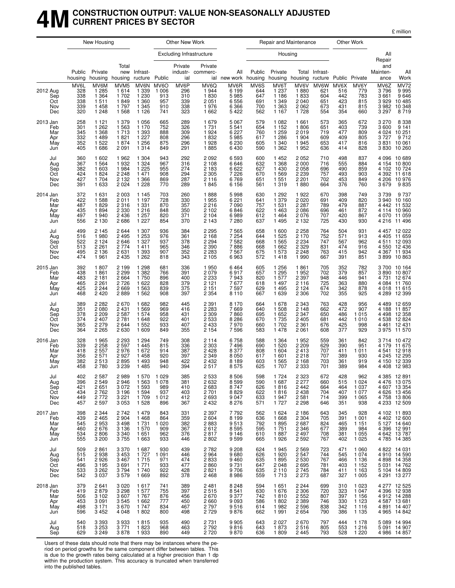#### **4MCONSTRUCTION OUTPUT: VALUE NON-SEASONALLY ADJUSTED CURRENT PRICES BY SECTOR**

£ million

|                                             |                                         | New Housing                                                    |                                                             |                                                                |                                                 | Other New Work                          |                                                                |                                                     |                                         | Repair and Maintenance                                         |                                                             |                                         |                                         | Other Work                                                     |                                               |                                                                                                |
|---------------------------------------------|-----------------------------------------|----------------------------------------------------------------|-------------------------------------------------------------|----------------------------------------------------------------|-------------------------------------------------|-----------------------------------------|----------------------------------------------------------------|-----------------------------------------------------|-----------------------------------------|----------------------------------------------------------------|-------------------------------------------------------------|-----------------------------------------|-----------------------------------------|----------------------------------------------------------------|-----------------------------------------------|------------------------------------------------------------------------------------------------|
|                                             |                                         |                                                                |                                                             |                                                                |                                                 |                                         | <b>Excluding Infrastructure</b>                                |                                                     |                                         | Housing                                                        |                                                             |                                         |                                         |                                                                | All<br>Repair                                 |                                                                                                |
|                                             | Public<br>housing                       | Private<br>housing                                             | Total<br>new<br>housing                                     | Infrast-<br>ructure Public                                     |                                                 | Private<br>ial                          | Private<br>industr- commerc-                                   | All<br>ial new work housing                         | Public                                  | Private                                                        | housing housing ructure Public Private                      | Total Infrast-                          |                                         |                                                                | and<br>Mainten-<br>ance                       | All<br>Work                                                                                    |
| 2012 Aug<br>Sep<br>Oct<br>Nov<br>Dec        | MV6L<br>328<br>338<br>338<br>339<br>320 | MV6M<br>1 2 8 5<br>1 3 6 4<br>1511<br>1458<br>1 2 4 8          | MVM <sub>5</sub><br>1614<br>1702<br>1849<br>1797<br>1 5 6 8 | MV6N<br>1 3 3 9<br>1 2 3 0<br>1 3 6 0<br>1 3 4 5<br>1 1 2 6    | MV6O<br>1 0 0 6<br>913<br>957<br>910<br>741     | MV6P<br>296<br>310<br>339<br>338<br>323 | MV6Q<br>1944<br>1830<br>2 0 5 1<br>1976<br>1 6 6 2             | MV6R<br>6 1 9 9<br>5985<br>6,556<br>6 3 6 6<br>5422 | MV6S<br>644<br>647<br>691<br>700<br>562 | MV6T<br>1 2 3 7<br>1 1 8 6<br>1 3 4 9<br>1 3 6 3<br>1 1 6 7    | MV6V<br>1880<br>1833<br>2 0 4 0<br>2062<br>1728             | MV6W<br>621<br>604<br>651<br>673<br>554 | MV6X<br>516<br>442<br>423<br>431<br>354 | MV6Y<br>779<br>783<br>815<br>815<br>660                        | MV6Z<br>3796<br>3661<br>3929<br>3982<br>3 297 | MV72<br>9995<br>9646<br>10 485<br>10 348<br>8 719                                              |
| 2013 Jan<br>Feb<br>Mar<br>Apr<br>May<br>Jun | 258<br>301<br>345<br>332<br>352<br>405  | 1 1 2 1<br>1 2 6 2<br>1 3 6 8<br>1489<br>1 5 2 2<br>1686       | 1 3 7 9<br>1 5 6 3<br>1713<br>1821<br>1874<br>2 0 9 1       | 1 0 5 6<br>1 1 7 0<br>1 3 9 3<br>1 2 2 7<br>1 2 5 6<br>1 3 1 4 | 665<br>752<br>888<br>808<br>875<br>849          | 289<br>326<br>309<br>296<br>296<br>291  | 1679<br>1 7 3 1<br>1924<br>1832<br>1928<br>1885                | 5 0 6 7<br>5541<br>6227<br>5985<br>6 2 3 0<br>6430  | 579<br>654<br>760<br>617<br>605<br>590  | 1 0 8 2<br>1 1 5 2<br>1 2 5 9<br>1 2 8 6<br>1 3 4 0<br>1 3 6 2 | 1661<br>1806<br>2019<br>1 9 0 4<br>1945<br>1952             | 573<br>651<br>719<br>609<br>653<br>636  | 365<br>403<br>477<br>409<br>417<br>414  | 672<br>739<br>809<br>805<br>816<br>828                         | 3 2 7 0<br>3600<br>4 0 24<br>3727<br>3830     | 8 3 3 8<br>9 1 4 1<br>10 251<br>9 712<br>3831 10061<br>10 260                                  |
| Jul<br>Aug<br>Sep<br>Oct<br>Nov<br>Dec      | 360<br>367<br>382<br>424<br>427<br>391  | 1 602<br>1 5 6 4<br>1 603<br>1824<br>1 704<br>1 633            | 1962<br>1932<br>1984<br>2 2 4 8<br>2 1 3 2<br>2 0 2 4       | 1 3 0 4<br>1 3 2 4<br>1 2 2 5<br>1 4 7 1<br>1 3 6 6<br>1 2 2 8 | 943<br>967<br>955<br>908<br>869<br>770          | 292<br>316<br>274<br>294<br>287<br>289  | 2 0 9 2<br>2 1 0 8<br>2 1 8 3<br>2 3 0 5<br>2 1 1 6<br>1845    | 6593<br>6646<br>6622<br>7 2 2 6<br>6769<br>6 1 5 6  | 600<br>632<br>627<br>670<br>651<br>561  | 1452<br>1 3 6 8<br>1430<br>1569<br>1 551<br>1319               | 2052<br>2000<br>2058<br>2 2 3 9<br>2 2 0 1<br>1880          | 710<br>716<br>696<br>757<br>702<br>664  | 498<br>555<br>490<br>493<br>453<br>376  | 837<br>884<br>859<br>903<br>849<br>760                         | 4096<br>4 392<br>4 206<br>3679                | 10 689<br>4 154 10 800<br>4 102 10 724<br>11 618<br>10976<br>9835                              |
| 2014 Jan<br>Feb<br>Mar<br>Apr<br>May<br>Jun | 372<br>422<br>487<br>435<br>497<br>556  | 1 631<br>1588<br>1829<br>1894<br>1940<br>2 1 3 0               | 2 0 0 3<br>2011<br>2 3 1 6<br>2 3 3 0<br>2 4 3 6<br>2686    | 1 1 4 5<br>1 1 9 7<br>1 3 3 1<br>1 2 1 6<br>1 2 5 7<br>1 2 2 7 | 703<br>728<br>870<br>848<br>820<br>854          | 260<br>330<br>357<br>350<br>371<br>370  | 1888<br>1955<br>2 2 1 6<br>2 1 0 2<br>2 1 0 4<br>2 1 4 3       | 5998<br>6 2 2 1<br>7090<br>6846<br>6989<br>7 2 8 0  | 630<br>641<br>757<br>622<br>612<br>637  | 1 2 9 2<br>1 3 7 9<br>1 5 3 1<br>1 4 6 3<br>1464<br>1495       | 1922<br>2020<br>2 2 8 7<br>2086<br>2076<br>2 1 3 2          | 670<br>691<br>789<br>696<br>707<br>725  | 398<br>409<br>479<br>461<br>420<br>430  | 749<br>820<br>887<br>872<br>867<br>930                         | 4 1 1 4<br>4 070<br>4 216                     | 3739 9737<br>3940 10160<br>4 442 11 532<br>10 960<br>11 059<br>11 4 9 6                        |
| Jul<br>Aug<br>Sep<br>Oct<br>Nov<br>Dec      | 499<br>516<br>522<br>513<br>495<br>474  | 2 1 4 5<br>1980<br>2 1 2 4<br>2 2 6 1<br>2 1 3 6<br>1961       | 2644<br>2 4 9 5<br>2 6 4 6<br>2 7 7 4<br>2631<br>2 4 3 5    | 1 307<br>1 2 5 3<br>1 3 2 7<br>1411<br>1 3 9 3<br>1 2 6 2      | 936<br>976<br>937<br>965<br>907<br>818          | 384<br>361<br>378<br>346<br>352<br>343  | 2 2 9 5<br>2 1 6 8<br>2 2 9 4<br>2 3 9 0<br>2 2 8 3<br>2 1 0 5 | 7565<br>7 2 5 4<br>7582<br>7886<br>7567<br>6963     | 658<br>644<br>668<br>668<br>675<br>572  | 1600<br>1 5 2 5<br>1565<br>1662<br>1573<br>1418                | 2 2 5 8<br>2 1 7 0<br>2 2 3 4<br>2 3 2 9<br>2 2 4 8<br>1990 | 764<br>752<br>747<br>831<br>763<br>667  | 504<br>571<br>567<br>474<br>415<br>391  | 931<br>913<br>962<br>916<br>942<br>851                         | 4511<br>4 5 5 0<br>4 367<br>3 899             | 4 457 12 022<br>4 4 0 5 11 6 5 9<br>12 093<br>12436<br>11 934<br>10863                         |
| 2015 Jan<br>Feb<br>Mar<br>Apr<br>May<br>Jun | 392<br>438<br>483<br>465<br>425<br>468  | 1807<br>1861<br>2 1 8 1<br>2 2 6 1<br>2 2 4 4<br>2 4 2 0       | 2 199<br>2 2 9 9<br>2664<br>2 7 2 6<br>2 6 6 9<br>2889      | 1 2 9 8<br>1 3 8 2<br>1750<br>1 6 2 2<br>1 5 6 3<br>1 5 6 2    | 681<br>766<br>896<br>828<br>839<br>908          | 336<br>391<br>400<br>379<br>375<br>397  | 1950<br>2 0 7 9<br>2 2 3 3<br>2 1 2 1<br>2 1 5 1<br>2 3 5 4    | 6464<br>6917<br>7943<br>7677<br>7597<br>8 1 1 0     | 605<br>657<br>820<br>618<br>629<br>667  | 1 2 5 6<br>1 2 9 5<br>1577<br>1497<br>1 4 9 5<br>1639          | 1861<br>1952<br>2397<br>2 1 1 6<br>2 1 2 4<br>2 3 0 6       | 705<br>702<br>948<br>725<br>674<br>702  | 352<br>379<br>446<br>363<br>342<br>355  | 782<br>857<br>941<br>880<br>878<br>925                         | 3890<br>4 731<br>4018<br>4 289                | 3700 10164<br>10807<br>12674<br>4 084 11 760<br>11 615<br>12 3 9 9                             |
| Jul<br>Aug<br>Sep<br>Oct<br>Nov<br>Dec      | 389<br>351<br>378<br>374<br>365<br>364  | 2 2 8 2<br>2 0 8 0<br>2 2 0 9<br>2 4 0 7<br>2 2 7 9<br>2 2 6 5 | 2670<br>2431<br>2 5 8 7<br>2 7 8 1<br>2644<br>2630          | 1682<br>1 5 6 9<br>1 574<br>1 648<br>1 5 5 2<br>1 609          | 982<br>969<br>958<br>922<br>933<br>849          | 445<br>416<br>431<br>401<br>407<br>355  | 2 3 9 1<br>2 2 8 3<br>2 3 0 9<br>2 5 3 3<br>2 4 3 3<br>2 1 5 4 | 8 1 7 0<br>7669<br>7860<br>8286<br>7970<br>7596     | 664<br>640<br>695<br>670<br>660<br>583  | 1678<br>1 508<br>1652<br>1735<br>1702<br>1478                  | 2 3 4 3<br>2 1 4 8<br>2 3 4 7<br>2 4 0 5<br>2 3 6 1<br>2061 | 763<br>662<br>650<br>681<br>676<br>608  | 428<br>472<br>486<br>442<br>425<br>377  | 956<br>907<br>1 0 1 5<br>1 0 1 0<br>998<br>929                 | 4 498<br>4538<br>4 461                        | 4 489 12 659<br>4 188 11 857<br>12 358<br>12 824<br>12 431<br>3 975 11 570                     |
| 2016 Jan<br>Feb<br>Mar<br>Apr<br>May<br>Jun | 328<br>339<br>418<br>356<br>382<br>458  | 1965<br>2 2 5 8<br>2 5 5 7<br>2571<br>2513<br>2780             | 2 2 9 3<br>2 5 9 7<br>2976<br>2927<br>2895<br>3 2 3 9       | 1 2 9 4<br>1 4 4 5<br>1672<br>1458<br>1493<br>1485             | 749<br>815<br>914<br>920<br>948<br>940          | 308<br>336<br>387<br>397<br>422<br>394  | 2 1 1 4<br>2 3 0 3<br>2 4 2 8<br>2 3 4 9<br>2 4 3 2<br>2517    | 6758<br>7496<br>8 377<br>8 050<br>8 1 8 9<br>8575   | 588<br>690<br>808<br>617<br>603<br>625  | 1 3 6 4<br>1 5 2 0<br>1 604<br>1601<br>1565<br>1707            | 1952<br>2 2 0 9<br>2413<br>2218<br>2 1 6 8<br>2 3 3 3       | 559<br>629<br>707<br>707<br>703<br>701  | 361<br>390<br>411<br>389<br>361<br>389  | 842<br>951<br>1011<br>930<br>919<br>984                        | 4 179<br>4 541<br>4 245                       | 3714 10472<br>11 675<br>12918<br>12 295<br>4 150 12 339<br>4 4 08 12 983                       |
| Jul<br>Aug<br>Sep<br>Oct<br>Nov<br>Dec      | 402<br>396<br>421<br>434<br>449<br>457  | 2 5 8 7<br>2 5 4 9<br>2651<br>2762<br>2 7 7 2<br>2 5 9 7       | 2989<br>2946<br>3 0 7 2<br>3 196<br>3 2 2 1<br>3 0 5 3      | 1 570<br>1 5 6 3<br>1 5 9 3<br>1 5 9 4<br>1709<br>1 5 2 8      | 1 0 2 9<br>1 0 7 8<br>989<br>937<br>1012<br>896 | 385<br>381<br>410<br>403<br>412<br>367  | 2 5 3 3<br>2 6 3 2<br>2683<br>2 7 0 1<br>2693<br>2 4 3 2       | 8506<br>8599<br>8747<br>8829<br>9 047<br>8 276      | 598<br>590<br>626<br>622<br>633<br>571  | 1 7 2 4<br>1687<br>1816<br>1816<br>1947<br>1727                | 2 3 2 3<br>2 2 7 7<br>2442<br>2438<br>2581<br>2 2 9 8       | 672<br>660<br>664<br>704<br>714<br>646  | 428<br>515<br>464<br>407<br>399<br>351  | 962<br>1 0 2 4<br>1 0 3 7<br>1 0 7 7<br>1 0 6 5<br>938         | 4476                                          | 4 385 12 891<br>13 0 75<br>4 607 13 354<br>4 626 13 456<br>4 758 13 806<br>4 233 12 509        |
| 2017 Jan<br>Feb<br>Mar<br>Apr<br>May<br>Jun | 398<br>439<br>545<br>460<br>534<br>555  | 2 3 4 4<br>2 4 6 5<br>2953<br>2676<br>2806<br>3 2 0 0          | 2742<br>2 9 0 4<br>3 4 9 8<br>3 1 3 6<br>3 3 4 0<br>3755    | 1479<br>1468<br>1 7 3 1<br>1570<br>1651<br>1 6 6 3             | 843<br>864<br>1 0 2 0<br>909<br>962<br>933      | 331<br>359<br>382<br>367<br>376<br>446  | 2 3 9 7<br>2604<br>2883<br>2612<br>2817<br>2 8 0 2             | 7792<br>8 1 9 9<br>9513<br>8595<br>9 1 4 6<br>9599  | 562<br>636<br>792<br>595<br>610<br>665  | 1 6 2 4<br>1668<br>1895<br>1751<br>1887<br>1926                | 2 1 8 6<br>2 3 0 4<br>2687<br>2 3 4 6<br>2497<br>2592       | 643<br>705<br>824<br>677<br>708<br>767  | 345<br>391<br>465<br>389<br>381<br>402  | 928<br>1 0 0 1<br>1 1 5 1<br>984<br>1 0 5 5<br>1 0 2 5         |                                               | 4 102 11 893<br>4 402 12 600<br>5 127 14 640<br>4 396 12 991<br>4 642 13 787<br>4 785 14 385   |
| Jul<br>Aug<br>Sep<br>Oct<br>Nov<br>Dec      | 509<br>515<br>541<br>496<br>533<br>542  | 2861<br>2938<br>2926<br>3 1 9 5<br>3 2 6 2<br>3 0 3 7          | 3 3 7 0<br>3453<br>3 4 6 7<br>3691<br>3794<br>3579          | 1 687<br>1 7 2 7<br>1 7 1 5<br>1 7 7 1<br>1740<br>1 6 6 9      | 930<br>1 0 9 1<br>971<br>933<br>922<br>892      | 439<br>446<br>474<br>477<br>428<br>378  | 2 7 8 2<br>2964<br>2833<br>2860<br>2821<br>2468                | 9 2 0 8<br>9680<br>9460<br>9731<br>9706<br>8986     | 624<br>626<br>635<br>647<br>635<br>559  | 1945<br>1920<br>1895<br>2048<br>2 1 1 0<br>1713                | 2569<br>2547<br>2 5 3 0<br>2695<br>2745<br>2 2 7 3          | 723<br>744<br>767<br>781<br>784<br>687  | 471<br>545<br>466<br>403<br>411<br>327  | 1 0 6 0<br>1 0 7 4<br>1 1 3 6<br>1 1 5 2<br>1 1 6 3<br>1 0 0 5 |                                               | 4 822 14 031<br>4 910 14 590<br>4 8 98 14 3 58<br>5 031 14 762<br>5 104 14 809<br>4 291 13 277 |
| 2018 Jan<br>Feb<br>Mar<br>Apr<br>May<br>Jun | 379<br>419<br>506<br>453<br>498<br>596  | 2 641<br>2879<br>3 1 0 2<br>3 0 9 1<br>3 1 7 1<br>3 4 5 2      | 3020<br>3 2 9 8<br>3 607<br>3545<br>3670<br>4048            | 1617<br>1577<br>1767<br>1662<br>1747<br>1802                   | 741<br>755<br>876<br>777<br>834<br>800          | 389<br>397<br>456<br>450<br>467<br>498  | 2481<br>2 515<br>2 670<br>2660<br>2797<br>2729                 | 8 2 4 8<br>8541<br>9377<br>9093<br>9516<br>9876     | 594<br>630<br>742<br>586<br>614<br>662  | 1651<br>1676<br>1810<br>1802<br>1982<br>1991                   | 2 2 4 4<br>2 3 0 6<br>2 5 5 2<br>2 3 8 9<br>2596<br>2654    | 699<br>720<br>807<br>746<br>838<br>790  | 310<br>323<br>397<br>330<br>342<br>386  | 1 0 2 3<br>1 0 4 7<br>1 1 5 6<br>1 1 2 3<br>1 1 1 6<br>1 1 3 5 |                                               | 4 277 12 525<br>4 396 12 938<br>4 912 14 288<br>4587 13681<br>4 891 14 407<br>4 965 14 842     |
| Jul<br>Aug<br>Sep                           | 540<br>518<br>629                       | 3 3 9 3<br>3 2 5 3<br>3 2 4 9                                  | 3933<br>3 771<br>3878                                       | 1815<br>1823<br>1933                                           | 935<br>968<br>890                               | 490<br>463<br>449                       | 2 7 3 1<br>2 7 9 2<br>2 7 2 0                                  | 9905<br>9816<br>9870                                | 643<br>643<br>636                       | 2027<br>1873<br>1809                                           | 2670<br>2516<br>2445                                        | 797<br>805<br>793                       | 444<br>553<br>528                       | 1 1 7 8<br>1 2 1 6<br>1 2 2 0                                  |                                               | 5 089 14 994<br>5 091 14 907<br>4 986 14 857                                                   |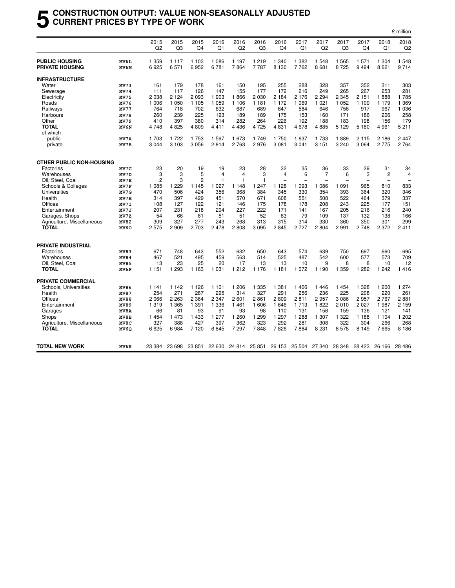#### **5 CONSTRUCTION OUTPUT: VALUE NON-SEASONALLY ADJUSTED CURRENT PRICES BY TYPE OF WORK**

|                            |             |                |          |               |         |                      |              |         |                                    |                |         |                |                          | £ million      |
|----------------------------|-------------|----------------|----------|---------------|---------|----------------------|--------------|---------|------------------------------------|----------------|---------|----------------|--------------------------|----------------|
|                            |             | 2015           | 2015     | 2015          | 2016    | 2016                 | 2016         | 2016    | 2017                               | 2017           | 2017    | 2017           | 2018                     | 2018           |
|                            |             | Q2             | Q3       | Q4            | Q1      | Q <sub>2</sub>       | Q3           | Q4      | Q1                                 | Q2             | Q3      | Q4             | Q1                       | Q <sub>2</sub> |
| <b>PUBLIC HOUSING</b>      | MV6L        | 1 3 5 9        | 1 1 1 7  | 1 1 0 3       | 1086    | 1 1 9 7              | 1 2 1 9      | 1 3 4 0 | 1 3 8 2                            | 1 5 4 8        | 1565    | 1 5 7 1        | 1 304                    | 1548           |
| <b>PRIVATE HOUSING</b>     | MV6M        | 6925           | 6571     | 6952          | 6781    | 7864                 | 7787         | 8 1 3 0 | 7762                               | 8681           | 8725    | 9 4 9 4        | 8 6 21                   | 9714           |
| <b>INFRASTRUCTURE</b>      |             |                |          |               |         |                      |              |         |                                    |                |         |                |                          |                |
| Water                      | MV73        | 161            | 179      | 178           | 161     | 150                  | 195          | 255     | 288                                | 328            | 357     | 352            | 311                      | 303            |
| Sewerage                   | <b>MV74</b> | 111            | 117      | 126           | 147     | 155                  | 177          | 172     | 216                                | 249            | 265     | 267            | 253                      | 281            |
| Electricity                | <b>MV75</b> | 2038           | 2 1 2 4  | 2 0 9 3       | 1 903   | 1866                 | 2 0 3 0      | 2 1 8 4 | 2 1 7 6                            | 2 2 9 4        | 2 3 4 5 | 2 1 5 1        | 1888                     | 1785           |
| Roads                      | MV76        | 1 0 0 6        | 1 0 5 0  | 1 1 0 5       | 1 0 5 9 | 1 1 0 6              | 1 1 8 1      | 1 1 7 2 | 1 0 6 9                            | 1 0 2 1        | 1 0 5 2 | 1 1 0 9        | 1 1 7 9                  | 1 3 6 9        |
| Railways                   | <b>MV77</b> | 764            | 718      | 702           | 632     | 687                  | 689          | 647     | 584                                | 646            | 756     | 917            | 967                      | 1 0 3 6        |
| Harbours                   | <b>MV78</b> | 260            | 239      | 225           | 193     | 189                  | 189          | 175     | 153                                | 160            | 171     | 186            | 206                      | 258            |
| Other <sup>1</sup>         | MV79        | 410            | 397      | 380           | 314     | 282                  | 264          | 226     | 192                                | 188            | 183     | 198            | 156                      | 179            |
| <b>TOTAL</b>               | MV6N        | 4748           | 4825     | 4809          | 4411    | 4 4 3 6              | 4725         | 4831    | 4678                               | 4885           | 5 1 2 9 | 5 1 8 0        | 4 9 61                   | 5 2 1 1        |
| of which                   |             |                |          |               |         |                      |              |         |                                    |                |         |                |                          |                |
| public                     | MV7A        | 1 703          | 1 7 2 2  | 1 7 5 3       | 1597    | 1 673                | 1 749        | 1750    | 1 637                              | 1 7 3 3        | 1889    | 2 1 1 5        | 2 186                    | 2447           |
| private                    | MV7B        | 3044           | 3 1 0 3  | 3 0 5 6       | 2814    | 2 7 6 3              | 2976         | 3 0 8 1 | 3 0 4 1                            | 3 1 5 1        | 3 2 4 0 | 3 0 6 4        | 2775                     | 2764           |
| OTHER PUBLIC NON-HOUSING   |             |                |          |               |         |                      |              |         |                                    |                |         |                |                          |                |
| Factories                  | MV7C        | 23             | 20       | 19            | 19      | 23                   | 28           | 32      | 35                                 | 36             | 33      | 29             | 31                       | 34             |
| Warehouses                 | MV7D        | 3              | 3        | 5             | 4       | 4                    | 3            | 4       | 6                                  | $\overline{7}$ | 6       | 3              | 2                        | $\overline{4}$ |
| Oil, Steel, Coal           | MV7E        | $\overline{c}$ | 3        | 2             | 1       | $\mathbf{1}$         | $\mathbf{1}$ |         |                                    |                |         | $\overline{a}$ | $\overline{\phantom{0}}$ |                |
| Schools & Colleges         | MV7F        | 1 0 8 5        | 229<br>1 | 1 1 4 5       | 1 0 2 7 | 1 1 4 8              | 247<br>1     | 1 1 2 8 | 093<br>1                           | 086<br>1       | 1 0 9 1 | 965            | 810                      | 833            |
| Universities               | MV7G        | 470            | 506      | 424           | 356     | 368                  | 384          | 345     | 330                                | 354            | 393     | 364            | 320                      | 346            |
| Health                     | MV7H        | 314            | 397      | 429           | 451     | 570                  | 671          | 608     | 551                                | 508            | 522     | 464            | 379                      | 337            |
| Offices                    | MV7I        | 108            | 127      | 122           | 121     | 146                  | 175          | 178     | 178                                | 208            | 243     | 225            | 177                      | 151            |
| Entertainment              | MV7J        | 207            | 231      | 218           | 204     | 227                  | 222          | 171     | 141                                | 167            | 205     | 216            | 216                      | 240            |
| Garages, Shops             | MV7Z        | 54             | 66       | 61            | 51      | 51                   | 52           | 63      | 79                                 | 109            | 137     | 132            | 138                      | 166            |
| Agriculture, Miscellaneous | MV82        | 309            | 327      | 277           | 243     | 268                  | 313          | 315     | 314                                | 330            | 360     | 350            | 301                      | 299            |
| <b>TOTAL</b>               | MV60        | 2575           | 2 9 0 9  | 2 703         | 2478    | 2808                 | 3 0 9 5      | 2845    | 2727                               | 2804           | 2991    | 2748           | 2 3 7 2                  | 2411           |
| <b>PRIVATE INDUSTRIAL</b>  |             |                |          |               |         |                      |              |         |                                    |                |         |                |                          |                |
| Factories                  | MV83        | 671            | 748      | 643           | 552     | 632                  | 650          | 643     | 574                                | 639            | 750     | 697            | 660                      | 695            |
| Warehouses                 | MV84        | 467            | 521      | 495           | 459     | 563                  | 514          | 525     | 487                                | 542            | 600     | 577            | 573                      | 709            |
| Oil, Steel, Coal           | MV85        | 13             | 23       | 25            | 20      | 17                   | 13           | 13      | 10                                 | 9              | 8       | 8              | 10                       | 12             |
| <b>TOTAL</b>               | MV6P        | 1 1 5 1        | 1 2 9 3  | 1 1 6 3       | 1 0 3 1 | 1 2 1 2              | 1 1 7 6      | 1 1 8 1 | 1 0 7 2                            | 1 1 9 0        | 1 3 5 9 | 1 2 8 2        | 1 2 4 2                  | 1416           |
| PRIVATE COMMERCIAL         |             |                |          |               |         |                      |              |         |                                    |                |         |                |                          |                |
| Schools, Universities      | MV86        | 1 1 4 1        | 1 1 4 2  | 1 1 2 6       | 1 1 0 1 | 1 206                | 1 3 3 5      | 1 3 8 1 | 1 4 0 6                            | 1446           | 1454    | 1 3 2 8        | 1 200                    | 1 2 7 4        |
| Health                     | MV87        | 254            | 271      | 287           | 295     | 314                  | 327          | 291     | 256                                | 236            | 225     | 208            | 220                      | 261            |
| Offices                    | MV88        | 2066           | 2 2 6 3  | 2 3 6 4       | 2 3 4 7 | 2 601                | 2861         | 2809    | 2811                               | 2957           | 3086    | 2957           | 2767                     | 2881           |
| Entertainment              | MV89        | 1319           | 1 3 6 5  | 1 3 9 1       | 1 3 3 6 | 1461                 | 1 606        | 1646    | 1 7 1 3                            | 1822           | 2010    | 2 0 2 7        | 1987                     | 2 1 5 9        |
| Garages                    | <b>MV8A</b> | 66             | 81       | 93            | 91      | 93                   | 98           | 110     | 131                                | 156            | 159     | 136            | 121                      | 141            |
| Shops                      | MV8B        | 1454           | 1 4 7 3  | 1 4 3 3       | 1 277   | 1 2 6 0              | 1 2 9 9      | 1 2 9 7 | 1 2 8 8                            | 1 307          | 1 3 2 2 | 1 1 8 8        | 1 1 0 4                  | 1 202          |
| Agriculture, Miscellaneous | MV8C        | 327            | 388      | 427           | 397     | 362                  | 323          | 292     | 281                                | 308            | 322     | 304            | 266                      | 268            |
| <b>TOTAL</b>               | MV6Q        | 6625           | 6984     | 7 1 2 0       | 6845    | 7 2 9 7              | 7848         | 7826    | 7884                               | 8 2 3 1        | 8578    | 8 1 4 9        | 7665                     | 8 1 8 6        |
| <b>TOTAL NEW WORK</b>      | MV6R        | 23 384         |          | 23 698 23 851 |         | 22 630 24 814 25 851 |              |         | 26 153 25 504 27 340 28 348 28 423 |                |         |                | 26 166                   | 28 486         |
|                            |             |                |          |               |         |                      |              |         |                                    |                |         |                |                          |                |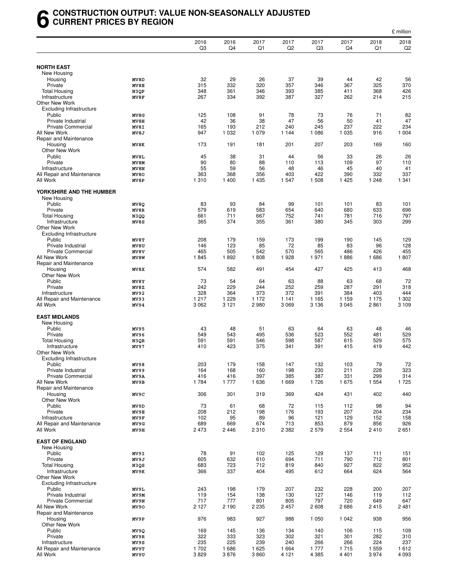#### **6 CONSTRUCTION OUTPUT: VALUE NON-SEASONALLY ADJUSTED CURRENT PRICES BY REGION**

|                                                   |              |              |              |                 |                        |                        |                 |                 | £ million              |
|---------------------------------------------------|--------------|--------------|--------------|-----------------|------------------------|------------------------|-----------------|-----------------|------------------------|
|                                                   |              | 2016<br>Q3   | 2016<br>Q4   | 2017<br>Q1      | 2017<br>Q <sub>2</sub> | 2017<br>Q <sub>3</sub> | 2017<br>Q4      | 2018<br>Q1      | 2018<br>Q <sub>2</sub> |
| <b>NORTH EAST</b>                                 |              |              |              |                 |                        |                        |                 |                 |                        |
| New Housing                                       |              |              |              |                 |                        |                        |                 |                 |                        |
| Housing                                           | MV8D         | 32           | 29           | 26              | 37                     | 39                     | 44              | 42              | 56                     |
| Private                                           | MV8E         | 315          | 332          | 320             | 357                    | 346                    | 367             | 325             | 370                    |
| <b>Total Housing</b>                              | N3QP         | 348          | 361          | 346             | 393                    | 385                    | 411             | 368             | 426                    |
| Infrastructure                                    | MV8F         | 267          | 334          | 392             | 387                    | 327                    | 262             | 214             | 215                    |
| Other New Work                                    |              |              |              |                 |                        |                        |                 |                 |                        |
| <b>Excluding Infrastructure</b>                   |              |              |              |                 |                        |                        |                 |                 |                        |
| Public<br>Private Industrial                      | MV8G<br>MV8H | 125<br>42    | 108<br>36    | 91<br>38        | 78<br>47               | 73<br>56               | 76<br>50        | 71<br>41        | 82<br>47               |
| <b>Private Commercial</b>                         | MV8I         | 165          | 193          | 212             | 240                    | 245                    | 237             | 222             | 234                    |
| All New Work                                      | MV8J         | 947          | 1 0 3 2      | 1 0 7 9         | 1 1 4 4                | 1 0 8 6                | 1 0 3 5         | 916             | 1 0 0 4                |
| Repair and Maintenance                            |              |              |              |                 |                        |                        |                 |                 |                        |
| Housing                                           | MV8K         | 173          | 191          | 181             | 201                    | 207                    | 203             | 169             | 160                    |
| Other New Work                                    |              |              |              |                 |                        |                        |                 |                 |                        |
| Public                                            | MV8L         | 45           | 38           | 31              | 44                     | 56                     | 33              | 26              | 26                     |
| Private                                           | MV8M         | 90<br>55     | 80<br>59     | 88<br>56        | 110                    | 113<br>46              | 109             | 97<br>40        | 110<br>41              |
| Infrastructure<br>All Repair and Maintenance      | MV8N<br>MV80 | 363          | 368          | 356             | 48<br>403              | 422                    | 45<br>390       | 332             | 337                    |
| All Work                                          | MV8P         | 1 3 1 0      | 1 400        | 1 4 3 5         | 1547                   | 1 508                  | 1 4 2 5         | 1 2 4 8         | 1 341                  |
| YORKSHIRE AND THE HUMBER                          |              |              |              |                 |                        |                        |                 |                 |                        |
| New Housing                                       |              |              |              |                 |                        |                        |                 |                 |                        |
| Public                                            | MV8Q         | 83           | 93           | 84              | 99                     | 101                    | 101             | 83              | 101                    |
| Private                                           | MV8R         | 579          | 619          | 583             | 654                    | 640                    | 680             | 633             | 696                    |
| <b>Total Housing</b>                              | N3QQ         | 661          | 711          | 667             | 752                    | 741                    | 781             | 716             | 797                    |
| Infrastructure                                    | MV8S         | 365          | 374          | 355             | 361                    | 380                    | 345             | 303             | 299                    |
| Other New Work<br><b>Excluding Infrastructure</b> |              |              |              |                 |                        |                        |                 |                 |                        |
| Public                                            | MV8T         | 208          | 179          | 159             | 173                    | 199                    | 190             | 145             | 129                    |
| Private Industrial                                | MV8U         | 146          | 123          | 85              | 72                     | 85                     | 83              | 96              | 128                    |
| <b>Private Commercial</b>                         | MV8V         | 465          | 505          | 542             | 570                    | 565                    | 486             | 426             | 455                    |
| All New Work                                      | MV8W         | 1845         | 1892         | 1808            | 1928                   | 1971                   | 1886            | 1686            | 1807                   |
| Repair and Maintenance                            |              |              |              |                 |                        |                        |                 |                 |                        |
| Housing                                           | MV8X         | 574          | 582          | 491             | 454                    | 427                    | 425             | 413             | 468                    |
| Other New Work                                    |              |              |              |                 |                        |                        |                 |                 |                        |
| Public<br>Private                                 | MV8Y<br>MV8Z | 73<br>242    | 54<br>229    | 64<br>244       | 63<br>252              | 88<br>259              | 63<br>287       | 68<br>291       | 72<br>318              |
| Infrastructure                                    | MV92         | 328          | 364          | 373             | 372                    | 391                    | 384             | 403             | 444                    |
| All Repair and Maintenance                        | MV93         | 1 2 1 7      | 1 2 2 9      | 1 172           | 1 1 4 1                | 1 1 6 5                | 1 1 5 9         | 1 1 7 5         | 1 302                  |
| All Work                                          | MV94         | 3 0 6 2      | 3 1 2 1      | 2980            | 3 0 6 9                | 3 1 3 6                | 3 0 4 5         | 2861            | 3 1 0 9                |
| <b>EAST MIDLANDS</b>                              |              |              |              |                 |                        |                        |                 |                 |                        |
| New Housing                                       |              |              |              |                 |                        |                        |                 |                 |                        |
| Public                                            | MV95         | 43           | 48           | 51              | 63                     | 64                     | 63              | 48              | 46                     |
| Private                                           | MV96         | 549          | 543          | 495             | 536                    | 523                    | 552             | 481             | 529                    |
| <b>Total Housing</b>                              | N3QR         | 591          | 591          | 546             | 598                    | 587                    | 615             | 529             | 575                    |
| Infrastructure<br>Other New Work                  | MV97         | 410          | 423          | 375             | 341                    | 391                    | 415             | 419             | 442                    |
| <b>Excluding Infrastructure</b>                   |              |              |              |                 |                        |                        |                 |                 |                        |
| Public                                            | MV98         | 203          | 179          | 158             | 147                    | 132                    | 103             | 79              | 72                     |
| Private Industrial                                | MV99         | 164          | 168          | 160             | 198                    | 230                    | 211             | 228             | 323                    |
| <b>Private Commercial</b>                         | MV9A         | 416          | 416          | 397             | 385                    | 387                    | 331             | 299             | 314                    |
| All New Work                                      | MV9B         | 1784         | 1 7 7 7      | 1636            | 1669                   | 1726                   | 1675            | 1 5 5 4         | 1725                   |
| Repair and Maintenance                            |              |              |              |                 |                        |                        |                 |                 |                        |
| Housing<br>Other New Work                         | MV9C         | 306          | 301          | 319             | 369                    | 424                    | 431             | 402             | 440                    |
| Public                                            | MV9D         | 73           | 61           | 68              | 72                     | 115                    | 112             | 98              | 94                     |
| Private                                           | MV9E         | 208          | 212          | 198             | 176                    | 193                    | 207             | 204             | 234                    |
| Infrastructure                                    | MV9F         | 102          | 95           | 89              | 96                     | 121                    | 129             | 152             | 158                    |
| All Repair and Maintenance                        | MV9G         | 689          | 669          | 674             | 713                    | 853                    | 879             | 856             | 926                    |
| All Work                                          | MV9H         | 2 4 7 3      | 2446         | 2310            | 2 3 8 2                | 2579                   | 2 5 5 4         | 2410            | 2651                   |
|                                                   |              |              |              |                 |                        |                        |                 |                 |                        |
| <b>EAST OF ENGLAND</b><br>New Housing             |              |              |              |                 |                        |                        |                 |                 |                        |
| Public                                            | MV9I         | 78           | 91           | 102             | 125                    | 129                    | 137             | 111             | 151                    |
| Private                                           | MV9J         | 605          | 632          | 610             | 694                    | 711                    | 790             | 712             | 801                    |
| <b>Total Housing</b>                              | N3QS         | 683          | 723          | 712             | 819                    | 840                    | 927             | 822             | 952                    |
| Infrastructure                                    | MV9K         | 366          | 337          | 404             | 495                    | 612                    | 664             | 624             | 564                    |
| Other New Work                                    |              |              |              |                 |                        |                        |                 |                 |                        |
| <b>Excluding Infrastructure</b>                   |              |              |              |                 |                        |                        |                 |                 |                        |
| Public                                            | MV9L         | 243          | 198          | 179             | 207                    | 232                    | 228             | 200             | 207                    |
| Private Industrial<br><b>Private Commercial</b>   | MV9M         | 119<br>717   | 154          | 138             | 130                    | 127<br>797             | 146             | 119             | 112                    |
| All New Work                                      | MV9N         |              | 777          | 801             | 805                    |                        | 720             | 649             | 647<br>2 4 8 1         |
| Repair and Maintenance                            | MV90         | 2 1 2 7      | 2 1 9 0      | 2 2 3 5         | 2457                   | 2608                   | 2686            | 2415            |                        |
| Housing                                           | MV9P         | 976          | 983          | 927             | 988                    | 1 0 5 0                | 1 0 4 2         | 938             | 956                    |
| Other New Work                                    |              |              |              |                 |                        |                        |                 |                 |                        |
| Public                                            | MV9Q         | 169          | 145          | 136             | 134                    | 140                    | 106             | 115             | 109                    |
| Private                                           | MV9R         | 322          | 333          | 323             | 302                    | 321                    | 301             | 282             | 310                    |
| Infrastructure                                    | MV9S         | 235          | 225          | 239             | 240                    | 266                    | 266             | 224             | 237                    |
| All Repair and Maintenance<br>All Work            | MV9T<br>MV9U | 1702<br>3829 | 1686<br>3876 | 1 6 2 5<br>3860 | 1664<br>4 1 2 1        | 1777<br>4 3 8 5        | 1715<br>4 4 0 1 | 1 5 5 9<br>3974 | 1612<br>4 0 9 3        |
|                                                   |              |              |              |                 |                        |                        |                 |                 |                        |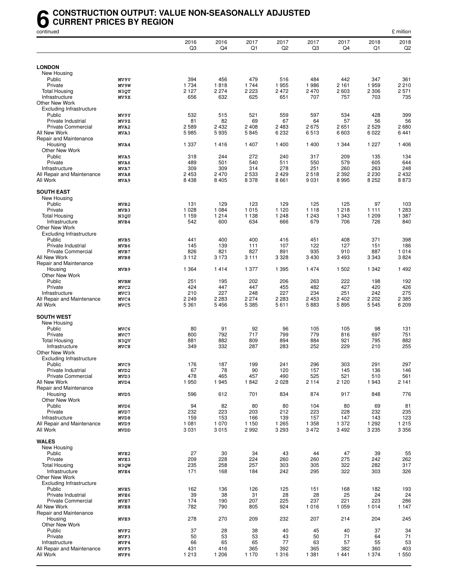#### **6** CONSTRUCTION OUTPUT: VALUE NON-SEASONALLY ADJUSTED<br>CURRENT PRICES BY REGION<br>continued **CURRENT PRICES BY REGION**

| continued                                 |                          |                        |                    |                 |                        |                    |                    |                  | £ million              |
|-------------------------------------------|--------------------------|------------------------|--------------------|-----------------|------------------------|--------------------|--------------------|------------------|------------------------|
|                                           |                          | 2016<br>Q <sub>3</sub> | 2016<br>Q4         | 2017<br>Q1      | 2017<br>Q <sub>2</sub> | 2017<br>Q3         | 2017<br>Q4         | 2018<br>Q1       | 2018<br>Q <sub>2</sub> |
|                                           |                          |                        |                    |                 |                        |                    |                    |                  |                        |
| <b>LONDON</b><br>New Housing              |                          |                        |                    |                 |                        |                    |                    |                  |                        |
| Public                                    | MV9V                     | 394                    | 456                | 479             | 516                    | 484                | 442                | 347              | 361                    |
| Private                                   | MV9W                     | 1 7 3 4                | 1818               | 1 7 4 4         | 1955                   | 1986               | 2 1 6 1            | 1959             | 2 2 1 0                |
| <b>Total Housing</b>                      | N3QT                     | 2 1 2 7                | 2 2 7 4            | 2 2 2 3         | 2 4 7 2                | 2 470              | 2 6 0 3            | 2 3 0 6          | 2 5 7 1                |
| Infrastructure                            | MV9X                     | 656                    | 632                | 625             | 651                    | 707                | 757                | 703              | 735                    |
| Other New Work                            |                          |                        |                    |                 |                        |                    |                    |                  |                        |
| <b>Excluding Infrastructure</b><br>Public | MV9Y                     | 532                    | 515                | 521             | 559                    | 597                | 534                | 428              | 399                    |
| Private Industrial                        | MV9Z                     | 81                     | 82                 | 69              | 67                     | 64                 | 57                 | 56               | 56                     |
| <b>Private Commercial</b>                 | MVA2                     | 2589                   | 2 4 3 2            | 2 4 0 8         | 2483                   | 2675               | 2651               | 2 5 2 9          | 2680                   |
| All New Work                              | MVA3                     | 5985                   | 5935               | 5845            | 6 2 3 2                | 6513               | 6 603              | 6 0 22           | 6441                   |
| Repair and Maintenance                    |                          |                        |                    |                 |                        |                    |                    |                  |                        |
| Housing                                   | MVA4                     | 1 3 3 7                | 1416               | 1 4 0 7         | 1 400                  | 1 400              | 1 3 4 4            | 1 2 2 7          | 1406                   |
| Other New Work<br>Public                  |                          | 318                    | 244                | 272             | 240                    | 317                | 209                | 135              | 134                    |
| Private                                   | MVA5<br>MVA6             | 489                    | 501                | 540             | 511                    | 550                | 579                | 605              | 644                    |
| Infrastructure                            | MVA7                     | 309                    | 309                | 314             | 278                    | 251                | 260                | 263              | 248                    |
| All Repair and Maintenance                | MVA8                     | 2 4 5 3                | 2 4 7 0            | 2 5 3 3         | 2 4 2 9                | 2518               | 2 3 9 2            | 2 2 3 0          | 2 4 3 2                |
| All Work                                  | MVA9                     | 8 4 3 8                | 8 4 0 5            | 8 3 7 8         | 8661                   | 9 0 3 1            | 8995               | 8 2 5 2          | 8873                   |
| <b>SOUTH EAST</b>                         |                          |                        |                    |                 |                        |                    |                    |                  |                        |
| New Housing                               |                          |                        |                    |                 |                        |                    |                    |                  |                        |
| Public                                    | MVB <sub>2</sub>         | 131                    | 129                | 123             | 129                    | 125                | 125                | 97               | 103                    |
| Private<br><b>Total Housing</b>           | MVB3<br>N3QU             | 1 0 2 8<br>1 1 5 9     | 1 0 8 4<br>1 2 1 4 | 1015<br>1 1 3 8 | 1 1 2 0<br>1 2 4 8     | 1 1 1 8<br>1 2 4 3 | 1 2 1 8<br>1 3 4 3 | 1 1 1 1<br>1 209 | 1 2 8 3<br>1 387       |
| Infrastructure                            | MVB4                     | 542                    | 600                | 634             | 666                    | 679                | 706                | 726              | 840                    |
| Other New Work                            |                          |                        |                    |                 |                        |                    |                    |                  |                        |
| <b>Excluding Infrastructure</b>           |                          |                        |                    |                 |                        |                    |                    |                  |                        |
| Public                                    | MVB5                     | 441                    | 400                | 400             | 416                    | 451                | 408                | 371              | 398                    |
| Private Industrial                        | MVB6                     | 145                    | 139                | 111             | 107                    | 122                | 127                | 151              | 186                    |
| Private Commercial<br>All New Work        | MVB7                     | 826<br>3 1 1 2         | 821<br>3 1 7 3     | 827<br>3 1 1 1  | 891<br>3 3 2 8         | 935<br>3 4 3 0     | 910<br>3 4 9 3     | 887<br>3 3 4 3   | 1014<br>3824           |
| Repair and Maintenance                    | MVB8                     |                        |                    |                 |                        |                    |                    |                  |                        |
| Housing                                   | MVB9                     | 1 3 6 4                | 1414               | 1 377           | 1 3 9 5                | 1474               | 1 502              | 1 3 4 2          | 1492                   |
| Other New Work                            |                          |                        |                    |                 |                        |                    |                    |                  |                        |
| Public                                    | <b>MVBN</b>              | 251                    | 195                | 202             | 206                    | 263                | 222                | 198              | 192                    |
| Private                                   | MVC <sub>2</sub>         | 424                    | 447                | 447             | 455                    | 482                | 427                | 420              | 426                    |
| Infrastructure                            | MVC3                     | 210                    | 227                | 248             | 227                    | 234                | 251                | 242              | 275                    |
| All Repair and Maintenance                | MVC4                     | 2 2 4 9                | 2 2 8 3            | 2 2 7 4         | 2 2 8 3                | 2 4 5 3            | 2 4 0 2            | 2 2 0 2          | 2 3 8 5                |
| All Work                                  | MVC5                     | 5 3 6 1                | 5 4 5 6            | 5 3 8 5         | 5611                   | 5883               | 5895               | 5 5 4 5          | 6 2 0 9                |
| <b>SOUTH WEST</b><br>New Housing          |                          |                        |                    |                 |                        |                    |                    |                  |                        |
| Public                                    | MVC6                     | 80                     | 91                 | 92              | 96                     | 105                | 105                | 98               | 131                    |
| Private                                   | MVC7                     | 800                    | 792                | 717             | 799                    | 779                | 816                | 697              | 751                    |
| Total Housing                             | N3QV                     | 881                    | 882                | 809             | 894                    | 884                | 921                | 795              | 882                    |
| Infrastructure                            | MVC8                     | 349                    | 332                | 287             | 283                    | 252                | 229                | 210              | 255                    |
| Other New Work                            |                          |                        |                    |                 |                        |                    |                    |                  |                        |
| <b>Excluding Infrastructure</b>           |                          |                        |                    |                 |                        |                    |                    |                  |                        |
| Public<br>Private Industrial              | MVC9<br>MVD <sub>2</sub> | 176<br>67              | 187<br>78          | 199<br>90       | 241<br>120             | 296<br>157         | 303<br>145         | 291<br>136       | 297<br>146             |
| <b>Private Commercial</b>                 | MVD3                     | 478                    | 465                | 457             | 490                    | 525                | 521                | 510              | 561                    |
| All New Work                              | MVD4                     | 1950                   | 1945               | 1842            | 2028                   | 2 1 1 4            | 2 1 2 0            | 1943             | 2 1 4 1                |
| Repair and Maintenance                    |                          |                        |                    |                 |                        |                    |                    |                  |                        |
| Housing                                   | MVD5                     | 596                    | 612                | 701             | 834                    | 874                | 917                | 848              | 776                    |
| Other New Work                            |                          |                        |                    |                 |                        |                    |                    |                  |                        |
| Public<br>Private                         | MVD6                     | 94                     | 82<br>223          | 80<br>203       | 80                     | 104<br>223         | 80<br>228          | 69               | 81                     |
| Infrastructure                            | MVD7<br>MVD8             | 232<br>159             | 153                | 166             | 212<br>139             | 157                | 147                | 232<br>143       | 235<br>123             |
| All Repair and Maintenance                | MVD9                     | 1 0 8 1                | 1 0 7 0            | 1 1 5 0         | 1 2 6 5                | 1 3 5 8            | 1 372              | 1 2 9 2          | 1215                   |
| All Work                                  | <b>MVDD</b>              | 3 0 3 1                | 3015               | 2992            | 3 2 9 3                | 3 4 7 2            | 3492               | 3 2 3 5          | 3 3 5 6                |
|                                           |                          |                        |                    |                 |                        |                    |                    |                  |                        |
| <b>WALES</b>                              |                          |                        |                    |                 |                        |                    |                    |                  |                        |
| New Housing<br>Public                     | MVE <sub>2</sub>         | 27                     | 30                 | 34              | 43                     | 44                 | 47                 | 39               | 55                     |
| Private                                   | MVE3                     | 209                    | 228                | 224             | 260                    | 260                | 275                | 242              | 262                    |
| <b>Total Housing</b>                      | N3QW                     | 235                    | 258                | 257             | 303                    | 305                | 322                | 282              | 317                    |
| Infrastructure                            | MVE4                     | 171                    | 168                | 184             | 242                    | 295                | 322                | 303              | 326                    |
| Other New Work                            |                          |                        |                    |                 |                        |                    |                    |                  |                        |
| <b>Excluding Infrastructure</b>           |                          |                        |                    |                 |                        |                    |                    |                  |                        |
| Public                                    | MVE5                     | 162                    | 136                | 126             | 125                    | 151                | 168                | 182              | 193                    |
| Private Industrial<br>Private Commercial  | MVE6<br>MVE7             | 39<br>174              | 38<br>190          | 31<br>207       | 28<br>225              | 28<br>237          | 25<br>221          | 24<br>223        | 24<br>286              |
| All New Work                              | MVE8                     | 782                    | 790                | 805             | 924                    | 1016               | 1 0 5 9            | 1014             | 1 1 4 7                |
| Repair and Maintenance                    |                          |                        |                    |                 |                        |                    |                    |                  |                        |
| Housing                                   | MVE9                     | 278                    | 270                | 209             | 232                    | 207                | 214                | 204              | 245                    |
| Other New Work<br>Public                  |                          | 37                     | 28                 |                 | 40                     | 45                 | 40                 | 37               | 34                     |
| Private                                   | MVF2<br>MVF3             | 50                     | 53                 | 38<br>53        | 43                     | 50                 | 71                 | 64               | 71                     |
| Infrastructure                            | MVF4                     | 66                     | 65                 | 65              | 77                     | 63                 | 57                 | 55               | 53                     |
| All Repair and Maintenance                | MVF5                     | 431                    | 416                | 365             | 392                    | 365                | 382                | 360              | 403                    |
| All Work                                  | MVF6                     | 1 2 1 3                | 1 2 0 6            | 1 1 7 0         | 1316                   | 1 3 8 1            | 1441               | 1 374            | 1550                   |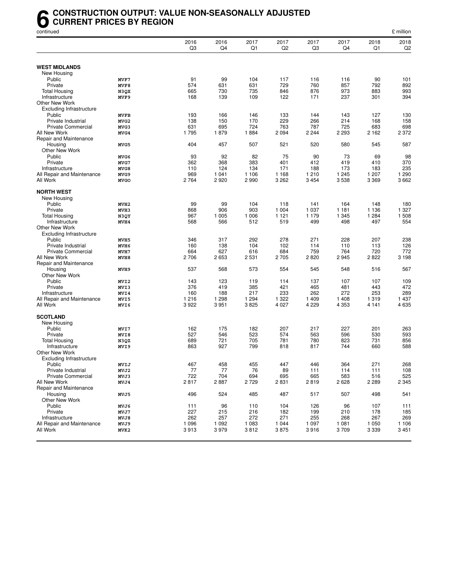#### **6** CONSTRUCTION OUTPUT: VALUE NON-SEASONALLY ADJUSTED<br>CURRENT PRICES BY REGION<br>continued **CURRENT PRICES BY REGION**

| continued                              |                  |                        |            |            |                        |            |            |            | £ million  |
|----------------------------------------|------------------|------------------------|------------|------------|------------------------|------------|------------|------------|------------|
|                                        |                  | 2016<br>Q <sub>3</sub> | 2016<br>Q4 | 2017<br>Q1 | 2017<br>Q <sub>2</sub> | 2017<br>Q3 | 2017<br>Q4 | 2018<br>Q1 | 2018<br>Q2 |
|                                        |                  |                        |            |            |                        |            |            |            |            |
| <b>WEST MIDLANDS</b>                   |                  |                        |            |            |                        |            |            |            |            |
| New Housing                            |                  |                        |            |            |                        |            |            |            |            |
| Public                                 | MVF7             | 91<br>574              | 99         | 104        | 117                    | 116        | 116        | 90         | 101        |
| Private                                | MVF8             |                        | 631        | 631        | 729                    | 760        | 857        | 792        | 892        |
| <b>Total Housing</b>                   | N3QX             | 665                    | 730        | 735        | 846                    | 876        | 973        | 883        | 993        |
| Infrastructure                         | MVF9             | 168                    | 139        | 109        | 122                    | 171        | 237        | 301        | 394        |
| Other New Work                         |                  |                        |            |            |                        |            |            |            |            |
| <b>Excluding Infrastructure</b>        |                  |                        |            |            |                        |            |            |            |            |
| Public                                 | <b>MVFB</b>      | 193                    | 166        | 146        | 133                    | 144        | 143        | 127        | 130        |
| Private Industrial                     | MVG <sub>2</sub> | 138                    | 150        | 170        | 229                    | 266        | 214        | 168        | 158        |
| <b>Private Commercial</b>              | MVG3             | 631                    | 695        | 724        | 763                    | 787        | 725        | 683        | 698        |
| All New Work                           | MVG4             | 1795                   | 1879       | 1884       | 2 0 9 4                | 2 2 4 4    | 2 2 9 3    | 2 1 6 2    | 2 3 7 2    |
| Repair and Maintenance                 |                  |                        |            |            |                        |            |            |            |            |
| Housing                                | MVG5             | 404                    | 457        | 507        | 521                    | 520        | 580        | 545        | 587        |
| Other New Work                         |                  |                        |            |            |                        |            |            |            |            |
| Public                                 | MVG6             | 93                     | 92         | 82         | 75                     | 90         | 73         | 69         | 98         |
| Private                                | MVG7             | 362                    | 368        | 383        | 401                    | 412        | 419        | 410        | 370        |
| Infrastructure                         | MVG8             | 110                    | 124        | 134        | 171                    | 188        | 173        | 183        | 235        |
| All Repair and Maintenance             | MVG9             | 969                    | 1 0 4 1    | 1 1 0 6    | 1 1 6 8                | 1 2 1 0    | 1 2 4 5    | 1 207      | 1 2 9 0    |
| All Work                               | <b>MVGO</b>      | 2764                   | 2920       | 2990       | 3 2 6 2                | 3 4 5 4    | 3538       | 3 3 6 9    | 3 6 6 2    |
| <b>NORTH WEST</b>                      |                  |                        |            |            |                        |            |            |            |            |
| New Housing                            |                  |                        |            |            |                        |            |            |            |            |
| Public                                 | MVH <sub>2</sub> | 99                     | 99         | 104        | 118                    | 141        | 164        | 148        | 180        |
| Private                                | MVH3             | 868                    | 906        | 903        | 1 0 0 4                | 1 0 3 7    | 1 1 8 1    | 1 1 3 6    | 1 3 2 7    |
| Total Housing                          | N3QY             | 967                    | 1 0 0 5    | 1 0 0 6    | 1 1 2 1                | 1 1 7 9    | 1 3 4 5    | 1 2 8 4    | 1 508      |
| Infrastructure                         | MVH4             | 568                    | 566        | 512        | 519                    | 499        | 498        | 497        | 554        |
| <b>Other New Work</b>                  |                  |                        |            |            |                        |            |            |            |            |
| <b>Excluding Infrastructure</b>        |                  |                        |            |            |                        |            |            |            |            |
| Public                                 | MVH <sub>5</sub> | 346                    | 317        | 292        | 278                    | 271        | 228        | 207        | 238        |
| Private Industrial                     | MVH6             | 160                    | 138        | 104        | 102                    | 114        | 110        | 113        | 126        |
| <b>Private Commercial</b>              | MVH7             | 664                    | 627        | 616        | 684                    | 759        | 764        | 720        | 772        |
| All New Work                           | MVH8             | 2706                   | 2653       | 2 5 3 1    | 2705                   | 2820       | 2945       | 2822       | 3 1 9 8    |
| Repair and Maintenance                 |                  |                        |            |            |                        |            |            |            |            |
| Housing                                | MVH9             | 537                    | 568        | 573        | 554                    | 545        | 548        | 516        | 567        |
| Other New Work                         |                  |                        |            |            |                        |            |            |            |            |
| Public                                 | MVI2             | 143                    | 123        | 119        | 114                    | 137        | 107        | 107        | 109        |
| Private                                | MVI3             | 376                    | 419        | 385        | 421                    | 465        | 481        | 443        | 472        |
| Infrastructure                         | MVI4             | 160                    | 188        | 217        | 233                    | 262        | 272        | 253        | 289        |
| All Repair and Maintenance             | MVI5             | 1 2 1 6                | 1 2 9 8    | 1 2 9 4    | 1 3 2 2                | 1 4 0 9    | 1 4 0 8    | 1 3 1 9    | 1 4 3 7    |
| All Work                               | MVI6             | 3922                   | 3 9 5 1    | 3825       | 4 0 27                 | 4 2 2 9    | 4 3 5 3    | 4 1 4 1    | 4 6 3 5    |
|                                        |                  |                        |            |            |                        |            |            |            |            |
| <b>SCOTLAND</b>                        |                  |                        |            |            |                        |            |            |            |            |
| New Housing                            |                  |                        |            |            |                        |            |            |            |            |
| Public                                 | MVI7             | 162                    | 175        | 182        | 207                    | 217        | 227        | 201        | 263        |
| Private                                | MVI8             | 527                    | 546        | 523        | 574                    | 563        | 596        | 530        | 593        |
| Total Housing                          | N3QZ             | 689                    | 721        | 705        | 781                    | 780        | 823        | 731        | 856        |
| Infrastructure                         | MVI9             | 863                    | 927        | 799        | 818                    | 817        | 744        | 660        | 588        |
| Other New Work                         |                  |                        |            |            |                        |            |            |            |            |
| <b>Excluding Infrastructure</b>        |                  |                        |            |            |                        |            |            |            |            |
| Public                                 | MVIJ             | 467                    | 458        | 455        | 447                    | 446        | 364        | 271        | 268        |
| Private Industrial                     | MVJ2             | 77                     | 77         | 76         | 89                     | 111        | 114        | 111        | 108        |
| <b>Private Commercial</b>              | MVJ3             | 722                    | 704        | 694        | 695                    | 665        | 583        | 516        | 525        |
| All New Work                           | MVJ4             | 2817                   | 2887       | 2729       | 2831                   | 2819       | 2628       | 2 2 8 9    | 2 3 4 5    |
| Repair and Maintenance                 |                  |                        |            |            |                        |            |            |            |            |
| Housing                                | MVJ5             | 496                    | 524        | 485        | 487                    | 517        | 507        | 498        | 541        |
| Other New Work                         |                  |                        |            |            |                        |            |            |            |            |
| Public                                 | MVJ6             | 111                    | 96         | 110        | 104                    | 126        | 96         | 107        | 111        |
| Private                                |                  | 227                    | 215        | 216        | 182                    | 199        | 210        | 178        | 185        |
| Infrastructure                         | MVJ7             |                        |            |            |                        |            |            |            |            |
|                                        | MVJ8             | 262                    | 257        | 272        | 271                    | 255        | 268        | 267        | 269        |
| All Repair and Maintenance<br>All Work | MVJ9             | 1 0 9 6                | 1 0 9 2    | 1 0 8 3    | 1 0 4 4                | 1 0 9 7    | 1 0 8 1    | 1 0 5 0    | 1 1 0 6    |
|                                        | MVK2             | 3913                   | 3979       | 3812       | 3875                   | 3916       | 3709       | 3 3 3 9    | 3451       |
|                                        |                  |                        |            |            |                        |            |            |            |            |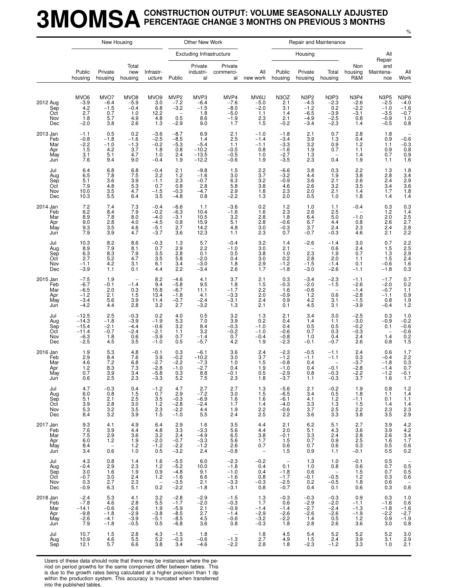### **3MOMSACONSTRUCTION OUTPUT: VOLUME SEASONALLY ADJUSTED PERCENTAGE CHANGE 3 MONTHS ON PREVIOUS 3 MONTHS**

|                                             |                                                              |                                                                    | New Housing                                                    |                                                                      |                                                                                   | Other New Work                                             |                                                          |                                                                       |                                                                                |                                                               | Repair and Maintenance                                            |                                                                                      |                                                                           |                                                                                                      |
|---------------------------------------------|--------------------------------------------------------------|--------------------------------------------------------------------|----------------------------------------------------------------|----------------------------------------------------------------------|-----------------------------------------------------------------------------------|------------------------------------------------------------|----------------------------------------------------------|-----------------------------------------------------------------------|--------------------------------------------------------------------------------|---------------------------------------------------------------|-------------------------------------------------------------------|--------------------------------------------------------------------------------------|---------------------------------------------------------------------------|------------------------------------------------------------------------------------------------------|
|                                             |                                                              |                                                                    |                                                                |                                                                      |                                                                                   | <b>Excluding Infrastructure</b>                            |                                                          |                                                                       |                                                                                | Housing                                                       |                                                                   |                                                                                      | All                                                                       |                                                                                                      |
|                                             | Public<br>housing                                            | Private<br>housing                                                 | Total<br>new<br>housing                                        | Infrastr-<br>ucture                                                  | Public                                                                            | Private<br>industri-<br>al                                 | Private<br>commerci-<br>al                               | All<br>new work                                                       | Public<br>housing                                                              | Private<br>housing                                            | Total<br>housing                                                  | Non<br>housing<br>R&M                                                                | Repair<br>and<br>Maintena-<br>nce                                         | All<br>Work                                                                                          |
| 2012 Aug<br>Sep<br>Oct<br>Nov<br>Dec        | MVO <sub>6</sub><br>$-3.9$<br>4.2<br>2.7<br>1.8<br>$-2.0$    | MVO7<br>$-6.4$<br>$-1.5$<br>0.7<br>5.7<br>3.8                      | MVO <sub>8</sub><br>$-5.9$<br>$-0.4$<br>1.0<br>4.9<br>2.6      | MVO <sub>9</sub><br>3.0<br>6.8<br>12.2<br>4.8<br>1.3                 | MVP <sub>2</sub><br>$-7.2$<br>$-3.2$<br>$\overline{\phantom{m}}$<br>0.5<br>$-2.9$ | MVP3<br>$-6.4$<br>$-1.5$<br>1.8<br>8.6<br>9.0              | MVP4<br>$-7.6$<br>$-8.0$<br>$-5.0$<br>$-1.9$<br>1.7      | MV6U<br>$-5.0$<br>$-2.0$<br>1.1<br>2.3<br>1.5                         | N3OZ<br>2.1<br>3.1<br>1.4<br>2.1<br>$-0.2$                                     | <b>N3P2</b><br>$-4.5$<br>$-1.2$<br>$-6.5$<br>$-4.9$<br>$-3.4$ | N3P3<br>$-2.3$<br>0.2<br>$-3.9$<br>$-2.5$<br>$-2.3$               | N <sub>3</sub> P <sub>4</sub><br>$-2.6$<br>$-\overline{2.2}$<br>$-3.1$<br>0.8<br>1.4 | <b>N3P5</b><br>$-2.5$<br>$-1.0$<br>$-3.5$<br>$-0.9$<br>$-0.5$             | N <sub>3</sub> P <sub>6</sub><br>$-4.0$<br>$-1.6$<br>$-0.7$<br>1.0<br>0.8                            |
| 2013 Jan<br>Feb<br>Mar<br>Apr<br>May<br>Jun | $-1.1$<br>$-0.8$<br>$-2.2$<br>1.5<br>3.1<br>7.6              | 0.5<br>$-1.8$<br>$-1.0$<br>4.2<br>5.1<br>9.4                       | 0.2<br>$-1.6$<br>$-1.3$<br>3.7<br>4.7<br>9.0                   | $-3.6$<br>$-2.5$<br>$-0.2$<br>1.8<br>1.0<br>$-0.4$                   | $-8.7$<br>$-8.5$<br>$-5.3$<br>0.8<br>2.4<br>1.9                                   | 6.9<br>1.4<br>$-5.4$<br>$-10.2$<br>$-13.5$<br>$-12.2$      | 2.1<br>2.5<br>1.1<br>$-0.5$<br>$-0.5$<br>$-0.6$          | $-1.0$<br>$-1.4$<br>$-1.1$<br>0.8<br>1.0<br>1.9                       | $-1.8$<br>$-3.4$<br>$-3.3$<br>$-1.6$<br>$-2.7$<br>$-3.5$                       | 2.1<br>$\frac{3.9}{3.2}$<br>1.9<br>1.3<br>2.3                 | 0.7<br>1.3<br>0.9<br>0.7<br>0.4                                   | 2.8<br>0.4<br>1.2<br>1.1<br>1.4<br>1.9                                               | 1.8<br>0.9<br>1.1<br>0.9<br>0.7<br>1.1                                    | $-0.6$<br>$-0.3$<br>0.8<br>0.9<br>1.6                                                                |
| Jul<br>Aug<br>Sep<br>Oct<br>Nov<br>Dec      | 6.4<br>6.5<br>5.1<br>7.9<br>10.0<br>10.3                     | 6.8<br>7.8<br>3.6<br>4.8<br>3.5<br>5.5                             | 6.8<br>7.5<br>3.9<br>5.3<br>4.7<br>6.4                         | $-0.4$<br>2.2<br>$-1.1$<br>0.7<br>$-1.5$<br>3.5                      | 2.1<br>1.2<br>2.3<br>0.8<br>$-0.3$<br>$-4.8$                                      | $-9.8$<br>$-1.6$<br>$-0.7$<br>2.8<br>$-4.7$<br>0.8         | 1.5<br>3.0<br>6.3<br>5.8<br>2.9<br>$-2.2$                | $\frac{2.2}{3.7}$<br>3.2<br>3.8<br>1.8<br>1.3                         | $-6.6$<br>$-3.2$<br>$-0.9$<br>4.6<br>2.3<br>2.0                                | 3.8<br>4.4<br>3.6<br>2.6<br>2.0<br>0.5                        | 0.3<br>1.9<br>2.1<br>3.2<br>2.1<br>1.0                            | 2.2<br>3.8<br>2.6<br>3.5<br>1.4<br>1.8                                               | 1.3<br>2.8<br>2.4<br>3.4<br>1.7<br>1.4                                    | 1.8<br>3.4<br>2.9<br>3.6<br>1.8<br>1.8<br>1.4                                                        |
| 2014 Jan<br>Feb<br>Mar<br>Apr<br>May<br>Jun | 7.2<br>6.2<br>8.9<br>9.0<br>9.3<br>7.9                       | 7.4<br>8.4<br>7.8<br>2.8<br>3.5<br>3.9                             | 7.3<br>7.9<br>8.0<br>4.0<br>4.6<br>4.7                         | $-0.4$<br>$-0.2$<br>$-4.0$<br>$-4.5$<br>$-5.1$<br>$-3.7$             | $-6.6$<br>$-6.3$<br>$-3.1$<br>0.8<br>2.7<br>3.6                                   | 1.1<br>10.4<br>10.5<br>15.9<br>14.2<br>12.3                | $-3.6$<br>$-1.6$<br>3.2<br>5.1<br>4.8<br>1.1             | 0.2<br>1.6<br>2.8<br>2.8<br>3.0<br>2.3                                | 1.2<br>2.3<br>1.8<br>$-0.6$<br>$-0.3$<br>0.7                                   | 1.0<br>2.6<br>6.4<br>6.7<br>3.7<br>$-0.7$                     | 1.1<br>2.5<br>5.0<br>4.4<br>2.4<br>$-0.3$                         | $-0.4$<br>$\overline{\phantom{0}}$<br>$-1.0$<br>0.8<br>2.3<br>4.6                    | 0.3<br>1.2<br>2.0<br>2.6<br>2.4<br>2.1                                    | $0.3$<br>$1.4$<br>$2.5$<br>$2.7$<br>$2.8$<br>$2.2$                                                   |
| Jul<br>Aug<br>Sep<br>Oct<br>Nov<br>Dec      | 10.3<br>8.96.3<br>2.7<br>$-1.1$<br>$-3.9$                    | 8.2<br>7.9<br>$8.\overline{3}$<br>5.2<br>4.2<br>1.1                | 8.6<br>8.1<br>$7.9$<br>4.7<br>3.1<br>0.1                       | $-0.3$<br>0.7<br>3.5<br>3.5<br>6.1<br>4.4                            | 1.3<br>2.9<br>2.8<br>5.8<br>3.4<br>2.2                                            | 5.7<br>2.2<br>0.1<br>$-2.0$<br>$-3.0$<br>$-3.4$            | $-0.4$<br>$-1.0$<br>0.5<br>0.4<br>1.8<br>2.6             | 3.2<br>3.0<br>3.8<br>3.0<br>$^{2.9}_{1.7}$                            | 1.4<br>2.1<br>1.0<br>0.2<br>$-1.2$<br>$-1.8$                                   | $-2.6$<br>2.3<br>2.8<br>$-1.5$<br>$-3.0$                      | $-1.4$<br>0.6<br>1.9<br>2.0<br>$-1.4$<br>$-2.6$                   | 3.0<br>$^{2.4}_{0.7}$<br>1.1<br>0.1<br>$-1.1$                                        | 0.7<br>1.5<br>1.3<br>1.5<br>$-0.6$<br>$-1.8$                              | 2.2<br>2.5<br>2.9<br>2.4<br>$\frac{1.6}{0.3}$                                                        |
| 2015 Jan<br>Feb<br>Mar<br>Apr<br>May<br>Jun | $-7.5$<br>$-6.7$<br>$-6.5$<br>$-1.2$<br>$-3.4$<br>$-4.2$     | 1.9<br>$-0.1$<br>2.0<br>2.1<br>5.6<br>4.4                          | $-1.4$<br>0.3<br>1.5<br>3.9<br>2.8                             | 8.2<br>9.4<br>15.8<br>13.4<br>11.4<br>3.2                            | $-4.6$<br>$-5.8$<br>$-6.7$<br>$-1.8$<br>$-0.7$<br>2.7                             | 4.1<br>9.5<br>11.1<br>4.1<br>$-2.4$<br>$-3.2$              | 3.7<br>1.8<br>$-1.7$<br>$-3.3$<br>$-3.1$<br>1.3          | 2.1<br>1.5<br>2.2<br>2.0<br>2.4<br>2.1                                | 0.3<br>$-0.3$<br>1.6<br>$-0.9$<br>0.9<br>0.1                                   | $-3.4$<br>$-2.0$<br>$-0.6$<br>1.2<br>4.2<br>4.5               | $-2.3$<br>$-1.5$<br>$\overline{\phantom{a}}$<br>0.6<br>3.1<br>3.1 | $-1.1$<br>$-2.6$<br>$-1.4$<br>$-2.8$<br>$-1.5$<br>$-3.9$                             | $-1.7$<br>$-2.0$<br>$-0.7$<br>$-1.1$<br>0.8<br>$-0.4$                     | $\begin{array}{c} 0.7 \\ 0.2 \\ 1.1 \end{array}$<br>$\begin{array}{c} 0.9 \\ 1.9 \\ 1.2 \end{array}$ |
| Jul<br>Aug<br>Sep<br>Oct<br>Nov<br>Dec      | $-12.5$<br>$-14.3$<br>$-15.4$<br>$-11.4$<br>$-6.3$<br>$-2.5$ | 2.5<br>$-1.8$<br>$-2.1$<br>$-0.7$<br>1.8<br>4.5                    | $-0.3$<br>$-3.9$<br>$-4.4$<br>$-2.4$<br>0.6<br>3.5             | 0.2<br>$-1.9$<br>$-0.6$<br>$-2.1$<br>$-3.9$<br>$-1.0$                | 4.0<br>5.3<br>3.2<br>1.1<br>0.7<br>0.5                                            | 0.5<br>7.0<br>8.4<br>3.2<br>$-1.4$<br>$-5.7$               | 3.2<br>3.9<br>$-0.3$<br>$-0.2$<br>0.7<br>4.2             | 1.3<br>0.2<br>$-1.0$<br>$-1.0$<br>$-0.4$<br>1.9                       | 2.1<br>0.4<br>0.4<br>$-0.6$<br>$-0.8$<br>$-2.3$                                | 3.4<br>1.4<br>0.5<br>0.7<br>1.0<br>$-0.1$                     | 3.0<br>1.1<br>0.5<br>0.3<br>0.4<br>$-0.7$                         | $-2.5$<br>$-3.0$<br>$-0.2$<br>$-0.3$<br>2.4<br>2.6                                   | 0.3<br>$-0.9$<br>0.1<br>1.4<br>0.8                                        | 1.0<br>$-0.2$<br>$-0.6$<br>$-0.6$<br>0.2<br>1.5                                                      |
| 2016 Jan<br>Feb<br>Mar<br>Apr<br>May<br>Jun | 1.9<br>2.9<br>4.6<br>1.2<br>0.7<br>0.6                       | 5.3<br>8.4<br>7.2<br>8.3<br>$\frac{3.9}{2.5}$                      | 4.8<br>7.6<br>6.8<br>7.3<br>3.4<br>2.3                         | $-0.1$<br>3.9<br>$-2.7$<br>$-2.8$<br>$-5.8$<br>$-3.3$                | 0.3<br>$-0.2$<br>$-2.2$<br>$-1.0$<br>$0.3$<br>5.2                                 | $-6.1$<br>$-10.2$<br>$-7.3$<br>$-2.7$<br>$\frac{8.8}{7.5}$ | 3.6<br>3.0<br>1.0<br>0.4<br>$-0.1$<br>2.3                | 2.4<br>3.7<br>1.5<br>1.9<br>$\begin{array}{c} 0.5 \\ 1.8 \end{array}$ | $-2.3$<br>$-1.2$<br>$-0.8$<br>$-1.0$<br>$\frac{-2.9}{-3.7}$                    | $-0.5$<br>$-1.1$<br>0.4<br>0.4<br>0.8<br>1.1                  | $-1.1$<br>$-1.1$<br>$-0.1$<br>$-0.3$<br>$-0.3$                    | 2.4<br>0.3<br>$-3.7$<br>$-2.8$<br>$-2.2$<br>3.7                                      | 0.6<br>$-0.4$<br>$-1.8$<br>$-1.4$<br>$-1.2$<br>1.6                        | $1.7$<br>$2.2$<br>$0.3$<br>0.7<br>$-0.1$<br>1.7                                                      |
| Jul<br>Aug<br>Sep<br>Oct<br>Nov<br>Dec      | 4.7<br>6.0<br>5.1<br>$\frac{3.9}{5.3}$<br>8.4                | $-0.3$<br>0.8<br>2.1<br>2.8<br>$3.\overline{2}$<br>3.2             | 0.4<br>1.5<br>2.5<br>3.0<br>3.5<br>3.9                         | $-1.2$<br>0.7<br>3.5<br>$\overline{1.2}$<br>2.3<br>1.5               | 4.7<br>2.9<br>$-0.3$<br>$-2.8$<br>$-2.2$<br>$-1.0$                                | $-2.7$<br>$-6.9$<br>$-2.4$<br>4.4<br>5.5                   | 2.7<br>3.0<br>1.6<br>1.7<br>1.9<br>2.4                   | $\frac{1.3}{1.5}$<br>1.6<br>1.4<br>2.2<br>2.5                         | $-5.6$<br>$-6.5$<br>$-6.1$<br>$-4.0$<br>$-0.6$<br>2.2                          | 2.1<br>3.4<br>4.1<br>3.3<br>3.7<br>3.6                        | $^{-0.2}_{0.5}$<br>1.2<br>1.3<br>2.5<br>3.3                       | 1.9<br>1.8<br>$-1.1$<br>1.5<br>2.2<br>3.8                                            | 0.8<br>1.1<br>0.1<br>1.4<br>$\substack{2.3 \ 3.5}$                        | $\frac{1.2}{1.4}$<br>$1.1$<br>$1.4$<br>$2.3$<br>$2.9$                                                |
| 2017 Jan<br>Feb<br>Mar<br>Apr<br>May<br>Jun | 9.3<br>7.6<br>$7.5$<br>6.0<br>8.4<br>3.4                     | 4.1<br>3.9<br>2.9<br>1.2<br>$\hspace{0.1mm}-\hspace{0.1mm}$<br>0.6 | 4.9<br>4.4<br>3.6<br>1.9<br>1.2<br>1.0                         | 6.4<br>4.8<br>3.2<br>$-2.0$<br>$^{-1.2}_{0.5}$                       | 2.9<br>3.3<br>2.4<br>$-0.7$<br>$-2.2$<br>$-3.2$                                   | 1.6<br>$-3.3$<br>$-4.9$<br>$-3.3$<br>$-1.2$<br>2.4         | 3.5<br>5.6<br>6.5<br>5.6<br>2.6<br>$-0.8$                | 4.4<br>4.4<br>$\frac{3.8}{1.7}$<br>0.7<br>$\overline{\phantom{a}}$    | 2.1<br>2.0<br>$-0.1$<br>1.5<br>0.6<br>1.5                                      | 6.2<br>5.1<br>3.3<br>0.7<br>0.7<br>0.9                        | 5.1<br>4.3<br>2.4<br>0.9<br>0.6<br>1.1                            | 2.7<br>3.6<br>$\frac{2.8}{2.5}$<br>0.3<br>$-0.1$                                     | 3.9<br>3.9<br>$2.6\,$<br>$1.6$<br>0.5<br>0.5                              | $4.2$<br>$4.2$<br>$3.4$<br>$1.7$<br>$0.6 \\ 0.2$                                                     |
| Jul<br>Aug<br>Sep<br>Oct<br>Nov<br>Dec      | 4.3<br>$-0.4$<br>3.0<br>$-0.7$<br>$0.3 - 0.9$                | 0.8<br>2.9<br>1.6<br>3.0<br>2.7<br>6.3                             | 1.4<br>2.3<br>1.9<br>2.4<br>$\overline{2}.\overline{3}$<br>5.1 | 1.6<br>$1.2$<br>0.9<br>1.2<br>$\hspace{0.1mm}-\hspace{0.1mm}$<br>0.2 | $-5.5$<br>$-5.2$<br>$-4.8$<br>$-1.6$<br>$-3.5$<br>$-2.2$                          | 6.0<br>10.0<br>9.1<br>6.6<br>2.1<br>$-1.8$                 | $-2.3$<br>$-1.8$<br>$-1.0$<br>$-1.6$<br>$-3.3$<br>$-3.1$ | $-0.2$<br>0.4<br>0.4<br>0.8<br>$-0.3$<br>0.8                          | $\hspace{0.1mm}-\hspace{0.1mm}$<br>0.1<br>$-1.8$<br>$-1.7$<br>$^{-2.5}_{-0.7}$ | 1.3<br>1.0<br>0.6<br>$-0.1$<br>0.2<br>0.4                     | 1.0<br>0.8<br>$-0.5$<br>$-0.5$<br>0.1                             | $-0.1$<br>0.6<br>1.5<br>$1.2$<br>1.8<br>0.6                                          | 0.5<br>0.7<br>0.7<br>$0.3\,$<br>$\begin{array}{c} 0.6 \\ 0.3 \end{array}$ | $\overline{\phantom{0}}$<br>$\begin{array}{c} 0.5 \\ 0.5 \\ 0.6 \end{array}$<br>$0.\overline{6}$     |
| 2018 Jan<br>Feb<br>Mar<br>Apr<br>May<br>Jun | $-2.4$<br>$-7.8$<br>$-14.1$<br>$-9.8$<br>$-2.6$<br>7.9       | 5.3<br>4.6<br>$-0.6$<br>$-1.8$<br>$-4.1$<br>$-1.8$                 | 4.1<br>2.8<br>$-2.6$<br>$-2.9$<br>$-3.9$<br>$-0.5$             | $\frac{3.2}{5.5}$<br>1.9<br>$-3.8$<br>$-5.1$<br>0.5                  | $-2.8$<br>$-1.7$<br>$-5.9$<br>$-8.5$<br>$-8.5$<br>$-6.8$                          | $-2.9$<br>$-2.0$<br>2.1<br>2.7<br>4.5<br>3.6               | $-1.5$<br>$-0.3$<br>$-0.9$<br>$-1.4$<br>$-0.6$<br>0.8    | $\frac{1.3}{1.7}$<br>$-1.4$<br>$-2.9$<br>$-3.2$<br>$-0.3$             | $-0.3$<br>0.6<br>$-1.4$<br>$-2.6$<br>$-2.2$<br>1.8                             | $-0.3$<br>$-2.9$<br>$-2.7$<br>$-2.6$<br>1.4<br>2.8            | $-0.3$<br>$-2.0$<br>$-2.4$<br>$-2.6$<br>0.5<br>2.6                | 0.9<br>$-1.1$<br>$-1.3$<br>$-1.9$<br>1.2<br>3.6                                      | 0.3<br>$-1.6$<br>$-1.8$<br>$-2.2$<br>0.9<br>3.0                           | 1.0<br>0.6<br>$-1.6$<br>$-2.7$<br>$-1.9$<br>0.8                                                      |
| Jul<br>Aug<br>Sep                           | 10.7<br>10.9<br>12.1                                         | 1.5<br>4.6<br>5.7                                                  | 2.8<br>5.5<br>6.6                                              | 4.3<br>5.2<br>3.8                                                    | $-1.5$<br>$-0.3$<br>3.4                                                           | 1.8<br>$-0.6$<br>$-4.6$                                    | $\overline{\phantom{m}}$<br>$-1.3$<br>$-2.2$             | 1.8<br>2.7<br>2.8                                                     | 4.5<br>4.9<br>1.8                                                              | 5.4<br>1.5<br>$-2.3$                                          | 5.2<br>2.4<br>$-1.2$                                              | 5.2<br>3.9<br>3.3                                                                    | $5.2\,$<br>3.1<br>1.0                                                     | $\begin{array}{c} 3.0 \\ 2.9 \\ 2.1 \end{array}$                                                     |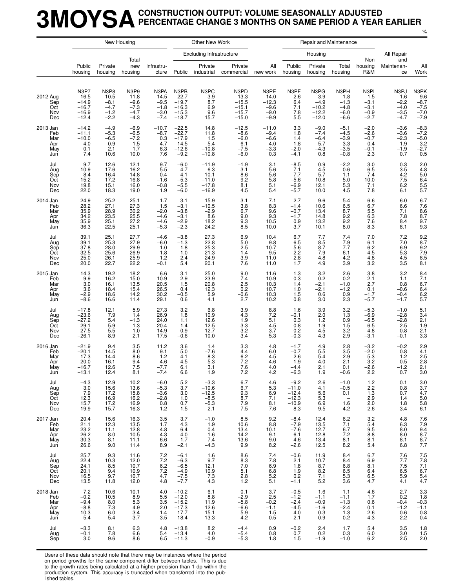### **3MOYSACONSTRUCTION OUTPUT: VOLUME SEASONALLY ADJUSTED PERCENTAGE CHANGE 3 MONTHS ON SAME PERIOD A YEAR EARLIER**

%

|                                             |                                                                   | New Housing                                             |                                                         |                                                         |                                                                | Other New Work                                                |                                                             |                                                          |                                                              | Repair and Maintenance                                    |                                                                   |                                                          |                                                                        |                                                        |
|---------------------------------------------|-------------------------------------------------------------------|---------------------------------------------------------|---------------------------------------------------------|---------------------------------------------------------|----------------------------------------------------------------|---------------------------------------------------------------|-------------------------------------------------------------|----------------------------------------------------------|--------------------------------------------------------------|-----------------------------------------------------------|-------------------------------------------------------------------|----------------------------------------------------------|------------------------------------------------------------------------|--------------------------------------------------------|
|                                             |                                                                   |                                                         | Total                                                   |                                                         |                                                                | <b>Excluding Infrastructure</b>                               |                                                             |                                                          |                                                              | Housing                                                   |                                                                   | Non                                                      | All Repair<br>and                                                      |                                                        |
|                                             | Public<br>housing                                                 | Private<br>housing                                      | new<br>housing                                          | Infrastru-<br>cture                                     | Public                                                         | Private<br>industrial                                         | Private<br>commercial                                       | All<br>new work                                          | Public<br>housing                                            | Private<br>housing                                        | Total<br>housing                                                  | housing<br>R&M                                           | Maintenan-<br>ce                                                       | All<br>Work                                            |
| 2012 Aug<br>Sep<br>Oct<br>Nov<br>Dec        | N3P7<br>$-16.5$<br>$-14.9$<br>$-16.7$<br>$-16.9$<br>$-12.4$       | N3P8<br>$-10.5$<br>$-8.1$<br>$-4.7$<br>$-1.2$<br>$-2.2$ | N3P9<br>$-11.8$<br>$-9.6$<br>$-7.3$<br>$-4.7$<br>$-4.3$ | N3PA<br>$-14.5$<br>$-9.5$<br>$-1.8$<br>$-3.0$<br>$-7.4$ | N3PB<br>$-22.7$<br>$-19.7$<br>$-16.3$<br>$-15.3$<br>$-18.7$    | N3PC<br>3.9<br>8.7<br>6.9<br>9.6<br>15.7                      | N3PD<br>$-13.3$<br>$-15.5$<br>$-15.1$<br>$-15.7$<br>$-15.0$ | N3PE<br>$-14.0$<br>$-12.3$<br>$-9.6$<br>$-9.0$<br>$-9.9$ | N3PF<br>2.6<br>6.4<br>7.1<br>7.8<br>5.5                      | N3PG<br>$-3.9$<br>$-4.9$<br>$-10.2$<br>$-12.2$<br>$-12.0$ | N3PH<br>$-1.8$<br>$-1.3$<br>$-4.8$<br>$-6.0$<br>-6.6              | N3PI<br>$-1.5$<br>$-3.1$<br>$-3.1$<br>$-0.9$<br>$-2.7$   | N3PJ<br>$-1.6$<br>$-2.2$<br>$-4.0$<br>$-3.5$<br>$-4.7$                 | N3PK<br>$-9.6$<br>$-8.7$<br>$-7.5$<br>$-7.0$<br>$-7.9$ |
| 2013 Jan<br>Feb<br>Mar<br>Apr<br>May<br>Jun | $-14.2$<br>$-11.1$<br>$-10.0$<br>$-4.0$<br>0.1<br>7.4             | $-4.9$<br>$-5.3$<br>$-6.5$<br>$-0.9$<br>2.1<br>10.6     | $-6.9$<br>$-6.5$<br>$-7.2$<br>$-1.5$<br>1.7<br>10.0     | $-10.7$<br>$-8.7$<br>0.3<br>4.7<br>6.3<br>7.6           | $-22.5$<br>$-22.7$<br>$-17.9$<br>$-14.5$<br>$-12.6$<br>$-9.2$  | 14.8<br>11.8<br>1.5<br>$-5.4$<br>$-10.8$<br>$-10.8$           | $-12.5$<br>$-8.6$<br>$-6.0$<br>$-6.1$<br>$-7.5$<br>$-6.0$   | $-11.0$<br>$-9.4$<br>$-6.6$<br>$-4.0$<br>-3.3<br>0.3     | 3.3<br>1.8<br>1.4<br>1.8<br>$-2.0$<br>$-4.1$                 | $-9.0$<br>$-7.4$<br>$-6.4$<br>$-5.7$<br>$-4.3$<br>0.8     | $-5.1$<br>-4.5<br>$-3.9$<br>$-3.3$<br>-3.5<br>$-0.8$              | $-2.0$<br>$-2.6$<br>$-0.7$<br>$-0.4$<br>$-0.1$<br>2.3    | $-3.6$<br>$-3.6$<br>$-2.3$<br>$-1.9$<br>$-1.9$<br>0.7                  | $-8.3$<br>$-7.2$<br>$-5.0$<br>$-3.2$<br>$-2.7$<br>0.5  |
| Jul<br>Aug<br>Sep<br>Oct<br>Nov<br>Dec      | 9.7<br>10.9<br>8.4<br>15.2<br>19.8<br>22.0                        | 12.6<br>17.6<br>16.4<br>17.2<br>15.1<br>18.3            | 12.1<br>16.2<br>14.8<br>16.8<br>16.0<br>19.0            | 9.7<br>5.5<br>$-0.4$<br>$-1.6$<br>$-0.8$<br>1.9         | $-6.0$<br>$-4.7$<br>$-4.1$<br>$-5.3$<br>$-5.5$<br>$-6.0$       | $-11.9$<br>$-6.3$<br>$-10.1$<br>$-11.0$<br>$-17.8$<br>$-16.9$ | $-1.9$<br>3.1<br>8.6<br>9.2<br>8.1<br>4.5                   | 3.1<br>5.6<br>5.6<br>5.8<br>5.1<br>5.4                   | $-8.5$<br>$-7.1$<br>$-7.7$<br>$-5.6$<br>$-6.9$<br>$-5.7$     | 0.9<br>4.5<br>5.7<br>10.8<br>12.1<br>10.0                 | $-2.2$<br>0.6<br>1.1<br>5.0<br>5.3<br>4.5                         | 3.0<br>6.5<br>7.4<br>10.0<br>7.1<br>7.8                  | 0.3<br>3.5<br>$\frac{4.2}{7.5}$<br>6.2<br>6.1                          | 2.0<br>4.8<br>5.0<br>$6.4$<br>$5.5$<br>$5.7$           |
| 2014 Jan<br>Feb<br>Mar<br>Apr<br>May<br>Jun | 24.9<br>28.2<br>35.9<br>34.2<br>35.9<br>36.3                      | 25.2<br>27.1<br>28.9<br>23.5<br>25.1<br>22.5            | 25.1<br>27.3<br>30.2<br>25.5<br>27.2<br>25.1            | 1.7<br>1.5<br>$-2.0$<br>$-4.6$<br>$-4.6$<br>$-5.3$      | $-3.1$<br>$-3.1$<br>$-3.8$<br>$-3.1$<br>$-2.9$<br>$-2.3$       | $-15.9$<br>$-10.5$<br>$-2.9$<br>8.6<br>18.2<br>24.2           | 3.1<br>3.8<br>6.7<br>9.0<br>9.3<br>8.5                      | 7.1<br>8.3<br>9.6<br>9.3<br>10.5<br>10.0                 | $-2.7$<br>$-1.4$<br>$-0.7$<br>$-1.7$<br>0.9<br>3.7           | 9.6<br>10.6<br>13.4<br>14.8<br>13.2<br>10.1               | 5.4<br>6.5<br>8.7<br>9.2<br>9.2<br>8.0                            | 6.6<br>6.7<br>5.5<br>6.3<br>7.6<br>8.3                   | 6.0<br>6.6<br>7.1<br>7.8<br>8.4<br>8.1                                 | 6.7<br>7.6<br>$8.6$<br>$8.7$<br>$\frac{9.7}{9.3}$      |
| Jul<br>Aug<br>Sep<br>Oct<br>Nov<br>Dec      | 39.1<br>39.1<br>37.8<br>32.5<br>25.0<br>20.0                      | 25.1<br>25.3<br>28.0<br>25.6<br>26.1<br>22.7            | 27.7<br>27.9<br>29.9<br>26.9<br>25.9<br>22.2            | $-4.6$<br>$-6.0$<br>$-1.0$<br>$-1.8$<br>1.2<br>$-0.1$   | $-3.8$<br>$-1.3$<br>$-1.8$<br>1.0<br>2.4<br>5.4                | 27.3<br>22.8<br>25.3<br>21.3<br>24.9<br>20.1                  | 6.9<br>5.0<br>2.5<br>1.4<br>3.9<br>7.6                      | 10.4<br>9.8<br>10.7<br>9.5<br>11.0<br>11.0               | 6.7<br>6.5<br>5.6<br>2.2<br>2.8<br>1.7                       | 7.7<br>8.5<br>8.7<br>7.9<br>4.8<br>4.9                    | 7.4<br>7.9<br>7.7<br>6.1<br>4.2<br>3.9                            | 7.0<br>6.1<br>6.2<br>4.5<br>4.8<br>3.2                   | 7.2<br>7.0<br>6.9<br>$\frac{5.3}{4.5}$<br>3.5                          | $\frac{9.2}{8.7}$<br>$\frac{9.2}{7.9}$<br>8.5<br>8.1   |
| 2015 Jan<br>Feb<br>Mar<br>Apr<br>May<br>Jun | 14.3<br>9.9<br>3.0<br>3.6<br>$-2.9$<br>$-8.6$                     | 19.2<br>16.2<br>16.1<br>18.4<br>18.6<br>16.6            | 18.2<br>15.0<br>13.5<br>15.4<br>14.2<br>11.4            | 6.6<br>10.9<br>20.5<br>26.5<br>30.2<br>29.1             | 3.1<br>2.9<br>1.5<br>0.4<br>$-0.5$<br>0.6                      | 25.0<br>23.9<br>20.8<br>12.3<br>5.9<br>4.1                    | 9.0<br>7.4<br>2.5<br>0.2<br>$-0.6$<br>2.7                   | 11.6<br>10.9<br>10.3<br>10.7<br>10.3<br>10.2             | 1.3<br>0.3<br>1.4<br>1.0<br>1.5<br>0.8                       | 3.2<br>0.2<br>$-2.1$<br>$-2.1$<br>0.6<br>3.0              | 2.6<br>0.2<br>$-1.0$<br>$-1.2$<br>0.9<br>2.3                      | 3.8<br>2.1<br>2.7<br>0.1<br>$-1.7$<br>$-5.7$             | 3.2<br>1.1<br>0.8<br>$-0.6$<br>$-0.4$<br>$-1.7$                        | 8.4<br>7.1<br>6.7<br>$6.4$<br>$6.2$<br>5.7             |
| Jul<br>Aug<br>Sep<br>Oct<br>Nov<br>Dec      | $-17.8$<br>$-23.6$<br>$-27.2$<br>$-29.1$<br>$-27.5$<br>$-26.1$    | 12.1<br>7.9<br>5.4<br>5.9<br>5.5<br>8.9                 | 5.9<br>1.4<br>$-1.3$<br>$-1.3$<br>$-1.0$<br>2.1         | 27.3<br>26.9<br>24.0<br>20.4<br>14.9<br>17.5            | 3.2<br>1.8<br>1.1<br>$-1.4$<br>$-0.9$<br>$-0.6$                | 6.8<br>10.9<br>12.6<br>12.5<br>12.7<br>10.0                   | 3.9<br>4.3<br>1.9<br>3.3<br>3.2<br>3.4                      | 8.8<br>7.2<br>5.1<br>4.5<br>3.7<br>5.3                   | 1.6<br>$-0.1$<br>0.3<br>0.8<br>0.2<br>$-0.3$                 | 3.9<br>2.0<br>1.2<br>1.9<br>4.5<br>4.3                    | 3.2<br>1.3<br>0.9<br>1.5<br>3.2<br>2.9                            | $-5.3$<br>$-6.9$<br>$-6.5$<br>$-6.5$<br>$-4.8$<br>$-3.1$ | $-1.0$<br>$-2.8$<br>$-2.8$<br>$-2.5$<br>$-0.8$<br>$-0.1$               | 5.1<br>3.4<br>2.1<br>1.9<br>2.1<br>3.3                 |
| 2016 Jan<br>Feb<br>Mar<br>Apr<br>May<br>Jun | $-21.9$<br>$-20.1$<br>$-17.3$<br>$-20.0$<br>$-16.7$<br>$-13.1$    | 9.4<br>14.5<br>14.4<br>16.1<br>12.6<br>12.4             | 3.5<br>8.0<br>8.6<br>9.4<br>7.5<br>8.1                  | 11.2<br>9.1<br>$-1.2$<br>$-4.6$<br>$-7.7$<br>$-7.4$     | 3.6<br>5.0<br>4.1<br>4.5<br>6.1<br>6.6                         | 1.4<br>$-7.6$<br>$-8.3$<br>$-5.3$<br>3.1<br>1.9               | 3.3<br>4.4<br>6.2<br>7.2<br>7.6<br>7.2                      | 4.8<br>6.0<br>4.5<br>4.6<br>4.0<br>4.2                   | $-1.7$<br>$-0.7$<br>$-2.6$<br>$-1.9$<br>$-4.4$<br>$-6.3$     | 4.9<br>5.5<br>5.4<br>4.0<br>2.1<br>1.9                    | 2.8<br>3.5<br>2.9<br>2.1<br>0.1<br>$-0.6$                         | $-3.2$<br>$-2.0$<br>$-5.3$<br>$-3.2$<br>$-2.6$<br>2.2    | $-0.2$<br>0.8<br>$-1.2$<br>$-0.5$<br>$-1.2$<br>0.7                     | $^{2.9}_{4.1}$<br>2.5<br>$^{2.8}_{2.1}$<br>3.0         |
| Jul<br>Aug<br>Sep<br>Oct<br>Nov<br>Dec      | $-4.3$<br>3.0<br>7.9<br>12.3<br>15.7<br>19.9                      | 12.9<br>15.6<br>17.2<br>16.9<br>17.2<br>15.7            | 10.2<br>13.6<br>15.8<br>16.2<br>16.9<br>16.3            | $-6.0$<br>$-5.3$<br>$-3.6$<br>$-2.8$<br>0.8<br>$-1.2$   | 5.2<br>3.7<br>3.0<br>1.0<br>0.7<br>1.5                         | $-3.3$<br>$-10.6$<br>$-12.5$<br>$-8.5$<br>$-5.3$<br>$-2.1$    | 6.7<br>6.7<br>$\frac{9.3}{8.7}$<br>7.9<br>7.5               | 4.6<br>5.3<br>6.9<br>7.1<br>8.1<br>7.6                   | $-9.2$<br>$-11.0$<br>$-12.4$<br>$-12.3$<br>$-10.9$<br>$-8.3$ | 2.6<br>4.1<br>5.6<br>5.3<br>6.9<br>9.5                    | $-1.0$<br>$-0.5$<br>0.1<br>$\overline{\phantom{a}}$<br>1.6<br>4.2 | 1.2<br>2.2<br>1.3<br>2.9<br>2.0<br>2.6                   | 0.1<br>0.8<br>0.7<br>1.4<br>1.8<br>3.4                                 | $3.0\,$<br>3.7<br>$\frac{4.7}{5.0}$<br>5.8<br>6.1      |
| 2017 Jan<br>Feb<br>Mar<br>Apr<br>May<br>Jun | 20.4<br>21.1<br>23.2<br>26.2<br>30.3<br>26.6                      | 15.6<br>12.3<br>11.1<br>8.0<br>8.1<br>9.0               | 16.3<br>13.5<br>12.8<br>10.5<br>11.1<br>11.4            | 3.5<br>1.7<br>4.8<br>4.3<br>6.6<br>8.9                  | 3.7<br>4.3<br>6.4<br>4.0<br>1.7<br>$-2.1$                      | $-1.0$<br>1.9<br>0.4<br>$-1.6$<br>$-7.4$<br>$-4.3$            | 8.5<br>10.6<br>13.4<br>14.2<br>13.6<br>9.9                  | 9.2<br>8.8<br>10.1<br>9.1<br>9.0<br>8.2                  | $-8.4$<br>$-7.9$<br>$-7.6$<br>$-6.1$<br>$-4.6$<br>$-2.6$     | 12.4<br>13.5<br>12.7<br>12.8<br>13.4<br>12.5              | 6.2<br>7.1<br>6.7<br>7.2<br>8.1<br>8.2                            | 3.2<br>5.4<br>9.5<br>8.8<br>8.1<br>5.4                   | 4.8<br>$6.3 \ 8.0$<br>8.0<br>$\begin{array}{c} 8.1 \\ 6.8 \end{array}$ | 7.6<br>$7.94$<br>$8.7$<br>$8.7$<br>$7.7$               |
| Jul<br>Aug<br>Sep<br>Oct<br>Nov<br>Dec      | 25.7<br>22.4<br>24.1<br>20.1<br>16.5<br>13.5                      | 9.3<br>10.3<br>8.5<br>9.4<br>9.7<br>11.8                | 11.6<br>12.0<br>10.7<br>10.9<br>10.7<br>12.0            | $7.2$<br>$7.2$<br>$6.2\,$<br>$7.2$<br>4.7<br>4.8        | $-6.1$<br>$-6.3$<br>$-6.5$<br>$-4.9$<br>$-7.5$<br>$-7.7$       | 1.6<br>9.7<br>12.1<br>$^{10.9}_{7.3}$<br>4.3                  | $\substack{8.6 \\ 8.3}$<br>$7.0$<br>5.1<br>2.8<br>1.2       | 7.4<br>7.8<br>6.9<br>6.8<br>5.2<br>5.1                   | $-0.6$<br>2.1<br>1.8<br>1.9<br>$0.\overline{2}$<br>$-1.1$    | 11.9<br>10.7<br>8.7<br>$\frac{8.2}{7.1}$<br>5.2           | 8.4<br>8.4<br>6.8<br>$6.5$<br>$5.3$<br>3.6                        | 6.7<br>6.9<br>8.1<br>6.4<br>6.5<br>4.7                   | $7.6$<br>$7.7$<br>$7.5\,$<br>$6.5$<br>5.9<br>4.1                       | 758<br>776<br>547<br>547                               |
| 2018 Jan<br>Feb<br>Mar<br>Apr<br>May<br>Jun | 7.2<br>$-0.\overline{2}$<br>$-9.4$<br>$-8.8$<br>$-10.3$<br>$-5.4$ | 10.6<br>10.5<br>8.0<br>7.3<br>6.0<br>5.4                | 10.1<br>8.9<br>5.3<br>4.9<br>3.4<br>3.7                 | 4.0<br>5.5<br>3.5<br>2.0<br>1.4<br>3.5                  | $-10.2$<br>$-12.0$<br>$-15.2$<br>$-17.3$<br>$-17.7$<br>$-18.4$ | 6.1<br>8.8<br>11.9<br>12.6<br>15.1<br>13.3                    | 0.1<br>$-2.9$<br>$-5.8$<br>$-6.6$<br>$-5.9$<br>$-4.2$       | 3.7<br>2.5<br>$-0.2$<br>$-1.1$<br>$-1.5$<br>$-0.5$       | $-0.5$<br>$-1.2$<br>$-2.4$<br>$-4.5$<br>$-4.0$<br>$-2.1$     | 1.6<br>$-1.1$<br>$-0.9$<br>$-1.6$<br>$-0.3$<br>0.9        | 1.1<br>$-1.1$<br>$-1.3$<br>$-2.4$<br>$-1.3$<br>0.2                | 4.6<br>1.7<br>0.6<br>0.1<br>2.6<br>4.3                   | 2.7<br>0.2<br>$-0.4$<br>$-1.2$<br>0.6<br>2.2                           | $\frac{3.3}{1.8}$<br>$-0.3$<br>$-1.1$<br>$-0.8$<br>0.4 |
| Jul<br>Aug<br>Sep                           | $-3.3$<br>$-0.1$<br>3.0                                           | 8.1<br>7.8<br>9.6                                       | 6.3<br>6.6<br>8.6                                       | 4.8<br>$\begin{array}{c} 5.4 \\ 6.5 \end{array}$        | $-13.8$<br>$-13.4$<br>$-11.3$                                  | 8.2<br>4.0<br>$-0.9$                                          | $-4.4$<br>$-5.4$<br>$-5.3$                                  | 0.9<br>0.8<br>1.8                                        | $-0.2$<br>0.7<br>1.5                                         | 2.4<br>$0.2 - 1.9$                                        | 1.7<br>0.3<br>$-1.0$                                              | 5.4<br>6.0 6.2                                           | 3.5<br>$\frac{3.0}{2.5}$                                               | 1.8<br>$1.5$<br>2.0                                    |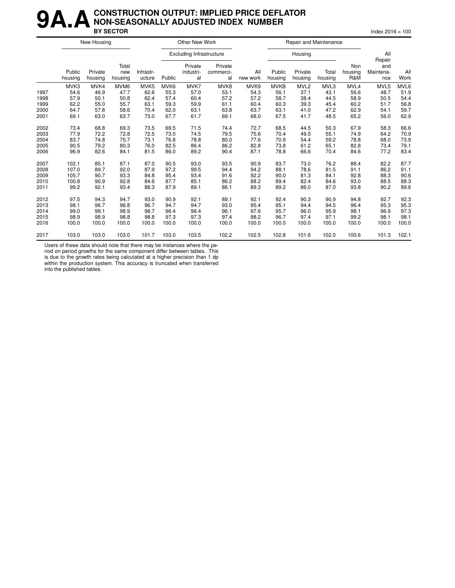#### **9A.A** CONSTRUCTION OUTPUT: IMPLIED PRICE DEFLATOR<br>BY SECTOR **NON-SEASONALLY ADJUSTED INDEX NUMBER BY SECTOR** Index 2016 = 100

|      |                   | New Housing        |                         |                     |        | Other New Work                  |                            |                 |                   | Repair and Maintenance |                  |                       |                                   |             |
|------|-------------------|--------------------|-------------------------|---------------------|--------|---------------------------------|----------------------------|-----------------|-------------------|------------------------|------------------|-----------------------|-----------------------------------|-------------|
|      |                   |                    |                         |                     |        | <b>Excluding Infrastructure</b> |                            |                 |                   | Housing                |                  |                       | All                               |             |
|      | Public<br>housing | Private<br>housing | Total<br>new<br>housing | Infrastr-<br>ucture | Public | Private<br>industri-<br>al      | Private<br>commerci-<br>al | All<br>new work | Public<br>housing | Private<br>housing     | Total<br>housing | Non<br>housing<br>R&M | Repair<br>and<br>Maintena-<br>nce | All<br>Work |
|      | MVK3              | MVK4               | MVM <sub>6</sub>        | MVK <sub>5</sub>    | MVK6   | MVK7                            | MVK8                       | MVK9            | <b>MVKB</b>       | MVL <sub>2</sub>       | MVL3             | MVL4                  | MVL5                              | MVL6        |
| 1997 | 54.6              | 46.9               | 47.7                    | 62.6                | 55.3   | 57.0                            | 53.1                       | 54.3            | 56.1              | 37.1                   | 43.1             | 56.6                  | 48.7                              | 51.9        |
| 1998 | 57.9              | 50.1               | 50.8                    | 62.4                | 57.4   | 60.4                            | 57.2                       | 57.2            | 58.7              | 38.4                   | 44.5             | 58.9                  | 50.5                              | 54.4        |
| 1999 | 62.2              | 55.0               | 55.7                    | 63.1                | 59.3   | 59.9                            | 61.1                       | 60.4            | 60.3              | 39.3                   | 45.4             | 60.2                  | 51.7                              | 56.8        |
| 2000 | 64.7              | 57.8               | 58.6                    | 70.4                | 62.0   | 63.1                            | 63.8                       | 63.7            | 63.1              | 41.0                   | 47.2             | 62.9                  | 54.1                              | 59.7        |
| 2001 | 69.1              | 63.0               | 63.7                    | 73.0                | 67.7   | 61.7                            | 69.1                       | 68.0            | 67.5              | 41.7                   | 48.5             | 65.2                  | 56.0                              | 62.9        |
| 2002 | 73.4              | 68.8               | 69.3                    | 73.5                | 69.5   | 71.5                            | 74.4                       | 72.7            | 68.5              | 44.5                   | 50.3             | 67.9                  | 58.3                              | 66.6        |
| 2003 | 77.9              | 72.2               | 72.8                    | 72.5                | 73.0   | 74.5                            | 79.5                       | 75.6            | 70.4              | 49.5                   | 55.1             | 74.9                  | 64.2                              | 70.9        |
| 2004 | 83.7              | 74.8               | 75.7                    | 73.1                | 76.8   | 78.8                            | 80.0                       | 77.6            | 70.9              | 54.4                   | 59.2             | 78.8                  | 68.0                              | 73.9        |
| 2005 | 90.5              | 79.2               | 80.3                    | 76.0                | 82.5   | 86.4                            | 86.2                       | 82.8            | 73.8              | 61.2                   | 65.1             | 82.8                  | 73.4                              | 79.1        |
| 2006 | 96.9              | 82.6               | 84.1                    | 81.5                | 86.0   | 89.2                            | 90.4                       | 87.1            | 78.8              | 66.6                   | 70.4             | 84.6                  | 77.2                              | 83.4        |
| 2007 | 102.1             | 85.1               | 87.1                    | 87.0                | 90.5   | 93.0                            | 93.5                       | 90.9            | 83.7              | 73.0                   | 76.2             | 88.4                  | 82.2                              | 87.7        |
| 2008 | 107.0             | 89.7               | 92.0                    | 87.9                | 97.2   | 99.5                            | 94.4                       | 94.2            | 88.1              | 78.6                   | 81.5             | 91.1                  | 86.2                              | 91.1        |
| 2009 | 105.7             | 90.7               | 93.3                    | 84.8                | 95.4   | 93.4                            | 91.6                       | 92.2            | 90.0              | 81.3                   | 84.1             | 92.8                  | 88.3                              | 90.6        |
| 2010 | 100.8             | 90.9               | 92.8                    | 84.6                | 87.7   | 85.1                            | 86.2                       | 88.2            | 89.4              | 82.4                   | 84.6             | 93.0                  | 88.5                              | 88.3        |
| 2011 | 99.2              | 92.1               | 93.4                    | 88.3                | 87.9   | 89.1                            | 86.1                       | 89.3            | 89.2              | 86.0                   | 87.0             | 93.8                  | 90.2                              | 89.6        |
| 2012 | 97.5              | 94.3               | 94.7                    | 93.0                | 90.9   | 92.1                            | 89.1                       | 92.1            | 92.4              | 90.3                   | 90.9             | 94.8                  | 92.7                              | 92.3        |
| 2013 | 98.1              | 96.7               | 96.8                    | 96.7                | 94.7   | 94.7                            | 93.0                       | 95.4            | 95.1              | 94.4                   | 94.5             | 96.4                  | 95.3                              | 95.3        |
| 2014 | 99.0              | 99.1               | 98.9                    | 98.7                | 96.4   | 96.4                            | 96.1                       | 97.6            | 95.7              | 96.0                   | 95.9             | 98.1                  | 96.9                              | 97.3        |
| 2015 | 98.9              | 98.9               | 98.8                    | 98.8                | 97.3   | 97.3                            | 97.4                       | 98.2            | 96.7              | 97.4                   | 97.1             | 99.2                  | 98.1                              | 98.1        |
| 2016 | 100.0             | 100.0              | 100.0                   | 100.0               | 100.0  | 100.0                           | 100.0                      | 100.0           | 100.0             | 100.0                  | 100.0            | 100.0                 | 100.0                             | 100.0       |
| 2017 | 103.0             | 103.0              | 103.0                   | 101.7               | 103.0  | 103.5                           | 102.2                      | 102.5           | 102.8             | 101.6                  | 102.0            | 100.6                 | 101.3                             | 102.1       |

Users of these data should note that there may be instances where the pe-

riod on period growths for the same component differ between tables. This is due to the growth rates being calculated at a higher precision than 1 dp

within the production system. This accuracy is truncated when transferred into the published tables.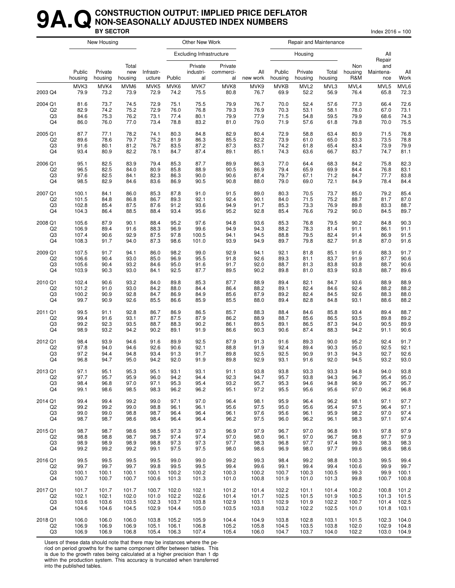#### **9A. Q** CONSTRUCTION OUTPUT: IMPLIED PRICE DEFLATOR<br>BY SECTOR **NON-SEASONALLY ADJUSTED INDEX NUMBERS BY SECTOR** Index 2016 = 100

|                |                   | New Housing        |                         |                     |        | Other New Work                  |                            |                 |                   |                    | Repair and Maintenance |                       |                         |             |
|----------------|-------------------|--------------------|-------------------------|---------------------|--------|---------------------------------|----------------------------|-----------------|-------------------|--------------------|------------------------|-----------------------|-------------------------|-------------|
|                |                   |                    |                         |                     |        | <b>Excluding Infrastructure</b> |                            |                 |                   | Housing            |                        |                       | All<br>Repair           |             |
|                | Public<br>housing | Private<br>housing | Total<br>new<br>housing | Infrastr-<br>ucture | Public | Private<br>industri-<br>al      | Private<br>commerci-<br>al | All<br>new work | Public<br>housing | Private<br>housing | Total<br>housing       | Non<br>housing<br>R&M | and<br>Maintena-<br>nce | All<br>Work |
| 2003 Q4        | MVK3              | MVK4               | MVM6                    | MVK <sub>5</sub>    | MVK6   | MVK7                            | MVK8                       | MVK9            | <b>MVKB</b>       | MVL <sub>2</sub>   | MVL3                   | MVL4                  | MVL5                    | MVL6        |
|                | 79.9              | 73.2               | 73.9                    | 72.9                | 74.2   | 75.5                            | 80.8                       | 76.7            | 69.9              | 52.2               | 56.9                   | 76.4                  | 65.8                    | 72.3        |
| 2004 Q1        | 81.6              | 73.7               | 74.5                    | 72.9                | 75.1   | 75.5                            | 79.9                       | 76.7            | 70.0              | 52.4               | 57.6                   | 77.3                  | 66.4                    | 72.6        |
| Q <sub>2</sub> | 82.9              | 74.2               | 75.2                    | 72.9                | 76.0   | 76.8                            | 79.3                       | 76.9            | 70.3              | 53.1               | 58.1                   | 78.0                  | 67.0                    | 73.1        |
| Q3             | 84.6              | 75.3               | 76.2                    | 73.1                | 77.4   | 80.1                            | 79.9                       | 77.9            | 71.5              | 54.8               | 59.5                   | 79.9                  | 68.6                    | 74.3        |
| Q4             | 86.0              | 76.0               | 77.0                    | 73.4                | 78.8   | 83.2                            | 81.0                       | 79.0            | 71.9              | 57.6               | 61.8                   | 79.8                  | 70.0                    | 75.5        |
| 2005 Q1        | 87.7              | 77.1               | 78.2                    | 74.1                | 80.3   | 84.8                            | 82.9                       | 80.4            | 72.9              | 58.8               | 63.4                   | 80.9                  | 71.5                    | 76.8        |
| Q2             | 89.6              | 78.6               | 79.7                    | 75.2                | 81.9   | 86.3                            | 85.5                       | 82.2            | 73.9              | 61.0               | 65.0                   | 83.3                  | 73.5                    | 78.8        |
| Q3             | 91.6              | 80.1               | 81.2                    | 76.7                | 83.5   | 87.2                            | 87.3                       | 83.7            | 74.2              | 61.8               | 65.4                   | 83.4                  | 73.9                    | 79.9        |
| Q4             | 93.4              | 80.9               | 82.2                    | 78.1                | 84.7   | 87.4                            | 89.1                       | 85.1            | 74.3              | 63.6               | 66.7                   | 83.7                  | 74.7                    | 81.1        |
| 2006 Q1        | 95.1              | 82.5               | 83.9                    | 79.4                | 85.3   | 87.7                            | 89.9                       | 86.3            | 77.0              | 64.4               | 68.3                   | 84.2                  | 75.8                    | 82.3        |
| Q2             | 96.5              | 82.5               | 84.0                    | 80.9                | 85.8   | 88.9                            | 90.5                       | 86.9            | 79.4              | 65.9               | 69.9                   | 84.4                  | 76.8                    | 83.1        |
| Q3             | 97.6              | 82.5               | 84.1                    | 82.3                | 86.3   | 90.0                            | 90.6                       | 87.4            | 79.7              | 67.1               | 71.2                   | 84.7                  | 77.7                    | 83.8        |
| Q4             | 98.5              | 82.9               | 84.6                    | 83.6                | 86.9   | 90.5                            | 90.8                       | 88.0            | 79.0              | 69.0               | 72.1                   | 84.9                  | 78.4                    | 84.4        |
| 2007 Q1        | 100.1             | 84.1               | 86.0                    | 85.3                | 87.8   | 91.0                            | 91.5                       | 89.0            | 80.3              | 70.5               | 73.7                   | 85.0                  | 79.2                    | 85.4        |
| Q <sub>2</sub> | 101.5             | 84.8               | 86.8                    | 86.7                | 89.3   | 92.1                            | 92.4                       | 90.1            | 84.0              | 71.5               | 75.2                   | 88.7                  | 81.7                    | 87.0        |
| Q3             | 102.8             | 85.4               | 87.5                    | 87.6                | 91.2   | 93.6                            | 94.9                       | 91.7            | 85.3              | 73.3               | 76.9                   | 89.8                  | 83.3                    | 88.7        |
| Q4             | 104.3             | 86.4               | 88.5                    | 88.4                | 93.4   | 95.6                            | 95.2                       | 92.8            | 85.4              | 76.6               | 79.2                   | 90.0                  | 84.5                    | 89.7        |
| 2008 Q1        | 105.6             | 87.9               | 90.1                    | 88.4                | 95.2   | 97.6                            | 94.8                       | 93.6            | 85.3              | 76.8               | 79.5                   | 90.2                  | 84.8                    | 90.3        |
| Q2             | 106.9             | 89.4               | 91.6                    | 88.3                | 96.9   | 99.6                            | 94.9                       | 94.3            | 88.2              | 78.3               | 81.4                   | 91.1                  | 86.1                    | 91.1        |
| Q3             | 107.4             | 90.6               | 92.9                    | 87.5                | 97.8   | 100.5                           | 94.1                       | 94.5            | 88.8              | 79.5               | 82.4                   | 91.4                  | 86.9                    | 91.5        |
| Q4             | 108.3             | 91.7               | 94.0                    | 87.3                | 98.6   | 101.0                           | 93.9                       | 94.9            | 89.7              | 79.8               | 82.7                   | 91.8                  | 87.0                    | 91.6        |
| 2009 Q1        | 107.5             | 91.7               | 94.1                    | 86.0                | 98.2   | 99.0                            | 92.9                       | 94.1            | 92.1              | 81.8               | 85.1                   | 91.6                  | 88.3                    | 91.7        |
| Q2             | 106.6             | 90.4               | 93.0                    | 85.0                | 96.9   | 95.5                            | 91.8                       | 92.6            | 89.3              | 81.1               | 83.7                   | 91.9                  | 87.7                    | 90.6        |
| Q3             | 105.6             | 90.4               | 93.2                    | 84.6                | 95.0   | 91.6                            | 91.7                       | 92.0            | 88.7              | 81.3               | 83.8                   | 93.8                  | 88.7                    | 90.6        |
| Q4             | 103.9             | 90.3               | 93.0                    | 84.1                | 92.5   | 87.7                            | 89.5                       | 90.2            | 89.8              | 81.0               | 83.9                   | 93.8                  | 88.7                    | 89.6        |
| 2010 Q1        | 102.4             | 90.6               | 93.2                    | 84.0                | 89.8   | 85.3                            | 87.7                       | 88.9            | 89.4              | 82.1               | 84.7                   | 93.6                  | 88.9                    | 88.9        |
| Q <sub>2</sub> | 101.2             | 91.0               | 93.0                    | 84.2                | 88.0   | 84.4                            | 86.4                       | 88.2            | 89.1              | 82.4               | 84.6                   | 92.4                  | 88.2                    | 88.2        |
| Q3             | 100.2             | 90.9               | 92.8                    | 84.7                | 86.9   | 84.9                            | 85.6                       | 87.9            | 89.2              | 82.4               | 84.5                   | 92.6                  | 88.3                    | 88.0        |
| Q4             | 99.7              | 90.9               | 92.6                    | 85.5                | 86.6   | 85.9                            | 85.5                       | 88.0            | 89.4              | 82.8               | 84.8                   | 93.1                  | 88.6                    | 88.2        |
| 2011 Q1        | 99.5              | 91.1               | 92.8                    | 86.7                | 86.9   | 86.5                            | 85.7                       | 88.3            | 88.4              | 84.6               | 85.8                   | 93.4                  | 89.4                    | 88.7        |
| Q2             | 99.4              | 91.6               | 93.1                    | 87.7                | 87.5   | 87.9                            | 86.2                       | 88.9            | 88.7              | 85.6               | 86.5                   | 93.5                  | 89.8                    | 89.2        |
| Q3             | 99.2              | 92.3               | 93.5                    | 88.7                | 88.3   | 90.2                            | 86.1                       | 89.5            | 89.1              | 86.5               | 87.3                   | 94.0                  | 90.5                    | 89.9        |
| Q4             | 98.9              | 93.2               | 94.2                    | 90.2                | 89.1   | 91.9                            | 86.6                       | 90.3            | 90.6              | 87.4               | 88.3                   | 94.2                  | 91.1                    | 90.6        |
| 2012 Q1        | 98.4              | 93.9               | 94.6                    | 91.6                | 89.9   | 92.5                            | 87.9                       | 91.3            | 91.6              | 89.3               | 90.0                   | 95.2                  | 92.4                    | 91.7        |
| Q2             | 97.8              | 94.0               | 94.6                    | 92.6                | 90.6   | 92.1                            | 88.8                       | 91.9            | 92.4              | 89.4               | 90.3                   | 95.0                  | 92.5                    | 92.1        |
| Q3             | 97.2              | 94.4               | 94.8                    | 93.4                | 91.3   | 91.7                            | 89.8                       | 92.5            | 92.5              | 90.9               | 91.3                   | 94.3                  | 92.7                    | 92.6        |
| Q4             | 96.8              | 94.7               | 95.0                    | 94.2                | 92.0   | 91.9                            | 89.8                       | 92.9            | 93.1              | 91.6               | 92.0                   | 94.5                  | 93.2                    | 93.0        |
| 2013 Q1        | 97.1              | 95.1               | 95.3                    | 95.1                | 93.1   | 93.1                            | 91.1                       | 93.8            | 93.8              | 93.3               | 93.3                   | 94.8                  | 94.0                    | 93.8        |
| Q <sub>2</sub> | 97.7              | 95.7               | 95.9                    | 96.0                | 94.2   | 94.4                            | 92.3                       | 94.7            | 95.7              | 93.8               | 94.3                   | 96.7                  | 95.4                    | 95.0        |
| Q3             | 98.4              | 96.8               | 97.0                    | 97.1                | 95.3   | 95.4                            | 93.2                       | 95.7            | 95.3              | 94.6               | 94.8                   | 96.9                  | 95.7                    | 95.7        |
| Q4             | 99.1              | 98.6               | 98.5                    | 98.3                | 96.2   | 96.2                            | 95.1                       | 97.2            | 95.5              | 95.6               | 95.6                   | 97.0                  | 96.2                    | 96.8        |
| 2014 Q1        | 99.4              | 99.4               | 99.2                    | 99.0                | 97.1   | 97.0                            | 96.4                       | 98.1            | 95.9              | 96.4               | 96.2                   | 98.1                  | 97.1                    | 97.7        |
| Q2             | 99.2              | 99.2               | 99.0                    | 98.8                | 96.1   | 96.1                            | 95.6                       | 97.5            | 95.0              | 95.6               | 95.4                   | 97.5                  | 96.4                    | 97.1        |
| Q3             | 99.0              | 99.0               | 98.8                    | 98.7                | 96.4   | 96.4                            | 96.1                       | 97.6            | 95.6              | 96.1               | 95.9                   | 98.2                  | 97.0                    | 97.4        |
| Q4             | 98.7              | 98.7               | 98.6                    | 98.4                | 96.4   | 96.4                            | 96.2                       | 97.5            | 96.0              | 96.2               | 96.1                   | 98.3                  | 97.1                    | 97.4        |
| 2015 Q1        | 98.7              | 98.7               | 98.6                    | 98.5                | 97.3   | 97.3                            | 96.9                       | 97.9            | 96.7              | 97.0               | 96.8                   | 99.1                  | 97.8                    | 97.9        |
| Q2             | 98.8              | 98.8               | 98.7                    | 98.7                | 97.4   | 97.4                            | 97.0                       | 98.0            | 96.1              | 97.0               | 96.7                   | 98.8                  | 97.7                    | 97.9        |
| Q3             | 98.9              | 98.9               | 98.9                    | 98.8                | 97.3   | 97.3                            | 97.7                       | 98.3            | 96.8              | 97.7               | 97.4                   | 99.3                  | 98.3                    | 98.3        |
| Q4             | 99.2              | 99.2               | 99.2                    | 99.1                | 97.5   | 97.5                            | 98.0                       | 98.6            | 96.9              | 98.0               | 97.7                   | 99.6                  | 98.6                    | 98.6        |
| 2016 Q1        | 99.5              | 99.5               | 99.5                    | 99.5                | 99.0   | 99.0                            | 99.2                       | 99.3            | 98.4              | 99.2               | 98.8                   | 100.3                 | 99.5                    | 99.4        |
| Q2             | 99.7              | 99.7               | 99.7                    | 99.8                | 99.5   | 99.5                            | 99.4                       | 99.6            | 99.1              | 99.4               | 99.4                   | 100.6                 | 99.9                    | 99.7        |
| Q3             | 100.1             | 100.1              | 100.1                   | 100.1               | 100.2  | 100.2                           | 100.3                      | 100.2           | 100.7             | 100.3              | 100.5                  | 99.3                  | 99.9                    | 100.1       |
| Q4             | 100.7             | 100.7              | 100.7                   | 100.6               | 101.3  | 101.3                           | 101.0                      | 100.8           | 101.9             | 101.0              | 101.3                  | 99.8                  | 100.7                   | 100.8       |
| 2017 Q1        | 101.7             | 101.7              | 101.7                   | 100.7               | 102.0  | 102.1                           | 101.2                      | 101.4           | 102.2             | 101.1              | 101.4                  | 100.2                 | 100.8                   | 101.2       |
| Q2             | 102.1             | 102.1              | 102.0                   | 101.0               | 102.2  | 102.6                           | 101.4                      | 101.7           | 102.5             | 101.5              | 101.9                  | 100.5                 | 101.3                   | 101.5       |
| Q3             | 103.6             | 103.6              | 103.5                   | 102.3               | 103.7  | 103.8                           | 102.9                      | 103.1           | 102.9             | 101.9              | 102.2                  | 100.7                 | 101.4                   | 102.5       |
| Q4             | 104.6             | 104.6              | 104.5                   | 102.9               | 104.4  | 105.0                           | 103.5                      | 103.8           | 103.2             | 102.2              | 102.5                  | 101.0                 | 101.8                   | 103.1       |
| 2018 Q1        | 106.0             | 106.0              | 106.0                   | 103.8               | 105.2  | 105.9                           | 104.4                      | 104.9           | 103.8             | 102.8              | 103.1                  | 101.5                 | 102.3                   | 104.0       |
| Q2             | 106.9             | 106.9              | 106.9                   | 105.1               | 106.1  | 106.8                           | 105.2                      | 105.8           | 104.5             | 103.5              | 103.8                  | 102.0                 | 102.9                   | 104.8       |
| Q3             | 106.9             | 106.9              | 106.8                   | 105.4               | 106.3  | 107.4                           | 105.4                      | 106.0           | 104.7             | 103.7              | 104.0                  | 102.2                 | 103.0                   | 104.9       |

Users of these data should note that there may be instances where the period on period growths for the same component differ between tables. This is due to the growth rates being calculated at a higher precision than 1 dp within the production system. This accuracy is truncated when transferred

into the published tables.